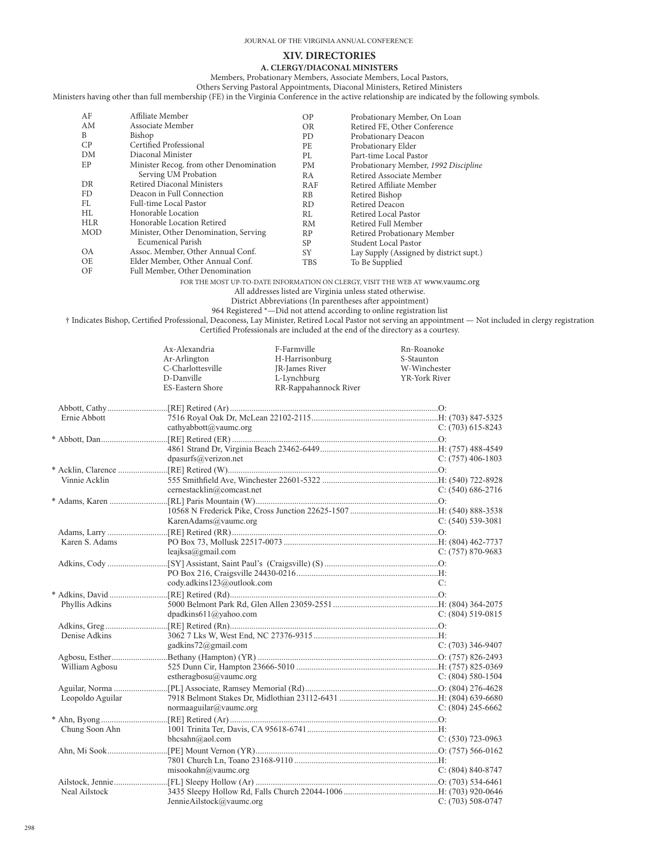## **XIV. DIRECTORIES A. CLERGY/DIACONAL MINISTERS**

Members, Probationary Members, Associate Members, Local Pastors, Others Serving Pastoral Appointments, Diaconal Ministers, Retired Ministers

Ministers having other than full membership (FE) in the Virginia Conference in the active relationship are indicated by the following symbols.

| AF         | Affiliate Member                        | OP         | Probationary Member, On Loan            |
|------------|-----------------------------------------|------------|-----------------------------------------|
| AM         | Associate Member                        | <b>OR</b>  | Retired FE, Other Conference            |
| B          | Bishop                                  | PD         | Probationary Deacon                     |
| CP         | Certified Professional                  | PF.        | Probationary Elder                      |
| DM         | Diaconal Minister                       | PI.        | Part-time Local Pastor                  |
| EP         | Minister Recog. from other Denomination | PM         | Probationary Member, 1992 Discipline    |
|            | Serving UM Probation                    | RA         | Retired Associate Member                |
| DR         | Retired Diaconal Ministers              | RAF        | Retired Affiliate Member                |
| FD.        | Deacon in Full Connection               | <b>RB</b>  | Retired Bishop                          |
| FL         | Full-time Local Pastor                  | RD.        | Retired Deacon                          |
| HL         | Honorable Location                      | RL         | Retired Local Pastor                    |
| <b>HLR</b> | Honorable Location Retired              | <b>RM</b>  | Retired Full Member                     |
| <b>MOD</b> | Minister, Other Denomination, Serving   | <b>RP</b>  | Retired Probationary Member             |
|            | <b>Ecumenical Parish</b>                | SP         | Student Local Pastor                    |
| <b>OA</b>  | Assoc. Member, Other Annual Conf.       | <b>SY</b>  | Lay Supply (Assigned by district supt.) |
| OE         | Elder Member, Other Annual Conf.        | <b>TBS</b> | To Be Supplied                          |
| OF         | Full Member, Other Denomination         |            |                                         |

FOR THE MOST UP-TO-DATE INFORMATION ON CLERGY, VISIT THE WEB AT www.vaumc.org

## All addresses listed are Virginia unless stated otherwise.

District Abbreviations (In parentheses after appointment)

964 Registered \*—Did not attend according to online registration list

† Indicates Bishop, Certified Professional, Deaconess, Lay Minister, Retired Local Pastor not serving an appointment — Not included in clergy registration Certified Professionals are included at the end of the directory as a courtesy.

|                  | Ax-Alexandria<br>Ar-Arlington<br>C-Charlottesville<br>D-Danville<br>ES-Eastern Shore | F-Farmville<br>H-Harrisonburg<br>JR-James River<br>L-Lynchburg<br>RR-Rappahannock River | Rn-Roanoke<br>S-Staunton<br>W-Winchester<br>YR-York River |
|------------------|--------------------------------------------------------------------------------------|-----------------------------------------------------------------------------------------|-----------------------------------------------------------|
| Ernie Abbott     | cathyabbott@vaumc.org                                                                |                                                                                         | C: (703) 615-8243                                         |
|                  | dpasurfs@verizon.net                                                                 |                                                                                         | C: $(757)$ 406-1803                                       |
| Vinnie Acklin    | cernestacklin@comcast.net                                                            |                                                                                         | $C: (540) 686-2716$                                       |
|                  | KarenAdams@vaumc.org                                                                 |                                                                                         | C: $(540)$ 539-3081                                       |
| Karen S. Adams   | leajksa@gmail.com                                                                    |                                                                                         | $C: (757) 870-9683$                                       |
|                  | cody.adkins123@outlook.com                                                           |                                                                                         | C:                                                        |
| Phyllis Adkins   | dpadkins611@yahoo.com                                                                |                                                                                         | $C: (804) 519-0815$                                       |
| Denise Adkins    | gadkins72@gmail.com                                                                  |                                                                                         | $C: (703)$ 346-9407                                       |
| William Agbosu   | estheragbosu@vaumc.org                                                               |                                                                                         | C: $(804)$ 580-1504                                       |
| Leopoldo Aguilar | normaaguilar@vaumc.org                                                               |                                                                                         | C: $(804)$ 245-6662                                       |
| Chung Soon Ahn   | bhcsahn@aol.com                                                                      |                                                                                         | $C: (530)$ 723-0963                                       |
|                  | misookahn@vaumc.org                                                                  |                                                                                         | $C: (804) 840 - 8747$                                     |
| Neal Ailstock    | JennieAilstock@vaumc.org                                                             |                                                                                         | $C: (703) 508-0747$                                       |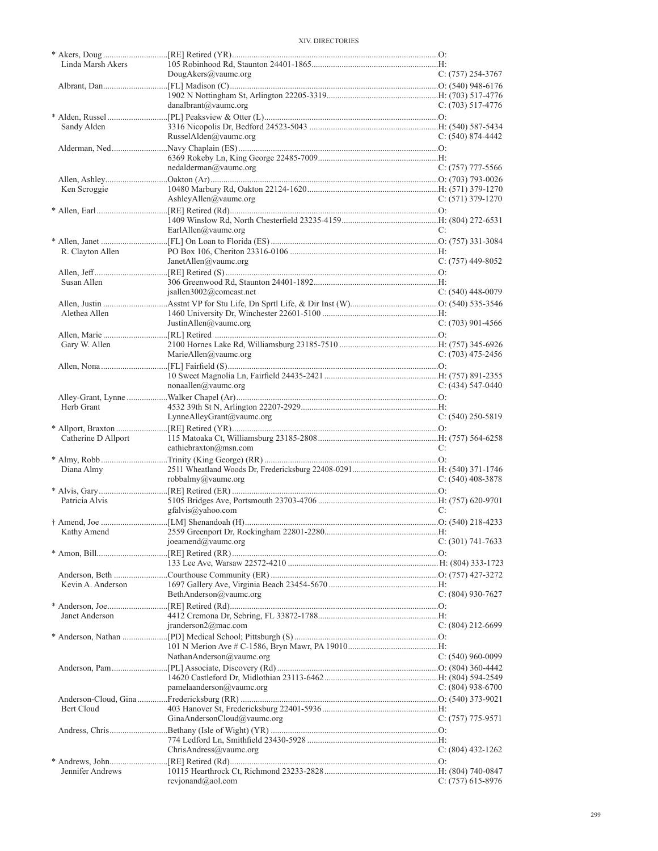| Linda Marsh Akers   |                             |                     |
|---------------------|-----------------------------|---------------------|
|                     | DougAkers@vaumc.org         | $C: (757) 254-3767$ |
|                     |                             |                     |
|                     | danalbrant@vaumc.org        | $C: (703)$ 517-4776 |
|                     |                             |                     |
| Sandy Alden         |                             |                     |
|                     | RusselAlden@vaumc.org       | $C: (540) 874-4442$ |
|                     |                             |                     |
|                     | nedalderman@vaumc.org       | $C: (757)$ 777-5566 |
|                     |                             |                     |
| Ken Scroggie        |                             |                     |
|                     | AshleyAllen@vaumc.org       | $C: (571)$ 379-1270 |
|                     |                             |                     |
|                     | EarlAllen@vaumc.org         | C:                  |
|                     |                             |                     |
| R. Clayton Allen    |                             |                     |
|                     | JanetAllen@vaumc.org        | $C: (757)$ 449-8052 |
|                     |                             |                     |
| Susan Allen         |                             |                     |
|                     | isallen3002@comcast.net     | $C: (540)$ 448-0079 |
| Alethea Allen       |                             |                     |
|                     | JustinAllen@vaumc.org       | $C: (703)$ 901-4566 |
|                     |                             |                     |
| Gary W. Allen       |                             |                     |
|                     | MarieAllen@vaumc.org        | $C: (703)$ 475-2456 |
|                     |                             |                     |
|                     |                             |                     |
|                     | nonaallen@vaumc.org         | $C: (434) 547-0440$ |
| Herb Grant          |                             |                     |
|                     | LynneAlleyGrant@vaumc.org   | $C: (540)$ 250-5819 |
|                     |                             |                     |
| Catherine D Allport |                             |                     |
|                     | cathiebraxton@msn.com       | C:                  |
|                     |                             |                     |
| Diana Almy          | robbalmy@vaumc.org          | $C: (540)$ 408-3878 |
|                     |                             |                     |
| Patricia Alvis      |                             |                     |
|                     | gfalvis@yahoo.com           | C:                  |
|                     |                             |                     |
|                     |                             |                     |
|                     | joeamend@vaumc.org          | $C: (301) 741-7633$ |
|                     |                             |                     |
|                     |                             |                     |
| Kevin A. Anderson   |                             |                     |
|                     | BethAnderson@vaumc.org      | C: $(804)$ 930-7627 |
|                     |                             |                     |
| Janet Anderson      |                             |                     |
|                     | iranderson2@mac.com         | $C: (804) 212-6699$ |
|                     |                             |                     |
|                     | NathanAnderson@vaumc.org    | $C: (540)$ 960-0099 |
|                     |                             |                     |
|                     |                             |                     |
|                     | pamelaanderson@vaumc.org    | C: $(804)$ 938-6700 |
|                     |                             |                     |
| Bert Cloud          | GinaAndersonCloud@vaumc.org | $C: (757)$ 775-9571 |
|                     |                             |                     |
|                     |                             |                     |
|                     | ChrisAndress@vaumc.org      | C: $(804)$ 432-1262 |
|                     |                             |                     |
| Jennifer Andrews    |                             |                     |
|                     | revionand@aol.com           | $C: (757)$ 615-8976 |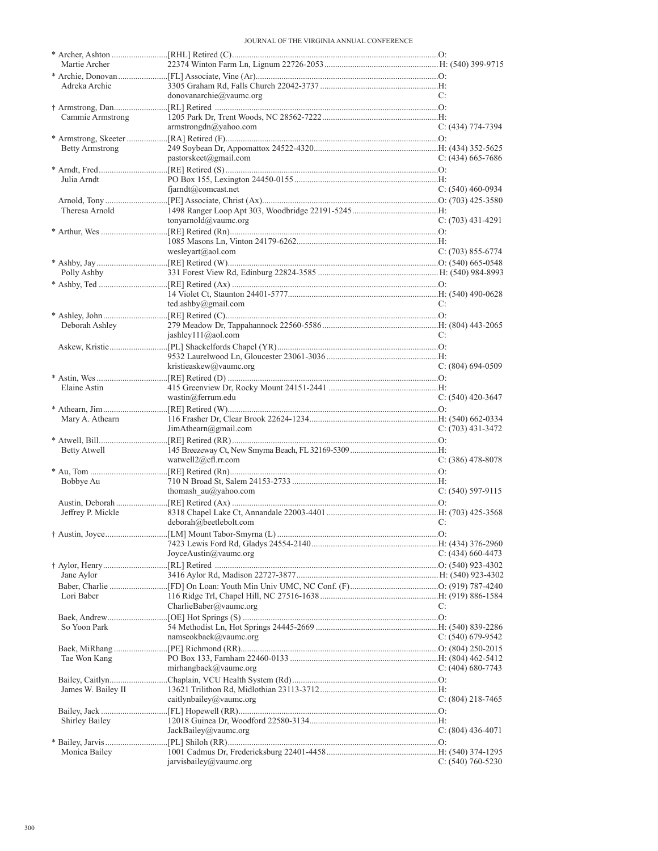| Martie Archer          |                           |                       |
|------------------------|---------------------------|-----------------------|
|                        |                           |                       |
| Adreka Archie          | donovanarchie@vaumc.org   | C:                    |
|                        |                           |                       |
| Cammie Armstrong       |                           |                       |
|                        | armstrongdn@yahoo.com     | $C: (434) 774-7394$   |
|                        |                           |                       |
| <b>Betty Armstrong</b> |                           |                       |
|                        | pastorskeet@gmail.com     | $C: (434)$ 665-7686   |
|                        |                           |                       |
| Julia Arndt            |                           |                       |
|                        | $f$ jarndt@comcast.net    | $C: (540)$ 460-0934   |
| Theresa Arnold         |                           |                       |
|                        | tonyarnold@vaumc.org      | $C: (703)$ 431-4291   |
|                        |                           |                       |
|                        |                           |                       |
|                        | wesleyart@aol.com         | $C: (703) 855-6774$   |
|                        |                           |                       |
| Polly Ashby            |                           |                       |
|                        |                           |                       |
|                        |                           |                       |
|                        | ted.ashby@gmail.com       | C:                    |
|                        |                           |                       |
| Deborah Ashley         |                           | C:                    |
|                        | jashley111@aol.com        |                       |
|                        |                           |                       |
|                        | kristieaskew@vaumc.org    | $C: (804)$ 694-0509   |
|                        |                           |                       |
| Elaine Astin           |                           |                       |
|                        | wastin@ferrum.edu         | $C: (540)$ 420-3647   |
|                        |                           |                       |
| Mary A. Athearn        |                           |                       |
|                        | JimAthen@gmail.com        | C: (703) 431-3472     |
|                        |                           |                       |
| Betty Atwell           |                           |                       |
|                        | watwell $2@cfl.rr.com$    | $C: (386)$ 478-8078   |
| Bobbye Au              |                           |                       |
|                        | thomash $au@yahoo.com$    | $C: (540) 597-9115$   |
|                        |                           |                       |
| Jeffrey P. Mickle      |                           |                       |
|                        | deborah@beetlebolt.com    | C:                    |
|                        |                           |                       |
|                        |                           |                       |
|                        | JoyceAustin $@$ vaumc.org | $C: (434) 660 - 4473$ |
|                        |                           |                       |
| Jane Aylor             |                           |                       |
|                        |                           |                       |
| Lori Baber             | CharlieBaber@vaumc.org    | C:                    |
|                        |                           |                       |
| So Yoon Park           |                           |                       |
|                        | namseokbaek@vaumc.org     | C: $(540)$ 679-9542   |
|                        |                           |                       |
| Tae Won Kang           |                           |                       |
|                        | mirhangbaek@vaumc.org     | $C: (404) 680 - 7743$ |
|                        |                           |                       |
| James W. Bailey II     |                           |                       |
|                        | caitlynbailey@vaumc.org   | $C: (804)$ 218-7465   |
|                        |                           |                       |
| Shirley Bailey         | JackBailey@vaumc.org      | $C: (804)$ 436-4071   |
|                        |                           |                       |
| Monica Bailey          |                           |                       |
|                        | jarvisbailey@vaumc.org    | $C: (540) 760 - 5230$ |
|                        |                           |                       |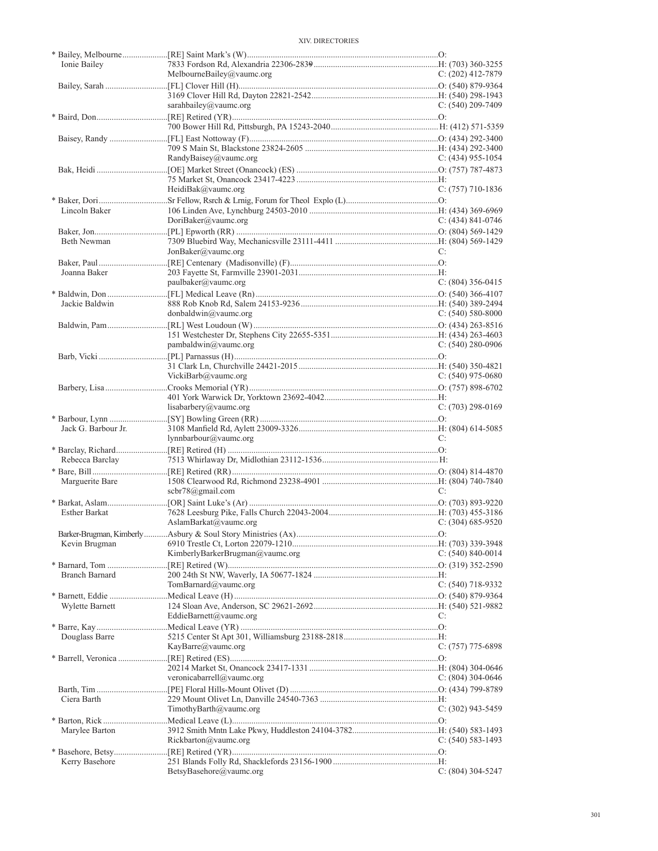| Ionie Bailey          |                                 |                       |
|-----------------------|---------------------------------|-----------------------|
|                       | MelbourneBailey@yaumc.org       | $C: (202)$ 412-7879   |
|                       |                                 |                       |
|                       |                                 |                       |
|                       | sarahbailey@vaumc.org           | C: $(540)$ 209-7409   |
|                       |                                 |                       |
|                       |                                 |                       |
|                       |                                 |                       |
|                       |                                 |                       |
|                       | RandyBaisey@vaumc.org           | $C: (434)$ 955-1054   |
|                       |                                 |                       |
|                       |                                 | $C: (757)$ 710-1836   |
|                       | HeidiBak@vaumc.org              |                       |
| Lincoln Baker         |                                 |                       |
|                       | DoriBaker@vaumc.org             | $C: (434) 841 - 0746$ |
|                       |                                 |                       |
| Beth Newman           |                                 |                       |
|                       | JonBaker@value.org              | C:                    |
|                       |                                 |                       |
| Joanna Baker          |                                 |                       |
|                       | paulbaker@vaumc.org             | $C: (804)$ 356-0415   |
|                       |                                 |                       |
| Jackie Baldwin        |                                 |                       |
|                       | donbaldwin@vaumc.org            | $C: (540) 580-8000$   |
|                       |                                 |                       |
|                       |                                 |                       |
|                       | pambaldwin@value.org            | $C: (540) 280 - 0906$ |
|                       |                                 |                       |
|                       |                                 |                       |
|                       | VickiBarb@vaumc.org             | C: $(540)$ 975-0680   |
|                       |                                 |                       |
|                       |                                 |                       |
|                       | lisabarbery@vaumc.org           | $C: (703)$ 298-0169   |
|                       |                                 |                       |
|                       |                                 |                       |
| Jack G. Barbour Jr.   |                                 |                       |
|                       | lynnbarbour@vaumc.org           | C:                    |
|                       |                                 |                       |
| Rebecca Barclay       |                                 |                       |
|                       |                                 |                       |
| Marguerite Bare       |                                 |                       |
|                       | scbr78@gmail.com                | C:                    |
|                       |                                 |                       |
| Esther Barkat         |                                 |                       |
|                       | AslamBarkat@vaumc.org           | $C: (304) 685 - 9520$ |
|                       |                                 |                       |
| Kevin Brugman         |                                 |                       |
|                       | KimberlyBarkerBrugman@vaumc.org | C: $(540)$ 840-0014   |
|                       |                                 |                       |
| <b>Branch Barnard</b> |                                 |                       |
|                       | TomBarnard@vaumc.org            | $C: (540)$ 718-9332   |
|                       |                                 |                       |
| Wylette Barnett       |                                 | C:                    |
|                       | EddieBarnett@vaumc.org          |                       |
| Douglass Barre        |                                 |                       |
|                       | KayBarre@vaumc.org              |                       |
|                       |                                 | C: (757) 775-6898     |
|                       |                                 |                       |
|                       | veronicabarrell@vaumc.org       | C: $(804)$ 304-0646   |
|                       |                                 |                       |
| Ciera Barth           |                                 |                       |
|                       | TimothyBarth@vaumc.org          | $C: (302)$ 943-5459   |
|                       |                                 |                       |
| Marylee Barton        |                                 |                       |
|                       | Rickbarton@value.org            | $C: (540) 583-1493$   |
|                       |                                 |                       |
| Kerry Basehore        | BetsyBasehore@vaumc.org         | C: $(804)$ 304-5247   |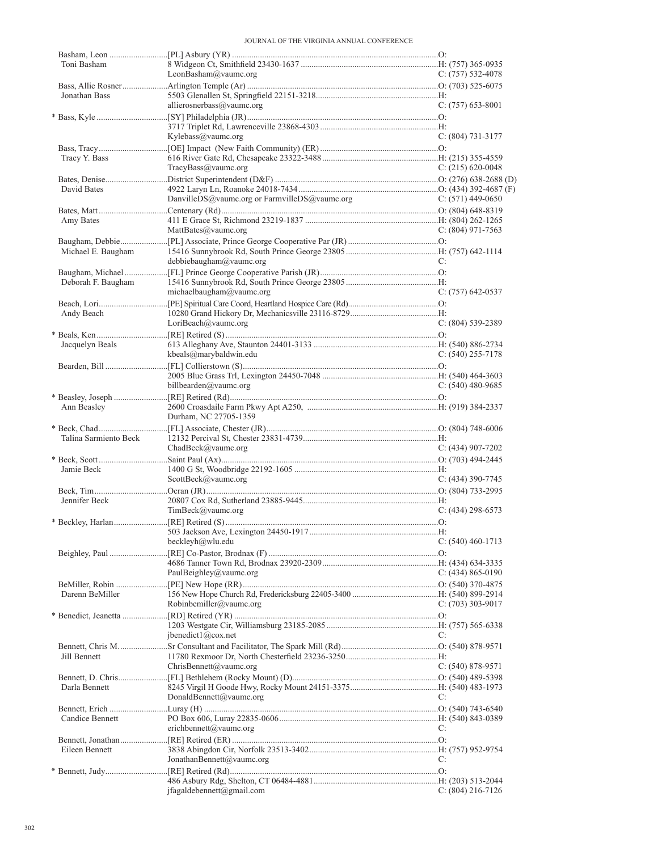| Toni Basham           |                                               |                       |
|-----------------------|-----------------------------------------------|-----------------------|
|                       | LeonBasham@vaumc.org                          | C: $(757)$ 532-4078   |
|                       |                                               |                       |
| Jonathan Bass         |                                               |                       |
|                       | allierosnerbass@vaumc.org                     | C: $(757)$ 653-8001   |
|                       |                                               |                       |
|                       |                                               |                       |
|                       | Kylebass@vaumc.org                            | C: $(804)$ 731-3177   |
|                       |                                               |                       |
| Tracy Y. Bass         |                                               |                       |
|                       | TracyBass@vaumc.org                           | C: $(215)$ 620-0048   |
|                       |                                               |                       |
| David Bates           |                                               |                       |
|                       | DanvilleDS@vaumc.org or FarmvilleDS@vaumc.org | C: $(571)$ 449-0650   |
|                       |                                               |                       |
| Amy Bates             |                                               |                       |
|                       | $\text{MatBates}(\hat{\omega})$ vaumc.org     | C: $(804)$ 971-7563   |
|                       |                                               |                       |
| Michael E. Baugham    |                                               |                       |
|                       | debbiebaugham@vaumc.org                       | C:                    |
|                       |                                               |                       |
| Deborah F. Baugham    |                                               |                       |
|                       | michaelbaugham@vaumc.org                      | $C: (757)$ 642-0537   |
|                       |                                               |                       |
| Andy Beach            |                                               |                       |
|                       | LoriBeach@vaumc.org                           | $C: (804)$ 539-2389   |
|                       |                                               |                       |
| Jacquelyn Beals       |                                               |                       |
|                       | kbeals@marybaldwin.edu                        | C: $(540)$ 255-7178   |
|                       |                                               |                       |
|                       |                                               |                       |
|                       | billbearden@vaumc.org                         | C: $(540)$ 480-9685   |
|                       |                                               |                       |
| Ann Beasley           |                                               |                       |
|                       | Durham, NC 27705-1359                         |                       |
|                       |                                               |                       |
| Talina Sarmiento Beck |                                               |                       |
|                       | ChadBeck@vaumc.org                            | C: $(434)$ 907-7202   |
|                       |                                               |                       |
| Jamie Beck            |                                               |                       |
|                       |                                               |                       |
|                       |                                               |                       |
|                       | ScottBeck@vaumc.org                           | $C: (434)$ 390-7745   |
|                       |                                               |                       |
| Jennifer Beck         |                                               |                       |
|                       | TimBeck@vaumc.org                             | $C: (434)$ 298-6573   |
|                       |                                               |                       |
|                       |                                               |                       |
|                       | beckleyh@wlu.edu                              | $C: (540)$ 460-1713   |
|                       |                                               |                       |
|                       |                                               |                       |
|                       | PaulBeighley@vaumc.org                        | $C: (434) 865 - 0190$ |
|                       |                                               |                       |
| Darenn BeMiller       |                                               |                       |
|                       | Robinbemiller@vaumc.org                       | C: $(703)$ 303-9017   |
|                       |                                               |                       |
|                       |                                               |                       |
|                       | ibenedict1@cov.net                            | C:                    |
|                       |                                               |                       |
| Jill Bennett          |                                               |                       |
|                       | ChrisBennett@vaumc.org                        | $C: (540) 878-9571$   |
|                       |                                               |                       |
| Darla Bennett         |                                               |                       |
|                       | DonaldBennett@vaumc.org                       | C:                    |
|                       |                                               |                       |
| Candice Bennett       |                                               |                       |
|                       | erichbennett@vaumc.org                        | C:                    |
|                       |                                               |                       |
| Eileen Bennett        |                                               |                       |
|                       | JonathanBennett@vaumc.org                     | C:                    |
|                       |                                               |                       |
|                       | ifagaldebennett@gmail.com                     | $C: (804)$ 216-7126   |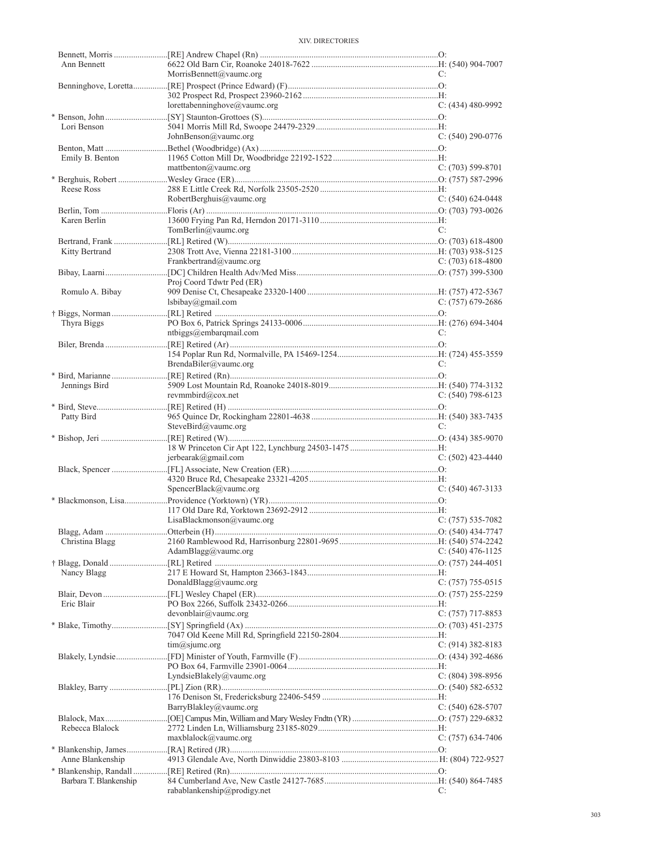| Ann Bennett            |                              |                     |
|------------------------|------------------------------|---------------------|
|                        | MorrisBennett@vaumc.org      | C:                  |
|                        |                              |                     |
|                        | lorettabenninghove@vaumc.org | C: (434) 480-9992   |
|                        |                              |                     |
| Lori Benson            |                              |                     |
|                        | JohnBenson@vaumc.org         | $C: (540)$ 290-0776 |
|                        |                              |                     |
| Emily B. Benton        |                              |                     |
|                        | mattbenton@vaumc.org         | $C: (703) 599-8701$ |
|                        |                              |                     |
| Reese Ross             |                              |                     |
|                        | RobertBerghuis@vaumc.org     | $C: (540) 624-0448$ |
| Karen Berlin           |                              |                     |
|                        | TomBerlin@vaumc.org          | C:                  |
|                        |                              |                     |
| Kitty Bertrand         |                              |                     |
|                        | Frankbertrand@vaumc.org      | $C: (703) 618-4800$ |
|                        |                              |                     |
|                        | Proj Coord Tdwtr Ped (ER)    |                     |
| Romulo A. Bibay        |                              |                     |
|                        | lsbibay@gmail.com            | C: $(757)$ 679-2686 |
|                        |                              |                     |
| Thyra Biggs            |                              |                     |
|                        | ntbiggs@embarqmail.com       | C:                  |
|                        |                              |                     |
|                        |                              |                     |
|                        | BrendaBiler@vaumc.org        | C:                  |
|                        |                              |                     |
| Jennings Bird          | revmmbird@cox.net            | $C: (540)$ 798-6123 |
|                        |                              |                     |
| Patty Bird             |                              |                     |
|                        | SteveBird@vaumc.org          | C:                  |
|                        |                              |                     |
|                        |                              |                     |
|                        | jerbearak@gmail.com          | $C: (502)$ 423-4440 |
|                        |                              |                     |
|                        |                              |                     |
|                        | SpencerBlack@vaumc.org       | $C: (540)$ 467-3133 |
|                        |                              |                     |
|                        |                              |                     |
|                        | LisaBlackmonson@vaumc.org    | $C: (757) 535-7082$ |
|                        |                              |                     |
| Christina Blagg        | AdamBlagg@vaumc.org          | $C: (540)$ 476-1125 |
|                        |                              |                     |
| Nancy Blagg            |                              |                     |
|                        |                              |                     |
|                        |                              |                     |
|                        | DonaldBlagg@vaumc.org        | C: (757) 755-0515   |
| Eric Blair             |                              |                     |
|                        | devonblair@vaumc.org         | $C: (757)$ 717-8853 |
|                        |                              |                     |
|                        |                              |                     |
|                        | $tim(a)$ sjume.org           | $C: (914)$ 382-8183 |
|                        |                              |                     |
|                        |                              |                     |
|                        | LyndsieBlakely@vaumc.org     | $C: (804)$ 398-8956 |
|                        |                              |                     |
|                        |                              |                     |
|                        | BarryBlakley@vaumc.org       | $C: (540) 628-5707$ |
|                        |                              |                     |
| Rebecca Blalock        |                              |                     |
|                        | $maxblack(\omega)$ vaumc.org | C: (757) 634-7406   |
|                        |                              |                     |
| Anne Blankenship       |                              |                     |
| Barbara T. Blankenship |                              |                     |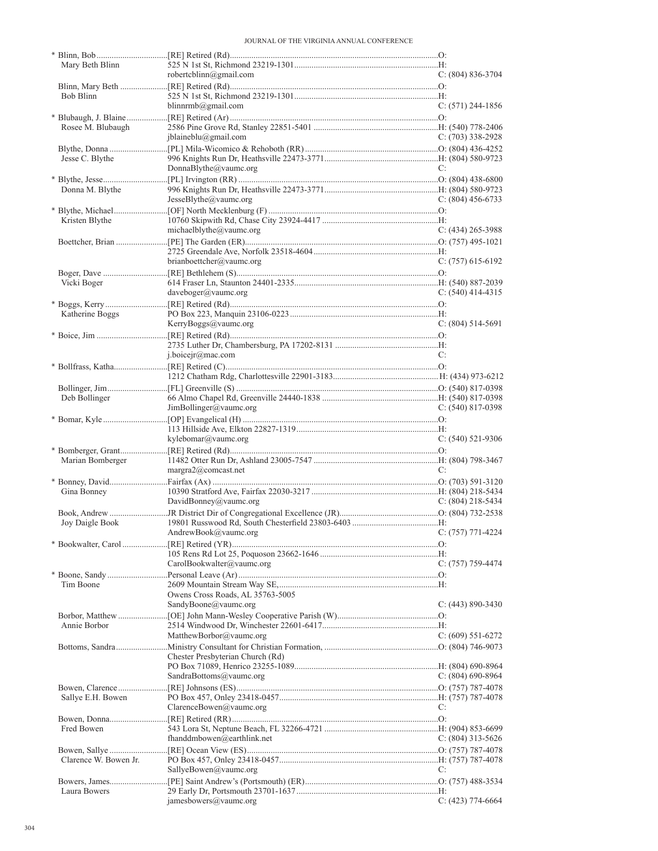| Mary Beth Blinn       |                                                          |                       |
|-----------------------|----------------------------------------------------------|-----------------------|
|                       | robertcblinn@gmail.com                                   | $C: (804) 836-3704$   |
|                       |                                                          |                       |
| Bob Blinn             |                                                          |                       |
|                       | blinnrmb@gmail.com                                       | $C: (571)$ 244-1856   |
|                       |                                                          |                       |
| Rosee M. Blubaugh     |                                                          |                       |
|                       | iblaineblu@gmail.com                                     | C: $(703)$ 338-2928   |
|                       |                                                          |                       |
| Jesse C. Blythe       |                                                          |                       |
|                       | DonnaBlythe@vaumc.org                                    | C:                    |
|                       |                                                          |                       |
| Donna M. Blythe       | JesseBlythe@vaumc.org                                    | $C: (804)$ 456-6733   |
|                       |                                                          |                       |
| Kristen Blythe        |                                                          |                       |
|                       | michaelblythe@vaumc.org                                  | $C: (434)$ 265-3988   |
|                       |                                                          |                       |
|                       |                                                          |                       |
|                       | brianboettcher@vaumc.org                                 | $C: (757)$ 615-6192   |
|                       |                                                          |                       |
| Vicki Boger           |                                                          |                       |
|                       | daveboger@vaumc.org                                      | $C: (540)$ 414-4315   |
|                       |                                                          |                       |
| Katherine Boggs       |                                                          |                       |
|                       | KerryBoggs@vaumc.org                                     | $C: (804) 514-5691$   |
|                       |                                                          |                       |
|                       |                                                          |                       |
|                       | j.boicejr@mac.com                                        | C:                    |
|                       |                                                          |                       |
|                       |                                                          |                       |
|                       |                                                          |                       |
| Deb Bollinger         |                                                          |                       |
|                       | JimBollinger@vaumc.org                                   | C: $(540)$ 817-0398   |
|                       |                                                          |                       |
|                       |                                                          |                       |
|                       | kylebomar@vaumc.org                                      | $C: (540)$ 521-9306   |
|                       |                                                          |                       |
| Marian Bomberger      |                                                          |                       |
|                       | margra2@comcast.net                                      | C:                    |
|                       |                                                          |                       |
| Gina Bonney           |                                                          |                       |
|                       | DavidBonney@vaumc.org                                    | $C: (804)$ 218-5434   |
|                       |                                                          |                       |
| Joy Daigle Book       |                                                          |                       |
|                       | AndrewBook(a)vaumc.org                                   | $C: (757) 771-4224$   |
|                       |                                                          |                       |
|                       |                                                          |                       |
|                       | CarolBookwalter@vaumc.org                                | C: (757) 759-4474     |
|                       |                                                          |                       |
| Tim Boone             |                                                          |                       |
|                       | Owens Cross Roads, AL 35763-5005<br>SandyBoone@vaumc.org | $C: (443) 890 - 3430$ |
|                       |                                                          |                       |
| Annie Borbor          |                                                          |                       |
|                       | MatthewBorbor@vaumc.org                                  | $C: (609) 551-6272$   |
|                       |                                                          |                       |
|                       | Chester Presbyterian Church (Rd)                         |                       |
|                       |                                                          |                       |
|                       | SandraBottoms@vaumc.org                                  | C: $(804)$ 690-8964   |
|                       |                                                          |                       |
| Sallye E.H. Bowen     |                                                          |                       |
|                       | ClarenceBowen@vaumc.org                                  | C:                    |
|                       |                                                          |                       |
| Fred Bowen            |                                                          |                       |
|                       | fhanddmbowen@earthlink.net                               | C: (804) 313-5626     |
|                       |                                                          |                       |
| Clarence W. Bowen Jr. |                                                          |                       |
|                       | SallyeBowen@vaumc.org                                    | C:                    |
|                       |                                                          |                       |
| Laura Bowers          |                                                          |                       |
|                       | jamesbowers@vaumc.org                                    | C: $(423)$ 774-6664   |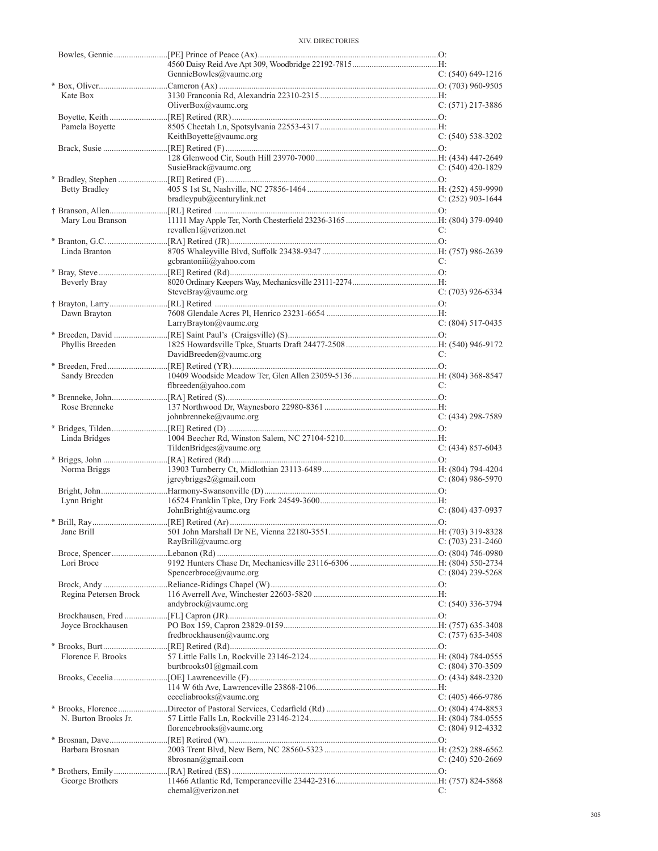|                       | GennieBowles@vaumc.org     | $C: (540) 649-1216$ |
|-----------------------|----------------------------|---------------------|
| Kate Box              |                            |                     |
|                       | OliverBox $@$ vaumc.org    | $C: (571)$ 217-3886 |
|                       |                            |                     |
| Pamela Boyette        |                            |                     |
|                       | KeithBoyette@vaumc.org     | $C: (540) 538-3202$ |
|                       |                            |                     |
|                       |                            |                     |
|                       | SusieBrack@vaumc.org       | $C: (540)$ 420-1829 |
|                       |                            |                     |
| <b>Betty Bradley</b>  | bradleypub@centurylink.net | C: (252) 903-1644   |
|                       |                            |                     |
| Mary Lou Branson      |                            |                     |
|                       | revallen $1$ @verizon.net  | C:                  |
|                       |                            |                     |
| Linda Branton         |                            |                     |
|                       | gcbrantoniii@yahoo.com     | C:                  |
|                       |                            |                     |
| Beverly Bray          |                            |                     |
|                       | SteveBray@vaumc.org        | $C: (703)$ 926-6334 |
|                       |                            |                     |
| Dawn Brayton          | LarryBrayton@vaumc.org     | $C: (804) 517-0435$ |
|                       |                            |                     |
| Phyllis Breeden       |                            |                     |
|                       | DavidBreeden@vaumc.org     | C:                  |
|                       |                            |                     |
| Sandy Breeden         |                            |                     |
|                       | flbreeden@yahoo.com        | C:                  |
|                       |                            |                     |
| Rose Brenneke         |                            |                     |
|                       | johnbrenneke@vaumc.org     | $C: (434)$ 298-7589 |
|                       |                            |                     |
| Linda Bridges         |                            |                     |
|                       | TildenBridges@vaumc.org    | $C: (434) 857-6043$ |
| Norma Briggs          |                            |                     |
|                       | $j$ greybriggs2@gmail.com  | $C: (804)$ 986-5970 |
|                       |                            |                     |
| Lynn Bright           |                            |                     |
|                       | JohnBright@vaumc.org       | $C: (804)$ 437-0937 |
|                       |                            |                     |
|                       |                            |                     |
|                       | RayBrill@vaumc.org         | $C: (703)$ 231-2460 |
|                       |                            |                     |
| Lori Broce            | Spencerbroce@vaumc.org     | $C: (804)$ 239-5268 |
|                       |                            |                     |
| Regina Petersen Brock |                            |                     |
|                       | andybrock@vaumc.org        | $C: (540)$ 336-3794 |
|                       |                            |                     |
| Joyce Brockhausen     |                            |                     |
|                       | fredbrockhausen@vaumc.org  | $C: (757)$ 635-3408 |
|                       |                            |                     |
| Florence F. Brooks    |                            |                     |
|                       | burtbrooks $01$ @gmail.com | C: (804) 370-3509   |
|                       |                            |                     |
|                       |                            |                     |
|                       | ceceliabrooks@vaumc.org    | $C: (405)$ 466-9786 |
| N. Burton Brooks Jr.  |                            |                     |
|                       | florencebrooks@vaumc.org   | C: $(804)$ 912-4332 |
|                       |                            |                     |
| Barbara Brosnan       |                            |                     |
|                       | 8brosnan@gmail.com         | $C: (240) 520-2669$ |
|                       |                            |                     |
| George Brothers       |                            |                     |
|                       | chemal@verizon.net         | C:                  |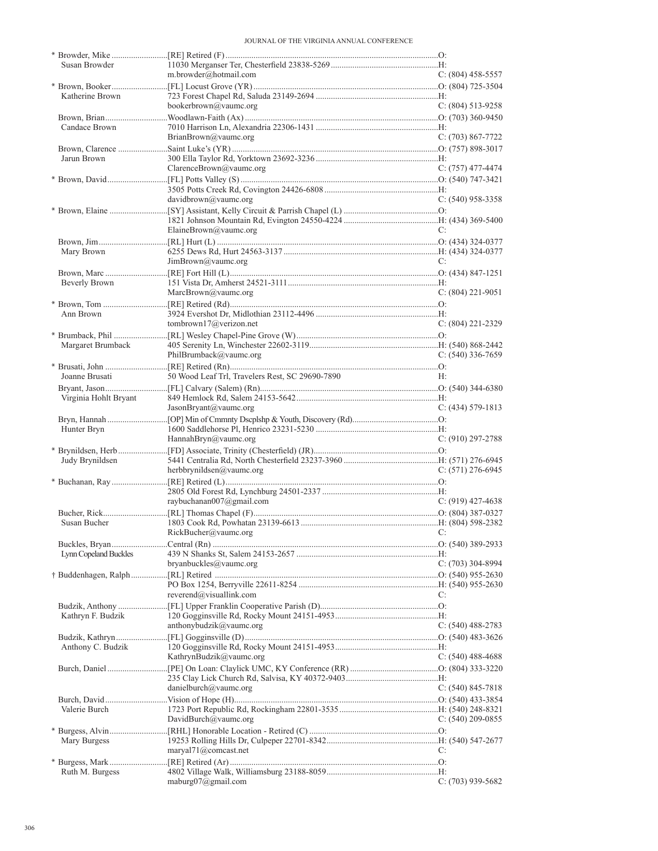| Susan Browder         |                                                 |                       |
|-----------------------|-------------------------------------------------|-----------------------|
|                       | m.browder@hotmail.com                           | $C: (804)$ 458-5557   |
|                       |                                                 |                       |
| Katherine Brown       | bookerbrown@vaumc.org                           | $C: (804) 513-9258$   |
|                       |                                                 |                       |
| Candace Brown         |                                                 |                       |
|                       | BrianBrown@vaumc.org                            | $C: (703) 867-7722$   |
|                       |                                                 |                       |
| Jarun Brown           |                                                 |                       |
|                       | ClarenceBrown@vaumc.org                         | $C: (757)$ 477-4474   |
|                       |                                                 |                       |
|                       |                                                 |                       |
|                       | davidbrown@value.org                            | $C: (540)$ 958-3358   |
|                       |                                                 |                       |
|                       |                                                 |                       |
|                       | ElaineBrown@vaumc.org                           | C:                    |
|                       |                                                 |                       |
| Mary Brown            |                                                 |                       |
|                       | JimBrown@value.org                              | C:                    |
| Beverly Brown         |                                                 |                       |
|                       | MarcBrown@vaumc.org                             | $C: (804)$ 221-9051   |
|                       |                                                 |                       |
| Ann Brown             |                                                 |                       |
|                       | tombrown17@verizon.net                          | $C: (804)$ 221-2329   |
|                       |                                                 |                       |
| Margaret Brumback     |                                                 |                       |
|                       | PhilBrumback@vaumc.org                          | $C: (540)$ 336-7659   |
|                       |                                                 |                       |
| Joanne Brusati        | 50 Wood Leaf Trl, Travelers Rest, SC 29690-7890 | H:                    |
|                       |                                                 |                       |
| Virginia Hohlt Bryant |                                                 |                       |
|                       | JasonBryant@vaumc.org                           | $C: (434) 579-1813$   |
|                       |                                                 |                       |
| Hunter Bryn           |                                                 |                       |
|                       | HannahBryn@vaumc.org                            | $C: (910) 297 - 2788$ |
|                       |                                                 |                       |
| Judy Brynildsen       |                                                 |                       |
|                       | herbbrynildsen@vaumc.org                        | $C: (571)$ 276-6945   |
|                       |                                                 |                       |
|                       |                                                 |                       |
|                       | raybuchanan007@gmail.com                        | $C: (919)$ 427-4638   |
| Susan Bucher          |                                                 |                       |
|                       | RickBucher@vaumc.org                            |                       |
|                       |                                                 |                       |
| Lynn Copeland Buckles |                                                 |                       |
|                       | bryanbuckles@vaumc.org                          | C: (703) 304-8994     |
|                       |                                                 |                       |
|                       |                                                 |                       |
|                       |                                                 |                       |
|                       | reverend@visuallink.com                         | C:                    |
|                       |                                                 |                       |
| Kathryn F. Budzik     |                                                 |                       |
|                       | anthonybudzik@vaumc.org                         | C: $(540)$ 488-2783   |
|                       |                                                 |                       |
| Anthony C. Budzik     |                                                 |                       |
|                       | KathrynBudzik@vaumc.org                         | C: $(540)$ 488-4688   |
|                       |                                                 |                       |
|                       |                                                 |                       |
|                       | danielburch@vaumc.org                           | $C: (540) 845-7818$   |
|                       |                                                 |                       |
| Valerie Burch         |                                                 |                       |
|                       | DavidBurch@vaumc.org                            | C: $(540)$ 209-0855   |
|                       |                                                 |                       |
| Mary Burgess          |                                                 |                       |
|                       | $maxval71$ ( <i>a</i> ) comeast.net             | C:                    |
|                       |                                                 |                       |
| Ruth M. Burgess       | maburg $07$ @gmail.com                          | $C: (703)$ 939-5682   |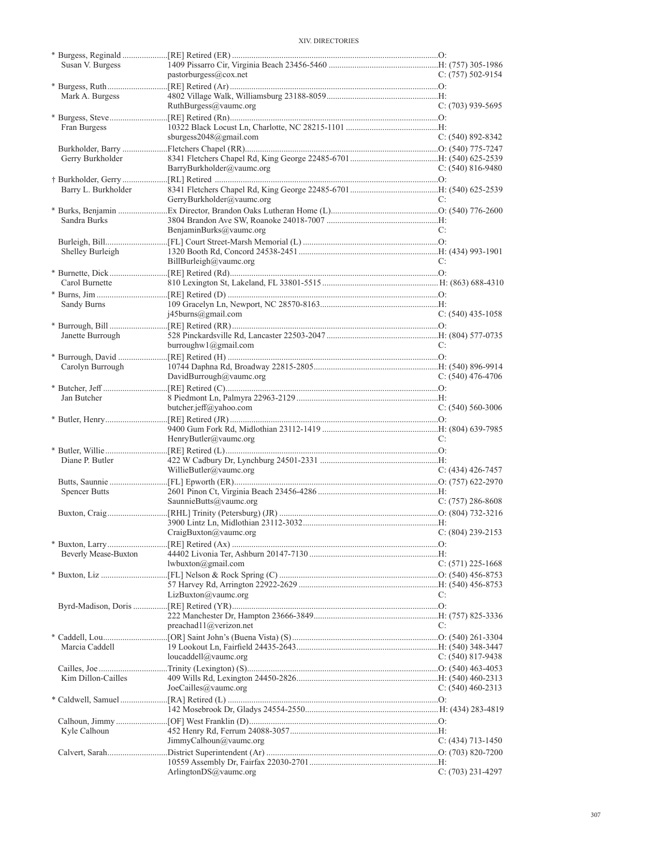| Susan V. Burgess     |                                        |                       |
|----------------------|----------------------------------------|-----------------------|
|                      | pastorburgess@cox.net                  | C: $(757)$ 502-9154   |
|                      |                                        |                       |
| Mark A. Burgess      |                                        |                       |
|                      | RuthBurgess@vaumc.org                  | $C: (703)$ 939-5695   |
|                      |                                        |                       |
| Fran Burgess         |                                        |                       |
|                      | sburgess2048@gmail.com                 | $C: (540) 892 - 8342$ |
|                      |                                        |                       |
| Gerry Burkholder     |                                        |                       |
|                      | BarryBurkholder@vaumc.org              | C: $(540)$ 816-9480   |
|                      |                                        |                       |
| Barry L. Burkholder  |                                        |                       |
|                      | GerryBurkholder@vaumc.org              | C:                    |
|                      |                                        |                       |
| Sandra Burks         |                                        |                       |
|                      | BenjaminBurks@vaumc.org                | C:                    |
|                      |                                        |                       |
| Shelley Burleigh     |                                        |                       |
|                      | BillBurleigh@vaumc.org                 | C:                    |
|                      |                                        |                       |
| Carol Burnette       |                                        |                       |
|                      |                                        |                       |
| Sandy Burns          |                                        |                       |
|                      | $i45 \text{burns}$ @gmail.com          | $C: (540)$ 435-1058   |
|                      |                                        |                       |
| Janette Burrough     |                                        |                       |
|                      | burroughw1@gmail.com                   | C:                    |
|                      |                                        |                       |
| Carolyn Burrough     |                                        |                       |
|                      | DavidBurrough@vaumc.org                | C: $(540)$ 476-4706   |
|                      |                                        |                       |
| Jan Butcher          |                                        |                       |
|                      | butcher.jeff@yahoo.com                 | $C: (540) 560-3006$   |
|                      |                                        |                       |
|                      |                                        |                       |
|                      |                                        |                       |
|                      | HenryButler@vaumc.org                  | C:                    |
|                      |                                        |                       |
| Diane P. Butler      |                                        |                       |
|                      | WillieButler@vaumc.org                 | $C: (434)$ 426-7457   |
|                      |                                        |                       |
| Spencer Butts        |                                        |                       |
|                      | SaunnieButts@vaumc.org                 | $C: (757) 286-8608$   |
|                      |                                        |                       |
|                      |                                        |                       |
|                      | C: (804) 239-2153<br>C: (804) 239-2153 |                       |
|                      |                                        |                       |
| Beverly Mease-Buxton |                                        |                       |
|                      | lwbuxton@gmail.com                     | C: (571) 225-1668     |
|                      |                                        |                       |
|                      |                                        |                       |
|                      | LizBuxton@value.org                    | C:                    |
|                      |                                        |                       |
|                      |                                        |                       |
|                      | preachad11@verizon.net                 | C:                    |
|                      |                                        |                       |
| Marcia Caddell       |                                        |                       |
|                      | loucaddell@vaumc.org                   | C: $(540)$ 817-9438   |
|                      |                                        |                       |
| Kim Dillon-Cailles   |                                        |                       |
|                      | JoeCailles@vaumc.org                   | C: $(540)$ 460-2313   |
|                      |                                        |                       |
|                      |                                        |                       |
|                      |                                        |                       |
| Kyle Calhoun         |                                        |                       |
|                      | JimmyCalhoun@value.org                 | $C: (434)$ 713-1450   |
|                      |                                        |                       |
|                      | Arlington $DS@$ vaumc.org              | $C: (703)$ 231-4297   |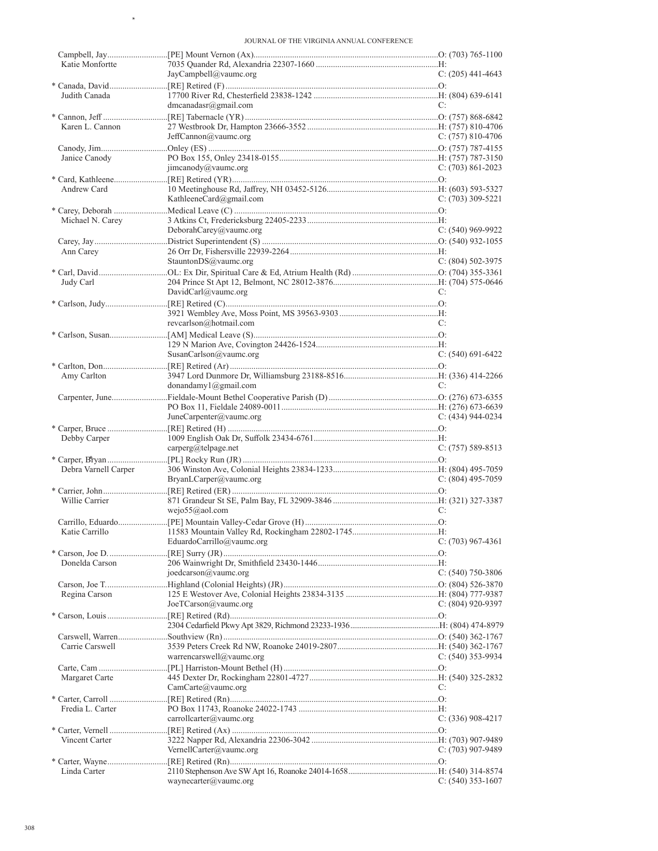$\rightarrow$ 

| Katie Monfortte      |                           |                       |
|----------------------|---------------------------|-----------------------|
|                      | JayCampbell@value.org     | C: $(205)$ 441-4643   |
|                      |                           |                       |
| Judith Canada        | dmcanadasr@gmail.com      | C:                    |
|                      |                           |                       |
| Karen L. Cannon      |                           |                       |
|                      | JeffCannon@vaumc.org      | $C: (757) 810-4706$   |
|                      |                           |                       |
| Janice Canody        |                           |                       |
|                      | jimcanody@vaumc.org       | $C: (703) 861 - 2023$ |
|                      |                           |                       |
| Andrew Card          |                           |                       |
|                      | KathleeneCard@gmail.com   | $C: (703)$ 309-5221   |
|                      |                           |                       |
| Michael N. Carey     |                           |                       |
|                      | DeborahCarey@vaumc.org    | $C: (540)$ 969-9922   |
|                      |                           |                       |
| Ann Carey            |                           |                       |
|                      | StauntonDS@vaumc.org      | C: $(804)$ 502-3975   |
|                      |                           |                       |
| Judy Carl            |                           |                       |
|                      | DavidCarl@vaumc.org       | C:                    |
|                      |                           |                       |
|                      |                           |                       |
|                      | revearlson@hotmail.com    | C:                    |
|                      |                           |                       |
|                      |                           |                       |
|                      | SusanCarlson@vaumc.org    | $C: (540) 691-6422$   |
| Amy Carlton          |                           |                       |
|                      | donandamy $1$ @gmail.com  | C:                    |
|                      |                           |                       |
|                      |                           |                       |
|                      | JuneCarpenter@value.org   | $C: (434) 944-0234$   |
|                      |                           |                       |
|                      |                           |                       |
|                      |                           |                       |
| Debby Carper         |                           | $C: (757) 589-8513$   |
|                      | carperg@telpage.net       |                       |
| Debra Varnell Carper |                           |                       |
|                      | BryanLCarper@vaumc.org    | $C: (804)$ 495-7059   |
|                      |                           |                       |
| Willie Carrier       |                           |                       |
|                      | wejo $55@$ aol.com        | C:                    |
|                      |                           |                       |
|                      |                           |                       |
|                      | EduardoCarrillo@vaumc.org | C: $(703)$ 967-4361   |
|                      |                           |                       |
| Donelda Carson       |                           |                       |
|                      | $j$ oedcarson@vaumc.org   | $C: (540)$ 750-3806   |
|                      |                           |                       |
| Regina Carson        |                           |                       |
|                      | JoeTCarson@vaumc.org      | $C: (804)$ 920-9397   |
|                      |                           |                       |
|                      |                           |                       |
|                      |                           |                       |
| Carrie Carswell      |                           |                       |
|                      | warrencarswell@vaumc.org  | C: $(540)$ 353-9934   |
|                      |                           |                       |
| Margaret Carte       |                           | C:                    |
|                      | CamCarte@vaumc.org        |                       |
| Fredia L. Carter     |                           |                       |
|                      | carrollcarter@vaumc.org   | C: $(336)$ 908-4217   |
|                      |                           |                       |
| Vincent Carter       |                           |                       |
|                      | VernellCarter@vaumc.org   | $C: (703)$ 907-9489   |
|                      |                           |                       |
| Linda Carter         | waynecarter@vaumc.org     | $C: (540)$ 353-1607   |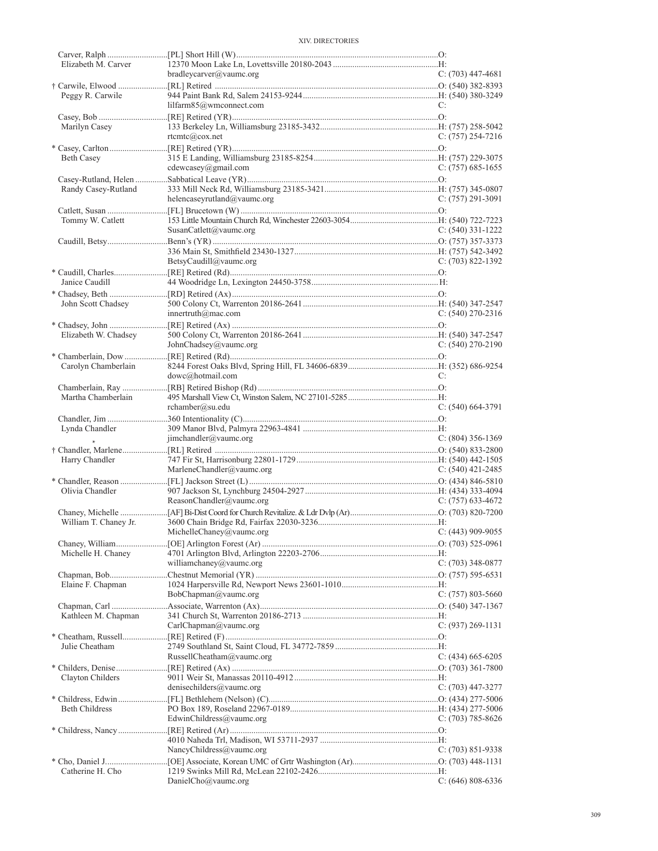| Elizabeth M. Carver   |                               |                       |
|-----------------------|-------------------------------|-----------------------|
|                       | bradleycarver@vaumc.org       | $C: (703)$ 447-4681   |
|                       |                               |                       |
| Peggy R. Carwile      | lilfarm85@wmconnect.com       | C:                    |
|                       |                               |                       |
| Marilyn Casey         |                               |                       |
|                       | rtemtc@cov.net                | $C: (757) 254-7216$   |
|                       |                               |                       |
| Beth Casey            |                               |                       |
|                       | cdewcasey@gmail.com           | $C: (757)$ 685-1655   |
|                       |                               |                       |
| Randy Casey-Rutland   |                               |                       |
|                       | helencaseyrutland@vaumc.org   | $C: (757) 291-3091$   |
|                       |                               |                       |
| Tommy W. Catlett      | SusanCatlett@vaumc.org        | $C: (540)$ 331-1222   |
|                       |                               |                       |
|                       |                               |                       |
|                       | BetsyCaudill@vaumc.org        | $C: (703) 822 - 1392$ |
|                       |                               |                       |
| Janice Caudill        |                               |                       |
|                       |                               |                       |
| John Scott Chadsey    |                               |                       |
|                       | innertruth@mac.com            | $C: (540)$ 270-2316   |
|                       |                               |                       |
| Elizabeth W. Chadsey  |                               |                       |
|                       | JohnChadsey@vaumc.org         | $C: (540) 270 - 2190$ |
|                       |                               |                       |
| Carolyn Chamberlain   | dowc@hotmail.com              | C:                    |
|                       |                               |                       |
| Martha Chamberlain    |                               |                       |
|                       | rchamber@su.edu               | $C: (540) 664-3791$   |
|                       |                               |                       |
| Lynda Chandler        |                               |                       |
|                       | jimchandler@value.org         | $C: (804)$ 356-1369   |
|                       |                               |                       |
|                       |                               |                       |
| Harry Chandler        |                               |                       |
|                       | MarleneChandler@vaumc.org     | $C: (540)$ 421-2485   |
|                       |                               |                       |
| Olivia Chandler       |                               |                       |
|                       | ReasonChandler@vaumc.org      | $C: (757)$ 633-4672   |
|                       |                               |                       |
| William T. Chaney Jr. |                               |                       |
|                       | $MichelleChange(a)$ vaumc.org | $C: (443)$ 909-9055   |
| Michelle H. Chaney    |                               |                       |
|                       | williamchaney@vaumc.org       | $C: (703)$ 348-0877   |
|                       |                               |                       |
| Elaine F. Chapman     |                               |                       |
|                       | BobChapman@vaumc.org          | C: (757) 803-5660     |
|                       |                               |                       |
| Kathleen M. Chapman   |                               |                       |
|                       | CarlChapman@value.org         | $C: (937) 269-1131$   |
|                       |                               |                       |
| Julie Cheatham        |                               |                       |
|                       | RussellCheatham@vaumc.org     | $C: (434)$ 665-6205   |
| Clayton Childers      |                               |                       |
|                       | denisechilders@vaumc.org      | $C: (703)$ 447-3277   |
|                       |                               |                       |
| <b>Beth Childress</b> |                               |                       |
|                       | EdwinChildress@vaumc.org      | C: $(703)$ 785-8626   |
|                       |                               |                       |
|                       |                               |                       |
|                       | NancyChildress@vaumc.org      | $C: (703) 851 - 9338$ |
|                       |                               |                       |
| Catherine H. Cho      | DanielCho@vaumc.org           | $C: (646) 808-6336$   |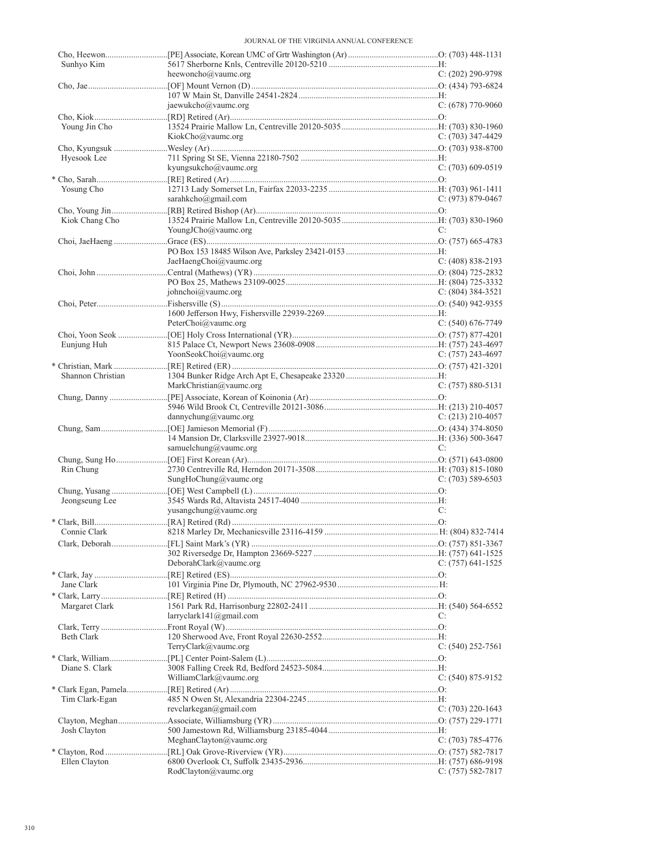| Sunhyo Kim        | heewoncho@vaumc.org     | $C: (202)$ 290-9798   |
|-------------------|-------------------------|-----------------------|
|                   |                         |                       |
|                   |                         |                       |
|                   | jaewukcho@vaumc.org     | $C: (678)$ 770-9060   |
|                   |                         |                       |
| Young Jin Cho     |                         |                       |
|                   | KiokCho@vaumc.org       | $C: (703)$ 347-4429   |
|                   |                         |                       |
| Hyesook Lee       |                         |                       |
|                   | kyungsukcho@vaumc.org   | $C: (703)$ 609-0519   |
|                   |                         |                       |
| Yosung Cho        | sarahkcho@gmail.com     | $C: (973) 879-0467$   |
|                   |                         |                       |
| Kiok Chang Cho    |                         |                       |
|                   | YoungJCho@vaumc.org     | C:                    |
|                   |                         |                       |
|                   |                         |                       |
|                   | JaeHaengChoi@vaumc.org  | $C: (408) 838 - 2193$ |
|                   |                         |                       |
|                   |                         |                       |
|                   | johnchoi@vaumc.org      | $C: (804)$ 384-3521   |
|                   |                         |                       |
|                   |                         |                       |
|                   | PeterChoi@vaumc.org     | $C: (540) 676-7749$   |
|                   |                         |                       |
| Eunjung Huh       |                         |                       |
|                   | YoonSeokChoi@vaumc.org  | $C: (757)$ 243-4697   |
|                   |                         |                       |
| Shannon Christian |                         |                       |
|                   | MarkChristian@vaumc.org | $C: (757) 880 - 5131$ |
|                   |                         |                       |
|                   |                         |                       |
|                   | dannychung@vaumc.org    | $C: (213)$ 210-4057   |
|                   |                         |                       |
|                   | samuelchung@vaumc.org   | C:                    |
|                   |                         |                       |
| Rin Chung         |                         |                       |
|                   | SungHoChung@vaumc.org   | $C: (703) 589-6503$   |
|                   |                         |                       |
| Jeongseung Lee    |                         |                       |
|                   | yusangchung@vaumc.org   | C:                    |
|                   |                         |                       |
| Connie Clark      |                         |                       |
|                   |                         |                       |
|                   |                         |                       |
|                   | DeborahClark@vaumc.org  | C: $(757)$ 641-1525   |
|                   |                         |                       |
| Jane Clark        |                         |                       |
|                   |                         |                       |
| Margaret Clark    |                         |                       |
|                   | larryclark141@gmail.com | C:                    |
|                   |                         |                       |
| Beth Clark        |                         |                       |
|                   | TerryClark@vaumc.org    | C: $(540)$ 252-7561   |
| Diane S. Clark    |                         |                       |
|                   | WilliamClark@vaumc.org  | $C: (540) 875-9152$   |
|                   |                         |                       |
| Tim Clark-Egan    |                         |                       |
|                   | revclarkegan@gmail.com  | C: $(703)$ 220-1643   |
|                   |                         |                       |
| Josh Clayton      |                         |                       |
|                   | MeghanClayton@value.org | $C: (703) 785-4776$   |
|                   |                         |                       |
| Ellen Clayton     |                         |                       |
|                   | RodClayton@vaumc.org    | $C: (757) 582-7817$   |
|                   |                         |                       |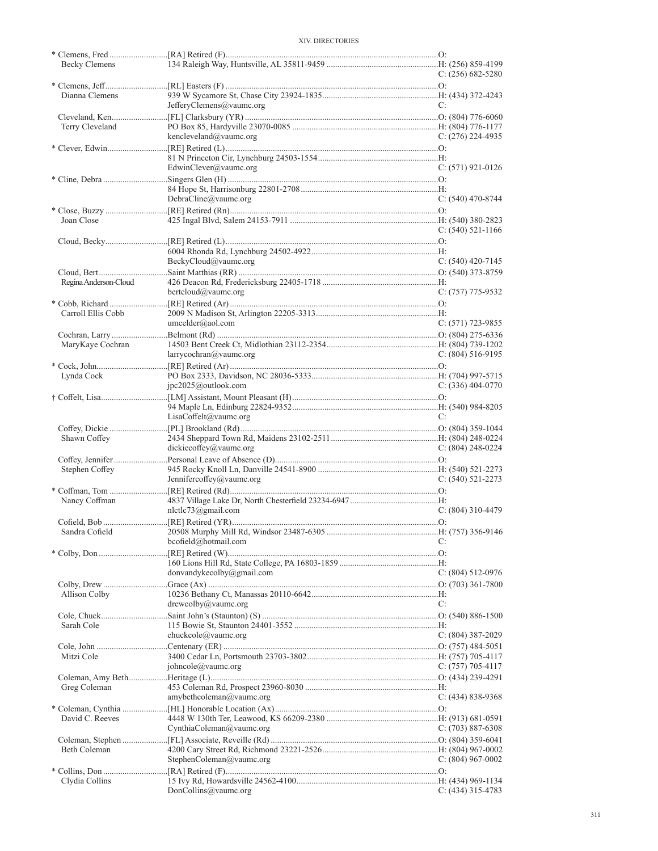| Becky Clemens         |                           |                       |
|-----------------------|---------------------------|-----------------------|
|                       |                           | C: $(256)$ 682-5280   |
| Dianna Clemens        |                           |                       |
|                       | JefferyClemens@vaumc.org  | C:                    |
|                       |                           |                       |
| Terry Cleveland       |                           |                       |
|                       | kencleveland@vaumc.org    | C: $(276)$ 224-4935   |
|                       |                           |                       |
|                       | EdwinClever@vaumc.org     | $C: (571)$ 921-0126   |
|                       |                           |                       |
|                       |                           |                       |
|                       | $DebraCline@$ vaumc.org   | $C: (540)$ 470-8744   |
|                       |                           |                       |
| Joan Close            |                           |                       |
|                       |                           | $C: (540) 521 - 1166$ |
|                       |                           |                       |
|                       | BeckyCloud@value.org      | $C: (540)$ 420-7145   |
|                       |                           |                       |
| Regina Anderson-Cloud |                           |                       |
|                       | bertcloud@vaumc.org       | $C: (757)$ 775-9532   |
|                       |                           |                       |
| Carroll Ellis Cobb    | umcelder@aol.com          | C: (571) 723-9855     |
|                       |                           |                       |
| MaryKaye Cochran      |                           |                       |
|                       | $larrow@$ vaume.org       | C: $(804)$ 516-9195   |
|                       |                           |                       |
| Lynda Cock            |                           |                       |
|                       | pic2025@outlook.com       | $C: (336)$ 404-0770   |
|                       |                           |                       |
|                       | $LisaCoffelt@$ vaumc.org  | C:                    |
|                       |                           |                       |
| Shawn Coffey          |                           |                       |
|                       | dickiecoffey@vaumc.org    | C: $(804)$ 248-0224   |
|                       |                           |                       |
| Stephen Coffey        | Jennifercoffey@vaumc.org  | $C: (540) 521 - 2273$ |
|                       |                           |                       |
| Nancy Coffman         |                           |                       |
|                       | $n$ lctlc73@gmail.com     | $C: (804)$ 310-4479   |
|                       |                           |                       |
| Sandra Cofield        |                           | C:                    |
|                       | bcofield@hotmail.com      |                       |
|                       |                           |                       |
|                       | donvandykecolby@gmail.com | $C: (804) 512-0976$   |
|                       |                           |                       |
| Allison Colby         |                           |                       |
|                       | $d$ rewcolby@vaumc.org    | C:                    |
| Sarah Cole            |                           |                       |
|                       | chuckcole@vaume.org       | $C: (804)$ 387-2029   |
|                       |                           |                       |
| Mitzi Cole            |                           |                       |
|                       | johncole@vaumc.org        | C: (757) 705-4117     |
|                       |                           |                       |
| Greg Coleman          | amybethcoleman@vaumc.org  | $C: (434) 838-9368$   |
|                       |                           |                       |
| David C. Reeves       |                           |                       |
|                       | CynthiaColeman@vaumc.org  | C: $(703)$ 887-6308   |
|                       |                           |                       |
| Beth Coleman          |                           |                       |
|                       | StephenColeman@vaumc.org  | C: $(804)$ 967-0002   |
|                       |                           |                       |
| Clydia Collins        | DonCollins@value.org      | $C: (434)$ 315-4783   |
|                       |                           |                       |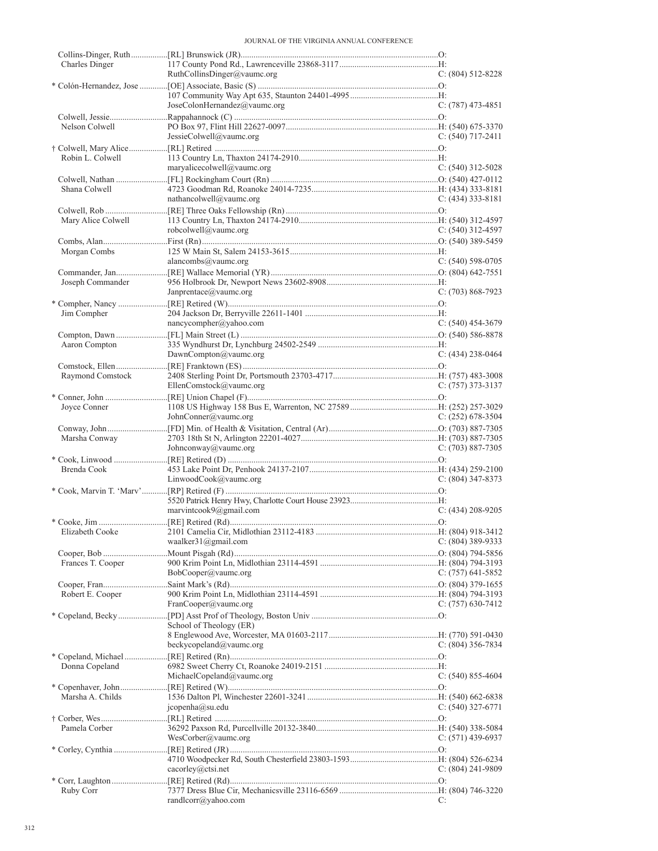| Charles Dinger     |                              |                       |
|--------------------|------------------------------|-----------------------|
|                    | RuthCollinsDinger@value.org  | $C: (804) 512 - 8228$ |
|                    |                              |                       |
|                    |                              | $C: (787)$ 473-4851   |
|                    | JoseColonHernandez@vaumc.org |                       |
| Nelson Colwell     |                              |                       |
|                    | JessieColwell@vaumc.org      | $C: (540)$ 717-2411   |
|                    |                              |                       |
| Robin L. Colwell   |                              |                       |
|                    | maryalicecolwell@vaumc.org   | $C: (540)$ 312-5028   |
|                    |                              |                       |
| Shana Colwell      |                              |                       |
|                    | nathancolwell@vaumc.org      | $C: (434)$ 333-8181   |
|                    |                              |                       |
| Mary Alice Colwell |                              |                       |
|                    | robcolwell@vaumc.org         | $C: (540)$ 312-4597   |
|                    |                              |                       |
| Morgan Combs       |                              |                       |
|                    | alancombs@vaumc.org          | $C: (540) 598-0705$   |
|                    |                              |                       |
| Joseph Commander   |                              |                       |
|                    | Janprentace@vaumc.org        | $C: (703) 868-7923$   |
|                    |                              |                       |
| Jim Compher        |                              |                       |
|                    | nancycompher@yahoo.com       | $C: (540)$ 454-3679   |
|                    |                              |                       |
| Aaron Compton      |                              |                       |
|                    | DawnCompton@vaumc.org        | $C: (434)$ 238-0464   |
|                    |                              |                       |
| Raymond Comstock   |                              |                       |
|                    | EllenComstock@vaumc.org      | $C: (757)$ 373-3137   |
|                    |                              |                       |
| Joyce Conner       |                              |                       |
|                    | JohnConner@vaumc.org         | $C: (252)$ 678-3504   |
|                    |                              |                       |
| Marsha Conway      |                              |                       |
|                    | Johnconway@vaumc.org         | $C: (703) 887-7305$   |
|                    |                              |                       |
|                    |                              |                       |
| Brenda Cook        |                              |                       |
|                    | Linwood Cook@value.org       | $C: (804)$ 347-8373   |
|                    |                              |                       |
|                    |                              |                       |
|                    | marvintcook9@gmail.com       | $C: (434) 208 - 9205$ |
|                    |                              |                       |
|                    |                              |                       |
|                    | waalker31@gmail.com          | $C: (804)$ 389-9333   |
|                    |                              |                       |
| Frances T. Cooper  |                              |                       |
|                    | BobCooper@vaumc.org          | C: $(757)$ 641-5852   |
|                    |                              |                       |
| Robert E. Cooper   |                              |                       |
|                    | FranCooper@vaumc.org         | $C: (757)$ 630-7412   |
|                    |                              |                       |
|                    | School of Theology (ER)      |                       |
|                    |                              |                       |
|                    | beckycopeland@vaumc.org      | $C: (804)$ 356-7834   |
|                    |                              |                       |
| Donna Copeland     |                              |                       |
|                    | MichaelCopeland@vaumc.org    | $C: (540) 855-4604$   |
|                    |                              |                       |
| Marsha A. Childs   |                              |                       |
|                    | icopenha@su.edu              | $C: (540)$ 327-6771   |
|                    |                              |                       |
| Pamela Corber      |                              |                       |
|                    | WesCorber@vaumc.org          | $C: (571)$ 439-6937   |
|                    |                              |                       |
|                    |                              |                       |
|                    | cacorley@ctsi.net            | $C: (804) 241-9809$   |
|                    |                              |                       |
| Ruby Corr          | randlcorr@yahoo.com          | C:                    |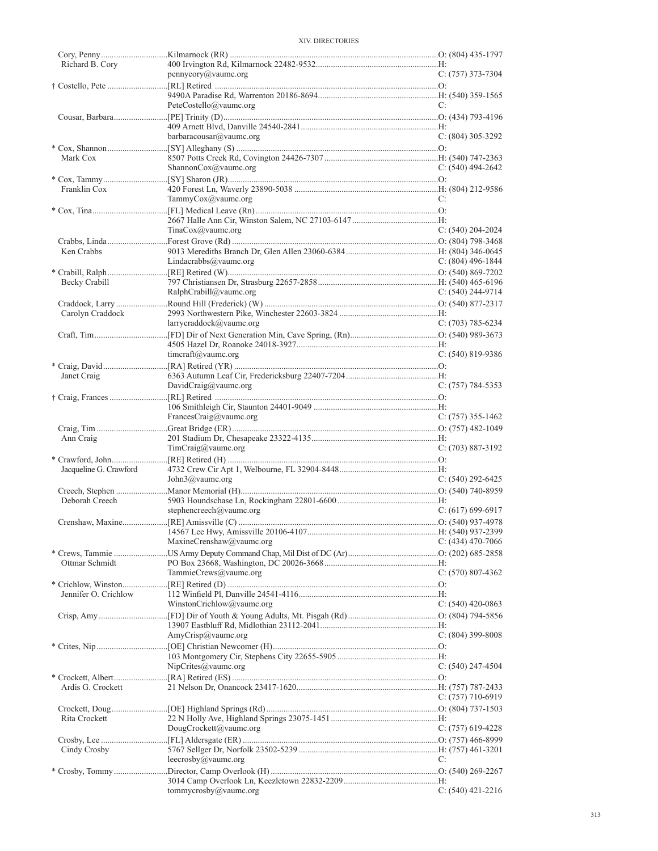| Richard B. Cory        |                           |                       |
|------------------------|---------------------------|-----------------------|
|                        | pennycory@vaumc.org       | $C: (757)$ 373-7304   |
|                        |                           |                       |
|                        |                           |                       |
|                        |                           |                       |
|                        | PeteCostello@vaumc.org    | C:                    |
|                        |                           |                       |
|                        |                           |                       |
|                        | barbaracousar@vaumc.org   | $C: (804)$ 305-3292   |
|                        |                           |                       |
|                        |                           |                       |
| Mark Cox               |                           |                       |
|                        | ShannonCox@vaumc.org      | $C: (540)$ 494-2642   |
|                        |                           |                       |
| Franklin Cox           |                           |                       |
|                        | TammyCox@vaumc.org        | C:                    |
|                        |                           |                       |
|                        |                           |                       |
|                        |                           |                       |
|                        | TinaCox@value.org         | C: $(540)$ 204-2024   |
|                        |                           |                       |
| Ken Crabbs             |                           |                       |
|                        | Lindacrabbs@vaumc.org     | C: $(804)$ 496-1844   |
|                        |                           |                       |
|                        |                           |                       |
| Becky Crabill          |                           |                       |
|                        | RalphCrabill@value.org    | $C: (540)$ 244-9714   |
|                        |                           |                       |
| Carolyn Craddock       |                           |                       |
|                        |                           |                       |
|                        | larrycraddock@vaumc.org   | $C: (703) 785 - 6234$ |
|                        |                           |                       |
|                        |                           |                       |
|                        | timeraft@vaume.org        | $C: (540) 819 - 9386$ |
|                        |                           |                       |
|                        |                           |                       |
| Janet Craig            |                           |                       |
|                        | DavidCraig@vaumc.org      | $C: (757) 784-5353$   |
|                        |                           |                       |
|                        |                           |                       |
|                        | FrancesCraig@vaumc.org    | $C: (757)$ 355-1462   |
|                        |                           |                       |
|                        |                           |                       |
|                        |                           |                       |
| Ann Craig              |                           |                       |
|                        | TimCraig@vaumc.org        | $C: (703) 887-3192$   |
|                        |                           |                       |
|                        |                           |                       |
| Jacqueline G. Crawford |                           |                       |
|                        | John3@vaumc.org           | $C: (540) 292 - 6425$ |
|                        |                           |                       |
| Deborah Creech         |                           |                       |
|                        | stephencreech@vaumc.org   | $C: (617) 699-6917$   |
|                        |                           |                       |
|                        |                           |                       |
|                        |                           |                       |
|                        | MaxineCrenshaw@vaumc.org  | $C: (434)$ 470-7066   |
|                        |                           |                       |
| Ottmar Schmidt         |                           |                       |
|                        |                           | C: $(570)$ 807-4362   |
|                        | TammieCrews@vaumc.org     |                       |
|                        |                           |                       |
| Jennifer O. Crichlow   |                           |                       |
|                        | WinstonCrichlow@vaumc.org | C: $(540)$ 420-0863   |
|                        |                           |                       |
|                        |                           |                       |
|                        |                           |                       |
|                        | AmyCrisp@vaumc.org        | $C: (804)$ 399-8008   |
|                        |                           |                       |
|                        |                           |                       |
|                        | NipCrites@vaumc.org       | $C: (540)$ 247-4504   |
|                        |                           |                       |
| Ardis G. Crockett      |                           |                       |
|                        |                           |                       |
|                        |                           | $C: (757)$ 710-6919   |
|                        |                           |                       |
| Rita Crockett          |                           |                       |
|                        | DougCrockett@vaumc.org    | C: $(757)$ 619-4228   |
|                        |                           |                       |
|                        |                           |                       |
| Cindy Crosby           |                           |                       |
|                        | leecrosby@vaumc.org       | C:                    |
|                        |                           |                       |
|                        |                           |                       |
|                        | tommycrosby@vaumc.org     | $C: (540)$ 421-2216   |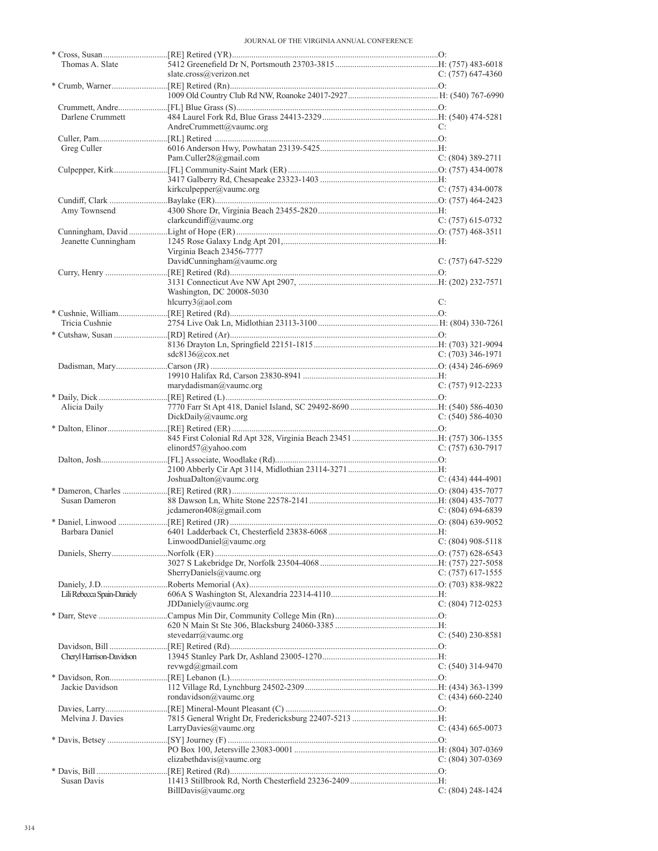| Thomas A. Slate            |                           |                     |
|----------------------------|---------------------------|---------------------|
|                            | slate.cross@verizon.net   | C: $(757)$ 647-4360 |
|                            |                           |                     |
|                            |                           |                     |
|                            |                           |                     |
| Darlene Crummett           |                           |                     |
|                            |                           |                     |
|                            | AndreCrummett@vaumc.org   | C:                  |
|                            |                           |                     |
| Greg Culler                |                           |                     |
|                            | Pam.Culler28@gmail.com    | $C: (804)$ 389-2711 |
|                            |                           |                     |
|                            |                           |                     |
|                            | kirkculpepper@vaumc.org   | $C: (757)$ 434-0078 |
|                            |                           |                     |
|                            |                           |                     |
| Amy Townsend               |                           |                     |
|                            | clarkcundiff@vaumc.org    | C: $(757)$ 615-0732 |
|                            |                           |                     |
| Jeanette Cunningham        |                           |                     |
|                            | Virginia Beach 23456-7777 |                     |
|                            | DavidCunningham@vaumc.org | $C: (757)$ 647-5229 |
|                            |                           |                     |
|                            |                           |                     |
|                            |                           |                     |
|                            | Washington, DC 20008-5030 |                     |
|                            | hlcurry3@aol.com          | C:                  |
|                            |                           |                     |
| Tricia Cushnie             |                           |                     |
|                            |                           |                     |
|                            |                           |                     |
|                            |                           |                     |
|                            | sdc8136@cov.net           | $C: (703)$ 346-1971 |
|                            |                           |                     |
|                            |                           |                     |
|                            | $marydadian(a)$ vaumc.org | $C: (757)$ 912-2233 |
|                            |                           |                     |
| Alicia Daily               |                           |                     |
|                            |                           |                     |
|                            | DickDaily@vaumc.org       | $C: (540) 586-4030$ |
|                            |                           |                     |
|                            |                           |                     |
|                            | elinord $57$ @yahoo.com   | $C: (757)$ 630-7917 |
|                            |                           |                     |
|                            |                           |                     |
|                            | JoshuaDalton@vaumc.org    | $C: (434)$ 444-4901 |
|                            |                           |                     |
|                            |                           |                     |
| Susan Dameron              |                           |                     |
|                            | icdameron408@gmail.com    | C: $(804)$ 694-6839 |
|                            |                           |                     |
| Barbara Daniel             |                           |                     |
|                            | LinwoodDaniel@vaumc.org   | $C: (804)$ 908-5118 |
|                            |                           |                     |
|                            |                           |                     |
|                            |                           |                     |
|                            | SherryDaniels@vaumc.org   | $C: (757)$ 617-1555 |
|                            |                           |                     |
| Lili Rebecca Spain-Daniely |                           |                     |
|                            | JDDaniely@vaumc.org       | C: $(804)$ 712-0253 |
|                            |                           |                     |
|                            |                           |                     |
|                            | stevedarr@vaumc.org       | $C: (540)$ 230-8581 |
|                            |                           |                     |
|                            |                           |                     |
| Cheryl Harrison-Davidson   |                           |                     |
|                            | revwgd@gmail.com          | $C: (540)$ 314-9470 |
|                            |                           |                     |
| Jackie Davidson            |                           |                     |
|                            | rondavidson@vaumc.org     | C: $(434)$ 660-2240 |
|                            |                           |                     |
|                            |                           |                     |
| Melvina J. Davies          |                           |                     |
|                            | LarryDavies@vaumc.org     | C: (434) 665-0073   |
|                            |                           |                     |
|                            |                           |                     |
|                            | elizabethdavis@vaumc.org  | $C: (804)$ 307-0369 |
|                            |                           |                     |
| Susan Davis                |                           |                     |
|                            |                           |                     |
|                            | BillDavis@value.org       | C: $(804)$ 248-1424 |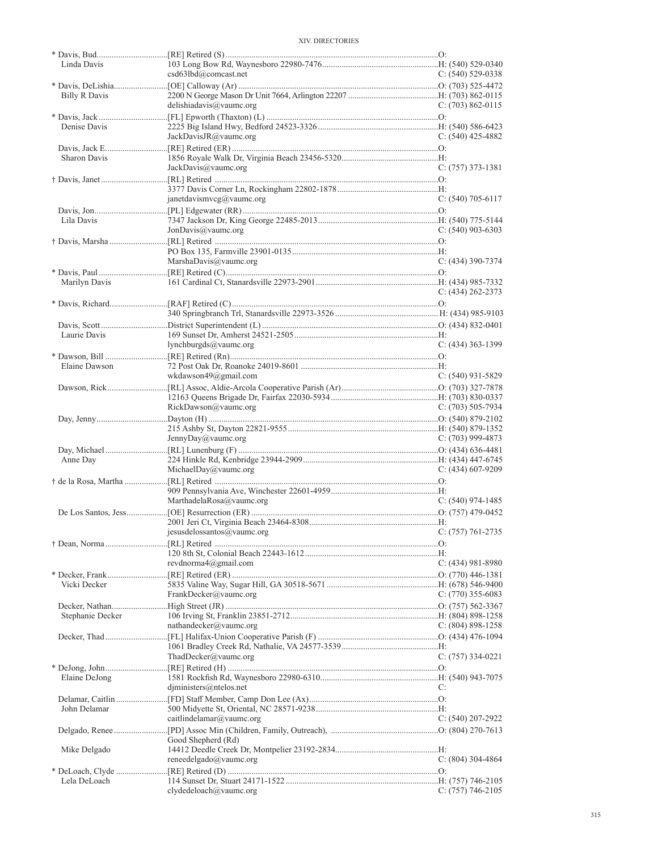| Linda Davis          |                            |                       |
|----------------------|----------------------------|-----------------------|
|                      | csd63lbd@comcast.net       | $C: (540) 529-0338$   |
|                      |                            |                       |
| <b>Billy R Davis</b> | delishiadavis@vaumc.org    | C: $(703)$ 862-0115   |
|                      |                            |                       |
| Denise Davis         |                            |                       |
|                      | JackDavisJR@vaumc.org      | $C: (540)$ 425-4882   |
|                      |                            |                       |
| Sharon Davis         |                            |                       |
|                      | JackDavis@vaumc.org        | $C: (757)$ 373-1381   |
|                      |                            |                       |
|                      |                            |                       |
|                      | janetdavismvcg@vaumc.org   | $C: (540)$ 705-6117   |
|                      |                            |                       |
| Lila Davis           |                            |                       |
|                      | JonDavis@vaumc.org         | $C: (540)$ 903-6303   |
|                      |                            |                       |
|                      | MarshaDavis@vaumc.org      | $C: (434)$ 390-7374   |
|                      |                            |                       |
| Marilyn Davis        |                            |                       |
|                      |                            | $C: (434) 262 - 2373$ |
|                      |                            |                       |
|                      |                            |                       |
|                      |                            |                       |
| Laurie Davis         |                            |                       |
|                      | lynchburgds@vaumc.org      | $C: (434)$ 363-1399   |
|                      |                            |                       |
| Elaine Dawson        | wkdawson49@gmail.com       | $C: (540)$ 931-5829   |
|                      |                            |                       |
|                      |                            |                       |
|                      | RickDawson@vaumc.org       | $C: (703) 505-7934$   |
|                      |                            |                       |
|                      |                            |                       |
|                      |                            |                       |
|                      | JennyDay@vaumc.org         | $C: (703)$ 999-4873   |
|                      |                            |                       |
| Anne Day             |                            |                       |
|                      | MichaelDay@vaumc.org       | $C: (434)$ 607-9209   |
|                      |                            |                       |
|                      |                            |                       |
|                      | MarthadelaRosa@vaumc.org   | $C: (540)$ 974-1485   |
|                      |                            |                       |
|                      |                            |                       |
|                      | jesusdelossantos@vaumc.org | $C: (757) 761-2735$   |
|                      |                            |                       |
|                      | revdnorma4@gmail.com       | C: (434) 981-8980     |
|                      |                            |                       |
| Vicki Decker         |                            |                       |
|                      | FrankDecker@vaumc.org      | C: $(770)$ 355-6083   |
|                      |                            |                       |
| Stephanie Decker     |                            |                       |
|                      | nathandecker@vaumc.org     | $C: (804) 898-1258$   |
|                      |                            |                       |
|                      |                            |                       |
|                      | ThadDecker@vaumc.org       | C: (757) 334-0221     |
| Elaine DeJong        |                            |                       |
|                      | djministers@ntelos.net     | C:                    |
|                      |                            |                       |
| John Delamar         |                            |                       |
|                      | caitlindelamar@vaumc.org   | C: $(540)$ 207-2922   |
|                      |                            |                       |
|                      | Good Shepherd (Rd)         |                       |
| Mike Delgado         |                            |                       |
|                      | reneedelgado@vaumc.org     | C: (804) 304-4864     |
| Lela DeLoach         |                            |                       |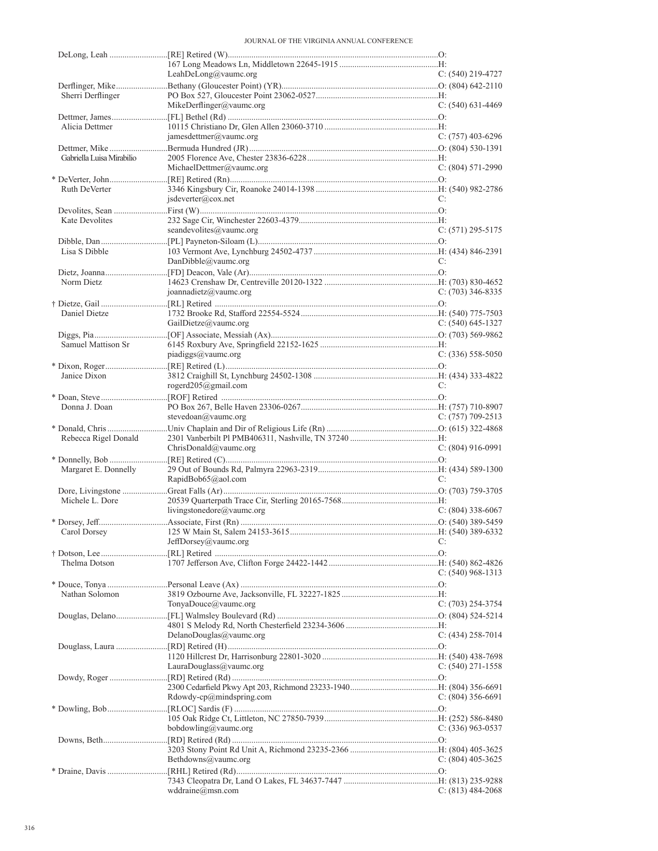| $C: (540)$ 219-4727   |
|-----------------------|
|                       |
|                       |
|                       |
| C: $(540)$ 631-4469   |
|                       |
| $C: (757)$ 403-6296   |
|                       |
|                       |
| $C: (804) 571-2990$   |
|                       |
| C:                    |
|                       |
|                       |
| $C: (571) 295 - 5175$ |
|                       |
| C:                    |
|                       |
|                       |
| $C: (703)$ 346-8335   |
|                       |
|                       |
| $C: (540)$ 645-1327   |
|                       |
| $C: (336) 558-5050$   |
|                       |
|                       |
| C:                    |
|                       |
| $C: (757)$ 709-2513   |
|                       |
|                       |
|                       |
| $C: (804)$ 916-0991   |
|                       |
|                       |
| C:                    |
|                       |
| $C: (804)$ 338-6067   |
|                       |
|                       |
| C:                    |
|                       |
| C: $(540)$ 968-1313   |
|                       |
|                       |
| C: (703) 254-3754     |
|                       |
|                       |
| $C: (434)$ 258-7014   |
|                       |
| C: $(540)$ 271-1558   |
|                       |
|                       |
| $C: (804)$ 356-6691   |
|                       |
| C: $(336)$ 963-0537   |
|                       |
|                       |
| C: $(804)$ 405-3625   |
| $C: (813) 484-2068$   |
|                       |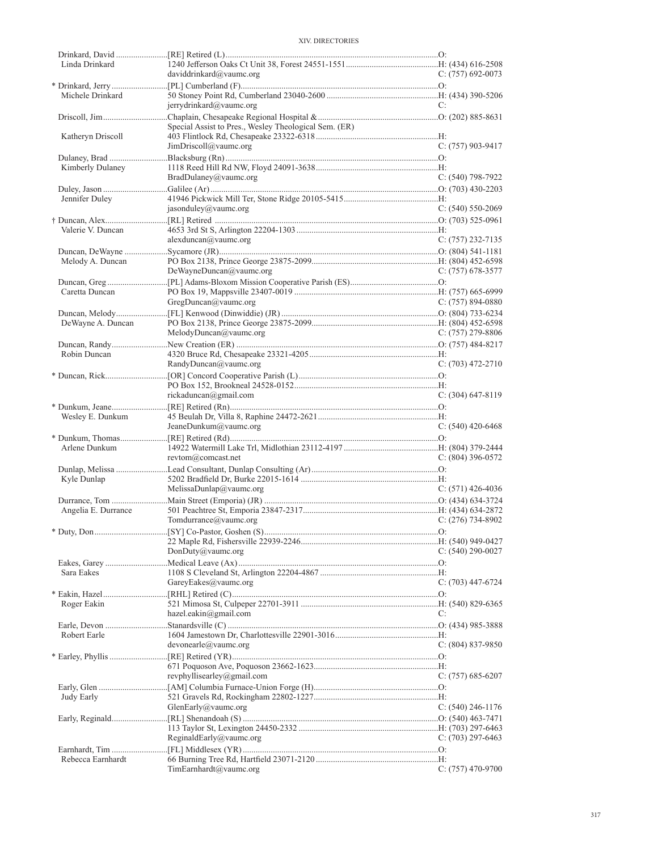| Linda Drinkard      |                                                       |                     |
|---------------------|-------------------------------------------------------|---------------------|
|                     | daviddrinkard@vaumc.org                               | $C: (757) 692-0073$ |
|                     |                                                       |                     |
| Michele Drinkard    |                                                       |                     |
|                     | jerrydrinkard@vaumc.org                               | C:                  |
|                     |                                                       |                     |
|                     | Special Assist to Pres., Wesley Theological Sem. (ER) |                     |
| Katheryn Driscoll   |                                                       |                     |
|                     | JimDriscoll@vaumc.org                                 | $C: (757)$ 903-9417 |
|                     |                                                       |                     |
| Kimberly Dulaney    |                                                       |                     |
|                     | BradDulaney@vaumc.org                                 | $C: (540)$ 798-7922 |
|                     |                                                       |                     |
| Jennifer Duley      |                                                       |                     |
|                     | jasonduley@vaumc.org                                  | $C: (540) 550-2069$ |
|                     |                                                       |                     |
| Valerie V. Duncan   |                                                       |                     |
|                     | alexduncan@value.org                                  | $C: (757)$ 232-7135 |
|                     |                                                       |                     |
| Melody A. Duncan    |                                                       |                     |
|                     | DeWayneDuncan@vaumc.org                               | C: $(757)$ 678-3577 |
|                     |                                                       |                     |
| Caretta Duncan      |                                                       |                     |
|                     | GregDuncan@value.org                                  | C: $(757)$ 894-0880 |
|                     |                                                       |                     |
| DeWayne A. Duncan   |                                                       |                     |
|                     | MelodyDuncan@value.org                                | C: $(757)$ 279-8806 |
|                     |                                                       |                     |
| Robin Duncan        |                                                       |                     |
|                     | RandyDuncan@vaumc.org                                 | $C: (703)$ 472-2710 |
|                     |                                                       |                     |
|                     |                                                       |                     |
|                     | rickaduncan@gmail.com                                 | $C: (304)$ 647-8119 |
|                     |                                                       |                     |
| Wesley E. Dunkum    |                                                       |                     |
|                     | JeaneDunkum@vaumc.org                                 | C: $(540)$ 420-6468 |
|                     |                                                       |                     |
| Arlene Dunkum       |                                                       |                     |
|                     | revtom@comcast.net                                    | $C: (804)$ 396-0572 |
|                     |                                                       |                     |
| Kyle Dunlap         |                                                       |                     |
|                     | MelissaDunlap@vaumc.org                               | $C: (571)$ 426-4036 |
|                     |                                                       |                     |
| Angelia E. Durrance |                                                       |                     |
|                     | Tomdurrance@vaumc.org                                 | C: $(276)$ 734-8902 |
|                     |                                                       |                     |
|                     |                                                       |                     |
|                     | DonDuty@vaumc.org                                     | C: $(540)$ 290-0027 |
|                     |                                                       |                     |
| Sara Eakes          |                                                       |                     |
|                     | GareyEakes@vaumc.org                                  | $C: (703)$ 447-6724 |
|                     |                                                       |                     |
| Roger Eakin         |                                                       |                     |
|                     | hazel.eakin@gmail.com                                 | C:                  |
|                     |                                                       |                     |
| Robert Earle        |                                                       |                     |
|                     | devonearle@value.                                     | $C: (804) 837-9850$ |
|                     |                                                       |                     |
|                     |                                                       |                     |
|                     | revphyllisearley@gmail.com                            | C: $(757)$ 685-6207 |
|                     |                                                       |                     |
| Judy Early          |                                                       |                     |
|                     | GlenEarly@vaumc.org                                   | C: (540) 246-1176   |
|                     |                                                       |                     |
|                     |                                                       |                     |
|                     | ReginaldEarly@vaumc.org                               | C: $(703)$ 297-6463 |
|                     |                                                       |                     |
| Rebecca Earnhardt   |                                                       |                     |
|                     | TimEarnhardt@value.org                                | $C: (757)$ 470-9700 |
|                     |                                                       |                     |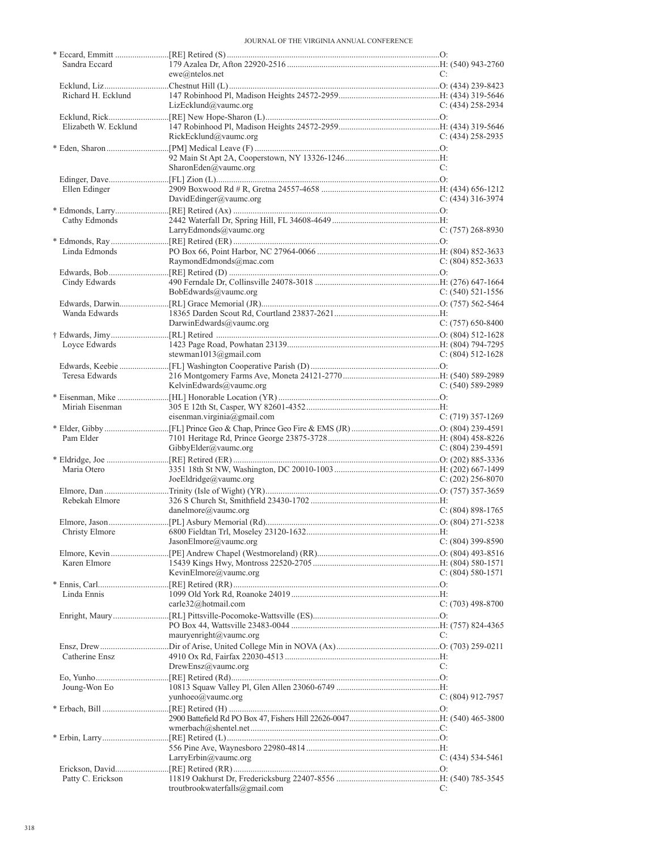| Sandra Eccard        |                                |                       |
|----------------------|--------------------------------|-----------------------|
|                      | $ewe(@n$ telos.net             | C:                    |
|                      |                                |                       |
| Richard H. Ecklund   |                                |                       |
|                      | LizEcklund@vaumc.org           | C: $(434)$ 258-2934   |
|                      |                                |                       |
| Elizabeth W. Ecklund |                                |                       |
|                      | RickEcklund@vaumc.org          | $C: (434)$ 258-2935   |
|                      |                                |                       |
|                      | SharonEden@vaumc.org           |                       |
|                      |                                | C:                    |
|                      |                                |                       |
| Ellen Edinger        | DavidEdinger@vaumc.org         | $C: (434)$ 316-3974   |
|                      |                                |                       |
| Cathy Edmonds        |                                |                       |
|                      | LarryEdmonds@vaumc.org         | $C: (757) 268 - 8930$ |
|                      |                                |                       |
| Linda Edmonds        |                                |                       |
|                      | RaymondEdmonds@mac.com         | $C: (804) 852 - 3633$ |
|                      |                                |                       |
| Cindy Edwards        |                                |                       |
|                      | BobEdwards@vaumc.org           | $C: (540) 521-1556$   |
|                      |                                |                       |
| Wanda Edwards        |                                |                       |
|                      | DarwinEdwards@vaumc.org        | $C: (757)$ 650-8400   |
|                      |                                |                       |
| Loyce Edwards        |                                |                       |
|                      | stewman1013@gmail.com          | $C: (804) 512 - 1628$ |
|                      |                                |                       |
| Teresa Edwards       |                                |                       |
|                      | KelvinEdwards@vaumc.org        | C: $(540)$ 589-2989   |
|                      |                                |                       |
| Miriah Eisenman      |                                |                       |
|                      | eisenman.virginia@gmail.com    | $C: (719)$ 357-1269   |
|                      |                                |                       |
| Pam Elder            |                                |                       |
|                      | GibbyElder@vaumc.org           | C: $(804)$ 239-4591   |
|                      |                                |                       |
| Maria Otero          |                                |                       |
|                      | JoeEldridge@vaumc.org          | C: $(202)$ 256-8070   |
|                      |                                |                       |
| Rebekah Elmore       |                                |                       |
|                      | danelmore@vaumc.org            | C: (804) 898-1765     |
|                      |                                |                       |
|                      |                                |                       |
|                      | JasonElmore@vaumc.org          | $C: (804)$ 399-8590   |
|                      |                                |                       |
| Karen Elmore         |                                |                       |
|                      | KevinElmore@vaumc.org          | $C: (804) 580-1571$   |
|                      |                                |                       |
| Linda Ennis          |                                |                       |
|                      | carle32@hotmail.com            | $C: (703)$ 498-8700   |
|                      |                                |                       |
|                      |                                |                       |
|                      | mauryenright@vaumc.org         | C:                    |
|                      |                                |                       |
| Catherine Ensz       |                                |                       |
|                      | DrewEnsz@vaumc.org             | C:                    |
|                      |                                |                       |
| Joung-Won Eo         |                                |                       |
|                      | yunhoeo@vaumc.org              | C: (804) 912-7957     |
|                      |                                |                       |
|                      |                                |                       |
|                      |                                |                       |
|                      |                                |                       |
|                      | LarryErbin@vaumc.org           | $C: (434) 534-5461$   |
|                      |                                |                       |
| Patty C. Erickson    |                                |                       |
|                      |                                |                       |
|                      | troutbrookwaterfalls@gmail.com | C:                    |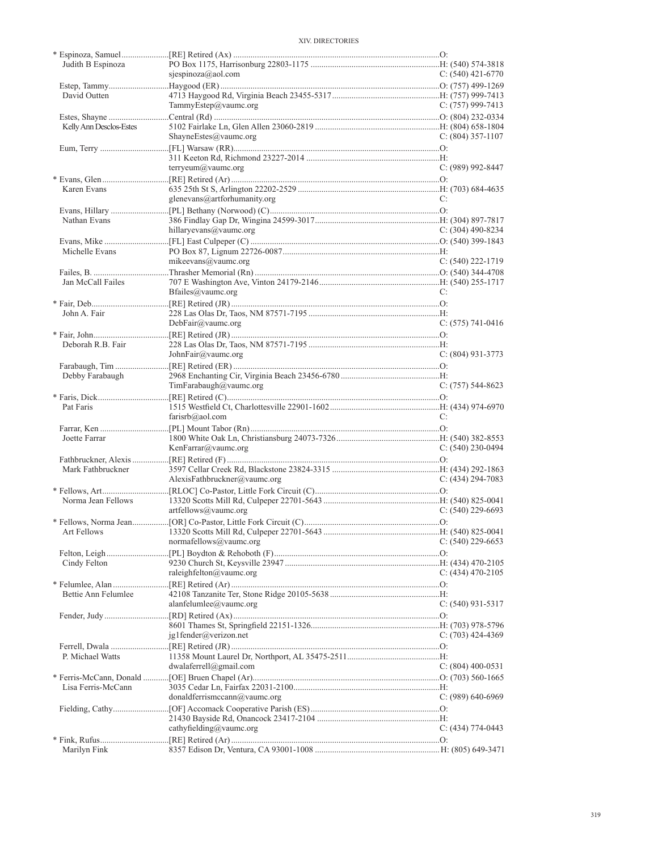| Judith B Espinoza       |                              |                       |
|-------------------------|------------------------------|-----------------------|
|                         | sjespinoza@aol.com           | C: $(540)$ 421-6770   |
|                         |                              |                       |
| David Outten            |                              |                       |
|                         | TammyEstep@vaumc.org         | C: $(757)$ 999-7413   |
|                         |                              |                       |
| Kelly Ann Desclos-Estes |                              |                       |
|                         | ShayneEstes@vaumc.org        | $C: (804)$ 357-1107   |
|                         |                              |                       |
|                         |                              |                       |
|                         | terryeum@vaumc.org           | $C: (989) 992 - 8447$ |
|                         |                              |                       |
| Karen Evans             |                              |                       |
|                         | glenevans@artforhumanity.org | C:                    |
|                         |                              |                       |
| Nathan Evans            |                              |                       |
|                         | hillaryevans@vaumc.org       | $C: (304)$ 490-8234   |
|                         |                              |                       |
|                         |                              |                       |
| Michelle Evans          |                              |                       |
|                         | mikeevans@vaumc.org          | $C: (540)$ 222-1719   |
|                         |                              |                       |
| Jan McCall Failes       |                              |                       |
|                         | Bfailes@vaumc.org            | C:                    |
|                         |                              |                       |
| John A. Fair            |                              |                       |
|                         | DebFair@value.org            | $C: (575) 741-0416$   |
|                         |                              |                       |
| Deborah R.B. Fair       |                              |                       |
|                         | JohnFair@vaumc.org           | $C: (804)$ 931-3773   |
|                         |                              |                       |
| Debby Farabaugh         |                              |                       |
|                         | TimFarabaugh@vaumc.org       | $C: (757) 544-8623$   |
|                         |                              |                       |
| Pat Faris               |                              |                       |
|                         | farisrb@aol.com              | C:                    |
|                         |                              |                       |
| Joette Farrar           |                              |                       |
|                         | KenFarrar@vaumc.org          | $C: (540)$ 230-0494   |
|                         |                              |                       |
| Mark Fathbruckner       |                              |                       |
|                         | AlexisFathbruckner@vaumc.org | $C: (434) 294 - 7083$ |
|                         |                              |                       |
| Norma Jean Fellows      |                              |                       |
|                         | artfellows@vaumc.org         | $C: (540)$ 229-6693   |
|                         |                              |                       |
| Art Fellows             |                              |                       |
|                         | normafellows@vaumc.org       | $C: (540)$ 229-6653   |
|                         |                              |                       |
| Cindy Felton            |                              |                       |
|                         | raleighfelton@vaumc.org      | $C: (434)$ 470-2105   |
|                         |                              |                       |
|                         |                              |                       |
| Bettie Ann Felumlee     |                              | $C: (540)$ 931-5317   |
|                         | alanfelumlee@vaumc.org       |                       |
|                         |                              |                       |
|                         |                              |                       |
|                         | $j$ g1fender@verizon.net     | $C: (703)$ 424-4369   |
|                         |                              |                       |
| P. Michael Watts        |                              |                       |
|                         | dwalaferrell@gmail.com       | $C: (804)$ 400-0531   |
|                         |                              |                       |
| Lisa Ferris-McCann      |                              |                       |
|                         | donaldferrismccann@vaumc.org | $C: (989) 640-6969$   |
|                         |                              |                       |
|                         |                              |                       |
|                         | cathyfielding@vaumc.org      | $C: (434) 774-0443$   |
|                         |                              |                       |
| Marilyn Fink            |                              |                       |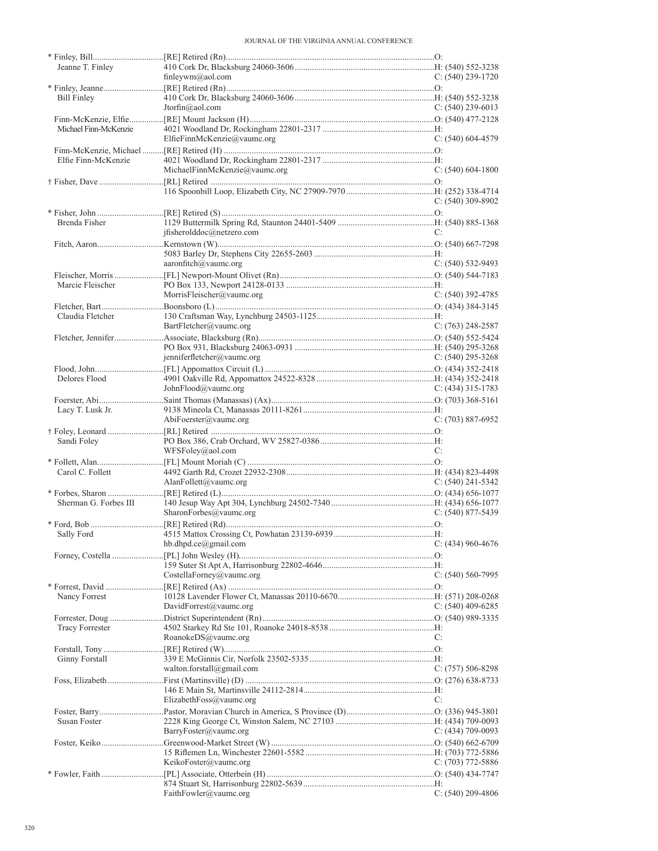| Jeanne T. Finley      |                               |                     |
|-----------------------|-------------------------------|---------------------|
|                       | finleywm@aol.com              | C: $(540)$ 239-1720 |
|                       |                               |                     |
| Bill Finley           |                               |                     |
|                       | Jtorfin@aol.com               | C: $(540)$ 239-6013 |
|                       |                               |                     |
| Michael Finn-McKenzie | ElfieFinnMcKenzie@vaumc.org   | $C: (540) 604-4579$ |
|                       |                               |                     |
| Elfie Finn-McKenzie   |                               |                     |
|                       | MichaelFinnMcKenzie@vaumc.org | $C: (540) 604-1800$ |
|                       |                               |                     |
|                       |                               |                     |
|                       |                               | C: (540) 309-8902   |
|                       |                               |                     |
| Brenda Fisher         |                               |                     |
|                       | ifisherolddoc@netzero.com     | C:                  |
|                       |                               |                     |
|                       |                               |                     |
|                       | aaronfitch@vaumc.org          | $C: (540)$ 532-9493 |
|                       |                               |                     |
| Marcie Fleischer      |                               |                     |
|                       | MorrisFleischer@vaumc.org     | $C: (540)$ 392-4785 |
|                       |                               |                     |
| Claudia Fletcher      |                               |                     |
|                       | BartFletcher@vaumc.org        | $C: (763)$ 248-2587 |
|                       |                               |                     |
|                       |                               |                     |
|                       | jenniferfletcher@vaumc.org    | C: $(540)$ 295-3268 |
|                       |                               |                     |
| Delores Flood         |                               |                     |
|                       | JohnFlood@vaumc.org           | C: $(434)$ 315-1783 |
|                       |                               |                     |
| Lacy T. Lusk Jr.      | AbiFoerster@vaumc.org         | $C: (703) 887-6952$ |
|                       |                               |                     |
|                       |                               |                     |
|                       |                               |                     |
| Sandi Foley           |                               |                     |
|                       | WFSFoley@aol.com              | C:                  |
|                       |                               |                     |
| Carol C. Follett      |                               |                     |
|                       | AlanFollett@vaumc.org         | $C: (540)$ 241-5342 |
| Sherman G. Forbes III |                               |                     |
|                       | SharonForbes@vaumc.org        | $C: (540) 877-5439$ |
|                       |                               |                     |
|                       |                               |                     |
|                       | hb.dhpd.ce@gmail.com          | $C: (434)$ 960-4676 |
|                       |                               |                     |
|                       |                               |                     |
|                       | CostellaForney@vaumc.org      | $C: (540) 560-7995$ |
|                       |                               |                     |
| Nancy Forrest         |                               |                     |
|                       | DavidForrest@vaumc.org        | C: $(540)$ 409-6285 |
|                       |                               |                     |
| Tracy Forrester       |                               |                     |
|                       | RoanokeDS@vaumc.org           | C:                  |
|                       |                               |                     |
| Ginny Forstall        |                               |                     |
|                       | walton.forstall@gmail.com     | $C: (757) 506-8298$ |
|                       |                               |                     |
|                       | ElizabethFoss@vaumc.org       | C:                  |
|                       |                               |                     |
| Susan Foster          |                               |                     |
|                       | BarryFoster@vaumc.org         | $C: (434)$ 709-0093 |
|                       |                               |                     |
|                       |                               |                     |
|                       | KeikoFoster@vaumc.org         | C: $(703)$ 772-5886 |
|                       |                               |                     |
|                       | FaithFowler@vaumc.org         | $C: (540)$ 209-4806 |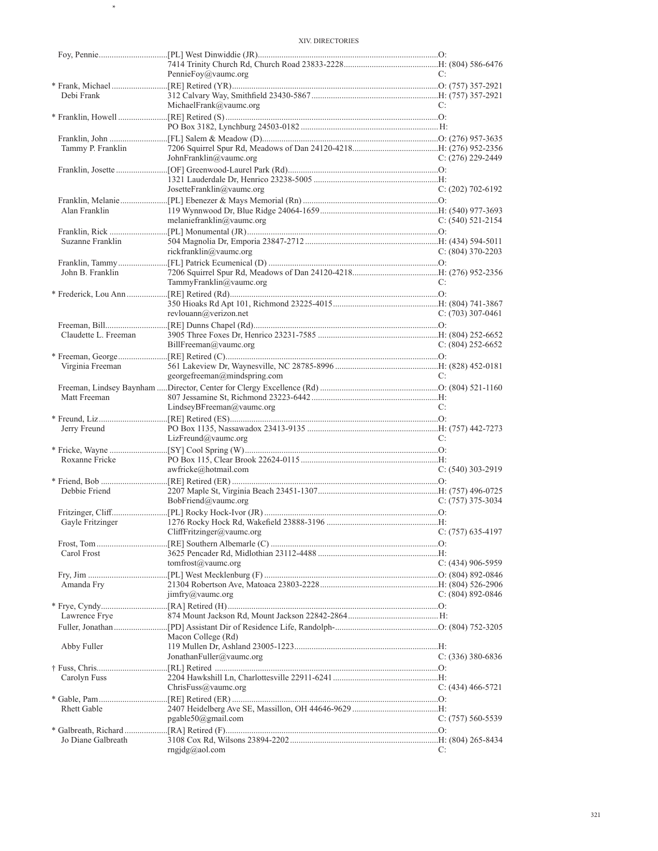\*

|                      | PennieFoy@vaumc.org                                  | C:                  |
|----------------------|------------------------------------------------------|---------------------|
|                      |                                                      |                     |
| Debi Frank           |                                                      |                     |
|                      | MichaelFrank@vaumc.org                               | C:                  |
|                      |                                                      |                     |
|                      |                                                      |                     |
|                      |                                                      |                     |
| Tammy P. Franklin    |                                                      |                     |
|                      | JohnFranklin@vaumc.org                               | C: $(276)$ 229-2449 |
|                      |                                                      |                     |
|                      |                                                      |                     |
|                      | JosetteFranklin@vaumc.org                            | $C: (202)$ 702-6192 |
|                      |                                                      |                     |
| Alan Franklin        |                                                      |                     |
|                      | melaniefranklin@vaumc.org                            | C: $(540)$ 521-2154 |
|                      |                                                      |                     |
| Suzanne Franklin     |                                                      |                     |
|                      | rickfranklin@vaumc.org                               | C: $(804)$ 370-2203 |
|                      |                                                      |                     |
| John B. Franklin     |                                                      |                     |
|                      | TammyFranklin@vaumc.org                              | C:                  |
|                      |                                                      |                     |
|                      |                                                      |                     |
|                      | revlouann@verizon.net                                | C: $(703)$ 307-0461 |
|                      |                                                      |                     |
| Claudette L. Freeman |                                                      |                     |
|                      | BillFreeman@vaumc.org                                | C: $(804)$ 252-6652 |
|                      |                                                      |                     |
|                      |                                                      |                     |
| Virginia Freeman     | georgefreeman@mindspring.com                         | C:                  |
|                      |                                                      |                     |
|                      |                                                      |                     |
| Matt Freeman         |                                                      |                     |
|                      | LindseyBFreeman@vaumc.org                            | C:                  |
|                      |                                                      |                     |
| Jerry Freund         |                                                      |                     |
|                      | $Liz$ Freund@vaumc.org                               | C:                  |
|                      |                                                      |                     |
| Roxanne Fricke       |                                                      |                     |
|                      | awfricke@hotmail.com                                 | $C: (540)$ 303-2919 |
|                      |                                                      |                     |
| Debbie Friend        |                                                      |                     |
|                      | BobFriend@vaumc.org                                  | $C: (757)$ 375-3034 |
|                      |                                                      |                     |
| Gayle Fritzinger     |                                                      |                     |
|                      | $CliffFritzinger(a)$ vaumc.org                       | C: (757) 635-4197   |
|                      |                                                      |                     |
| Carol Frost          |                                                      |                     |
|                      | tomfrost@vaumc.org                                   | C: (434) 906-5959   |
|                      |                                                      |                     |
| Amanda Fry           |                                                      |                     |
|                      | $\lim_{x \to \infty} f(y)$ imfry $\omega$ value or g | C: $(804)$ 892-0846 |
|                      |                                                      |                     |
| Lawrence Frye        |                                                      |                     |
|                      |                                                      |                     |
|                      | Macon College (Rd)                                   |                     |
| Abby Fuller          |                                                      |                     |
|                      | JonathanFuller@vaumc.org                             | $C: (336)$ 380-6836 |
|                      |                                                      |                     |
| Carolyn Fuss         |                                                      |                     |
|                      |                                                      |                     |
|                      | Christus@value.org                                   | $C: (434)$ 466-5721 |
|                      |                                                      |                     |
| Rhett Gable          |                                                      |                     |
|                      | pgable50(agmail.com)                                 | $C: (757) 560-5539$ |
|                      |                                                      |                     |
| Jo Diane Galbreath   | $rngjdg(\bar{a})$ aol.com                            | C:                  |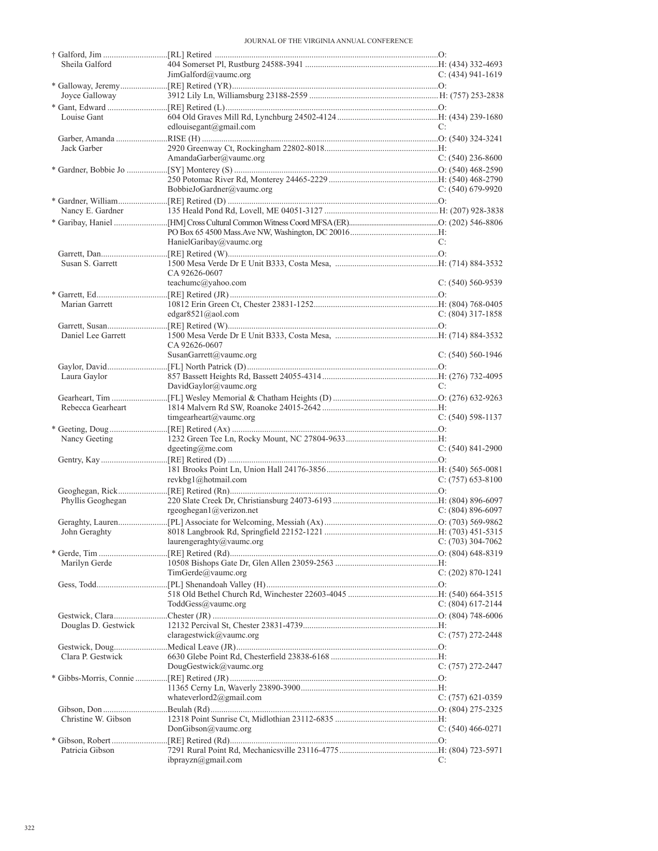| Sheila Galford      |                           |                       |
|---------------------|---------------------------|-----------------------|
|                     | JimGalford@value.org      | $C: (434) 941-1619$   |
|                     |                           |                       |
| Joyce Galloway      |                           |                       |
|                     |                           |                       |
| Louise Gant         |                           |                       |
|                     | edlouisegant@gmail.com    | C:                    |
|                     |                           |                       |
|                     |                           |                       |
| Jack Garber         |                           |                       |
|                     | AmandaGarber@vaumc.org    | C: $(540)$ 236-8600   |
|                     |                           |                       |
|                     |                           |                       |
|                     | BobbieJoGardner@vaumc.org | $C: (540)$ 679-9920   |
|                     |                           |                       |
| Nancy E. Gardner    |                           |                       |
|                     |                           |                       |
|                     |                           |                       |
|                     |                           |                       |
|                     | HanielGaribay@vaumc.org   | C:                    |
|                     |                           |                       |
| Susan S. Garrett    |                           |                       |
|                     | CA 92626-0607             |                       |
|                     | teachumc@yahoo.com        | $C: (540) 560 - 9539$ |
|                     |                           |                       |
| Marian Garrett      |                           |                       |
|                     | edgar $8521$ @aol.com     | $C: (804)$ 317-1858   |
|                     |                           |                       |
|                     |                           |                       |
| Daniel Lee Garrett  |                           |                       |
|                     | CA 92626-0607             |                       |
|                     | SusanGarrett@vaumc.org    | $C: (540) 560-1946$   |
|                     |                           |                       |
| Laura Gaylor        |                           |                       |
|                     | DavidGaylor@vaumc.org     | C:                    |
|                     |                           |                       |
| Rebecca Gearheart   |                           |                       |
|                     | timgearheart@vaumc.org    | $C: (540)$ 598-1137   |
|                     |                           |                       |
|                     |                           |                       |
| Nancy Geeting       |                           |                       |
|                     | $d$ geeting@me.com        | $C: (540)$ 841-2900   |
|                     |                           |                       |
|                     |                           |                       |
|                     | revkbg1@hotmail.com       | $C: (757)$ 653-8100   |
|                     |                           |                       |
| Phyllis Geoghegan   |                           |                       |
|                     | rgeoghegan1@verizon.net   | $C: (804) 896-6097$   |
|                     |                           |                       |
|                     |                           |                       |
|                     |                           | $C: (703)$ 304-7062   |
|                     | laurengeraghty@vaumc.org  |                       |
|                     |                           |                       |
| Marilyn Gerde       |                           |                       |
|                     | TimeGerde@value.org       | $C: (202) 870 - 1241$ |
|                     |                           |                       |
|                     |                           |                       |
|                     | ToddGess@vaumc.org        | C: (804) 617-2144     |
|                     |                           |                       |
| Douglas D. Gestwick |                           |                       |
|                     | claragestwick@vaumc.org   |                       |
|                     |                           | $C: (757) 272 - 2448$ |
|                     |                           |                       |
| Clara P. Gestwick   |                           |                       |
|                     | DougGestwick@vaumc.org    | $C: (757) 272 - 2447$ |
|                     |                           |                       |
|                     |                           |                       |
|                     | whateverlord2@gmail.com   | C: (757) 621-0359     |
|                     |                           |                       |
| Christine W. Gibson |                           |                       |
|                     | DonGibson@value.org       | $C: (540) 466 - 0271$ |
|                     |                           |                       |
|                     |                           |                       |
| Patricia Gibson     |                           |                       |
|                     | ibprayzn@gmail.com        | C:                    |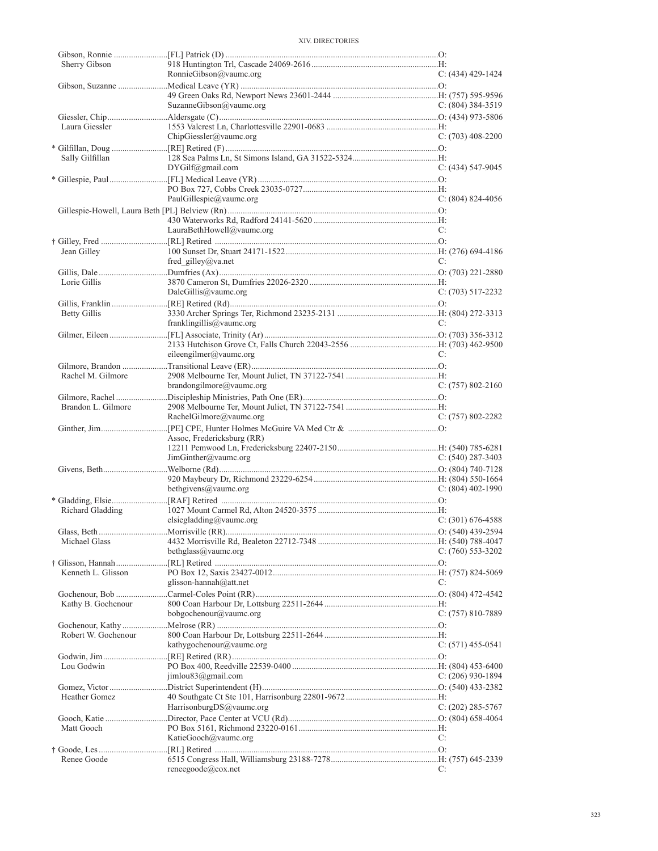| Sherry Gibson       |                             |                       |
|---------------------|-----------------------------|-----------------------|
|                     | RonnieGibson@vaumc.org      | $C: (434)$ 429-1424   |
|                     |                             |                       |
|                     |                             |                       |
|                     | SuzanneGibson@vaumc.org     | $C: (804)$ 384-3519   |
| Laura Giessler      |                             |                       |
|                     | ChipGiessler@value.org      | $C: (703)$ 408-2200   |
|                     |                             |                       |
| Sally Gilfillan     |                             |                       |
|                     | DYGilf@gmail.com            | $C: (434) 547-9045$   |
|                     |                             |                       |
|                     |                             |                       |
|                     | PaulGillespie@vaumc.org     | $C: (804) 824-4056$   |
|                     |                             |                       |
|                     |                             |                       |
|                     | LauraBethHowell@vaumc.org   | C:                    |
|                     |                             |                       |
| Jean Gilley         |                             |                       |
|                     | fred gilley@va.net          | C:                    |
|                     |                             |                       |
| Lorie Gillis        |                             |                       |
|                     | DaleGillis@vaumc.org        | $C: (703) 517 - 2232$ |
|                     |                             |                       |
| Betty Gillis        |                             |                       |
|                     | franklingillis@vaumc.org    | C:                    |
|                     |                             |                       |
|                     |                             |                       |
|                     | eileengilmer@vaumc.org      | C:                    |
|                     |                             |                       |
| Rachel M. Gilmore   |                             |                       |
|                     | $brandongilmore@$ vaumc.org | $C: (757) 802 - 2160$ |
|                     |                             |                       |
| Brandon L. Gilmore  |                             |                       |
|                     | RachelGilmore@vaumc.org     | $C: (757) 802 - 2282$ |
|                     |                             |                       |
|                     | Assoc, Fredericksburg (RR)  |                       |
|                     |                             |                       |
|                     | JimGinther@vaumc.org        | $C: (540) 287 - 3403$ |
|                     |                             |                       |
|                     |                             |                       |
|                     | bethgivens@vaumc.org        | C: $(804)$ 402-1990   |
|                     |                             |                       |
| Richard Gladding    |                             |                       |
|                     | elsiegladding@vaumc.org     | $C: (301)$ 676-4588   |
|                     |                             |                       |
| Michael Glass       |                             |                       |
|                     | bethglass@vaumc.org         | $C: (760)$ 553-3202   |
|                     |                             |                       |
| Kenneth L. Glisson  |                             |                       |
|                     | glisson-hannah@att.net      | C:                    |
|                     |                             |                       |
| Kathy B. Gochenour  |                             |                       |
|                     | bobgochenour@vaumc.org      | $C: (757) 810-7889$   |
|                     |                             |                       |
| Robert W. Gochenour |                             |                       |
|                     | kathygochenour@vaumc.org    | $C: (571)$ 455-0541   |
|                     |                             |                       |
| Lou Godwin          |                             |                       |
|                     | jimlou83@gmail.com          | C: $(206)$ 930-1894   |
|                     |                             |                       |
| Heather Gomez       |                             |                       |
|                     | HarrisonburgDS@vaumc.org    | $C: (202)$ 285-5767   |
|                     |                             |                       |
| Matt Gooch          |                             |                       |
|                     | KatieGooch@vaumc.org        | C:                    |
|                     |                             |                       |
| Renee Goode         |                             |                       |
|                     | reneegoode@cox.net          | C:                    |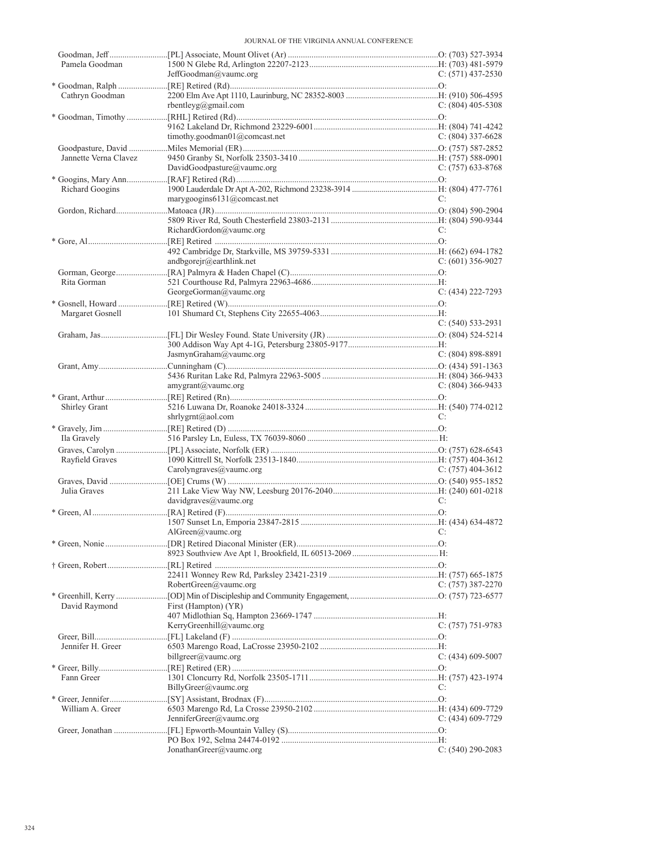| Pamela Goodman        |                               |                       |
|-----------------------|-------------------------------|-----------------------|
|                       | JeffGoodman@vaumc.org         | $C: (571)$ 437-2530   |
|                       |                               |                       |
| Cathryn Goodman       |                               |                       |
|                       | rbentleyg@gmail.com           | $C: (804)$ 405-5308   |
|                       |                               |                       |
|                       |                               |                       |
|                       | timothy.goodman01@comcast.net | $C: (804)$ 337-6628   |
|                       |                               |                       |
|                       |                               |                       |
| Jannette Verna Clavez |                               |                       |
|                       | DavidGoodpasture@vaumc.org    | $C: (757)$ 633-8768   |
|                       |                               |                       |
| Richard Googins       |                               |                       |
|                       | marygoogins6131@comcast.net   | C:                    |
|                       |                               |                       |
|                       |                               |                       |
|                       | RichardGordon@vaumc.org       | C:                    |
|                       |                               |                       |
|                       |                               |                       |
|                       | andbgorejr@earthlink.net      | C: $(601)$ 356-9027   |
|                       |                               |                       |
|                       |                               |                       |
| Rita Gorman           |                               |                       |
|                       | GeorgeGorman@vaumc.org        | $C: (434) 222 - 7293$ |
|                       |                               |                       |
| Margaret Gosnell      |                               |                       |
|                       |                               | $C: (540) 533-2931$   |
|                       |                               |                       |
|                       |                               |                       |
|                       | JasmynGraham@vaumc.org        | $C: (804) 898 - 8891$ |
|                       |                               |                       |
|                       |                               |                       |
|                       | amygrant@vaumc.org            | C: $(804)$ 366-9433   |
|                       |                               |                       |
| Shirley Grant         |                               |                       |
|                       |                               | C:                    |
|                       | shrlygrnt@aol.com             |                       |
|                       |                               |                       |
| Ila Gravely           |                               |                       |
|                       |                               |                       |
| Rayfield Graves       |                               |                       |
|                       | Carolyngraves@vaumc.org       | C: $(757)$ 404-3612   |
|                       |                               |                       |
| Julia Graves          |                               |                       |
|                       | davidgraves@value.org         | C:                    |
|                       |                               |                       |
|                       |                               |                       |
|                       | $\text{AlGreen}(a)$ vaumc.org |                       |
|                       |                               |                       |
|                       |                               |                       |
|                       |                               |                       |
|                       |                               |                       |
|                       |                               |                       |
|                       |                               |                       |
|                       | RobertGreen@vaumc.org         | C: $(757)$ 387-2270   |
|                       |                               |                       |
| David Raymond         | First (Hampton) (YR)          |                       |
|                       |                               |                       |
|                       | KerryGreenhill@vaumc.org      | $C: (757) 751-9783$   |
|                       |                               |                       |
|                       |                               |                       |
| Jennifer H. Greer     |                               |                       |
|                       | billgreer@vaumc.org           | $C: (434)$ 609-5007   |
|                       |                               |                       |
| Fann Greer            |                               |                       |
|                       | BillyGreer@vaumc.org          | C:                    |
|                       |                               |                       |
| William A. Greer      |                               |                       |
|                       | JenniferGreer@vaumc.org       | $C: (434)$ 609-7729   |
|                       |                               |                       |
|                       |                               |                       |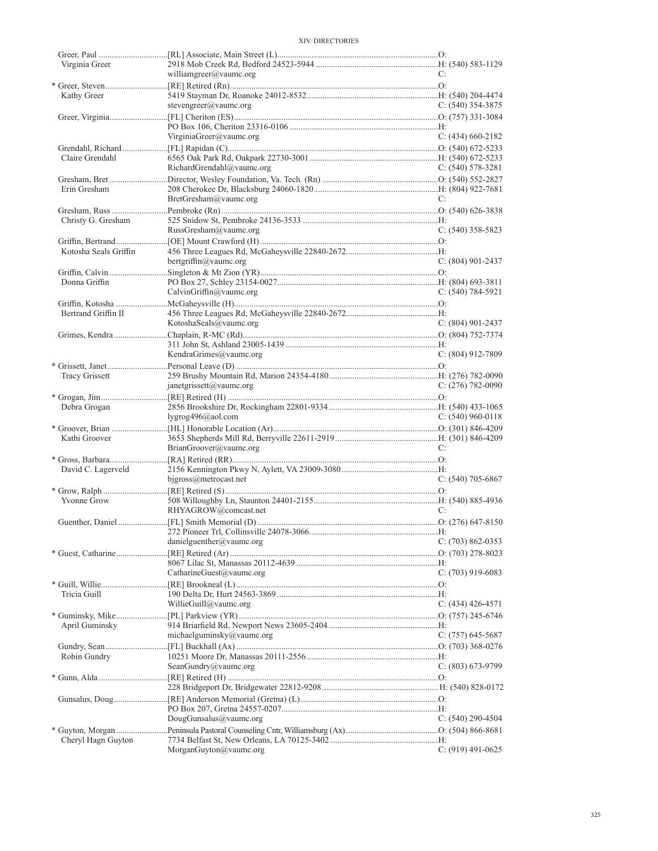| Virginia Greer        |                           |                       |
|-----------------------|---------------------------|-----------------------|
|                       | williamgreer@vaumc.org    | C:                    |
|                       |                           |                       |
| Kathy Greer           |                           |                       |
|                       | stevengreer@vaumc.org     | C: $(540)$ 354-3875   |
|                       |                           |                       |
|                       | VirginiaGreer@vaumc.org   | C: $(434)$ 660-2182   |
|                       |                           |                       |
| Claire Grendahl       |                           |                       |
|                       | RichardGrendahl@vaumc.org | C: $(540)$ 578-3281   |
|                       |                           |                       |
| Erin Gresham          |                           |                       |
|                       | BretGresham@vaumc.org     | C:                    |
|                       |                           |                       |
| Christy G. Gresham    |                           |                       |
|                       | RussGresham@vaumc.org     | $C: (540)$ 358-5823   |
|                       |                           |                       |
| Kotosha Seals Griffin |                           |                       |
|                       | bertgriffin@vaumc.org     | $C: (804)$ 901-2437   |
|                       |                           |                       |
| Donna Griffin         |                           |                       |
|                       | CalvinGriffin@vaumc.org   | $C: (540) 784-5921$   |
|                       |                           |                       |
| Bertrand Griffin II   |                           |                       |
|                       | KotoshaSeals@vaumc.org    | $C: (804)$ 901-2437   |
|                       |                           |                       |
|                       | KendraGrimes@vaumc.org    | $C: (804)$ 912-7809   |
|                       |                           |                       |
| <b>Tracy Grissett</b> |                           |                       |
|                       | janetgrissett@vaumc.org   | $C: (276) 782-0090$   |
|                       |                           |                       |
| Debra Grogan          |                           |                       |
|                       | lygrog $496$ @aol.com     | $C: (540) 960 - 0118$ |
|                       |                           |                       |
| Kathi Groover         |                           |                       |
|                       | BrianGroover@vaumc.org    | C:                    |
|                       |                           |                       |
| David C. Lagerveld    |                           |                       |
|                       | $bigross@$ metrocast.net  | $C: (540)$ 705-6867   |
|                       |                           |                       |
| Yvonne Grow           | RHYAGROW@comcast.net      | C:                    |
|                       |                           |                       |
|                       |                           |                       |
|                       | danielguenther@vaumc.org  | $C: (703) 862 - 0353$ |
|                       |                           |                       |
|                       |                           |                       |
|                       | CatharineGuest@vaumc.org  | C: $(703)$ 919-6083   |
|                       |                           |                       |
| Tricia Guill          |                           |                       |
|                       | WillieGuill@vaumc.org     | $C: (434)$ 426-4571   |
|                       |                           |                       |
| April Guminsky        |                           |                       |
|                       | michaelguminsky@vaumc.org | C: (757) 645-5687     |
|                       |                           |                       |
| Robin Gundry          |                           |                       |
|                       | SeanGundry@vaumc.org      | $C: (803) 673-9799$   |
|                       |                           |                       |
|                       |                           |                       |
|                       |                           |                       |
|                       | DougGunsalus@vaumc.org    | C: $(540)$ 290-4504   |
|                       |                           |                       |
| Cheryl Hagn Guyton    |                           |                       |
|                       | MorganGuyton@vaumc.org    | $C: (919)$ 491-0625   |
|                       |                           |                       |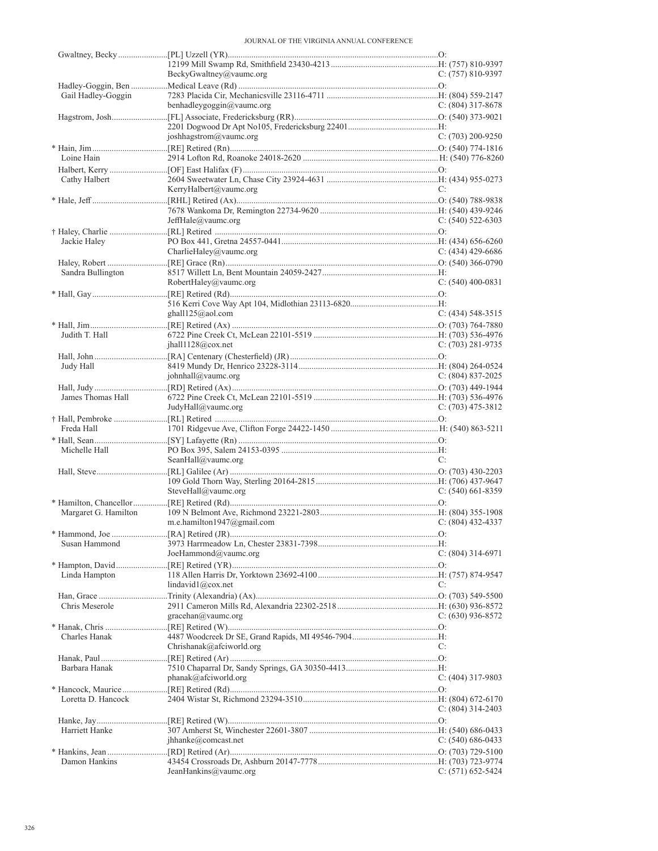|                      | BeckyGwaltney@vaumc.org    | $C: (757) 810-9397$   |
|----------------------|----------------------------|-----------------------|
|                      |                            |                       |
| Gail Hadley-Goggin   | benhadleygoggin@vaumc.org  | C: (804) 317-8678     |
|                      |                            |                       |
|                      |                            |                       |
|                      | joshhagstrom@vaumc.org     | $C: (703) 200 - 9250$ |
|                      |                            |                       |
| Loine Hain           |                            |                       |
|                      |                            |                       |
| Cathy Halbert        |                            |                       |
|                      | KerryHalbert@vaumc.org     | C:                    |
|                      |                            |                       |
|                      |                            |                       |
|                      | JeffHale@vaumc.org         | C: $(540)$ 522-6303   |
|                      |                            |                       |
| Jackie Haley         |                            |                       |
|                      | CharlieHaley@vaumc.org     | $C: (434)$ 429-6686   |
|                      |                            |                       |
| Sandra Bullington    | RobertHaley@vaumc.org      | $C: (540)$ 400-0831   |
|                      |                            |                       |
|                      |                            |                       |
|                      | ghall $125$ @aol.com       | $C: (434)$ 548-3515   |
|                      |                            |                       |
| Judith T. Hall       |                            |                       |
|                      | ihall1128@cov.net          | $C: (703) 281 - 9735$ |
|                      |                            |                       |
| Judy Hall            |                            |                       |
|                      | iohnhall@value.org         | $C: (804) 837-2025$   |
|                      |                            |                       |
| James Thomas Hall    |                            |                       |
|                      | JudyHall@vaumc.org         | C: $(703)$ 475-3812   |
|                      |                            |                       |
| Freda Hall           |                            |                       |
|                      |                            |                       |
| Michelle Hall        |                            |                       |
|                      | SeanHall@vaumc.org         | C:                    |
|                      |                            |                       |
|                      | SteveHall@vaumc.org        | $C: (540)$ 661-8359   |
|                      |                            |                       |
| Margaret G. Hamilton |                            |                       |
|                      | m.e.hamilton1947@gmail.com | $C: (804)$ 432-4337   |
|                      |                            |                       |
| Susan Hammond        |                            |                       |
|                      | JoeHammond@vaumc.org       | $C: (804)$ 314-6971   |
|                      |                            |                       |
| Linda Hampton        |                            |                       |
|                      | lindavid1@cov.net          | C:                    |
|                      |                            |                       |
| Chris Meserole       |                            |                       |
|                      | gracehan@value.org         | $C: (630)$ 936-8572   |
|                      |                            |                       |
| Charles Hanak        | Chrishanak@afciworld.org   | C:                    |
|                      |                            |                       |
| Barbara Hanak        |                            |                       |
|                      | $phanak@$ afciworld.org    | C: $(404)$ 317-9803   |
|                      |                            |                       |
| Loretta D. Hancock   |                            |                       |
|                      |                            | C: (804) 314-2403     |
|                      |                            |                       |
| Harriett Hanke       |                            |                       |
|                      |                            |                       |
|                      | jhhanke@comcast.net        | C: $(540)$ 686-0433   |
|                      |                            |                       |
| Damon Hankins        | JeanHankins@vaumc.org      | $C: (571) 652 - 5424$ |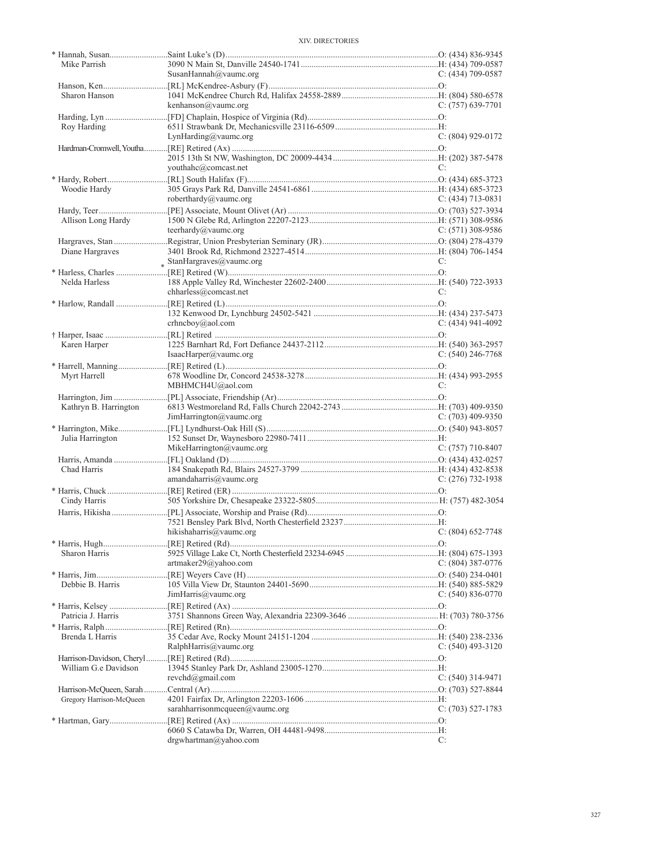| Mike Parrish             |                                                                                                                                                                                                                               |                     |
|--------------------------|-------------------------------------------------------------------------------------------------------------------------------------------------------------------------------------------------------------------------------|---------------------|
|                          | SusanHannah@vaumc.org                                                                                                                                                                                                         | $C: (434)$ 709-0587 |
|                          |                                                                                                                                                                                                                               |                     |
| Sharon Hanson            |                                                                                                                                                                                                                               |                     |
|                          | kenhanson@vaumc.org                                                                                                                                                                                                           | $C: (757)$ 639-7701 |
|                          |                                                                                                                                                                                                                               |                     |
| Roy Harding              |                                                                                                                                                                                                                               |                     |
|                          | LynHarding@vaumc.org                                                                                                                                                                                                          | $C: (804)$ 929-0172 |
|                          |                                                                                                                                                                                                                               |                     |
|                          |                                                                                                                                                                                                                               |                     |
|                          | youthahc@comcast.net                                                                                                                                                                                                          | C:                  |
|                          |                                                                                                                                                                                                                               |                     |
|                          |                                                                                                                                                                                                                               |                     |
| Woodie Hardy             |                                                                                                                                                                                                                               |                     |
|                          | roberthardy@vaumc.org                                                                                                                                                                                                         | $C: (434)$ 713-0831 |
|                          |                                                                                                                                                                                                                               |                     |
| Allison Long Hardy       |                                                                                                                                                                                                                               |                     |
|                          | teerhardy@vaumc.org                                                                                                                                                                                                           | C: $(571)$ 308-9586 |
|                          |                                                                                                                                                                                                                               |                     |
| Diane Hargraves          |                                                                                                                                                                                                                               |                     |
|                          | $*$ StanHargraves@vaumc.org                                                                                                                                                                                                   | C:                  |
|                          | * That is a contract the contract of the contract of the contract of the contract of the contract of the contract of the contract of the contract of the contract of the contract of the contract of the contract of the cont |                     |
| Nelda Harless            |                                                                                                                                                                                                                               |                     |
|                          | chharless@comcast.net                                                                                                                                                                                                         | C:                  |
|                          |                                                                                                                                                                                                                               |                     |
|                          |                                                                                                                                                                                                                               |                     |
|                          | crhneboy@aol.com                                                                                                                                                                                                              | $C: (434)$ 941-4092 |
|                          |                                                                                                                                                                                                                               |                     |
|                          |                                                                                                                                                                                                                               |                     |
| Karen Harper             |                                                                                                                                                                                                                               |                     |
|                          | IsaacHarper@vaumc.org                                                                                                                                                                                                         | $C: (540)$ 246-7768 |
|                          |                                                                                                                                                                                                                               |                     |
| Myrt Harrell             |                                                                                                                                                                                                                               |                     |
|                          | MBHMCH4U@aol.com                                                                                                                                                                                                              | C:                  |
|                          |                                                                                                                                                                                                                               |                     |
| Kathryn B. Harrington    |                                                                                                                                                                                                                               |                     |
|                          | JimHarrington@vaumc.org                                                                                                                                                                                                       | $C: (703)$ 409-9350 |
|                          |                                                                                                                                                                                                                               |                     |
| Julia Harrington         |                                                                                                                                                                                                                               |                     |
|                          | MikeHarrington@vaumc.org                                                                                                                                                                                                      | C: $(757)$ 710-8407 |
|                          |                                                                                                                                                                                                                               |                     |
| Chad Harris              |                                                                                                                                                                                                                               |                     |
|                          | amandaharris@value.org                                                                                                                                                                                                        | $C: (276)$ 732-1938 |
|                          |                                                                                                                                                                                                                               |                     |
| Cindy Harris             |                                                                                                                                                                                                                               |                     |
|                          |                                                                                                                                                                                                                               |                     |
|                          |                                                                                                                                                                                                                               |                     |
|                          |                                                                                                                                                                                                                               |                     |
|                          |                                                                                                                                                                                                                               |                     |
|                          | hikishaharris $(a)$ vaume.org                                                                                                                                                                                                 | C: (804) 652-7748   |
|                          |                                                                                                                                                                                                                               |                     |
| Sharon Harris            |                                                                                                                                                                                                                               |                     |
|                          | artmaker29@yahoo.com                                                                                                                                                                                                          | $C: (804)$ 387-0776 |
|                          |                                                                                                                                                                                                                               |                     |
| Debbie B. Harris         |                                                                                                                                                                                                                               |                     |
|                          | JimHarris@value.org                                                                                                                                                                                                           | $C: (540) 836-0770$ |
|                          |                                                                                                                                                                                                                               |                     |
| Patricia J. Harris       |                                                                                                                                                                                                                               |                     |
|                          |                                                                                                                                                                                                                               |                     |
|                          |                                                                                                                                                                                                                               |                     |
| Brenda L Harris          |                                                                                                                                                                                                                               |                     |
|                          | RalphHarris@value.org                                                                                                                                                                                                         | $C: (540)$ 493-3120 |
|                          |                                                                                                                                                                                                                               |                     |
| William G.e Davidson     |                                                                                                                                                                                                                               |                     |
|                          | revchd@gmail.com                                                                                                                                                                                                              | $C: (540)$ 314-9471 |
|                          |                                                                                                                                                                                                                               |                     |
| Gregory Harrison-McQueen |                                                                                                                                                                                                                               |                     |
|                          | sarahharrisonmcqueen@vaumc.org                                                                                                                                                                                                | $C: (703) 527-1783$ |
|                          |                                                                                                                                                                                                                               |                     |
|                          | drgwhartman@yahoo.com                                                                                                                                                                                                         | C:                  |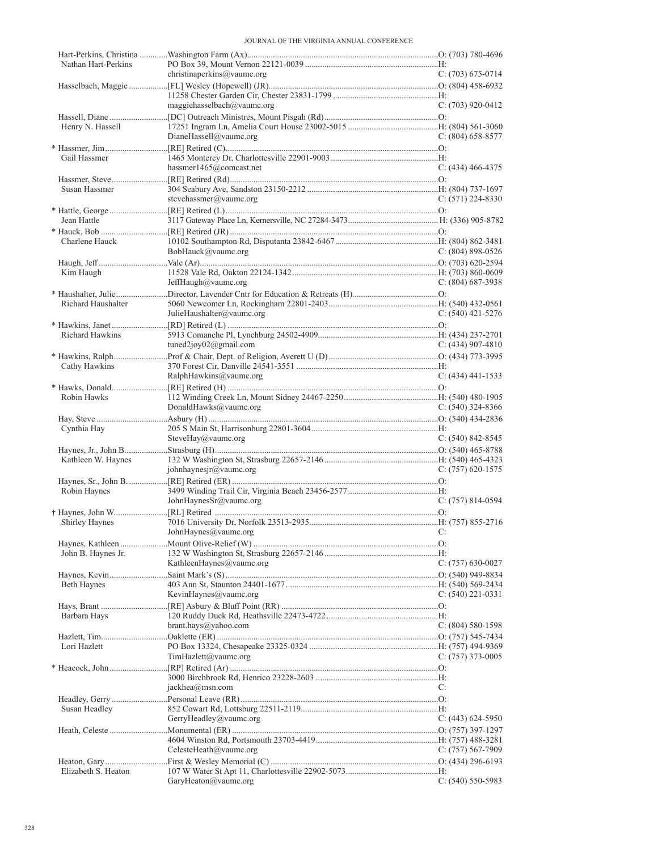| Nathan Hart-Perkins |                            |                       |
|---------------------|----------------------------|-----------------------|
|                     | christinaperkins@vaumc.org | $C: (703) 675-0714$   |
|                     |                            |                       |
|                     | maggiehasselbach@vaumc.org | $C: (703)$ 920-0412   |
|                     |                            |                       |
| Henry N. Hassell    |                            |                       |
|                     | DianeHassell@vaumc.org     | $C: (804)$ 658-8577   |
|                     |                            |                       |
| Gail Hassmer        |                            |                       |
|                     | hassmer1465@comcast.net    | $C: (434)$ 466-4375   |
|                     |                            |                       |
| Susan Hassmer       |                            |                       |
|                     | stevehassmer@vaumc.org     | $C: (571) 224-8330$   |
|                     |                            |                       |
| Jean Hattle         |                            |                       |
|                     |                            |                       |
| Charlene Hauck      |                            |                       |
|                     | BobHauck@vaumc.org         | $C: (804) 898-0526$   |
|                     |                            |                       |
| Kim Haugh           |                            |                       |
|                     | JeffHaugh@vaumc.org        | $C: (804)$ 687-3938   |
| Richard Haushalter  |                            |                       |
|                     | JulieHaushalter@vaumc.org  | $C: (540)$ 421-5276   |
|                     |                            |                       |
| Richard Hawkins     |                            |                       |
|                     | tuned2joy02@gmail.com      | $C: (434)$ 907-4810   |
|                     |                            |                       |
| Cathy Hawkins       |                            |                       |
|                     | RalphHawkins@vaumc.org     | $C: (434)$ 441-1533   |
|                     |                            |                       |
| Robin Hawks         |                            |                       |
|                     | DonaldHawks@vaumc.org      | C: $(540)$ 324-8366   |
|                     |                            |                       |
| Cynthia Hay         |                            |                       |
|                     | SteveHay@vaumc.org         | $C: (540) 842 - 8545$ |
|                     |                            |                       |
| Kathleen W. Haynes  |                            |                       |
|                     | johnhaynesjr@vaumc.org     | $C: (757) 620-1575$   |
|                     |                            |                       |
| Robin Haynes        | JohnHaynesSr@vaumc.org     | $C: (757) 814-0594$   |
|                     |                            |                       |
| Shirley Haynes      |                            |                       |
|                     | $JohnHaynes(a)$ vaumc.org  |                       |
|                     |                            |                       |
| John B. Haynes Jr.  |                            |                       |
|                     | KathleenHaynes@vaumc.org   | C: (757) 630-0027     |
|                     |                            |                       |
| <b>Beth Haynes</b>  |                            |                       |
|                     | KevinHaynes@vaumc.org      | $C: (540)$ 221-0331   |
|                     |                            |                       |
| Barbara Hays        |                            |                       |
|                     | brant.hays@yahoo.com       | $C: (804) 580-1598$   |
|                     |                            |                       |
| Lori Hazlett        |                            |                       |
|                     | TimHazlett@value.org       | $C: (757)$ 373-0005   |
|                     |                            |                       |
|                     | jackhea@msn.com            | C:                    |
|                     |                            |                       |
| Susan Headley       |                            |                       |
|                     | GerryHeadley@vaumc.org     | $C: (443) 624-5950$   |
|                     |                            |                       |
|                     |                            |                       |
|                     | CelesteHeath@vaumc.org     | $C: (757) 567-7909$   |
|                     |                            |                       |
| Elizabeth S. Heaton |                            |                       |
|                     | GaryHeaton@vaumc.org       | $C: (540) 550-5983$   |
|                     |                            |                       |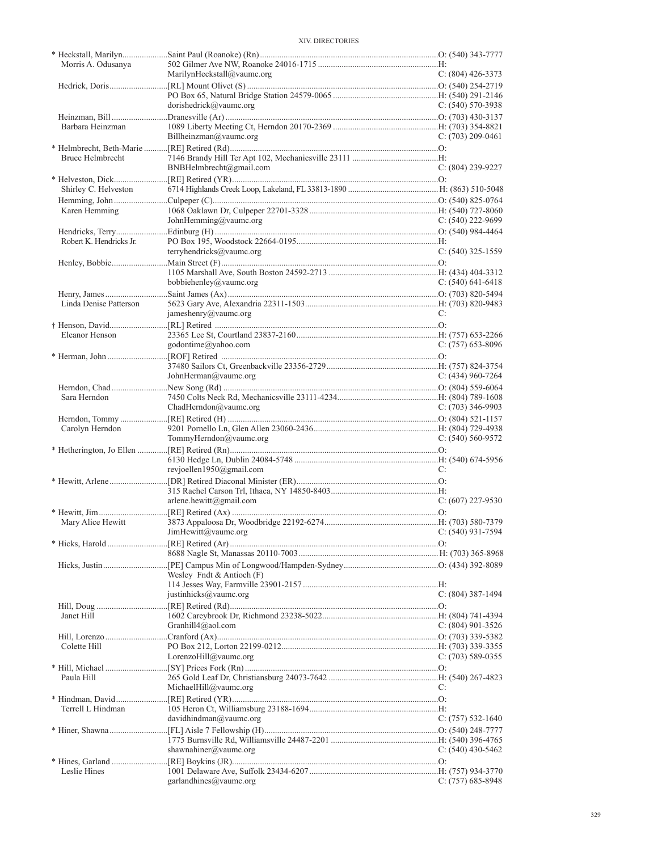| Morris A. Odusanya      |                             |                       |
|-------------------------|-----------------------------|-----------------------|
|                         | MarilynHeckstall@vaumc.org  | $C: (804)$ 426-3373   |
|                         |                             |                       |
|                         |                             |                       |
|                         | dorishedrick@vaumc.org      | C: $(540)$ 570-3938   |
|                         |                             |                       |
| Barbara Heinzman        |                             |                       |
|                         | Billheinzman@vaumc.org      | $C: (703) 209 - 0461$ |
|                         |                             |                       |
| Bruce Helmbrecht        |                             |                       |
|                         | BNBHelmbrecht@gmail.com     | $C: (804)$ 239-9227   |
|                         |                             |                       |
| Shirley C. Helveston    |                             |                       |
|                         |                             |                       |
| Karen Hemming           |                             |                       |
|                         | JohnHemming@vaumc.org       | C: $(540)$ 222-9699   |
|                         |                             |                       |
| Robert K. Hendricks Jr. |                             |                       |
|                         | terryhendricks@vaumc.org    | $C: (540)$ 325-1559   |
|                         |                             |                       |
|                         |                             |                       |
|                         | bobbiehenley@vaumc.org      | C: $(540)$ 641-6418   |
|                         |                             |                       |
| Linda Denise Patterson  |                             |                       |
|                         | jameshenry@vaumc.org        | C:                    |
|                         |                             |                       |
| Eleanor Henson          |                             |                       |
|                         | godontime@yahoo.com         | $C: (757)$ 653-8096   |
|                         |                             |                       |
|                         |                             |                       |
|                         | JohnHerman@vaumc.org        | C: $(434)$ 960-7264   |
|                         |                             |                       |
| Sara Herndon            |                             |                       |
|                         | ChadHerndon@vaumc.org       | C: $(703)$ 346-9903   |
|                         |                             |                       |
|                         |                             |                       |
| Carolyn Herndon         |                             |                       |
|                         | TommyHerndon@vaumc.org      | $C: (540) 560 - 9572$ |
|                         |                             |                       |
|                         |                             |                       |
|                         | revjoellen1950@gmail.com    | C:                    |
|                         |                             |                       |
|                         |                             |                       |
|                         | arlene.hewitt@gmail.com     | $C: (607)$ 227-9530   |
|                         |                             |                       |
| Mary Alice Hewitt       |                             |                       |
|                         | $JimHewitt(a)$ vaumc.org    | $C: (540)$ 931-7594   |
|                         |                             |                       |
|                         |                             |                       |
|                         |                             |                       |
|                         | Wesley Fndt & Antioch $(F)$ |                       |
|                         |                             |                       |
|                         | justinhicks@vaumc.org       | $C: (804)$ 387-1494   |
|                         |                             |                       |
| Janet Hill              |                             |                       |
|                         | Granhill $4@$ aol.com       | C: (804) 901-3526     |
|                         |                             |                       |
| Colette Hill            |                             |                       |
|                         | LorenzoHill@vaumc.org       | $C: (703) 589-0355$   |
|                         |                             |                       |
| Paula Hill              |                             |                       |
|                         | MichaelHill@vaumc.org       | C:                    |
|                         |                             |                       |
| Terrell L Hindman       |                             |                       |
|                         | davidhindman@vaumc.org      | $C: (757) 532-1640$   |
|                         |                             |                       |
|                         |                             |                       |
|                         | shawnahiner@vaumc.org       | C: $(540)$ 430-5462   |
|                         |                             |                       |
| Leslie Hines            | garlandhines@value.org      | $C: (757) 685-8948$   |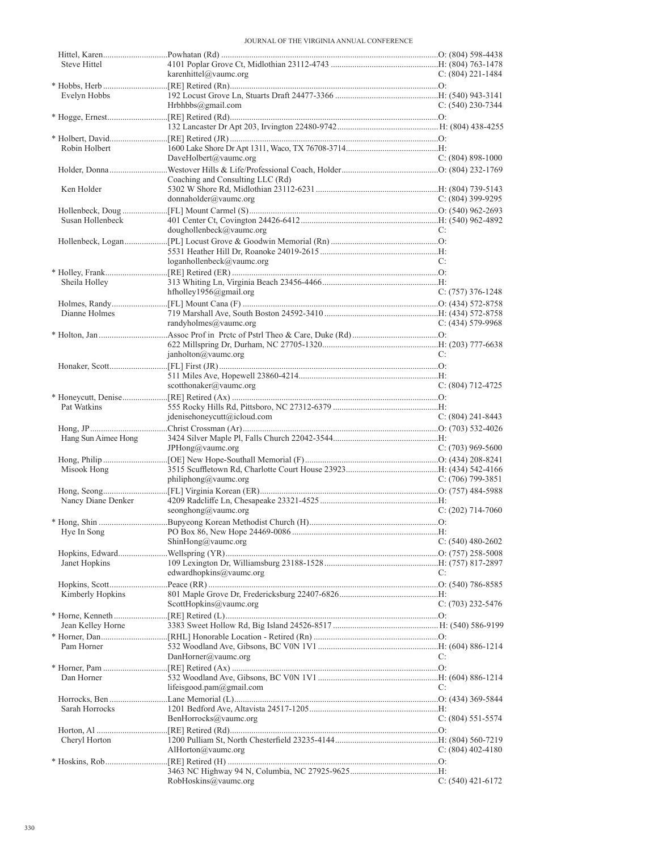| Steve Hittel        |                                  |                       |  |
|---------------------|----------------------------------|-----------------------|--|
|                     | karenhittel@vaumc.org            | C: $(804)$ 221-1484   |  |
|                     |                                  |                       |  |
| Evelyn Hobbs        |                                  |                       |  |
|                     | Hrbhbbs@gmail.com                | C: $(540)$ 230-7344   |  |
|                     |                                  |                       |  |
|                     |                                  |                       |  |
|                     |                                  |                       |  |
| Robin Holbert       |                                  |                       |  |
|                     | DaveHolbert@vaumc.org            | $C: (804) 898-1000$   |  |
|                     |                                  |                       |  |
|                     | Coaching and Consulting LLC (Rd) |                       |  |
| Ken Holder          |                                  |                       |  |
|                     | donnaholder@vaumc.org            | $C: (804)$ 399-9295   |  |
|                     |                                  |                       |  |
|                     |                                  |                       |  |
| Susan Hollenbeck    |                                  |                       |  |
|                     | doughollenbeck@value.org         | C:                    |  |
|                     |                                  |                       |  |
|                     |                                  |                       |  |
|                     | $loganhollenbeck$ @vaumc.org     | C:                    |  |
|                     |                                  |                       |  |
| Sheila Holley       |                                  |                       |  |
|                     | hfholley1956@gmail.org           | $C: (757)$ 376-1248   |  |
|                     |                                  |                       |  |
| Dianne Holmes       |                                  |                       |  |
|                     | randyholmes@vaumc.org            | $C: (434) 579-9968$   |  |
|                     |                                  |                       |  |
|                     |                                  |                       |  |
|                     |                                  |                       |  |
|                     | janholton@value.org              | C:                    |  |
|                     |                                  |                       |  |
|                     |                                  |                       |  |
|                     | scotthonaker@vaumc.org           | $C: (804) 712 - 4725$ |  |
|                     |                                  |                       |  |
| Pat Watkins         |                                  |                       |  |
|                     | jdenisehonevcutt@icloud.com      | C: $(804)$ 241-8443   |  |
|                     |                                  |                       |  |
|                     |                                  |                       |  |
|                     |                                  |                       |  |
| Hang Sun Aimee Hong |                                  |                       |  |
|                     | JPHong@vaumc.org                 | C: $(703)$ 969-5600   |  |
|                     |                                  |                       |  |
| Misook Hong         |                                  |                       |  |
|                     | philiphong@value.org             | C: $(706)$ 799-3851   |  |
|                     |                                  |                       |  |
| Nancy Diane Denker  |                                  |                       |  |
|                     | seonghong@vaumc.org              | $C: (202)$ 714-7060   |  |
|                     |                                  |                       |  |
|                     |                                  |                       |  |
|                     | ShinHong@vaumc.org               | C: $(540)$ 480-2602   |  |
|                     |                                  |                       |  |
| Janet Hopkins       |                                  |                       |  |
|                     | edwardhopkins@vaumc.org          | C:                    |  |
|                     |                                  |                       |  |
|                     |                                  |                       |  |
| Kimberly Hopkins    |                                  |                       |  |
|                     | ScottHopkins@vaumc.org           | $C: (703)$ 232-5476   |  |
|                     |                                  |                       |  |
| Jean Kelley Horne   |                                  |                       |  |
|                     |                                  |                       |  |
| Pam Horner          |                                  |                       |  |
|                     | DanHorner@vaumc.org              | C:                    |  |
|                     |                                  |                       |  |
| Dan Horner          |                                  |                       |  |
|                     | lifeisgood.pam@gmail.com         | C:                    |  |
|                     |                                  |                       |  |
| Sarah Horrocks      |                                  |                       |  |
|                     |                                  |                       |  |
|                     | BenHorrocks@vaumc.org            | $C: (804) 551-5574$   |  |
|                     |                                  |                       |  |
| Cheryl Horton       |                                  |                       |  |
|                     | AlHorton@vaumc.org               | C: $(804)$ 402-4180   |  |
|                     |                                  |                       |  |
|                     | RobHoskins@vaumc.org             | $C: (540)$ 421-6172   |  |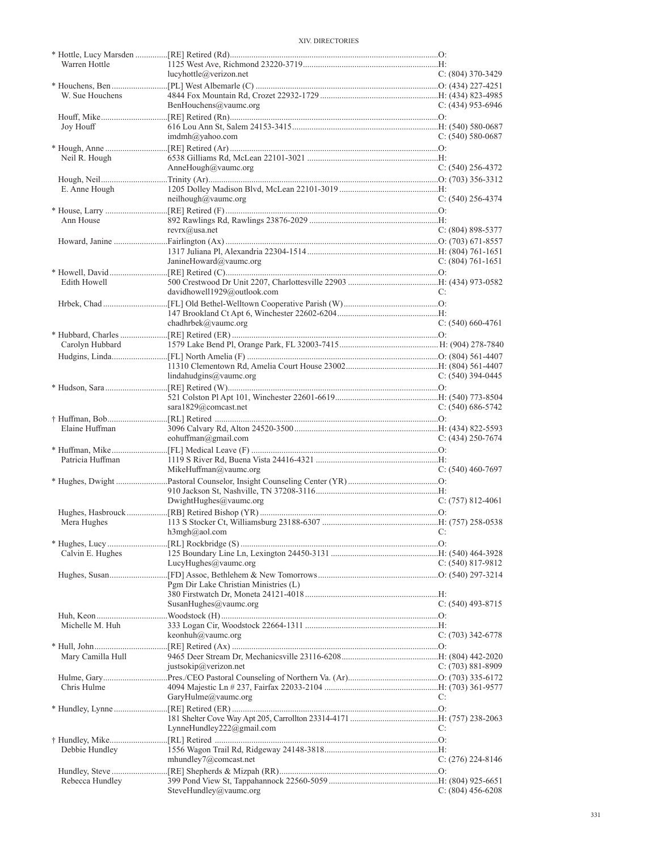| Warren Hottle     | lucyhottle@verizon.net                | $C: (804)$ 370-3429   |
|-------------------|---------------------------------------|-----------------------|
|                   |                                       |                       |
| W. Sue Houchens   | BenHouchens@vaumc.org                 | C: (434) 953-6946     |
|                   |                                       |                       |
| Joy Houff         | $imdmh(\partial y ahoo.com)$          | $C: (540) 580-0687$   |
|                   |                                       |                       |
| Neil R. Hough     | AnneHough@vaumc.org                   | $C: (540)$ 256-4372   |
|                   |                                       |                       |
| E. Anne Hough     | neilhough@vaumc.org                   | $C: (540)$ 256-4374   |
|                   |                                       |                       |
| Ann House         |                                       |                       |
|                   | $revrx(\widehat{a})$ usa.net          | $C: (804) 898 - 5377$ |
|                   |                                       |                       |
|                   | JanineHoward@vaumc.org                | $C: (804) 761-1651$   |
|                   |                                       |                       |
| Edith Howell      | davidhowell1929@outlook.com           | C:                    |
|                   |                                       |                       |
|                   | chadhrbek@vaumc.org                   | $C: (540) 660-4761$   |
|                   |                                       |                       |
| Carolyn Hubbard   |                                       |                       |
|                   |                                       |                       |
|                   | lindahudgins@value.org                | $C: (540)$ 394-0445   |
|                   |                                       |                       |
|                   |                                       |                       |
|                   | sara1829@comcast.net                  | $C: (540) 686 - 5742$ |
| Elaine Huffman    |                                       |                       |
|                   | eohuffman@gmail.com                   | C: $(434)$ 250-7674   |
| Patricia Huffman  |                                       |                       |
|                   | MikeHuffman@vaumc.org                 | $C: (540)$ 460-7697   |
|                   |                                       |                       |
|                   | DivightHughes@value.org               | $C: (757) 812-4061$   |
|                   |                                       |                       |
| Mera Hughes       |                                       |                       |
|                   | h3mgh@aol.com                         | C:                    |
| Calvin E. Hughes  |                                       |                       |
|                   | LucyHughes@vaumc.org                  | C: $(540)$ 817-9812   |
|                   | Pgm Dir Lake Christian Ministries (L) |                       |
|                   |                                       |                       |
|                   | SusanHughes@vaumc.org                 | $C: (540)$ 493-8715   |
| Michelle M. Huh   |                                       |                       |
|                   | keonhuh@vaumc.org                     | $C: (703)$ 342-6778   |
|                   |                                       |                       |
| Mary Camilla Hull | justsokip@verizon.net                 | $C: (703) 881-8909$   |
|                   |                                       |                       |
| Chris Hulme       |                                       |                       |
|                   | GaryHulme@vaumc.org                   | C:                    |
|                   |                                       |                       |
|                   | LynneHundley222@gmail.com             | C:                    |
|                   |                                       |                       |
| Debbie Hundley    | mhundley7@comcast.net                 | C: $(276)$ 224-8146   |
|                   |                                       |                       |
| Rebecca Hundley   |                                       |                       |
|                   | SteveHundley@vaumc.org                | $C: (804)$ 456-6208   |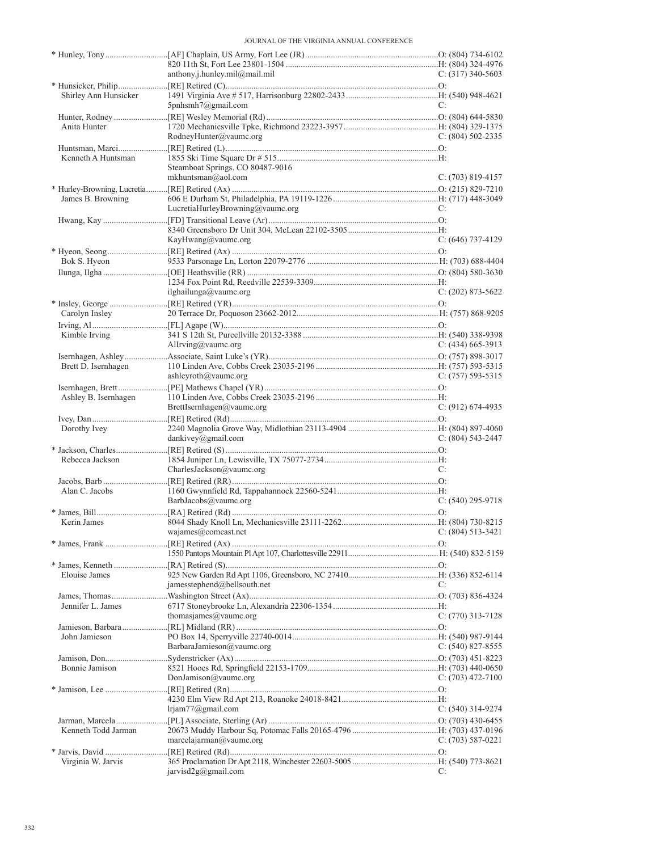|                       | anthony.j.hunley.mil@mail.mil    | $C: (317)$ 340-5603   |
|-----------------------|----------------------------------|-----------------------|
|                       |                                  |                       |
| Shirley Ann Hunsicker |                                  |                       |
|                       | 5pnhsmh7@gmail.com               | C:                    |
|                       |                                  |                       |
| Anita Hunter          |                                  |                       |
|                       | RodneyHunter@vaumc.org           | $C: (804) 502 - 2335$ |
|                       |                                  |                       |
| Kenneth A Huntsman    |                                  |                       |
|                       | Steamboat Springs, CO 80487-9016 |                       |
|                       | mkhuntsman@aol.com               | $C: (703) 819-4157$   |
|                       |                                  |                       |
| James B. Browning     |                                  |                       |
|                       | LucretiaHurleyBrowning@vaumc.org | C:                    |
|                       |                                  |                       |
|                       |                                  |                       |
|                       | KayHwang@vaumc.org               | $C: (646)$ 737-4129   |
|                       |                                  |                       |
| Bok S. Hyeon          |                                  |                       |
|                       |                                  |                       |
|                       |                                  |                       |
|                       | ilghailunga@vaumc.org            | $C: (202)$ 873-5622   |
|                       |                                  |                       |
| Carolyn Insley        |                                  |                       |
|                       |                                  |                       |
| Kimble Irving         |                                  |                       |
|                       | Allrving@vaumc.org               | $C: (434) 665-3913$   |
|                       |                                  |                       |
| Brett D. Isernhagen   |                                  |                       |
|                       | ashleyroth@vaumc.org             | C: $(757)$ 593-5315   |
|                       |                                  |                       |
| Ashley B. Isernhagen  |                                  |                       |
|                       | BrettIsernhagen@vaumc.org        | $C: (912) 674-4935$   |
|                       |                                  |                       |
| Dorothy Ivey          |                                  |                       |
|                       | dankivey@gmail.com               | $C: (804) 543-2447$   |
|                       |                                  |                       |
| Rebecca Jackson       |                                  |                       |
|                       | CharlesJackson $@$ vaumc.org     | C:                    |
|                       |                                  |                       |
| Alan C. Jacobs        |                                  |                       |
|                       | BarbJacobs@vaumc.org             | $C: (540)$ 295-9718   |
|                       |                                  |                       |
| Kerin James           |                                  |                       |
|                       | wajames@comcast.net              | C: (804) 513-3421     |
|                       |                                  |                       |
|                       |                                  |                       |
|                       |                                  |                       |
| <b>Elouise James</b>  |                                  |                       |
|                       | jamesstephend@bellsouth.net      | C:                    |
|                       |                                  |                       |
| Jennifer L. James     |                                  |                       |
|                       | thomasjames@vaumc.org            | $C: (770)$ 313-7128   |
|                       |                                  |                       |
| John Jamieson         |                                  |                       |
|                       | BarbaraJamieson@vaumc.org        | $C: (540)$ 827-8555   |
|                       |                                  |                       |
| Bonnie Jamison        |                                  |                       |
|                       | DonJamison@vaumc.org             | C: $(703)$ 472-7100   |
|                       |                                  |                       |
|                       |                                  |                       |
|                       | lrjam77@gmail.com                | C: $(540)$ 314-9274   |
|                       |                                  |                       |
| Kenneth Todd Jarman   |                                  |                       |
|                       | marcelajarma@value.org           | $C: (703) 587-0221$   |
|                       |                                  |                       |
| Virginia W. Jarvis    |                                  |                       |
|                       | jarvisd2g@gmail.com              | C:                    |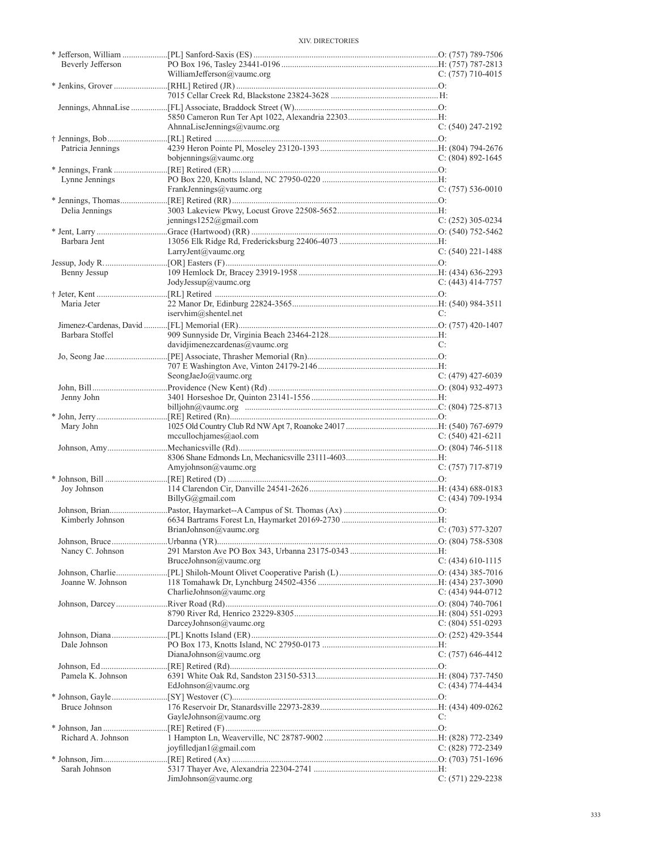|                    | WilliamJefferson@vaumc.org               | C: $(757)$ 710-4015   |
|--------------------|------------------------------------------|-----------------------|
|                    |                                          |                       |
|                    |                                          |                       |
|                    |                                          |                       |
|                    | AhnnaLiseJennings@vaumc.org              | $C: (540)$ 247-2192   |
|                    |                                          |                       |
| Patricia Jennings  |                                          |                       |
|                    | bobjennings@vaumc.org                    | $C: (804) 892 - 1645$ |
|                    |                                          |                       |
| Lynne Jennings     |                                          |                       |
|                    | FrankJennings@vaumc.org                  | $C: (757) 536-0010$   |
|                    |                                          |                       |
| Delia Jennings     |                                          |                       |
|                    | jennings1252@gmail.com                   | $C: (252)$ 305-0234   |
|                    |                                          |                       |
| Barbara Jent       |                                          |                       |
|                    | LarryJent@vaumc.org                      | $C: (540)$ 221-1488   |
|                    |                                          |                       |
| Benny Jessup       |                                          |                       |
|                    | JodyJessup@vaumc.org                     | C: $(443)$ 414-7757   |
| Maria Jeter        |                                          |                       |
|                    | iservhim@shentel.net                     | C:                    |
|                    |                                          |                       |
| Barbara Stoffel    |                                          |                       |
|                    | davidjimenezcardenas@vaumc.org           | C:                    |
|                    |                                          |                       |
|                    |                                          |                       |
|                    | SeongJaeJo@vaumc.org                     | $C: (479)$ 427-6039   |
|                    |                                          |                       |
| Jenny John         |                                          |                       |
|                    |                                          |                       |
|                    |                                          |                       |
| Mary John          |                                          |                       |
|                    | mecullochjames@aol.com                   | C: $(540)$ 421-6211   |
|                    |                                          |                       |
|                    | Amyjohnson@vaumc.org                     | $C: (757)$ 717-8719   |
|                    |                                          |                       |
| Joy Johnson        |                                          |                       |
|                    | BillyG@gmail.com                         | $C: (434)$ 709-1934   |
|                    |                                          |                       |
| Kimberly Johnson   |                                          |                       |
|                    | BrianJohnson@vaumc.org C: (703) 577-3207 |                       |
|                    |                                          |                       |
| Nancy C. Johnson   |                                          |                       |
|                    | BruceJohnson@vaumc.org                   | C: (434) 610-1115     |
|                    |                                          |                       |
| Joanne W. Johnson  |                                          |                       |
|                    | CharlieJohnson@vaumc.org                 | $C: (434)$ 944-0712   |
|                    |                                          |                       |
|                    | DarceyJohnson@vaumc.org                  | $C: (804) 551 - 0293$ |
|                    |                                          |                       |
| Dale Johnson       |                                          |                       |
|                    | DianaJohnson@vaumc.org                   | $C: (757)$ 646-4412   |
|                    |                                          |                       |
| Pamela K. Johnson  |                                          |                       |
|                    | EdJohnson@vaumc.org                      | $C: (434) 774-4434$   |
|                    |                                          |                       |
| Bruce Johnson      |                                          |                       |
|                    | GayleJohnson@vaumc.org                   | C:                    |
|                    |                                          |                       |
| Richard A. Johnson |                                          |                       |
|                    | joyfilledjan $1$ ( $\alpha$ gmail.com    | $C: (828) 772 - 2349$ |
|                    |                                          |                       |
| Sarah Johnson      |                                          |                       |
|                    | JimJohnson@vaumc.org                     | $C: (571) 229 - 2238$ |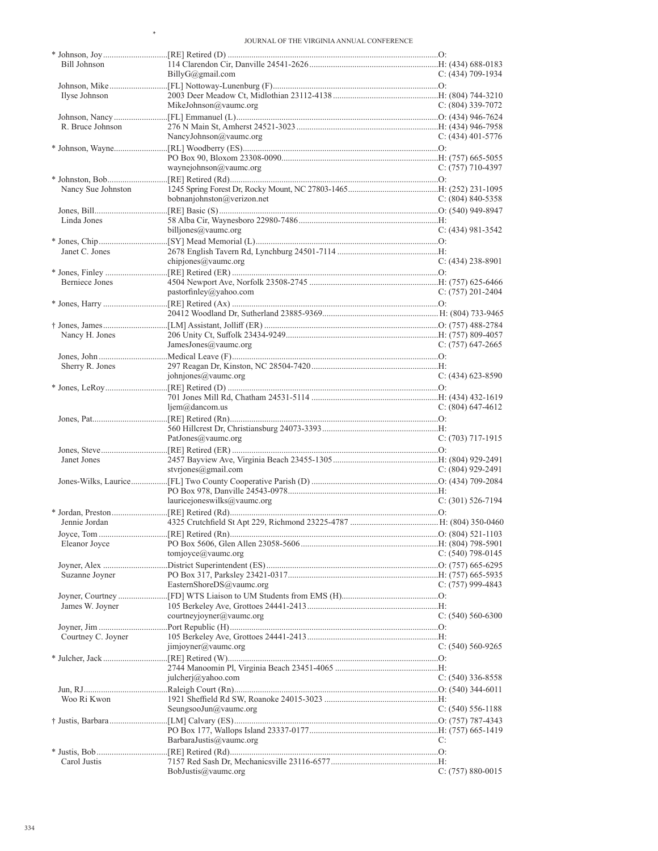\*

| Bill Johnson       |                             |                       |
|--------------------|-----------------------------|-----------------------|
|                    | BillyG@gmail.com            | $C: (434)$ 709-1934   |
|                    |                             |                       |
| Ilyse Johnson      |                             |                       |
|                    | MikeJohnson@vaumc.org       | $C: (804)$ 339-7072   |
|                    |                             |                       |
| R. Bruce Johnson   |                             |                       |
|                    | NancyJohnson@vaumc.org      | $C: (434)$ 401-5776   |
|                    |                             |                       |
|                    | waynejohnson@vaumc.org      | $C: (757)$ 710-4397   |
|                    |                             |                       |
| Nancy Sue Johnston |                             |                       |
|                    | bobnanjohnston@verizon.net  | $C: (804) 840 - 5358$ |
|                    |                             |                       |
| Linda Jones        |                             |                       |
|                    | billjones@vaumc.org         | $C: (434) 981 - 3542$ |
|                    |                             |                       |
| Janet C. Jones     |                             |                       |
|                    | chipjones@vaumc.org         | $C: (434)$ 238-8901   |
|                    |                             |                       |
| Berniece Jones     |                             |                       |
|                    | pastorfinley@yahoo.com      | $C: (757) 201 - 2404$ |
|                    |                             |                       |
|                    |                             |                       |
|                    |                             |                       |
| Nancy H. Jones     |                             |                       |
|                    | JamesJones@vaumc.org        | $C: (757)$ 647-2665   |
|                    |                             |                       |
| Sherry R. Jones    |                             |                       |
|                    | johnjones@vaumc.org         | $C: (434)$ 623-8590   |
|                    |                             |                       |
|                    | $ljem@$ dancom.us           | $C: (804)$ 647-4612   |
|                    |                             |                       |
|                    |                             |                       |
|                    | PatJones@vaumc.org          | $C: (703)$ 717-1915   |
|                    |                             |                       |
| Janet Jones        |                             |                       |
|                    | stvrjones@gmail.com         | $C: (804)$ 929-2491   |
|                    |                             |                       |
|                    |                             |                       |
|                    | lauricejoneswilks@vaumc.org | $C: (301) 526-7194$   |
|                    |                             |                       |
| Jennie Jordan      |                             |                       |
|                    |                             |                       |
| Eleanor Joyce      |                             |                       |
|                    | tomjoyce@vaumc.org          | $C: (540)$ 798-0145   |
|                    |                             |                       |
| Suzanne Joyner     | EasternShoreDS@vaumc.org    | C: $(757)$ 999-4843   |
|                    |                             |                       |
| James W. Joyner    |                             |                       |
|                    | courtneyjoyner@vaumc.org    | $C: (540) 560-6300$   |
|                    |                             |                       |
| Courtney C. Joyner |                             |                       |
|                    | jimjoyner@vaumc.org         | $C: (540) 560 - 9265$ |
|                    |                             |                       |
|                    |                             |                       |
|                    | julcherj@yahoo.com          | $C: (540)$ 336-8558   |
|                    |                             |                       |
| Woo Ri Kwon        |                             |                       |
|                    | SeungsooJun@vaumc.org       | C: $(540)$ 556-1188   |
|                    |                             |                       |
|                    |                             |                       |
|                    | BarbaraJustis@vaumc.org     | C:                    |
|                    |                             |                       |
| Carol Justis       | BobJustis@vaumc.org         | C: $(757)$ 880-0015   |
|                    |                             |                       |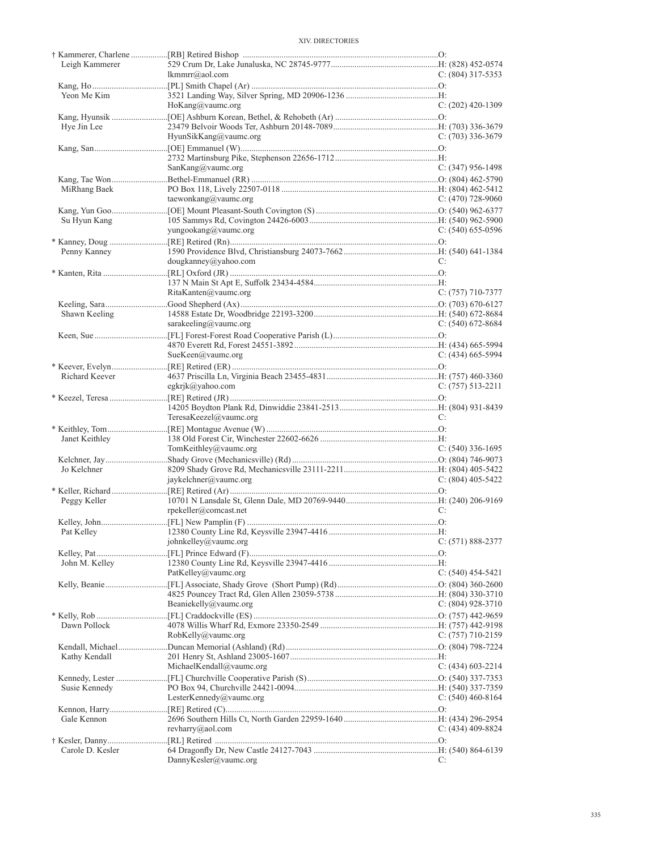| Leigh Kammerer   |                          |                     |
|------------------|--------------------------|---------------------|
|                  | lkmmrr@aol.com           | $C: (804)$ 317-5353 |
|                  |                          |                     |
| Yeon Me Kim      |                          |                     |
|                  | HoKang@vaumc.org         | $C: (202)$ 420-1309 |
|                  |                          |                     |
| Hye Jin Lee      |                          |                     |
|                  | HyunSikKang@vaumc.org    | $C: (703)$ 336-3679 |
|                  |                          |                     |
|                  |                          |                     |
|                  | SanKang@vaumc.org        | $C: (347)$ 956-1498 |
|                  |                          |                     |
| MiRhang Baek     |                          |                     |
|                  | taewonkang@vaumc.org     | C: (470) 728-9060   |
|                  |                          |                     |
| Su Hyun Kang     |                          |                     |
|                  | yungookang@vaumc.org     | $C: (540)$ 655-0596 |
|                  |                          |                     |
| Penny Kanney     |                          |                     |
|                  | $d$ ougkanney@yahoo.com  | C:                  |
|                  |                          |                     |
|                  |                          |                     |
|                  | RitaKanten@vaumc.org     | $C: (757)$ 710-7377 |
|                  |                          |                     |
| Shawn Keeling    |                          |                     |
|                  | sarakeeling@vaumc.org    | C: $(540)$ 672-8684 |
|                  |                          |                     |
|                  |                          |                     |
|                  | SueKeen@vaumc.org        | $C: (434)$ 665-5994 |
|                  |                          |                     |
| Richard Keever   |                          |                     |
|                  | egkrjk@yahoo.com         | $C: (757) 513-2211$ |
|                  |                          |                     |
|                  |                          |                     |
|                  | TeresaKeezel@vaumc.org   | C:                  |
|                  |                          |                     |
| Janet Keithley   |                          |                     |
|                  | TomKeithley@vaumc.org    | $C: (540)$ 336-1695 |
|                  |                          |                     |
| Jo Kelchner      |                          |                     |
|                  | jaykelchner@vaumc.org    | C: $(804)$ 405-5422 |
|                  |                          |                     |
| Peggy Keller     |                          |                     |
|                  | rpekeller@comcast.net    | C:                  |
|                  |                          |                     |
|                  |                          |                     |
|                  | johnkelley@vaumc.org     | $C: (571) 888-2377$ |
|                  |                          |                     |
|                  |                          |                     |
| John M. Kelley   |                          |                     |
|                  | PatKelley@vaumc.org      | C: $(540)$ 454-5421 |
|                  |                          |                     |
|                  |                          |                     |
|                  | Beaniekelly@vaumc.org    | C: (804) 928-3710   |
|                  |                          |                     |
| Dawn Pollock     |                          |                     |
|                  | RobKelly@vaumc.org       | C: $(757)$ 710-2159 |
|                  |                          |                     |
|                  |                          |                     |
| Kathy Kendall    |                          |                     |
|                  | MichaelKendall@vaumc.org | $C: (434)$ 603-2214 |
|                  |                          |                     |
| Susie Kennedy    |                          |                     |
|                  | LesterKennedy@vaumc.org  | C: $(540)$ 460-8164 |
|                  |                          |                     |
| Gale Kennon      |                          |                     |
|                  | revharry@aol.com         | C: $(434)$ 409-8824 |
|                  |                          |                     |
| Carole D. Kesler | DannyKesler@vaumc.org    | C:                  |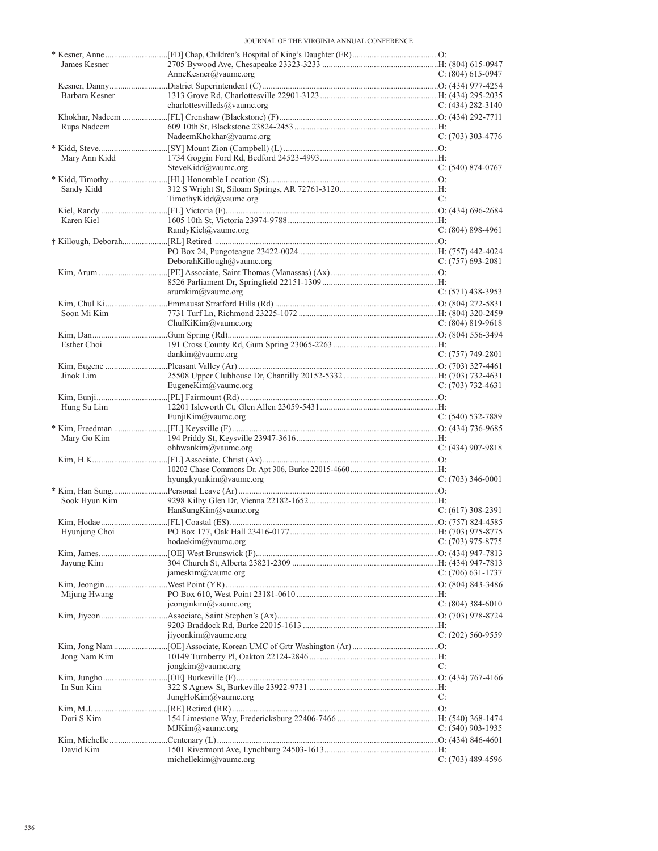| James Kesner   | AnneKesner@vaumc.org        | $C: (804) 615-0947$ |
|----------------|-----------------------------|---------------------|
|                |                             |                     |
| Barbara Kesner |                             |                     |
|                | charlottesvilleds@vaumc.org | C: $(434)$ 282-3140 |
|                |                             |                     |
| Rupa Nadeem    |                             |                     |
|                | NadeemKhokhar@vaumc.org     | $C: (703)$ 303-4776 |
|                |                             |                     |
| Mary Ann Kidd  |                             |                     |
|                | SteveKidd@vaumc.org         | $C: (540) 874-0767$ |
|                |                             |                     |
| Sandy Kidd     |                             |                     |
|                | TimothyKidd@vaumc.org       | C:                  |
|                |                             |                     |
| Karen Kiel     |                             |                     |
|                | RandyKiel@vaumc.org         | $C: (804) 898-4961$ |
|                |                             |                     |
|                |                             |                     |
|                | DeborahKillough@vaumc.org   | C: (757) 693-2081   |
|                |                             |                     |
|                |                             |                     |
|                | arumkim@vaumc.org           | $C: (571)$ 438-3953 |
|                |                             |                     |
| Soon Mi Kim    |                             |                     |
|                | ChulKiKim@vaumc.org         | C: $(804)$ 819-9618 |
|                |                             |                     |
| Esther Choi    |                             |                     |
|                | $d$ ankim@vaumc.org         | $C: (757) 749-2801$ |
|                |                             |                     |
| Jinok Lim      |                             |                     |
|                | EugeneKim@vaumc.org         | C: $(703)$ 732-4631 |
|                |                             |                     |
| Hung Su Lim    |                             |                     |
|                | EunjiKim@vaumc.org          | $C: (540) 532-7889$ |
|                |                             |                     |
| Mary Go Kim    |                             |                     |
|                | ohhwankim@vaumc.org         | $C: (434)$ 907-9818 |
|                |                             |                     |
|                |                             |                     |
|                | hyungkyunkim@vaumc.org      | $C: (703)$ 346-0001 |
|                |                             |                     |
| Sook Hyun Kim  |                             |                     |
|                | HanSungKim@vaumc.org        | $C: (617)$ 308-2391 |
|                |                             |                     |
| Hyunjung Choi  |                             |                     |
|                | hodaekim@value.org          | $C: (703)$ 975-8775 |
|                |                             |                     |
| Jayung Kim     |                             |                     |
|                | jameskim@vaumc.org          | $C: (706)$ 631-1737 |
|                |                             |                     |
| Mijung Hwang   |                             |                     |
|                | jeonginkim@vaumc.org        | $C: (804)$ 384-6010 |
|                |                             |                     |
|                |                             |                     |
|                | jiyeonkim@vaumc.org         | $C: (202)$ 560-9559 |
|                |                             |                     |
| Jong Nam Kim   |                             |                     |
|                | jongkim@vaumc.org           | C:                  |
|                |                             |                     |
| In Sun Kim     |                             |                     |
|                | JungHoKim@vaumc.org         | C:                  |
|                |                             |                     |
| Dori S Kim     |                             |                     |
|                | MJKim@value.org             | $C: (540)$ 903-1935 |
|                |                             |                     |
| David Kim      |                             |                     |
|                | michellekim@vaumc.org       | $C: (703)$ 489-4596 |
|                |                             |                     |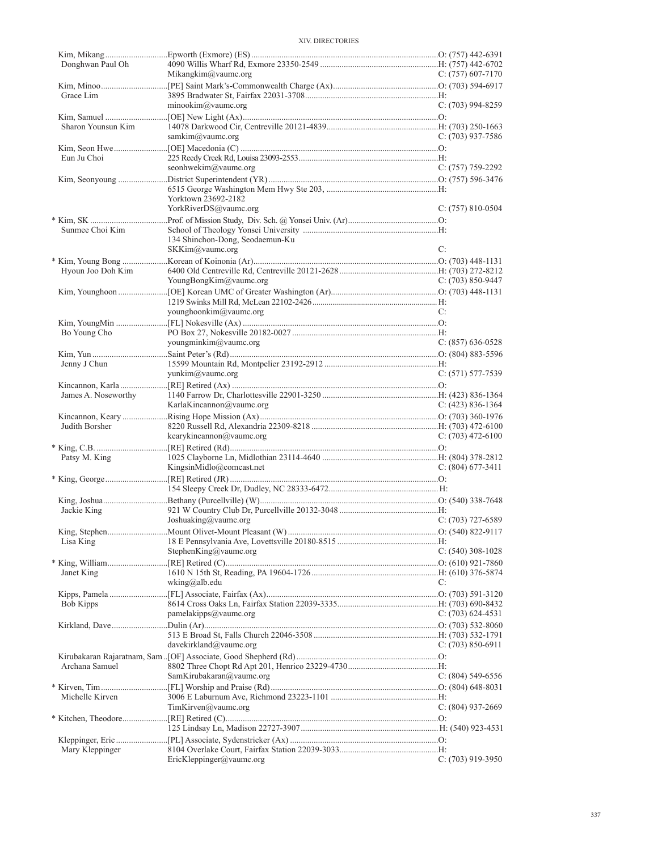| Donghwan Paul Oh    |                                 |                     |
|---------------------|---------------------------------|---------------------|
|                     | Mikangkim@vaumc.org             | C: $(757)$ 607-7170 |
| Grace Lim           |                                 |                     |
|                     | minookim@value.org              | $C: (703)$ 994-8259 |
|                     |                                 |                     |
| Sharon Younsun Kim  |                                 |                     |
|                     | samkim@vaumc.org                | C: $(703)$ 937-7586 |
|                     |                                 |                     |
| Eun Ju Choi         |                                 |                     |
|                     | seonhwekim@vaumc.org            | $C: (757) 759-2292$ |
|                     |                                 |                     |
|                     |                                 |                     |
|                     | Yorktown 23692-2182             |                     |
|                     | YorkRiverDS@vaumc.org           | $C: (757) 810-0504$ |
|                     |                                 |                     |
| Sunmee Choi Kim     |                                 |                     |
|                     | 134 Shinchon-Dong, Seodaemun-Ku |                     |
|                     | SKKim@vaumc.org                 | C:                  |
|                     |                                 |                     |
| Hyoun Joo Doh Kim   |                                 |                     |
|                     | YoungBongKim@vaumc.org          | C: $(703)$ 850-9447 |
|                     |                                 |                     |
|                     |                                 |                     |
|                     | younghoonkim@vaumc.org          | C:                  |
|                     |                                 |                     |
| Bo Young Cho        |                                 |                     |
|                     | youngminkim@vaumc.org           | $C: (857) 636-0528$ |
|                     |                                 |                     |
| Jenny J Chun        |                                 |                     |
|                     | yunkim@vaumc.org                | $C: (571) 577-7539$ |
|                     |                                 |                     |
| James A. Noseworthy |                                 |                     |
|                     | KarlaKincannon@vaumc.org        | C: $(423)$ 836-1364 |
| Judith Borsher      |                                 |                     |
|                     | kearykincannon@vaumc.org        | C: $(703)$ 472-6100 |
|                     |                                 |                     |
|                     |                                 |                     |
|                     |                                 |                     |
| Patsy M. King       |                                 |                     |
|                     | KingsinMidlo@comcast.net        | $C: (804)$ 677-3411 |
|                     |                                 |                     |
|                     |                                 |                     |
|                     |                                 |                     |
| Jackie King         | Joshuaking@vaumc.org            | $C: (703)$ 727-6589 |
|                     |                                 |                     |
| Lisa King           |                                 |                     |
|                     | Stephen $King@$ vaumc.org       | $C: (540)$ 308-1028 |
|                     |                                 |                     |
| Janet King          |                                 |                     |
|                     | wking@alb.edu                   | C:                  |
|                     |                                 |                     |
| <b>Bob Kipps</b>    |                                 |                     |
|                     | pamelakipps@vaumc.org           | $C: (703) 624-4531$ |
|                     |                                 |                     |
|                     |                                 |                     |
|                     | davekirkland@vaumc.org          | $C: (703) 850-6911$ |
|                     |                                 |                     |
| Archana Samuel      |                                 |                     |
|                     | SamKirubakaran@vaumc.org        | $C: (804) 549-6556$ |
|                     |                                 |                     |
| Michelle Kirven     |                                 |                     |
|                     | TimKirven@value.org             | $C: (804)$ 937-2669 |
|                     |                                 |                     |
|                     |                                 |                     |
|                     |                                 |                     |
| Mary Kleppinger     | EricKleppinger@vaumc.org        | $C: (703)$ 919-3950 |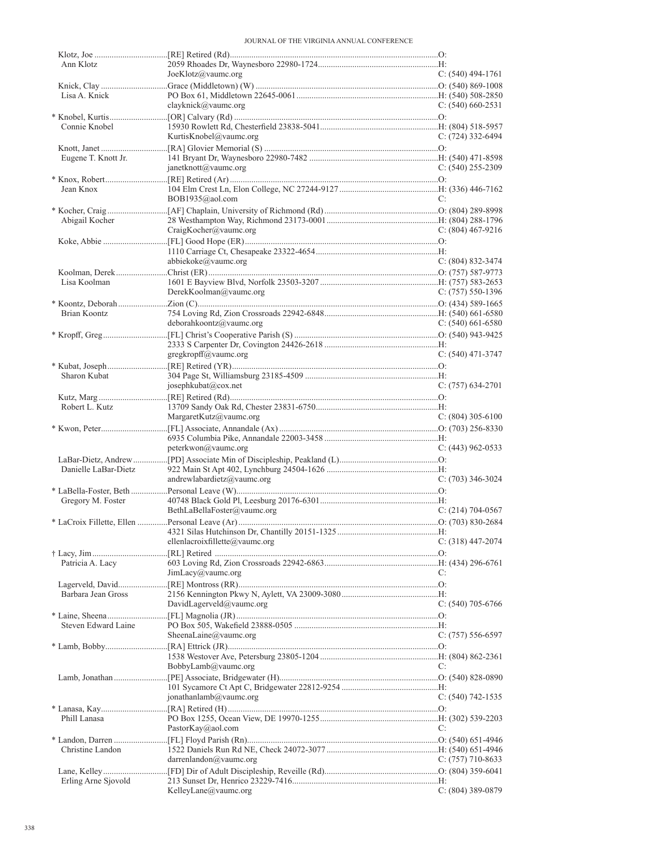| Ann Klotz            |                                |                       |  |
|----------------------|--------------------------------|-----------------------|--|
|                      | JoeKlotz@vaumc.org             | $C: (540)$ 494-1761   |  |
| Lisa A. Knick        |                                |                       |  |
|                      | clayknick@vaumc.org            | $C: (540) 660 - 2531$ |  |
|                      |                                |                       |  |
| Connie Knobel        |                                |                       |  |
|                      | KurtisKnobel@vaumc.org         | C: $(724)$ 332-6494   |  |
|                      |                                |                       |  |
| Eugene T. Knott Jr.  |                                |                       |  |
|                      | janetknott@vaumc.org           | $C: (540)$ 255-2309   |  |
| Jean Knox            |                                |                       |  |
|                      | BOB1935@aol.com                | C:                    |  |
|                      |                                |                       |  |
| Abigail Kocher       |                                |                       |  |
|                      | CraigKocher@vaumc.org          | C: $(804)$ 467-9216   |  |
|                      |                                |                       |  |
|                      |                                |                       |  |
|                      | abbiekoke@vaumc.org            | $C: (804) 832 - 3474$ |  |
|                      |                                |                       |  |
| Lisa Koolman         |                                |                       |  |
|                      | DerekKoolman@vaumc.org         | C: $(757) 550-1396$   |  |
| Brian Koontz         |                                |                       |  |
|                      | deborahkoontz@vaumc.org        | C: $(540)$ 661-6580   |  |
|                      |                                |                       |  |
|                      |                                |                       |  |
|                      | gregkropff@vaumc.org           | $C: (540)$ 471-3747   |  |
|                      |                                |                       |  |
| Sharon Kubat         |                                |                       |  |
|                      | josephkubat@cox.net            | $C: (757) 634-2701$   |  |
|                      |                                |                       |  |
| Robert L. Kutz       |                                |                       |  |
|                      | MargaretKutz@vaumc.org         | $C: (804)$ 305-6100   |  |
|                      |                                |                       |  |
|                      | peterkwon@vaumc.org            | $C: (443)$ 962-0533   |  |
|                      |                                |                       |  |
| Danielle LaBar-Dietz |                                |                       |  |
|                      | andrewlabardietz@vaumc.org     | $C: (703)$ 346-3024   |  |
|                      |                                |                       |  |
| Gregory M. Foster    |                                |                       |  |
|                      | BethLaBellaFoster@vaumc.org    | $C: (214) 704-0567$   |  |
|                      |                                |                       |  |
|                      |                                |                       |  |
|                      | ellenlacroixfillette@vaumc.org | $C: (318)$ 447-2074   |  |
| Patricia A. Lacy     |                                |                       |  |
|                      | JimLacy@value.org              | C:                    |  |
|                      |                                |                       |  |
| Barbara Jean Gross   |                                |                       |  |
|                      | DavidLagerveld@vaumc.org       | $C: (540)$ 705-6766   |  |
|                      |                                |                       |  |
| Steven Edward Laine  |                                |                       |  |
|                      | SheenaLaine@vaumc.org          | $C: (757) 556-6597$   |  |
|                      |                                |                       |  |
|                      | BobbyLamb@vaumc.org            | C:                    |  |
|                      |                                |                       |  |
|                      |                                |                       |  |
|                      | jonathanlamb@vaumc.org         | $C: (540) 742 - 1535$ |  |
|                      |                                |                       |  |
| Phill Lanasa         |                                |                       |  |
|                      | PastorKay@aol.com              | C:                    |  |
|                      |                                |                       |  |
| Christine Landon     |                                |                       |  |
|                      | darrenlandon@vaumc.org         | $C: (757)$ 710-8633   |  |
|                      |                                |                       |  |
| Erling Arne Sjovold  | KelleyLane@vaumc.org           | $C: (804)$ 389-0879   |  |
|                      |                                |                       |  |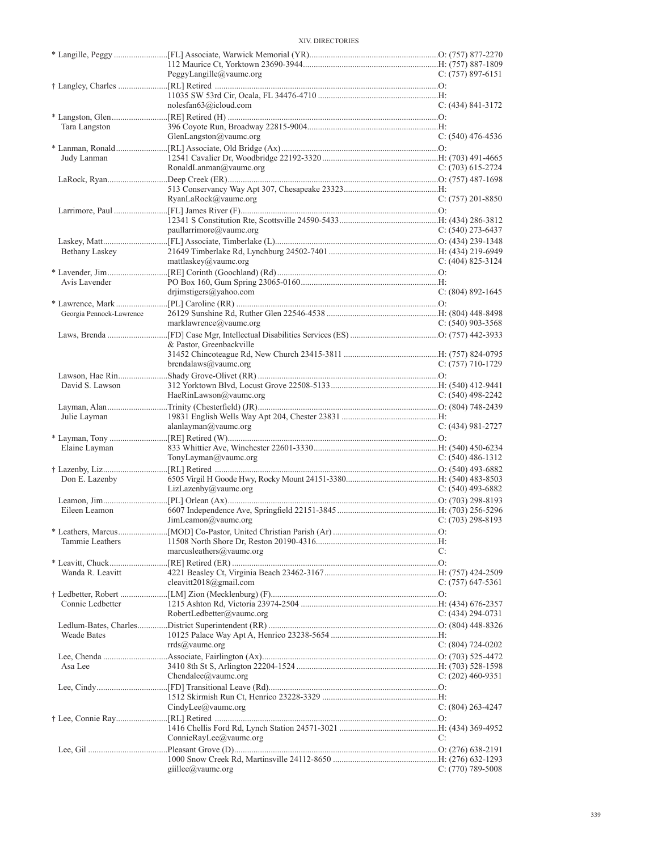| <b>XIV. DIRECTORIES</b> |
|-------------------------|
|                         |

|                          | PeggyLangille@vaumc.org                          | $C: (757) 897-6151$   |
|--------------------------|--------------------------------------------------|-----------------------|
|                          | noles fan 63@i cloud.com                         | $C: (434) 841 - 3172$ |
| Tara Langston            | GlenLangston $@$ vaumc.org                       | $C: (540)$ 476-4536   |
| Judy Lanman              | RonaldLanman@vaumc.org                           | $C: (703) 615-2724$   |
|                          | RyanLaRock@vaumc.org                             | $C: (757) 201 - 8850$ |
|                          | paullarrimore@vaumc.org                          | $C: (540)$ 273-6437   |
| Bethany Laskey           | mattlaskey@vaumc.org                             | $C: (404) 825 - 3124$ |
| Avis Lavender            | drjimstigers@yahoo.com                           | $C: (804) 892 - 1645$ |
| Georgia Pennock-Lawrence | marklawrence@vaumc.org                           | $C: (540)$ 903-3568   |
|                          | & Pastor, Greenbackville<br>brendalaws@vaumc.org | $C: (757)$ 710-1729   |
| David S. Lawson          | HaeRinLawson@vaumc.org                           | $C: (540)$ 498-2242   |
| Julie Layman             | alanlayman@vaumc.org                             | $C: (434) 981 - 2727$ |
| Elaine Layman            | TonyLayman@vaumc.org                             | C: $(540)$ 486-1312   |
| Don E. Lazenby           | LizLazenby@value.org                             | C: $(540)$ 493-6882   |
| Eileen Leamon            | JimLeamon@vaumc.org                              | $C: (703)$ 298-8193   |
| Tammie Leathers          | marcusleathers $@$ vaumc.org                     | C:                    |
| Wanda R. Leavitt         | cleavitt2018@gmail.com                           | C: $(757)$ 647-5361   |
| Connie Ledbetter         | RobertLedbetter@vaumc.org                        | C: $(434)$ 294-0731   |
| <b>Weade Bates</b>       | $rrds@$ vaumc.org                                | C: $(804)$ 724-0202   |
| Asa Lee                  | Chendalee@vaumc.org                              | C: $(202)$ 460-9351   |
|                          | CindyLee@vaumc.org                               | $C: (804) 263 - 4247$ |
|                          | ConnieRayLee@vaumc.org                           | C:                    |
|                          | giillee@vaumc.org                                | $C: (770)$ 789-5008   |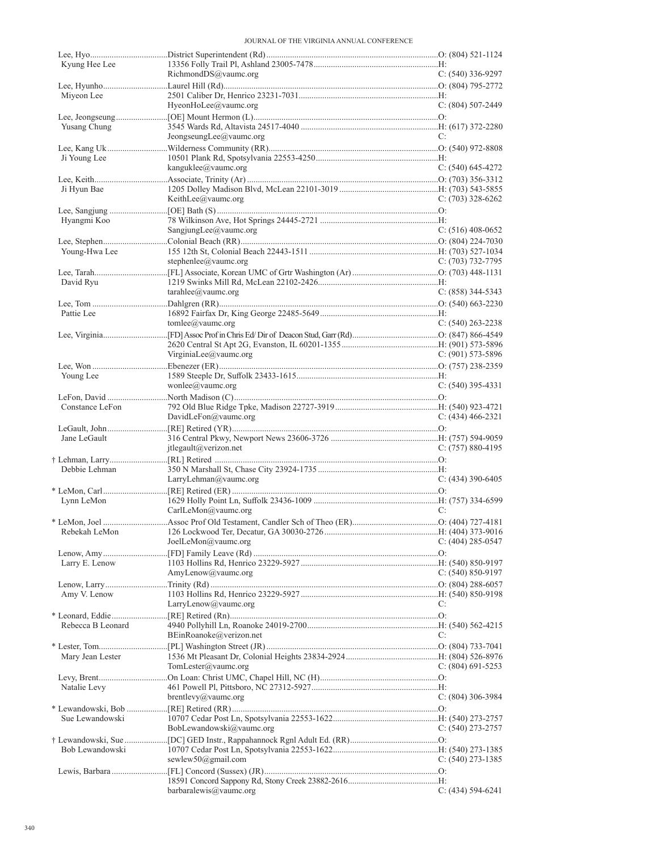| Kyung Hee Lee     |                          |                       |
|-------------------|--------------------------|-----------------------|
|                   | RichmondDS@vaumc.org     | $C: (540)$ 336-9297   |
| Miyeon Lee        |                          |                       |
|                   | HyeonHoLee@vaumc.org     | $C: (804) 507-2449$   |
|                   |                          |                       |
| Yusang Chung      | JeongseungLee@vaumc.org  | C:                    |
|                   |                          |                       |
| Ji Young Lee      |                          |                       |
|                   | kanguklee@vaumc.org      | $C: (540) 645-4272$   |
|                   |                          |                       |
| Ji Hyun Bae       | KeithLee@vaumc.org       | $C: (703)$ 328-6262   |
|                   |                          |                       |
| Hyangmi Koo       |                          |                       |
|                   | SangjungLee@vaumc.org    | $C: (516)$ 408-0652   |
|                   |                          |                       |
| Young-Hwa Lee     |                          |                       |
|                   | stephenlee@vaumc.org     | C: (703) 732-7795     |
| David Ryu         |                          |                       |
|                   | tarahlee@value.org       | $C: (858)$ 344-5343   |
|                   |                          |                       |
| Pattie Lee        |                          |                       |
|                   | tomlee@vaumc.org         | $C: (540)$ 263-2238   |
|                   |                          |                       |
|                   | VirginiaLee@vaumc.org    | C: (901) 573-5896     |
|                   |                          |                       |
| Young Lee         |                          |                       |
|                   | wonlee@vaumc.org         | $C: (540)$ 395-4331   |
|                   |                          |                       |
| Constance LeFon   | DavidLeFon@vaumc.org     | C: (434) 466-2321     |
|                   |                          |                       |
| Jane LeGault      |                          |                       |
|                   | jtlegault@verizon.net    | $C: (757) 880 - 4195$ |
|                   |                          |                       |
| Debbie Lehman     | LarryLehman@vaumc.org    | $C: (434)$ 390-6405   |
|                   |                          |                       |
| Lynn LeMon        |                          |                       |
|                   | CarlLeMon@vaumc.org      | C:                    |
|                   |                          |                       |
| Rebekah LeMon     |                          |                       |
|                   | JoelLeMon@vaumc.org      | C: $(404)$ 285-0547   |
| Larry E. Lenow    |                          |                       |
|                   | AmyLenow@vaumc.org       | C: (540) 850-9197     |
|                   |                          |                       |
| Amy V. Lenow      |                          |                       |
|                   | LarryLenow@vaumc.org     | C:                    |
| Rebecca B Leonard |                          |                       |
|                   | BEinRoanoke@verizon.net  | C:                    |
|                   |                          |                       |
| Mary Jean Lester  |                          |                       |
|                   | TomLester@vaumc.org      | C: $(804)$ 691-5253   |
|                   |                          |                       |
| Natalie Levy      | brentlevy@vaumc.org      | $C: (804)$ 306-3984   |
|                   |                          |                       |
| Sue Lewandowski   |                          |                       |
|                   | BobLewandowski@vaumc.org | C: $(540)$ 273-2757   |
|                   |                          |                       |
| Bob Lewandowski   | sewlew50@gmail.com       | $C: (540)$ 273-1385   |
|                   |                          |                       |
|                   |                          |                       |
|                   | barbaralewis@vaumc.org   | $C: (434) 594-6241$   |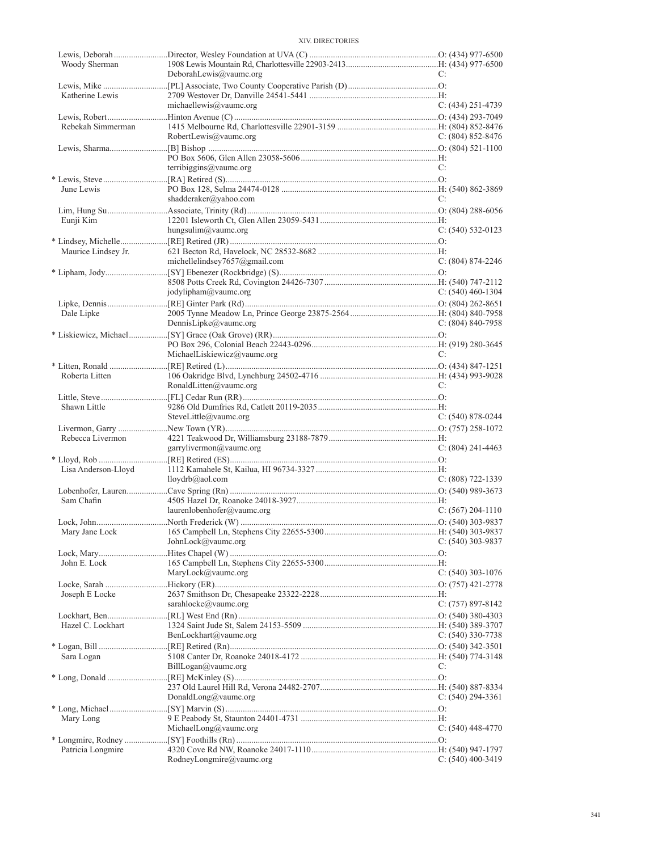| Woody Sherman       |                               |                       |
|---------------------|-------------------------------|-----------------------|
|                     | DeborahLewis@vaumc.org        | C:                    |
|                     |                               |                       |
| Katherine Lewis     |                               |                       |
|                     | michaellewis@vaumc.org        | $C: (434)$ 251-4739   |
|                     |                               |                       |
| Rebekah Simmerman   |                               |                       |
|                     | RobertLewis@vaumc.org         | $C: (804) 852 - 8476$ |
|                     |                               |                       |
|                     | terribiggins@vaumc.org        |                       |
|                     |                               | C:                    |
| June Lewis          |                               |                       |
|                     | shadderaker@yahoo.com         | C:                    |
|                     |                               |                       |
| Eunji Kim           |                               |                       |
|                     | hungsulim@vaumc.org           | $C: (540) 532-0123$   |
|                     |                               |                       |
| Maurice Lindsey Jr. |                               |                       |
|                     | michellelindsey7657@gmail.com | $C: (804) 874 - 2246$ |
|                     |                               |                       |
|                     |                               |                       |
|                     | jodylipham@vaumc.org          | C: $(540)$ 460-1304   |
|                     |                               |                       |
| Dale Lipke          |                               |                       |
|                     | DennisLipke@vaumc.org         | C: $(804)$ 840-7958   |
|                     |                               |                       |
|                     |                               |                       |
|                     | MichaelLiskiewicz@vaumc.org   | C:                    |
|                     |                               |                       |
| Roberta Litten      |                               |                       |
|                     | RonaldLitten@vaumc.org        | C:                    |
|                     |                               |                       |
| Shawn Little        |                               |                       |
|                     | SteveLittle@vaumc.org         | $C: (540) 878-0244$   |
|                     |                               |                       |
| Rebecca Livermon    |                               |                       |
|                     | garrylivermon@vaumc.org       | C: $(804)$ 241-4463   |
|                     |                               |                       |
| Lisa Anderson-Lloyd |                               |                       |
|                     | lloydrb@aol.com               | $C: (808) 722 - 1339$ |
|                     |                               |                       |
| Sam Chafin          |                               |                       |
|                     | laurenlobenhofer@vaumc.org    | $C: (567) 204-1110$   |
|                     |                               |                       |
|                     |                               |                       |
|                     | JohnLock@vaumc.org            | $C: (540)$ 303-9837   |
|                     |                               |                       |
| John E. Lock        |                               |                       |
|                     | MaryLock@vaumc.org            | C: $(540)$ 303-1076   |
|                     |                               |                       |
| Joseph E Locke      | sarahlocke@vaumc.org          | $C: (757) 897-8142$   |
|                     |                               |                       |
|                     |                               |                       |
| Hazel C. Lockhart   | BenLockhart@vaumc.org         |                       |
|                     |                               | $C: (540)$ 330-7738   |
|                     |                               |                       |
| Sara Logan          | BillLogan@vaumc.org           | C:                    |
|                     |                               |                       |
|                     |                               |                       |
|                     | DonaldLong@vaumc.org          | C: $(540)$ 294-3361   |
|                     |                               |                       |
| Mary Long           |                               |                       |
|                     | MichaelLong@vaumc.org         | $C: (540)$ 448-4770   |
|                     |                               |                       |
| Patricia Longmire   |                               |                       |
|                     | RodneyLongmire@vaumc.org      | $C: (540)$ 400-3419   |
|                     |                               |                       |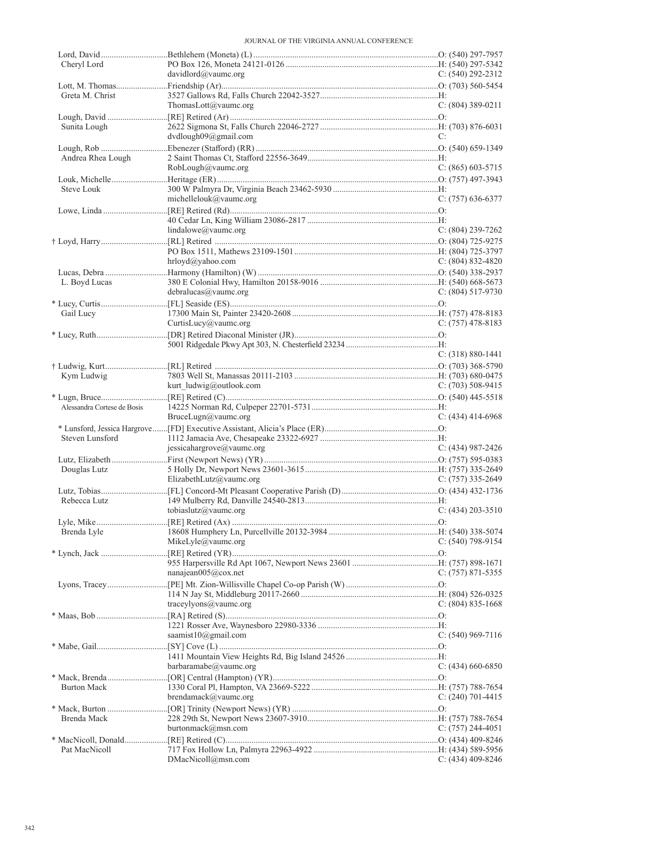| Cheryl Lord                 |                           |                       |
|-----------------------------|---------------------------|-----------------------|
|                             | davidlord@vaumc.org       | C: $(540)$ 292-2312   |
|                             |                           |                       |
| Greta M. Christ             |                           |                       |
|                             | ThomasLott@vaumc.org      | $C: (804)$ 389-0211   |
|                             |                           |                       |
| Sunita Lough                |                           |                       |
|                             | dvdlough09@gmail.com      | C:                    |
|                             |                           |                       |
|                             |                           |                       |
| Andrea Rhea Lough           |                           |                       |
|                             | RobLough@vaumc.org        | $C: (865) 603-5715$   |
|                             |                           |                       |
| Steve Louk                  |                           |                       |
|                             | michellelouk@vaumc.org    | $C: (757)$ 636-6377   |
|                             |                           |                       |
|                             |                           |                       |
|                             | lindalowe@vaumc.org       | $C: (804)$ 239-7262   |
|                             |                           |                       |
|                             |                           |                       |
|                             | hrloyd@yahoo.com          |                       |
|                             |                           | C: $(804)$ 832-4820   |
|                             |                           |                       |
| L. Boyd Lucas               |                           |                       |
|                             | debralucas@vaumc.org      | C: $(804)$ 517-9730   |
|                             |                           |                       |
| Gail Lucy                   |                           |                       |
|                             | CurtisLucy@vaumc.org      | $C: (757)$ 478-8183   |
|                             |                           |                       |
|                             |                           |                       |
|                             |                           | $C: (318) 880 - 1441$ |
|                             |                           |                       |
|                             |                           |                       |
| Kym Ludwig                  |                           |                       |
|                             | kurt ludwig@outlook.com   | C: $(703)$ 508-9415   |
|                             |                           |                       |
| Alessandra Cortese de Bosis |                           |                       |
|                             | BruceLugn $@$ vaumc.org   | $C: (434)$ 414-6968   |
|                             |                           |                       |
|                             |                           |                       |
|                             |                           |                       |
| Steven Lunsford             |                           |                       |
|                             | jessicahargrove@vaumc.org | C: $(434)$ 987-2426   |
|                             |                           |                       |
| Douglas Lutz                |                           |                       |
|                             | ElizabethLutz@vaumc.org   | C: $(757)$ 335-2649   |
|                             |                           |                       |
| Rebecca Lutz                |                           |                       |
|                             | tobiaslutz@vaumc.org      | $C: (434) 203 - 3510$ |
|                             |                           |                       |
|                             |                           |                       |
|                             | MikeLyle@vaumc.org        | C: $(540)$ 798-9154   |
|                             |                           |                       |
|                             |                           |                       |
|                             |                           |                       |
|                             | nanajean $005@cov.net$    | $C: (757) 871 - 5355$ |
|                             |                           |                       |
|                             |                           |                       |
|                             | traceylvons@value.org     | $C: (804) 835-1668$   |
|                             |                           |                       |
|                             |                           |                       |
|                             | saamist $10$ @gmail.com   | C: $(540)$ 969-7116   |
|                             |                           |                       |
|                             |                           |                       |
|                             | barbaramabe@vaumc.org     | C: $(434)$ 660-6850   |
|                             |                           |                       |
| <b>Burton Mack</b>          |                           |                       |
|                             | brendamack@vaumc.org      |                       |
|                             |                           | C: $(240)$ 701-4415   |
|                             |                           |                       |
| Brenda Mack                 |                           |                       |
|                             | burtonmack@msn.com        | $C: (757) 244-4051$   |
|                             |                           |                       |
| Pat MacNicoll               | DMacNicoll@msn.com        | $C: (434)$ 409-8246   |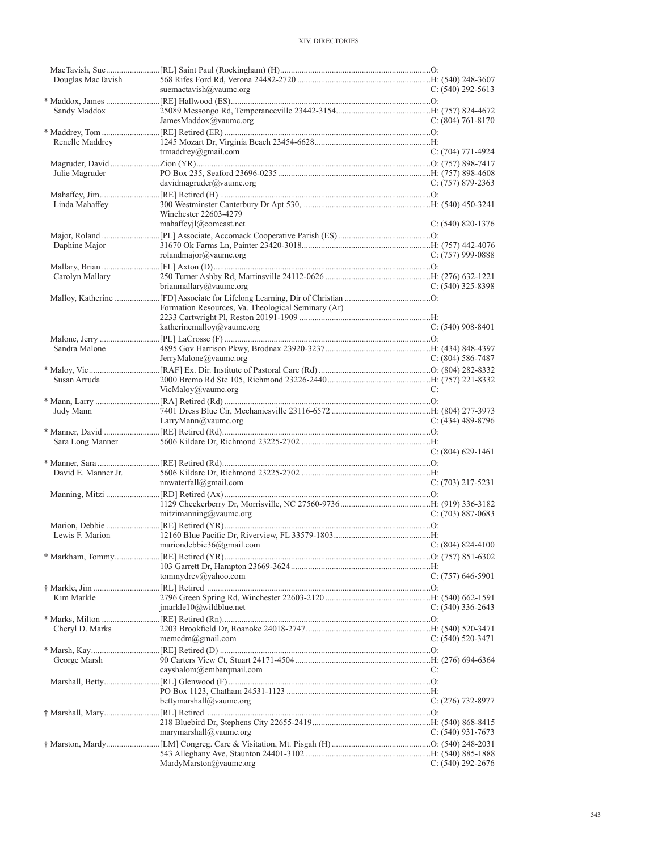| Douglas MacTavish   |                                                    |                       |
|---------------------|----------------------------------------------------|-----------------------|
|                     | suemactavish@vaumc.org                             | $C: (540) 292 - 5613$ |
|                     |                                                    |                       |
| Sandy Maddox        |                                                    |                       |
|                     | JamesMaddox@vaumc.org                              | C: $(804)$ 761-8170   |
|                     |                                                    |                       |
| Renelle Maddrey     |                                                    |                       |
|                     | trmaddrey@gmail.com                                | $C: (704)$ 771-4924   |
|                     |                                                    |                       |
|                     |                                                    |                       |
| Julie Magruder      | davidmagruder@vaumc.org                            |                       |
|                     |                                                    | $C: (757) 879 - 2363$ |
|                     |                                                    |                       |
| Linda Mahaffey      |                                                    |                       |
|                     | Winchester 22603-4279                              |                       |
|                     | mahaffeyjl@comcast.net                             | $C: (540) 820 - 1376$ |
|                     |                                                    |                       |
| Daphine Major       |                                                    |                       |
|                     | rolandmajor@vaumc.org                              | $C: (757)$ 999-0888   |
|                     |                                                    |                       |
| Carolyn Mallary     |                                                    |                       |
|                     | brianmallary@vaumc.org                             | $C: (540)$ 325-8398   |
|                     |                                                    |                       |
|                     | Formation Resources, Va. Theological Seminary (Ar) |                       |
|                     |                                                    |                       |
|                     | katherinemalloy@vaumc.org                          | $C: (540)$ 908-8401   |
|                     |                                                    |                       |
| Sandra Malone       |                                                    |                       |
|                     | JerryMalone@vaumc.org                              | $C: (804) 586-7487$   |
|                     |                                                    |                       |
|                     |                                                    |                       |
| Susan Arruda        |                                                    |                       |
|                     | VicMaloy@vaumc.org                                 | C:                    |
|                     |                                                    |                       |
| Judy Mann           |                                                    |                       |
|                     | LarryMann@vaumc.org                                | $C: (434)$ 489-8796   |
|                     |                                                    |                       |
|                     |                                                    |                       |
| Sara Long Manner    |                                                    |                       |
|                     |                                                    | $C: (804) 629-1461$   |
|                     |                                                    |                       |
|                     |                                                    |                       |
| David E. Manner Jr. |                                                    |                       |
|                     | nnwaterfall@gmail.com                              | $C: (703)$ 217-5231   |
|                     |                                                    |                       |
|                     |                                                    |                       |
|                     | mitzimanning@vaumc.org                             | $C: (703) 887-0683$   |
|                     |                                                    |                       |
| Lewis F. Marion     |                                                    |                       |
|                     | mariondebbie36@gmail.com                           | $C: (804) 824-4100$   |
|                     |                                                    |                       |
|                     |                                                    |                       |
|                     | tommydrev@yahoo.com                                | $C: (757) 646-5901$   |
|                     |                                                    |                       |
| Kim Markle          |                                                    |                       |
|                     | $jmarkle10@$ wildblue.net                          |                       |
|                     |                                                    | $C: (540)$ 336-2643   |
|                     |                                                    |                       |
| Cheryl D. Marks     |                                                    |                       |
|                     | memcdm@gmail.com                                   | $C: (540) 520-3471$   |
|                     |                                                    |                       |
| George Marsh        |                                                    |                       |
|                     | cayshalom@embarqmail.com                           | C:                    |
|                     |                                                    |                       |
|                     |                                                    |                       |
|                     | bettymarshall@vaumc.org                            | $C: (276)$ 732-8977   |
|                     |                                                    |                       |
|                     |                                                    |                       |
|                     | marymarshall@vaumc.org                             | $C: (540)$ 931-7673   |
|                     |                                                    |                       |
|                     |                                                    |                       |
|                     | MardyMarston@vaumc.org                             | $C: (540) 292 - 2676$ |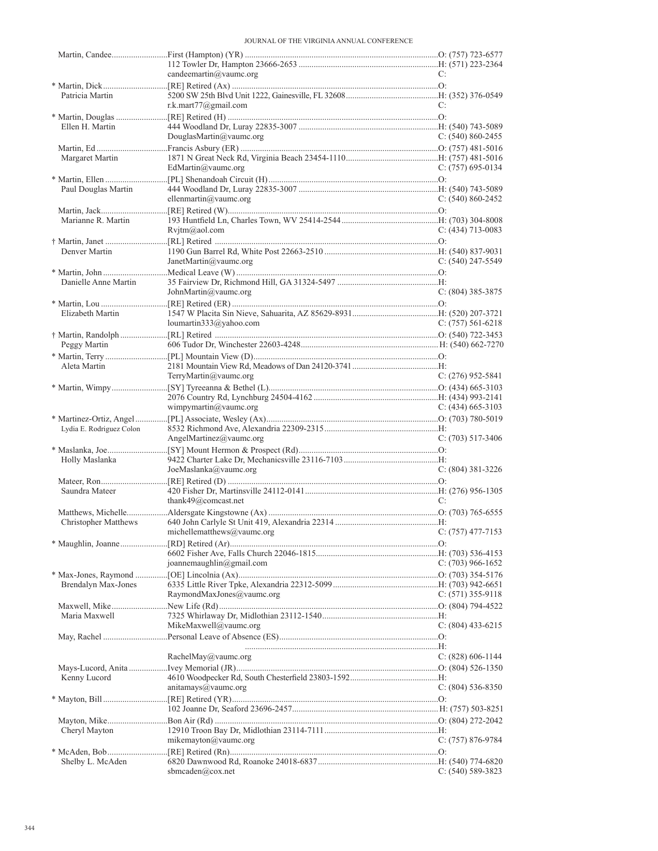|                             | candeemartin $@$ vaumc.org                     | C:                    |
|-----------------------------|------------------------------------------------|-----------------------|
|                             |                                                |                       |
| Patricia Martin             | r.k.mart $77$ @gmail.com                       | C:                    |
|                             |                                                |                       |
| Ellen H. Martin             |                                                |                       |
|                             | DouglasMartin@vaumc.org                        | $C: (540) 860 - 2455$ |
|                             |                                                |                       |
| Margaret Martin             |                                                |                       |
|                             | EdMartin@vaumc.org                             | $C: (757)$ 695-0134   |
|                             |                                                |                       |
| Paul Douglas Martin         |                                                |                       |
|                             | ellenmartin@vaumc.org                          | $C: (540) 860 - 2452$ |
|                             |                                                |                       |
| Marianne R. Martin          |                                                |                       |
|                             | Rvjtm@aol.com                                  | $C: (434)$ 713-0083   |
|                             |                                                |                       |
| Denver Martin               | JanetMartin@vaumc.org                          | $C: (540)$ 247-5549   |
|                             |                                                |                       |
| Danielle Anne Martin        |                                                |                       |
|                             | JohnMartin@vaumc.org                           | $C: (804)$ 385-3875   |
|                             |                                                |                       |
| Elizabeth Martin            |                                                |                       |
|                             | loumartin333@yahoo.com                         | $C: (757) 561-6218$   |
|                             |                                                |                       |
| Peggy Martin                |                                                |                       |
|                             |                                                |                       |
| Aleta Martin                |                                                |                       |
|                             | TerryMartin@vaumc.org                          | C: $(276)$ 952-5841   |
|                             |                                                |                       |
|                             |                                                |                       |
|                             | wimpymartin@vaumc.org                          | $C: (434)$ 665-3103   |
| Lydia E. Rodriguez Colon    |                                                |                       |
|                             | AngelMartinez@vaumc.org                        | $C: (703)$ 517-3406   |
|                             |                                                |                       |
| Holly Maslanka              |                                                |                       |
|                             | JoeMaslanka@value.org                          | $C: (804)$ 381-3226   |
|                             |                                                |                       |
| Saundra Mateer              |                                                |                       |
|                             | thank49@comcast.net                            | C:                    |
|                             |                                                |                       |
| <b>Christopher Matthews</b> |                                                |                       |
|                             | michellematthews@vaumc.org $C: (757)$ 477-7153 |                       |
|                             |                                                |                       |
|                             | joannemaughlin@gmail.com                       | C: $(703)$ 966-1652   |
|                             |                                                |                       |
| Brendalyn Max-Jones         |                                                |                       |
|                             | RaymondMaxJones@vaumc.org                      | $C: (571)$ 355-9118   |
|                             |                                                |                       |
| Maria Maxwell               |                                                |                       |
|                             | MikeMaxwell@vaumc.org                          | $C: (804)$ 433-6215   |
|                             |                                                |                       |
|                             |                                                |                       |
|                             | RachelMay@vaumc.org                            | $C: (828) 606-1144$   |
|                             |                                                |                       |
| Kenny Lucord                |                                                |                       |
|                             | antamays@value.org                             | $C: (804) 536-8350$   |
|                             |                                                |                       |
|                             |                                                |                       |
| Cheryl Mayton               |                                                |                       |
|                             | mikemayton@vaumc.org                           | $C: (757) 876-9784$   |
|                             |                                                |                       |
| Shelby L. McAden            |                                                |                       |
|                             | sbmcaden@cox.net                               | $C: (540) 589 - 3823$ |
|                             |                                                |                       |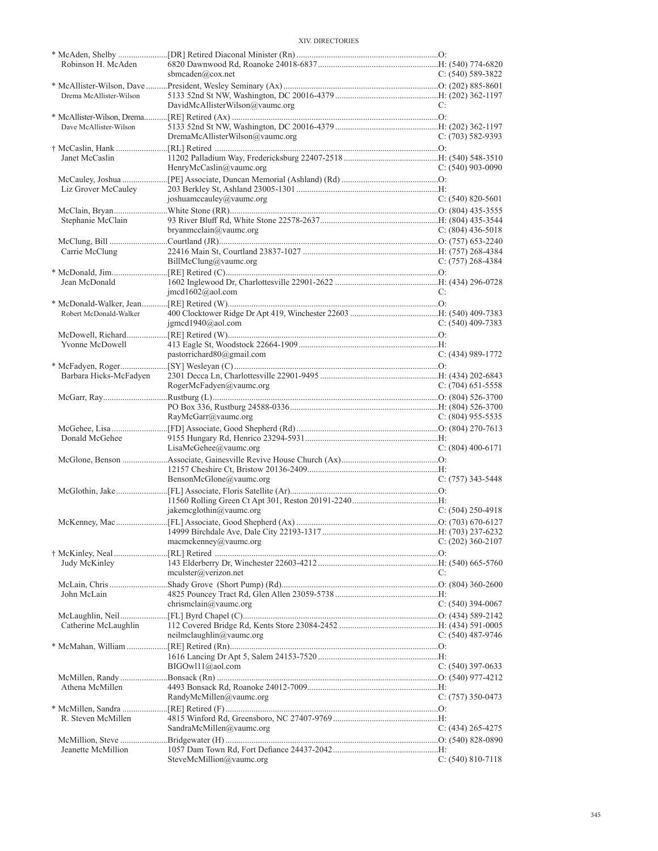| Robinson H. McAden      | sbmcaden@cox.net                   | $C: (540) 589-3822$   |
|-------------------------|------------------------------------|-----------------------|
|                         |                                    |                       |
| Drema McAllister-Wilson |                                    |                       |
|                         | DavidMcAllisterWilson@vaumc.org    | C:                    |
|                         |                                    |                       |
| Dave McAllister-Wilson  |                                    |                       |
|                         | $D$ remaMcAllisterWilson@vaumc.org | $C: (703) 582-9393$   |
|                         |                                    |                       |
| Janet McCaslin          |                                    |                       |
|                         | HenryMcCaslin@vaumc.org            | $C: (540)$ 903-0090   |
|                         |                                    |                       |
| Liz Grover McCauley     |                                    |                       |
|                         | joshuamccauley@vaumc.org           | $C: (540) 820 - 5601$ |
|                         |                                    |                       |
| Stephanie McClain       | bryanmcclain@vaumc.org             | C: $(804)$ 436-5018   |
|                         |                                    |                       |
| Carrie McClung          |                                    |                       |
|                         | BillMcClung@value.org              | C: (757) 268-4384     |
|                         |                                    |                       |
| Jean McDonald           |                                    |                       |
|                         | imcd1602@aol.com                   | C:                    |
|                         |                                    |                       |
| Robert McDonald-Walker  |                                    |                       |
|                         | igmcd1940@aol.com                  | $C: (540)$ 409-7383   |
|                         |                                    |                       |
| Yvonne McDowell         |                                    |                       |
|                         | pastorrichard $80$ @gmail.com      | $C: (434)$ 989-1772   |
|                         |                                    |                       |
| Barbara Hicks-McFadyen  |                                    |                       |
|                         | RogerMcFadyen@vaumc.org            | $C: (704)$ 651-5558   |
|                         |                                    |                       |
|                         |                                    |                       |
|                         | RayMcGarr@vaumc.org                | C: $(804)$ 955-5535   |
|                         |                                    |                       |
| Donald McGehee          |                                    |                       |
|                         | LisaMcGehee@value.org              | $C: (804)$ 400-6171   |
|                         |                                    |                       |
|                         | BensonMcGlone@vaumc.org            | $C: (757)$ 343-5448   |
|                         |                                    |                       |
|                         |                                    |                       |
|                         | jakemcglothin@vaumc.org            | $C: (504) 250-4918$   |
|                         |                                    |                       |
|                         |                                    |                       |
|                         | macmckenney@vaumc.org              | $C: (202)$ 360-2107   |
|                         |                                    |                       |
| Judy McKinley           |                                    |                       |
|                         | $m$ culster@verizon.net            | C:                    |
|                         |                                    |                       |
| John McLain             |                                    |                       |
|                         | chrismclain@vaumc.org              | $C: (540)$ 394-0067   |
|                         |                                    |                       |
| Catherine McLaughlin    |                                    |                       |
|                         | neilmclaughlin@vaumc.org           | $C: (540)$ 487-9746   |
|                         |                                    |                       |
|                         | BIGOwl11@aol.com                   | $C: (540)$ 397-0633   |
|                         |                                    |                       |
| Athena McMillen         |                                    |                       |
|                         | RandyMcMillen@vaumc.org            | $C: (757)$ 350-0473   |
|                         |                                    |                       |
| R. Steven McMillen      |                                    |                       |
|                         | SandraMcMillen@vaumc.org           | $C: (434) 265 - 4275$ |
|                         |                                    |                       |
| Jeanette McMillion      |                                    |                       |
|                         | SteveMcMillion@vaumc.org           | $C: (540) 810-7118$   |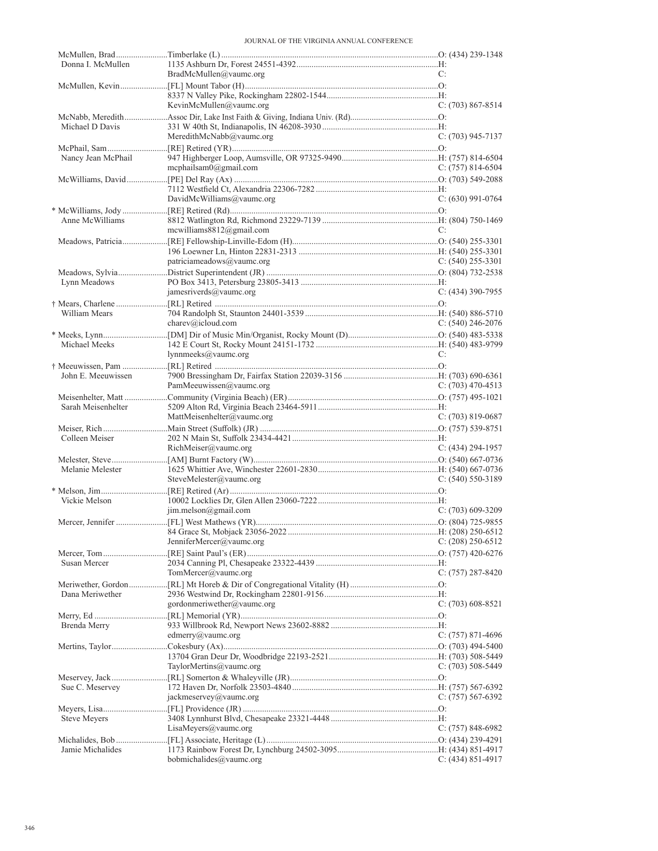| Donna I. McMullen  |                               | C:                    |
|--------------------|-------------------------------|-----------------------|
|                    | BradMcMullen@value.org        |                       |
|                    |                               |                       |
|                    | KevinMcMullen@vaumc.org       | $C: (703) 867 - 8514$ |
|                    |                               |                       |
| Michael D Davis    |                               |                       |
|                    | MeredithMcNabb@yaumc.org      | $C: (703)$ 945-7137   |
|                    |                               |                       |
| Nancy Jean McPhail |                               |                       |
|                    | mcphailsam $0$ @gmail.com     | C: $(757)$ 814-6504   |
|                    |                               |                       |
|                    |                               |                       |
|                    | DavidMcWilliams@vaumc.org     | $C: (630)$ 991-0764   |
|                    |                               |                       |
| Anne McWilliams    |                               |                       |
|                    | mcwilliams $8812$ @gmail.com  | C:                    |
|                    |                               |                       |
|                    |                               |                       |
|                    | patriciameadows@vaumc.org     | C: $(540)$ 255-3301   |
|                    |                               |                       |
| Lynn Meadows       |                               |                       |
|                    | jamesriverds@vaumc.org        | $C: (434)$ 390-7955   |
|                    |                               |                       |
| William Mears      |                               |                       |
|                    | charev@icloud.com             | C: $(540)$ 246-2076   |
|                    |                               |                       |
| Michael Meeks      | lynnmeeks@vaumc.org           | C:                    |
|                    |                               |                       |
| John E. Meeuwissen |                               |                       |
|                    | PamMeeuwissen@vaumc.org       | C: $(703)$ 470-4513   |
|                    |                               |                       |
| Sarah Meisenhelter |                               |                       |
|                    | MattMeisenhelter@vaumc.org    | $C: (703) 819-0687$   |
|                    |                               |                       |
| Colleen Meiser     |                               |                       |
|                    | RichMeiser@value.org          | $C: (434) 294-1957$   |
|                    |                               |                       |
| Melanie Melester   |                               |                       |
|                    | SteveMelester@vaumc.org       | C: $(540)$ 550-3189   |
|                    |                               |                       |
| Vickie Melson      |                               |                       |
|                    | $\text{im.}$ melson@gmail.com | $C: (703)$ 609-3209   |
|                    |                               |                       |
|                    |                               |                       |
|                    | JenniferMercer@vaumc.org      | $C: (208)$ 250-6512   |
|                    |                               |                       |
| Susan Mercer       |                               |                       |
|                    | TomMercer@vaumc.org           | $C: (757) 287 - 8420$ |
|                    |                               |                       |
| Dana Meriwether    |                               |                       |
|                    | gordonmeriwether@vaumc.org    | $C: (703) 608-8521$   |
|                    |                               |                       |
| Brenda Merry       | edmerry@vaumc.org             | $C: (757) 871-4696$   |
|                    |                               |                       |
|                    |                               |                       |
|                    | TaylorMertins@vaumc.org       | C: $(703)$ 508-5449   |
|                    |                               |                       |
| Sue C. Meservey    |                               |                       |
|                    | jackmeservey@vaumc.org        | $C: (757) 567-6392$   |
|                    |                               |                       |
| Steve Meyers       |                               |                       |
|                    | LisaMeyers@vaumc.org          | $C: (757) 848-6982$   |
|                    |                               |                       |
| Jamie Michalides   |                               |                       |
|                    | bobmichalides@vaumc.org       | C: $(434)$ 851-4917   |
|                    |                               |                       |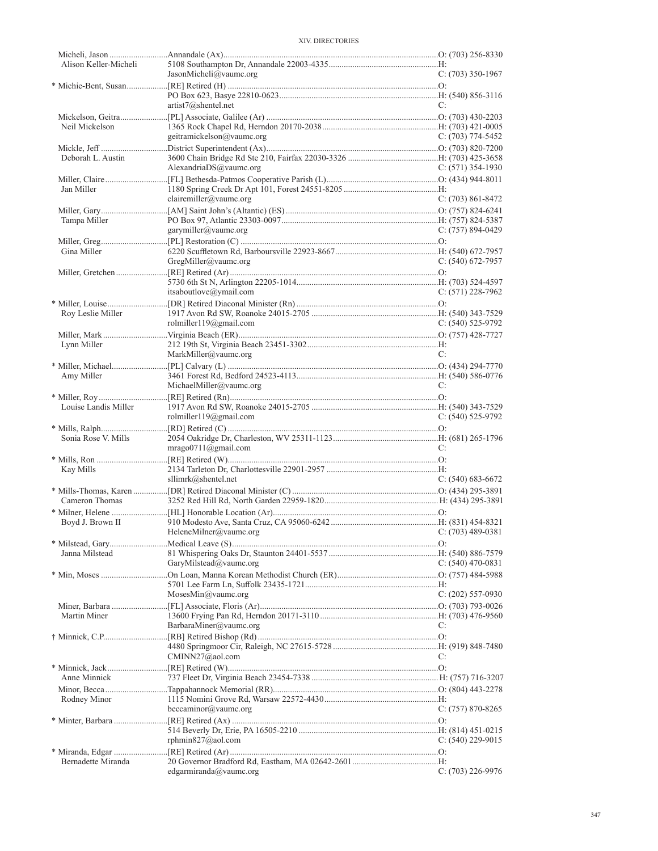| Alison Keller-Micheli |                                          |                       |
|-----------------------|------------------------------------------|-----------------------|
|                       | JasonMicheli@vaumc.org                   | $C: (703)$ 350-1967   |
|                       |                                          |                       |
|                       |                                          |                       |
|                       | artist7@shentel.net                      | C:                    |
|                       |                                          |                       |
| Neil Mickelson        |                                          |                       |
|                       | geitramickelson@vaumc.org                | $C: (703)$ 774-5452   |
|                       |                                          |                       |
| Deborah L. Austin     |                                          |                       |
|                       | AlexandriaDS@vaumc.org                   | C: $(571)$ 354-1930   |
|                       |                                          |                       |
| Jan Miller            |                                          |                       |
|                       | clairemiller@vaumc.org                   | $C: (703) 861 - 8472$ |
|                       |                                          |                       |
| Tampa Miller          |                                          |                       |
|                       | garymiller@vaumc.org                     | $C: (757) 894-0429$   |
|                       |                                          |                       |
| Gina Miller           |                                          |                       |
|                       | GregMiller@value.org                     | $C: (540) 672 - 7957$ |
|                       |                                          |                       |
|                       |                                          |                       |
|                       |                                          |                       |
|                       | itsaboutlove@ymail.com                   | $C: (571)$ 228-7962   |
|                       |                                          |                       |
| Roy Leslie Miller     |                                          |                       |
|                       | rolmiller $119@g$ mail.com               | $C: (540)$ 525-9792   |
|                       |                                          |                       |
| Lynn Miller           |                                          |                       |
|                       | MarkMiller@vaumc.org                     | C:                    |
|                       |                                          |                       |
| Amy Miller            |                                          |                       |
|                       | MichaelMiller@vaumc.org                  | C:                    |
|                       |                                          |                       |
| Louise Landis Miller  |                                          |                       |
|                       | rolmiller119@gmail.com                   | $C: (540)$ 525-9792   |
|                       |                                          |                       |
| Sonia Rose V. Mills   |                                          |                       |
|                       |                                          |                       |
|                       |                                          | C:                    |
|                       | mrago0711@gmail.com                      |                       |
|                       |                                          |                       |
| Kay Mills             |                                          |                       |
|                       | sllimrk@shentel.net                      | $C: (540) 683-6672$   |
|                       |                                          |                       |
| Cameron Thomas        |                                          |                       |
|                       |                                          |                       |
| Boyd J. Brown II      |                                          |                       |
|                       | HeleneMilner@vaumc.org C: (703) 489-0381 |                       |
|                       |                                          |                       |
| Janna Milstead        |                                          |                       |
|                       | GaryMilstead@vaumc.org                   | $C: (540)$ 470-0831   |
|                       |                                          |                       |
|                       |                                          |                       |
|                       | MosesMin@vaumc.org                       | $C: (202)$ 557-0930   |
|                       |                                          |                       |
| Martin Miner          |                                          |                       |
|                       | BarbaraMiner@vaumc.org                   | C:                    |
|                       |                                          |                       |
|                       |                                          |                       |
|                       | CMINN27@aol.com                          | C:                    |
|                       |                                          |                       |
| Anne Minnick          |                                          |                       |
|                       |                                          |                       |
|                       |                                          |                       |
| Rodney Minor          |                                          |                       |
|                       | beccaminor@vaumc.org                     | $C: (757) 870 - 8265$ |
|                       |                                          |                       |
|                       |                                          |                       |
|                       | rphmin827@aol.com                        | C: $(540)$ 229-9015   |
|                       |                                          |                       |
| Bernadette Miranda    | edgarmiranda@vaumc.org                   | $C: (703)$ 226-9976   |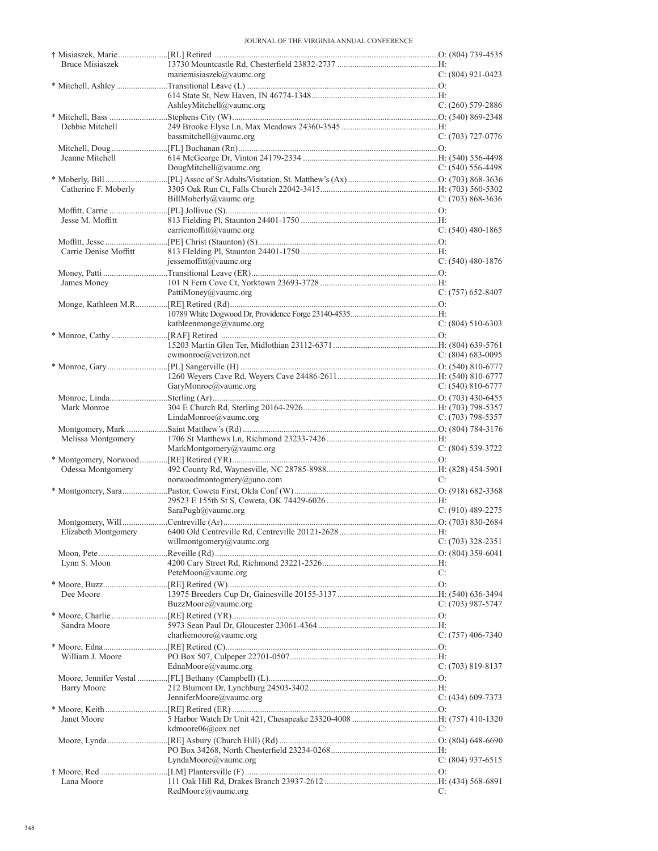| <b>Bruce Misiaszek</b> |                                |                       |
|------------------------|--------------------------------|-----------------------|
|                        | mariemisiaszek $(a)$ vaumc.org | $C: (804)$ 921-0423   |
|                        |                                |                       |
|                        |                                |                       |
|                        | AshleyMitchell@vaumc.org       | $C: (260)$ 579-2886   |
|                        |                                |                       |
| Debbie Mitchell        |                                |                       |
|                        | bassmitchell@vaumc.org         | $C: (703)$ 727-0776   |
|                        |                                |                       |
|                        |                                |                       |
| Jeanne Mitchell        |                                |                       |
|                        | DougMitchell@vaumc.org         | C: $(540)$ 556-4498   |
|                        |                                |                       |
| Catherine F. Moberly   |                                |                       |
|                        | BillMoberly@value.org          | $C: (703) 868-3636$   |
|                        |                                |                       |
| Jesse M. Moffitt       |                                |                       |
|                        | carriemoffitt@vaumc.org        | C: $(540)$ 480-1865   |
|                        |                                |                       |
| Carrie Denise Moffitt  |                                |                       |
|                        |                                |                       |
|                        | jessemoffitt@vaumc.org         | $C: (540)$ 480-1876   |
|                        |                                |                       |
| James Money            |                                |                       |
|                        | PattiMoney@vaumc.org           | $C: (757)$ 652-8407   |
|                        |                                |                       |
|                        |                                |                       |
|                        | kathleenmonge@vaumc.org        | $C: (804) 510-6303$   |
|                        |                                |                       |
|                        |                                |                       |
|                        | cwmonroe@verizon.net           | $C: (804) 683 - 0095$ |
|                        |                                |                       |
|                        |                                |                       |
|                        |                                |                       |
|                        | GaryMonroe@vaumc.org           | C: $(540)$ 810-6777   |
|                        |                                |                       |
| Mark Monroe            |                                |                       |
|                        | LindaMonroe@value.org          | $C: (703)$ 798-5357   |
|                        |                                |                       |
|                        |                                |                       |
|                        |                                |                       |
| Melissa Montgomery     |                                |                       |
|                        | MarkMontgomery@vaumc.org       | $C: (804) 539-3722$   |
|                        |                                |                       |
| Odessa Montgomery      |                                |                       |
|                        | norwoodmontogmery@juno.com     | C:                    |
|                        |                                |                       |
|                        |                                |                       |
|                        | SaraPugh@vaumc.org             | $C: (910)$ 489-2275   |
|                        |                                |                       |
|                        |                                |                       |
|                        | willmontgomery@vaumc.org       | $C: (703)$ 328-2351   |
|                        |                                |                       |
|                        |                                |                       |
| Lynn S. Moon           |                                |                       |
|                        | Pete $Moon @$ vaumc.org        | C:                    |
|                        |                                |                       |
| Dee Moore              |                                |                       |
|                        | BuzzMoore@vaumc.org            | C: (703) 987-5747     |
|                        |                                |                       |
| Sandra Moore           |                                |                       |
|                        | charliemoore@vaumc.org         | $C: (757)$ 406-7340   |
|                        |                                |                       |
| William J. Moore       |                                |                       |
|                        | EdnaMoore@vaumc.org            | $C: (703) 819-8137$   |
|                        |                                |                       |
|                        |                                |                       |
| <b>Barry Moore</b>     |                                |                       |
|                        | JenniferMoore@vaumc.org        | C: (434) 609-7373     |
|                        |                                |                       |
| Janet Moore            |                                |                       |
|                        | kdmoore06@cox.net              | C:                    |
|                        |                                |                       |
|                        |                                |                       |
|                        | LyndaMoore@vaumc.org           | C: $(804)$ 937-6515   |
|                        |                                |                       |
| Lana Moore             |                                |                       |
|                        | RedMoore@vaumc.org             | C:                    |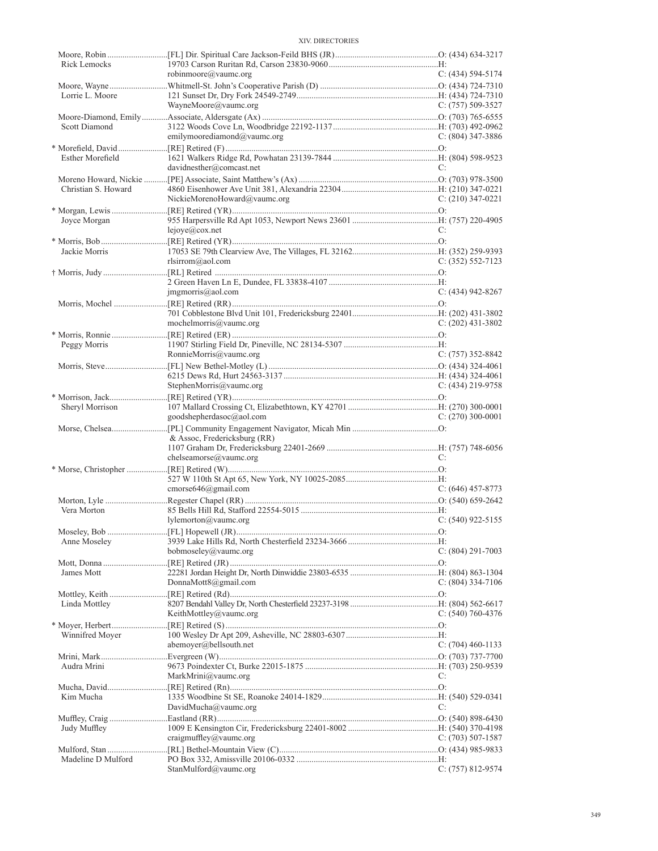| Rick Lemocks        |                              |                       |
|---------------------|------------------------------|-----------------------|
|                     | robinmoore@vaumc.org         | $C: (434) 594 - 5174$ |
|                     |                              |                       |
| Lorrie L. Moore     |                              |                       |
|                     | WayneMoore@vaumc.org         | C: $(757)$ 509-3527   |
|                     |                              |                       |
| Scott Diamond       |                              |                       |
|                     | emilymoorediamond@vaumc.org  | $C: (804)$ 347-3886   |
|                     |                              |                       |
| Esther Morefield    |                              |                       |
|                     | davidnesther@comcast.net     | C:                    |
|                     |                              |                       |
| Christian S. Howard |                              |                       |
|                     | NickieMorenoHoward@vaumc.org | $C: (210)$ 347-0221   |
|                     |                              |                       |
| Joyce Morgan        |                              |                       |
|                     | lejove@cov.net               | C:                    |
|                     |                              |                       |
| Jackie Morris       |                              |                       |
|                     | rlsirrom@aol.com             | $C: (352) 552 - 7123$ |
|                     |                              |                       |
|                     |                              |                       |
|                     | jmgmorris@aol.com            | $C: (434)$ 942-8267   |
|                     |                              |                       |
|                     |                              |                       |
|                     | mochelmorris@vaumc.org       | $C: (202)$ 431-3802   |
|                     |                              |                       |
| Peggy Morris        |                              |                       |
|                     | RonnieMorris@vaumc.org       | $C: (757)$ 352-8842   |
|                     |                              |                       |
|                     |                              |                       |
|                     | StephenMorris@vaumc.org      | $C: (434)$ 219-9758   |
|                     |                              |                       |
| Sheryl Morrison     |                              |                       |
|                     | goodshepherdasoc@aol.com     | $C: (270)$ 300-0001   |
|                     |                              |                       |
|                     | & Assoc, Fredericksburg (RR) |                       |
|                     | chelseamorse@vaumc.org       | C:                    |
|                     |                              |                       |
|                     |                              |                       |
|                     | cmorse646@gmail.com          | $C: (646)$ 457-8773   |
|                     |                              |                       |
| Vera Morton         |                              |                       |
|                     | lylementon@value.org         | $C: (540)$ 922-5155   |
|                     |                              |                       |
| Anne Moseley        |                              |                       |
|                     | bobmoseley@vaumc.org         | $C: (804)$ 291-7003   |
|                     |                              |                       |
| James Mott          |                              |                       |
|                     | DonnaMott8@gmail.com         | $C: (804)$ 334-7106   |
|                     |                              |                       |
| Linda Mottley       |                              |                       |
|                     | KeithMottley@vaumc.org       | C: $(540)$ 760-4376   |
|                     |                              |                       |
| Winnifred Moyer     |                              |                       |
|                     | abemoyer@bellsouth.net       | $C: (704)$ 460-1133   |
|                     |                              |                       |
| Audra Mrini         |                              |                       |
|                     | MarkMrini@vaumc.org          | C:                    |
|                     |                              |                       |
| Kim Mucha           |                              |                       |
|                     | DavidMucha@vaumc.org         | C:                    |
|                     |                              |                       |
| Judy Muffley        |                              |                       |
|                     | craigmuffley@vaumc.org       | C: $(703)$ 507-1587   |
|                     |                              |                       |
| Madeline D Mulford  |                              |                       |
|                     | StanMulford@vaumc.org        | $C: (757) 812 - 9574$ |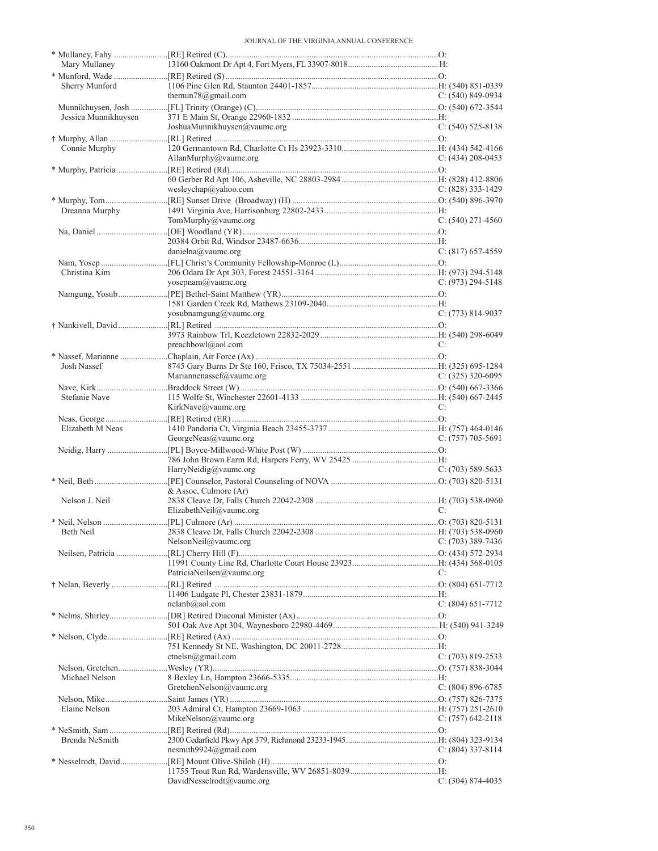| Sherry Munford       | themun78@gmail.com           | $C: (540) 849-0934$   |
|----------------------|------------------------------|-----------------------|
|                      |                              |                       |
| Jessica Munnikhuysen |                              |                       |
|                      | JoshuaMunnikhuysen@vaumc.org | $C: (540) 525 - 8138$ |
|                      |                              |                       |
| Connie Murphy        |                              |                       |
|                      | AllanMurphy@vaumc.org        | $C: (434)$ 208-0453   |
|                      |                              |                       |
|                      | wesleychap@yahoo.com         | C: $(828)$ 333-1429   |
|                      |                              |                       |
| Dreanna Murphy       |                              |                       |
|                      | TomMurphy@vaumc.org          | $C: (540)$ 271-4560   |
|                      |                              |                       |
|                      |                              |                       |
|                      | danielna@value.org           | $C: (817) 657-4559$   |
|                      |                              |                       |
| Christina Kim        | yosepnam@vaumc.org           | C: $(973)$ 294-5148   |
|                      |                              |                       |
|                      |                              |                       |
|                      | yosubnamgung@vaumc.org       | $C: (773) 814-9037$   |
|                      |                              |                       |
|                      |                              |                       |
|                      | preachbowl@aol.com           | C:                    |
|                      |                              |                       |
| Josh Nassef          | Mariannenassef@vaumc.org     | C: $(325)$ 320-6095   |
|                      |                              |                       |
| Stefanie Nave        |                              |                       |
|                      | KirkNave@vaumc.org           | C:                    |
|                      |                              |                       |
| Elizabeth M Neas     |                              |                       |
|                      | GeorgeNeas@vaumc.org         | $C: (757) 705-5691$   |
|                      |                              |                       |
|                      |                              |                       |
|                      | HarryNeidig@vaumc.org        | $C: (703)$ 589-5633   |
|                      | & Assoc. Culmore (Ar)        |                       |
| Nelson J. Neil       |                              |                       |
|                      |                              |                       |
|                      | ElizabethNeil@vaumc.org      | C:                    |
|                      |                              |                       |
|                      |                              |                       |
|                      | NelsonNeil@vaumc.org         | $C: (703)$ 389-7436   |
|                      |                              |                       |
|                      |                              |                       |
|                      | PatriciaNeilsen@vaumc.org    | C:                    |
|                      |                              |                       |
|                      | nelanb@aol.com               |                       |
|                      |                              | $C: (804)$ 651-7712   |
|                      |                              |                       |
|                      |                              |                       |
|                      |                              |                       |
|                      | ctnelsn@gmail.com            | $C: (703) 819 - 2533$ |
|                      |                              |                       |
| Michael Nelson       |                              |                       |
|                      | GretchenNelson@vaumc.org     | $C: (804) 896-6785$   |
| Elaine Nelson        |                              |                       |
|                      | MikeNelson@vaumc.org         | C: $(757)$ 642-2118   |
|                      |                              |                       |
| Brenda NeSmith       |                              |                       |
|                      | nesmith9924@gmail.com        | C: $(804)$ 337-8114   |
|                      |                              |                       |
|                      | DavidNesselrodt@vaumc.org    | $C: (304) 874-4035$   |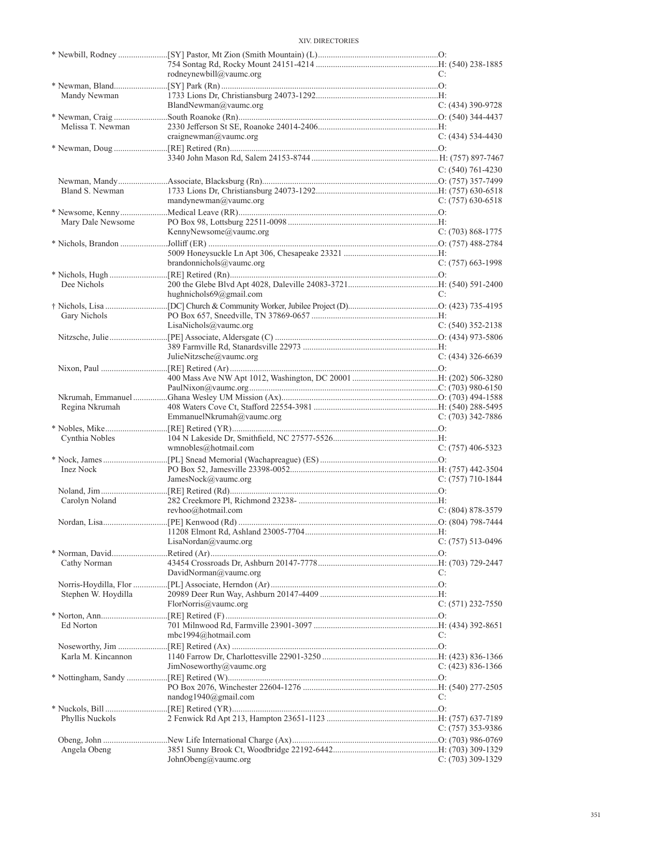|                     | rodneynewbill@vaumc.org   | C:                  |
|---------------------|---------------------------|---------------------|
|                     |                           |                     |
| Mandy Newman        |                           |                     |
|                     | BlandNewman@vaumc.org     | $C: (434)$ 390-9728 |
| Melissa T. Newman   |                           |                     |
|                     | craignewman@value.org     | $C: (434) 534-4430$ |
|                     |                           |                     |
|                     |                           |                     |
|                     |                           | $C: (540) 761-4230$ |
|                     |                           |                     |
| Bland S. Newman     |                           |                     |
|                     | mandynewman@vaumc.org     | $C: (757)$ 630-6518 |
|                     |                           |                     |
| Mary Dale Newsome   |                           |                     |
|                     | KennyNewsome@vaumc.org    | $C: (703) 868-1775$ |
|                     |                           |                     |
|                     |                           |                     |
|                     | brandonnichols@vaumc.org  | $C: (757)$ 663-1998 |
|                     |                           |                     |
| Dee Nichols         |                           |                     |
|                     | hughnichols69@gmail.com   | C:                  |
|                     |                           |                     |
| Gary Nichols        |                           |                     |
|                     | LisaNichols@vaumc.org     | $C: (540)$ 352-2138 |
|                     |                           |                     |
|                     |                           |                     |
|                     | JulieNitzsche@vaumc.org   | $C: (434)$ 326-6639 |
|                     |                           |                     |
|                     |                           |                     |
|                     |                           |                     |
| Regina Nkrumah      |                           |                     |
|                     | EmmanuelNkrumah@vaumc.org | $C: (703)$ 342-7886 |
|                     |                           |                     |
| Cynthia Nobles      |                           |                     |
|                     | wmnobles@hotmail.com      | $C: (757)$ 406-5323 |
|                     |                           |                     |
| Inez Nock           |                           |                     |
|                     | JamesNock@vaumc.org       | $C: (757)$ 710-1844 |
|                     |                           |                     |
| Carolyn Noland      |                           |                     |
|                     | revhoo@hotmail.com        | $C: (804) 878-3579$ |
|                     |                           |                     |
|                     |                           |                     |
|                     | LisaNordan@value.org      | $C: (757) 513-0496$ |
|                     |                           |                     |
| Cathy Norman        |                           |                     |
|                     | DavidNorman@vaumc.org     | C:                  |
|                     |                           |                     |
| Stephen W. Hoydilla |                           |                     |
|                     | FlorNorris@vaumc.org      | $C: (571)$ 232-7550 |
|                     |                           |                     |
| Ed Norton           | mbc1994@hotmail.com       |                     |
|                     |                           | C:                  |
| Karla M. Kincannon  |                           |                     |
|                     | JimNoseworthy@vaumc.org   | C: $(423)$ 836-1366 |
|                     |                           |                     |
|                     |                           |                     |
|                     | nandog1940@gmail.com      | C:                  |
|                     |                           |                     |
| Phyllis Nuckols     |                           |                     |
|                     |                           | $C: (757)$ 353-9386 |
|                     |                           |                     |
| Angela Obeng        |                           |                     |
|                     | JohnObeng@vaumc.org       | C: (703) 309-1329   |
|                     |                           |                     |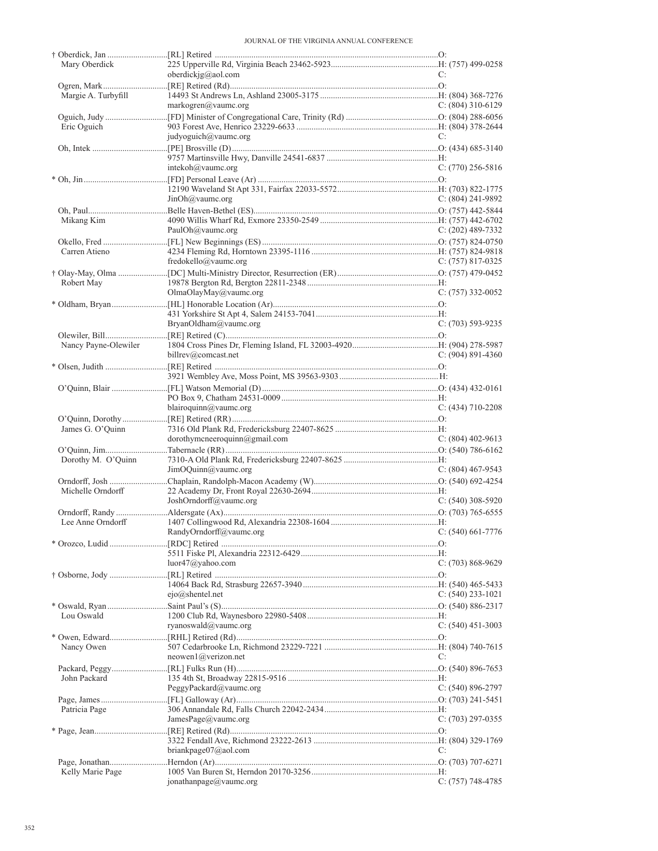| Mary Oberdick        |                                                |                       |
|----------------------|------------------------------------------------|-----------------------|
|                      | oberdickj $g(\partial_{\alpha}$ aol.com        | C:                    |
|                      |                                                |                       |
| Margie A. Turbyfill  |                                                |                       |
|                      | markogren@value.org                            | $C: (804)$ 310-6129   |
|                      |                                                |                       |
|                      |                                                |                       |
| Eric Oguich          |                                                |                       |
|                      | judyoguich@vaumc.org                           | C:                    |
|                      |                                                |                       |
|                      |                                                |                       |
|                      | intekoh@vaumc.org                              | $C: (770)$ 256-5816   |
|                      |                                                |                       |
|                      |                                                |                       |
|                      | JinOh@value.org                                | $C: (804) 241 - 9892$ |
|                      |                                                |                       |
|                      |                                                |                       |
| Mikang Kim           |                                                |                       |
|                      | PaulOh@vaumc.org                               | $C: (202)$ 489-7332   |
|                      |                                                |                       |
| Carren Atieno        |                                                |                       |
|                      | fredokello@vaumc.org                           | $C: (757) 817-0325$   |
|                      |                                                |                       |
| Robert May           |                                                |                       |
|                      | OlmaOlayMay@vaumc.org                          | $C: (757)$ 332-0052   |
|                      |                                                |                       |
|                      |                                                |                       |
|                      |                                                |                       |
|                      | BryanOldham@vaumc.org                          | $C: (703) 593-9235$   |
|                      |                                                |                       |
| Nancy Payne-Olewiler |                                                |                       |
|                      | billrev@comcast.net                            | $C: (904) 891-4360$   |
|                      |                                                |                       |
|                      |                                                |                       |
|                      |                                                |                       |
|                      |                                                |                       |
|                      |                                                |                       |
|                      | blairoquinn@vaumc.org                          | $C: (434)$ 710-2208   |
|                      |                                                |                       |
|                      |                                                |                       |
|                      |                                                |                       |
| James G. O'Quinn     |                                                |                       |
|                      | dorothymcneeroquinn@gmail.com                  | C: $(804)$ 402-9613   |
|                      |                                                |                       |
| Dorothy M. O'Quinn   |                                                |                       |
|                      | JimOQuinn@value.org                            | $C: (804)$ 467-9543   |
|                      |                                                |                       |
| Michelle Orndorff    |                                                |                       |
|                      |                                                |                       |
|                      | JoshOrndorff@vaumc.org                         | $C: (540)$ 308-5920   |
|                      |                                                |                       |
| Lee Anne Orndorff    |                                                |                       |
|                      | $C: (540) 661-7776$<br>RandyOrndorff@vaumc.org |                       |
|                      |                                                |                       |
|                      |                                                |                       |
|                      | luor $47$ @yahoo.com                           | $C: (703) 868-9629$   |
|                      |                                                |                       |
|                      |                                                |                       |
|                      |                                                |                       |
|                      | $ejo(a)$ shentel.net                           | $C: (540)$ 233-1021   |
|                      |                                                |                       |
| Lou Oswald           |                                                |                       |
|                      | ryanoswald@vaumc.org                           | $C: (540)$ 451-3003   |
|                      |                                                |                       |
|                      |                                                |                       |
| Nancy Owen           | $neowen1$ (a)verizon.net                       | C:                    |
|                      |                                                |                       |
|                      |                                                |                       |
| John Packard         |                                                |                       |
|                      | PeggyPackard@value.org                         | $C: (540) 896-2797$   |
|                      |                                                |                       |
| Patricia Page        |                                                |                       |
|                      | JamesPage@vaumc.org                            | $C: (703) 297 - 0355$ |
|                      |                                                |                       |
|                      |                                                |                       |
|                      |                                                | C:                    |
|                      | briankpage $07$ @aol.com                       |                       |
|                      |                                                |                       |
| Kelly Marie Page     | jonathanpage@vaumc.org                         | $C: (757)$ 748-4785   |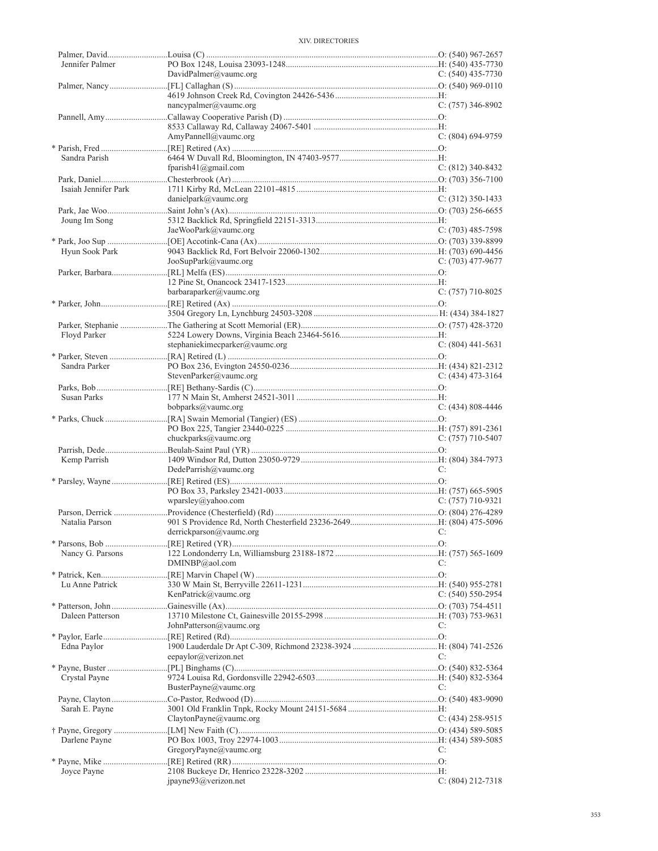| Jennifer Palmer      |                                |                       |
|----------------------|--------------------------------|-----------------------|
|                      | DavidPalmer@vaumc.org          | $C: (540)$ 435-7730   |
|                      |                                |                       |
|                      |                                |                       |
|                      | nancypalmer@vaumc.org          | $C: (757)$ 346-8902   |
|                      |                                |                       |
|                      | AmyPannell@vaumc.org           | C: (804) 694-9759     |
|                      |                                |                       |
| Sandra Parish        |                                |                       |
|                      | fparish41@gmail.com            | $C: (812)$ 340-8432   |
| Isaiah Jennifer Park |                                |                       |
|                      | danielpark@vaumc.org           | $C: (312)$ 350-1433   |
|                      |                                |                       |
| Joung Im Song        |                                |                       |
|                      | JaeWooPark@vaumc.org           | $C: (703)$ 485-7598   |
|                      |                                |                       |
| Hyun Sook Park       | JooSupPark@vaumc.org           | C: $(703)$ 477-9677   |
|                      |                                |                       |
|                      |                                |                       |
|                      | barbaraparker@vaumc.org        | $C: (757)$ 710-8025   |
|                      |                                |                       |
|                      |                                |                       |
|                      |                                |                       |
| Floyd Parker         | stephaniekimecparker@vaumc.org | $C: (804)$ 441-5631   |
|                      |                                |                       |
| Sandra Parker        |                                |                       |
|                      | StevenParker@vaumc.org         | $C: (434)$ 473-3164   |
|                      |                                |                       |
| Susan Parks          |                                |                       |
|                      | bobparks@vaumc.org             | $C: (434) 808 - 4446$ |
|                      |                                |                       |
|                      | chuckparks@vaumc.org           | $C: (757)$ 710-5407   |
|                      |                                |                       |
| Kemp Parrish         |                                |                       |
|                      | DedeParrish@vaumc.org          | C:                    |
|                      |                                |                       |
|                      | wparsley@yahoo.com             | $C: (757)$ 710-9321   |
|                      |                                |                       |
| Natalia Parson       |                                |                       |
|                      | derrickparson@vaumc.org        |                       |
|                      |                                |                       |
| Nancy G. Parsons     |                                |                       |
|                      | DMINBP@aol.com                 | C:                    |
| Lu Anne Patrick      |                                |                       |
|                      | KenPatrick@vaumc.org           | $C: (540) 550-2954$   |
|                      |                                |                       |
| Daleen Patterson     |                                |                       |
|                      | JohnPatterson@vaumc.org        | C:                    |
|                      |                                |                       |
| Edna Paylor          | eepaylor@verizon.net           | C:                    |
|                      |                                |                       |
| Crystal Payne        |                                |                       |
|                      | BusterPayne@vaumc.org          | C:                    |
|                      |                                |                       |
| Sarah E. Payne       |                                |                       |
|                      | ClaytonPayne@vaumc.org         | $C: (434)$ 258-9515   |
| Darlene Payne        |                                |                       |
|                      | GregoryPayne@vaumc.org         | C:                    |
|                      |                                |                       |
| Joyce Payne          |                                |                       |
|                      | jpayne93@verizon.net           | C: (804) 212-7318     |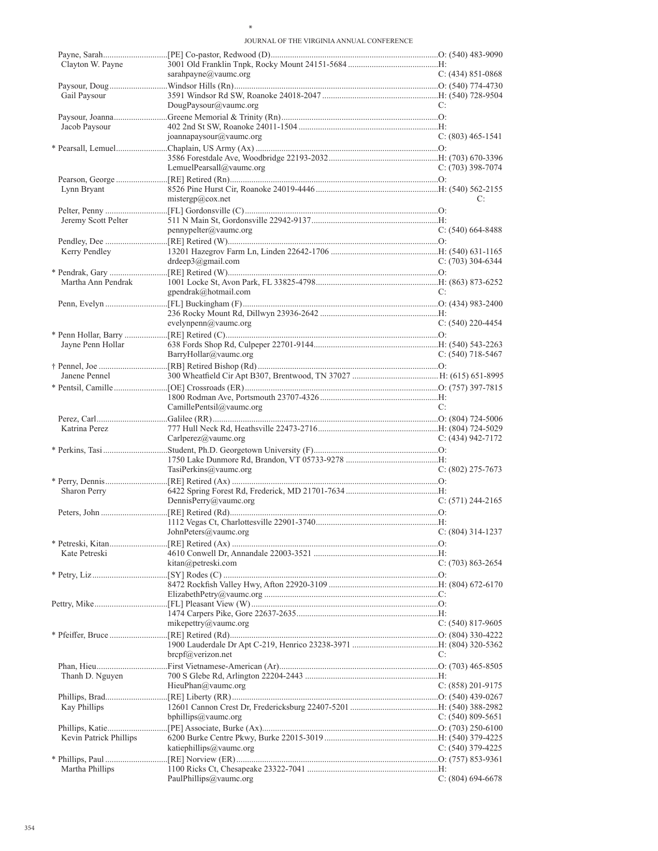\*

| Clayton W. Payne       |                                        |                       |
|------------------------|----------------------------------------|-----------------------|
|                        | sarahpayne@vaumc.org                   | $C: (434) 851 - 0868$ |
|                        |                                        |                       |
| Gail Paysour           |                                        |                       |
|                        | DougPaysour@vaumc.org                  | C:                    |
|                        |                                        |                       |
| Jacob Paysour          |                                        |                       |
|                        | joannapaysour@vaumc.org                | $C: (803)$ 465-1541   |
|                        |                                        |                       |
|                        |                                        |                       |
|                        | LemuelPearsall@vaumc.org               | $C: (703)$ 398-7074   |
|                        |                                        |                       |
| Lynn Bryant            |                                        |                       |
|                        | mistergp@cov.net                       | C:                    |
|                        |                                        |                       |
|                        |                                        |                       |
| Jeremy Scott Pelter    |                                        |                       |
|                        | pennypelter@value.org                  | $C: (540) 664-8488$   |
|                        |                                        |                       |
| Kerry Pendley          |                                        |                       |
|                        | drdeep3@gmail.com                      | C: $(703)$ 304-6344   |
|                        |                                        |                       |
| Martha Ann Pendrak     |                                        |                       |
|                        | gpendrak@hotmail.com                   | C:                    |
|                        |                                        |                       |
|                        |                                        |                       |
|                        | evelynpenn@vaumc.org                   | $C: (540)$ 220-4454   |
|                        |                                        |                       |
| Jayne Penn Hollar      |                                        |                       |
|                        | BarryHollar@vaumc.org                  | C: (540) 718-5467     |
|                        |                                        |                       |
|                        |                                        |                       |
| Janene Pennel          |                                        |                       |
|                        |                                        |                       |
|                        |                                        |                       |
|                        | CamillePentsil@vaumc.org               | C:                    |
|                        |                                        |                       |
| Katrina Perez          |                                        |                       |
|                        | Carlperez@vaumc.org                    | $C: (434) 942 - 7172$ |
|                        |                                        |                       |
|                        |                                        |                       |
|                        |                                        |                       |
|                        |                                        |                       |
|                        | TasiPerkins@value.org                  | $C: (802)$ 275-7673   |
|                        |                                        |                       |
| Sharon Perry           |                                        |                       |
|                        | DennisPerry@vaumc.org                  | $C: (571)$ 244-2165   |
|                        |                                        |                       |
|                        |                                        |                       |
|                        | JohnPeters@vaumc.org C: (804) 314-1237 |                       |
|                        |                                        |                       |
| Kate Petreski          |                                        |                       |
|                        | kitan@petreski.com                     | C: $(703)$ 863-2654   |
|                        |                                        |                       |
|                        |                                        |                       |
|                        |                                        |                       |
|                        |                                        |                       |
|                        |                                        |                       |
|                        | mikepettry@vaumc.org                   | C: $(540)$ 817-9605   |
|                        |                                        |                       |
|                        |                                        |                       |
|                        | $brepf(\omega)$ verizon.net            | C:                    |
|                        |                                        |                       |
|                        |                                        |                       |
| Thanh D. Nguyen        |                                        |                       |
|                        | HieuPhan@vaumc.org                     | $C: (858) 201-9175$   |
|                        |                                        |                       |
| Kay Phillips           |                                        |                       |
|                        | bphillips@vaumc.org                    | C: $(540)$ 809-5651   |
|                        |                                        |                       |
| Kevin Patrick Phillips |                                        |                       |
|                        | katiephillips@vaumc.org                | C: $(540)$ 379-4225   |
|                        |                                        |                       |
| Martha Phillips        | PaulPhillips@vaumc.org                 | $C: (804) 694-6678$   |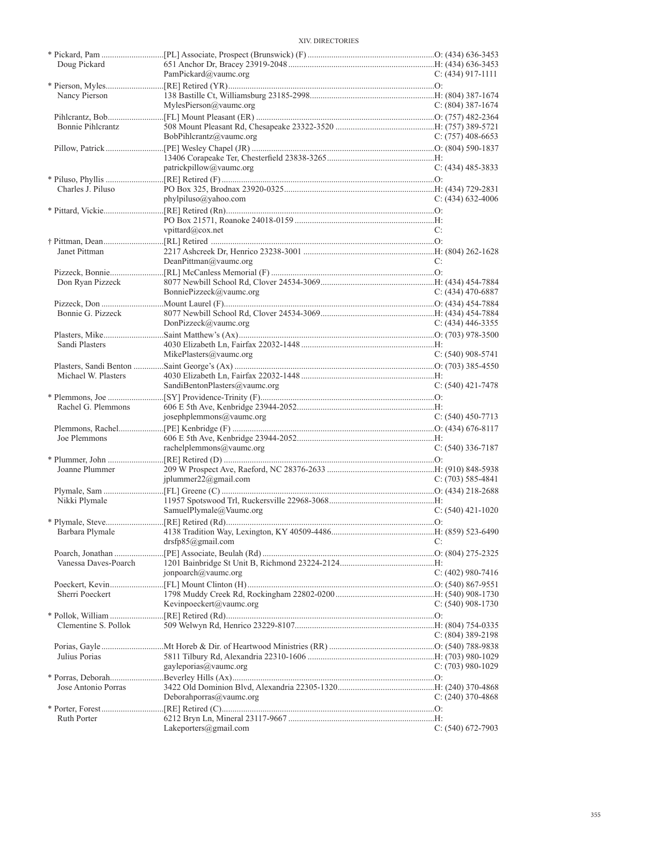| Doug Pickard         |                               |                     |
|----------------------|-------------------------------|---------------------|
|                      | PamPickard@vaumc.org          | $C: (434)$ 917-1111 |
|                      |                               |                     |
| Nancy Pierson        |                               |                     |
|                      | MylesPierson@vaumc.org        | $C: (804)$ 387-1674 |
|                      |                               |                     |
| Bonnie Pihlcrantz    |                               |                     |
|                      | BobPihlcrantz@vaumc.org       | C: $(757)$ 408-6653 |
|                      |                               |                     |
|                      |                               |                     |
|                      | patrickpillow@vaumc.org       | $C: (434)$ 485-3833 |
|                      |                               |                     |
| Charles J. Piluso    |                               |                     |
|                      | phylpiluso@yahoo.com          | $C: (434)$ 632-4006 |
|                      |                               |                     |
|                      |                               |                     |
|                      | vpittard@cox.net              | C:                  |
|                      |                               |                     |
|                      |                               |                     |
| Janet Pittman        |                               |                     |
|                      | DeanPittman@vaumc.org         | C:                  |
|                      |                               |                     |
| Don Ryan Pizzeck     |                               |                     |
|                      | BonniePizzeck@vaumc.org       | $C: (434)$ 470-6887 |
|                      |                               |                     |
| Bonnie G. Pizzeck    |                               |                     |
|                      | DonPizzeck@vaumc.org          | C: $(434)$ 446-3355 |
|                      |                               |                     |
| Sandi Plasters       |                               |                     |
|                      | MikePlasters@vaumc.org        | $C: (540)$ 908-5741 |
|                      |                               |                     |
| Michael W. Plasters  |                               |                     |
|                      | SandiBentonPlasters@vaumc.org | $C: (540)$ 421-7478 |
|                      |                               |                     |
| Rachel G. Plemmons   |                               |                     |
|                      | josephplemmons@vaumc.org      | $C: (540)$ 450-7713 |
|                      |                               |                     |
| Joe Plemmons         |                               |                     |
|                      | rachelplemmons@vaumc.org      | $C: (540)$ 336-7187 |
|                      |                               |                     |
| Joanne Plummer       |                               |                     |
|                      | jplummer22@gmail.com          | $C: (703) 585-4841$ |
|                      |                               |                     |
| Nikki Plymale        |                               |                     |
|                      | SamuelPlymale@Vaumc.org       | $C: (540)$ 421-1020 |
|                      |                               |                     |
|                      |                               |                     |
| Barbara Plymale      | drsfp85@gmail.com             | C:                  |
|                      |                               |                     |
|                      |                               |                     |
| Vanessa Daves-Poarch |                               |                     |
|                      | jonpoarch@vaumc.org           | C: $(402)$ 980-7416 |
|                      |                               |                     |
| Sherri Poeckert      |                               |                     |
|                      | Kevinpoeckert@vaumc.org       | $C: (540)$ 908-1730 |
|                      |                               |                     |
| Clementine S. Pollok |                               |                     |
|                      |                               | $C: (804)$ 389-2198 |
|                      |                               |                     |
| Julius Porias        |                               |                     |
|                      | gayleporias@vaumc.org         | $C: (703)$ 980-1029 |
|                      |                               |                     |
| Jose Antonio Porras  |                               |                     |
|                      | Deborahporras@vaumc.org       | $C: (240)$ 370-4868 |
|                      |                               |                     |
| <b>Ruth Porter</b>   |                               |                     |
|                      | Lakeporters@gmail.com         | $C: (540) 672-7903$ |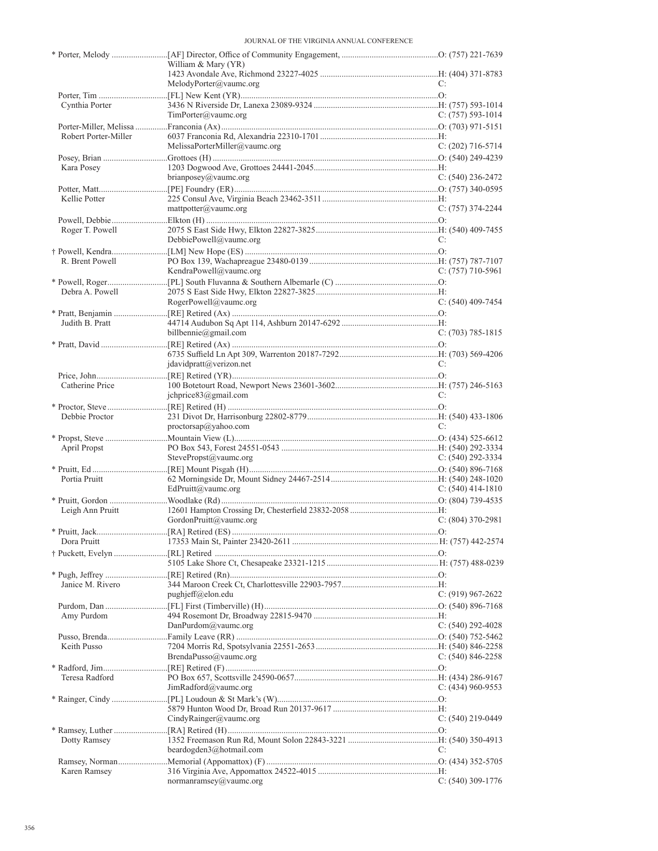|                      | William & Mary (YR)                      |                       |
|----------------------|------------------------------------------|-----------------------|
|                      |                                          |                       |
|                      | MelodyPorter@vaumc.org                   | C:                    |
| Cynthia Porter       |                                          |                       |
|                      | TimPorter@vaumc.org                      | $C: (757) 593-1014$   |
|                      |                                          |                       |
| Robert Porter-Miller |                                          |                       |
|                      | MelissaPorterMiller@vaumc.org            | C: $(202)$ 716-5714   |
|                      |                                          |                       |
| Kara Posey           |                                          |                       |
|                      | brianposey@vaumc.org                     | $C: (540)$ 236-2472   |
|                      |                                          |                       |
| Kellie Potter        |                                          |                       |
|                      | matpotter@value.org                      | $C: (757)$ 374-2244   |
|                      |                                          |                       |
| Roger T. Powell      |                                          |                       |
|                      | DebbiePowell@vaumc.org                   | C:                    |
|                      |                                          |                       |
| R. Brent Powell      |                                          |                       |
|                      | KendraPowell@vaumc.org                   | $C: (757)$ 710-5961   |
|                      |                                          |                       |
| Debra A. Powell      |                                          |                       |
|                      | RogerPowell@value.org                    | C: (540) 409-7454     |
|                      |                                          |                       |
| Judith B. Pratt      |                                          |                       |
|                      | billbennie@gmail.com                     | $C: (703) 785 - 1815$ |
|                      |                                          |                       |
|                      |                                          |                       |
|                      | $\text{davidpratt}(a\text{version.net})$ | C:                    |
|                      |                                          |                       |
| Catherine Price      |                                          |                       |
|                      | jchprice83@gmail.com                     | C:                    |
|                      |                                          |                       |
| Debbie Proctor       |                                          |                       |
|                      | proctorsap@yahoo.com                     | C:                    |
|                      |                                          |                       |
| April Propst         |                                          |                       |
|                      | StevePropst@vaumc.org                    | $C: (540) 292 - 3334$ |
|                      |                                          |                       |
| Portia Pruitt        |                                          |                       |
|                      | EdPruitt@vaumc.org                       | C: $(540)$ 414-1810   |
|                      |                                          |                       |
| Leigh Ann Pruitt     |                                          | $C: (804)$ 370-2981   |
|                      | GordonPruitt@vaumc.org                   |                       |
|                      |                                          |                       |
| Dora Pruitt          |                                          |                       |
|                      |                                          |                       |
|                      |                                          |                       |
|                      |                                          |                       |
| Janice M. Rivero     |                                          |                       |
|                      | $pughjeff(a)$ elon.edu                   | C: $(919)$ 967-2622   |
|                      |                                          |                       |
| Amy Purdom           |                                          |                       |
|                      | DanPurdom@vaumc.org                      | C: $(540)$ 292-4028   |
| Keith Pusso          |                                          |                       |
|                      | BrendaPusso@vaumc.org                    | C: $(540)$ 846-2258   |
|                      |                                          |                       |
| Teresa Radford       |                                          |                       |
|                      | JimRadford@vaumc.org                     | C: $(434)$ 960-9553   |
|                      |                                          |                       |
|                      |                                          |                       |
|                      | CindyRainger@vaumc.org                   | $C: (540)$ 219-0449   |
|                      |                                          |                       |
| Dotty Ramsey         |                                          |                       |
|                      | beardogden3@hotmail.com                  | C:                    |
|                      |                                          |                       |
| Karen Ramsey         |                                          |                       |
|                      | normanramsey@vaumc.org                   | $C: (540)$ 309-1776   |
|                      |                                          |                       |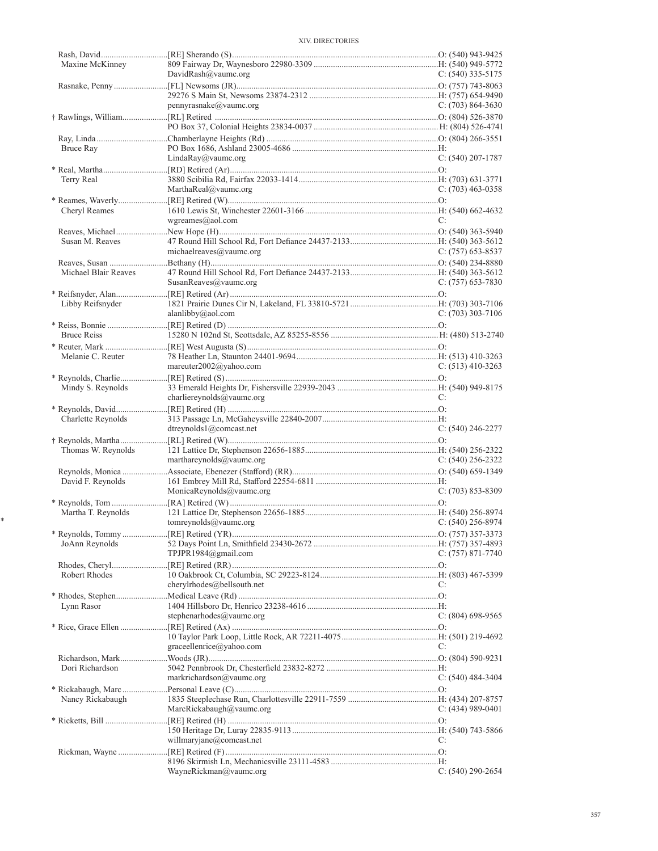| Maxine McKinney      |                             |                       |
|----------------------|-----------------------------|-----------------------|
|                      | DavidRash@vaumc.org         | C: $(540)$ 335-5175   |
|                      |                             |                       |
|                      |                             |                       |
|                      | pennyrasnake@vaumc.org      | C: $(703)$ 864-3630   |
|                      |                             |                       |
|                      |                             |                       |
|                      |                             |                       |
| Bruce Ray            |                             |                       |
|                      | LindaRay@vaumc.org          | $C: (540) 207 - 1787$ |
|                      |                             |                       |
| Terry Real           |                             |                       |
|                      | MarthaReal@vaumc.org        | $C: (703)$ 463-0358   |
|                      |                             |                       |
| Cheryl Reames        | wgreames@aol.com            | C:                    |
|                      |                             |                       |
| Susan M. Reaves      |                             |                       |
|                      | michaelreaves $@$ vaumc.org | $C: (757)$ 653-8537   |
|                      |                             |                       |
| Michael Blair Reaves |                             |                       |
|                      | SusanReaves@vaumc.org       | $C: (757)$ 653-7830   |
|                      |                             |                       |
| Libby Reifsnyder     |                             |                       |
|                      | alanlibby@aol.com           | $C: (703)$ 303-7106   |
|                      |                             |                       |
| <b>Bruce Reiss</b>   |                             |                       |
|                      |                             |                       |
| Melanie C. Reuter    |                             |                       |
|                      | mareuter2002@yahoo.com      | C: $(513)$ 410-3263   |
|                      |                             |                       |
| Mindy S. Reynolds    |                             |                       |
|                      | charliereynolds@vaumc.org   | C:                    |
|                      |                             |                       |
| Charlette Reynolds   |                             |                       |
|                      | dtreynolds $1$ @comcast.net | $C: (540)$ 246-2277   |
|                      |                             |                       |
| Thomas W. Reynolds   |                             |                       |
|                      | marthareynolds@vaumc.org    | $C: (540) 256 - 2322$ |
|                      |                             |                       |
| David F. Reynolds    |                             |                       |
|                      | MonicaReynolds@vaumc.org    | $C: (703) 853 - 8309$ |
|                      |                             |                       |
| Martha T. Reynolds   |                             |                       |
|                      | tomreynolds@vaumc.org       | $C: (540)$ 256-8974   |
|                      |                             |                       |
| JoAnn Reynolds       |                             |                       |
|                      | TPJPR1984@gmail.com         | $C: (757) 871 - 7740$ |
|                      |                             |                       |
| Robert Rhodes        |                             |                       |
|                      | cherylrhodes@bellsouth.net  | C:                    |
|                      |                             |                       |
| Lynn Rasor           |                             |                       |
|                      | stephenarhodes@vaumc.org    | $C: (804)$ 698-9565   |
|                      |                             |                       |
|                      |                             | C:                    |
|                      | graceellenrice@yahoo.com    |                       |
|                      |                             |                       |
| Dori Richardson      | markrichardson@vaumc.org    | $C: (540)$ 484-3404   |
|                      |                             |                       |
| Nancy Rickabaugh     |                             |                       |
|                      | MarcRickabaugh@vaumc.org    | C: $(434)$ 989-0401   |
|                      |                             |                       |
|                      |                             |                       |
|                      | willmaryjane@comcast.net    | C:                    |
|                      |                             |                       |
|                      |                             |                       |
|                      | WayneRickman@vaumc.org      | $C: (540) 290 - 2654$ |
|                      |                             |                       |

\*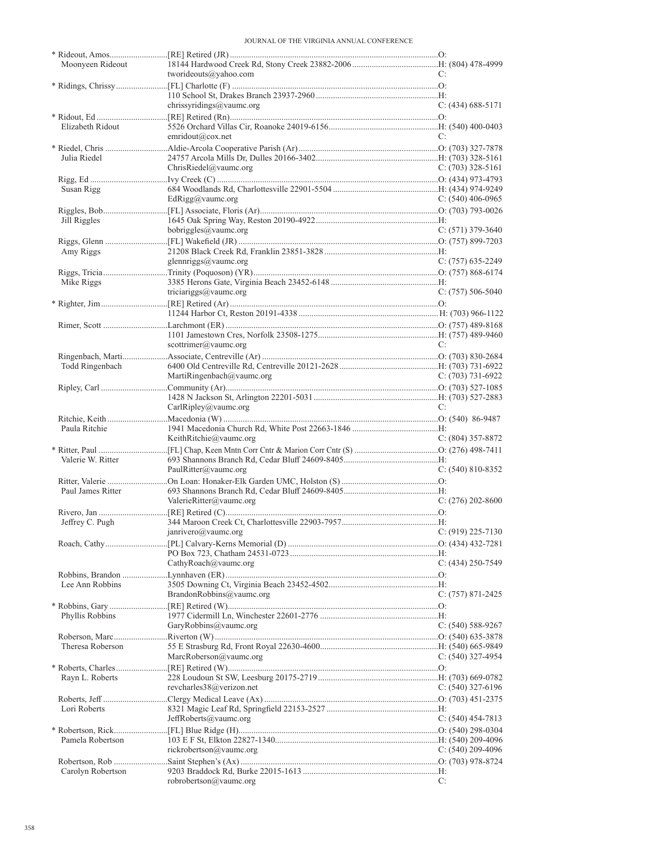| Moonyeen Rideout  |                                         |                       |
|-------------------|-----------------------------------------|-----------------------|
|                   | tworideouts@yahoo.com                   | C:                    |
|                   |                                         |                       |
|                   |                                         |                       |
|                   | chrissyridings@vaumc.org                | $C: (434) 688 - 5171$ |
|                   |                                         |                       |
| Elizabeth Ridout  |                                         |                       |
|                   | emridout@cov.net                        | C:                    |
|                   |                                         |                       |
|                   |                                         |                       |
| Julia Riedel      |                                         |                       |
|                   | ChrisRiedel@vaumc.org                   | C: $(703)$ 328-5161   |
|                   |                                         |                       |
| Susan Rigg        |                                         |                       |
|                   | EdRigg@vaumc.org                        | $C: (540)$ 406-0965   |
|                   |                                         |                       |
| Jill Riggles      |                                         |                       |
|                   | bobriggles@vaumc.org                    | $C: (571)$ 379-3640   |
|                   |                                         |                       |
|                   |                                         |                       |
| Amy Riggs         |                                         |                       |
|                   | glennriggs@vaumc.org                    | $C: (757)$ 635-2249   |
|                   |                                         |                       |
| Mike Riggs        |                                         |                       |
|                   | triciariggs@vaumc.org                   | $C: (757) 506 - 5040$ |
|                   |                                         |                       |
|                   |                                         |                       |
|                   |                                         |                       |
|                   |                                         |                       |
|                   |                                         |                       |
|                   | scottrimer@vaumc.org                    | C:                    |
|                   |                                         |                       |
| Todd Ringenbach   |                                         |                       |
|                   | MartiRingenbach@vaumc.org               | $C: (703) 731-6922$   |
|                   |                                         |                       |
|                   |                                         |                       |
|                   | CarlRipley@vaumc.org                    | C:                    |
|                   |                                         |                       |
|                   |                                         |                       |
| Paula Ritchie     |                                         |                       |
|                   | KeithRitchie@vaumc.org                  | $C: (804)$ 357-8872   |
|                   |                                         |                       |
| Valerie W. Ritter |                                         |                       |
|                   | PaulRitter@vaumc.org                    | $C: (540) 810 - 8352$ |
|                   |                                         |                       |
| Paul James Ritter |                                         |                       |
|                   | ValerieRitter@vaumc.org                 | $C: (276) 202 - 8600$ |
|                   |                                         |                       |
| Jeffrey C. Pugh   |                                         |                       |
|                   | janrivero@vaumc.org $C: (919) 225-7130$ |                       |
|                   |                                         |                       |
|                   |                                         |                       |
|                   |                                         |                       |
|                   | CathyRoach@vaumc.org                    | C: (434) 250-7549     |
|                   |                                         |                       |
| Lee Ann Robbins   |                                         |                       |
|                   | BrandonRobbins@vaumc.org                | C: (757) 871-2425     |
|                   |                                         |                       |
| Phyllis Robbins   |                                         |                       |
|                   | GaryRobbins@vaumc.org                   | $C: (540) 588-9267$   |
|                   |                                         |                       |
|                   |                                         |                       |
| Theresa Roberson  |                                         |                       |
|                   | MarcRoberson@vaumc.org                  | C: $(540)$ 327-4954   |
|                   |                                         |                       |
| Rayn L. Roberts   |                                         |                       |
|                   | revcharles38@verizon.net                | C: $(540)$ 327-6196   |
|                   |                                         |                       |
| Lori Roberts      |                                         |                       |
|                   |                                         |                       |
|                   |                                         |                       |
|                   | JeffRoberts@vaumc.org                   | C: $(540)$ 454-7813   |
|                   |                                         |                       |
| Pamela Robertson  |                                         |                       |
|                   | rickrobertson@vaumc.org                 | C: $(540)$ 209-4096   |
|                   |                                         |                       |
| Carolyn Robertson |                                         |                       |
|                   | robrobertson@vaumc.org                  | C:                    |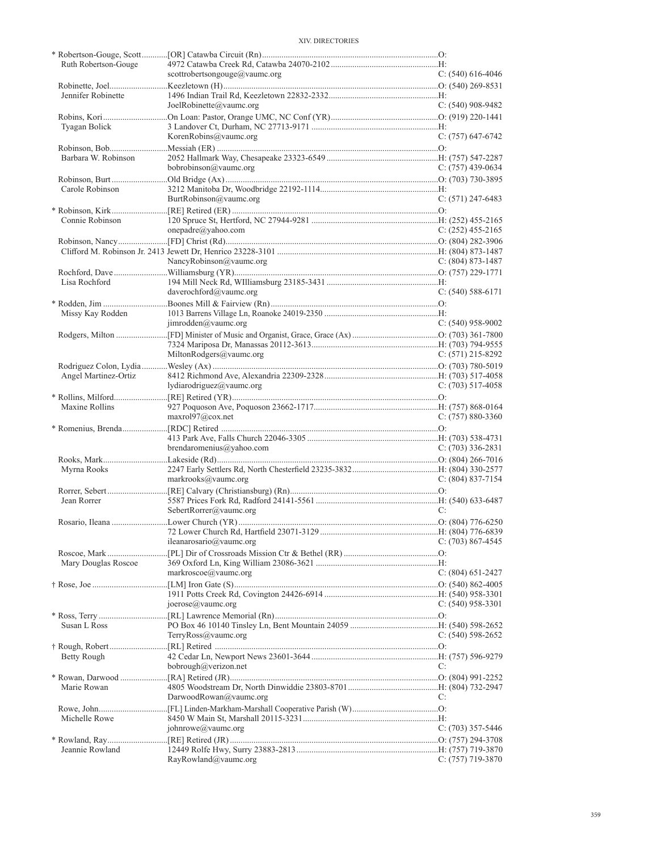| Ruth Robertson-Gouge |                               |                       |
|----------------------|-------------------------------|-----------------------|
|                      | scottrobertsongouge@vaumc.org | C: $(540)$ 616-4046   |
|                      |                               |                       |
| Jennifer Robinette   |                               |                       |
|                      |                               |                       |
|                      | JoelRobinette@vaumc.org       | $C: (540)$ 908-9482   |
|                      |                               |                       |
| Tyagan Bolick        |                               |                       |
|                      | KorenRobins@vaumc.org         | $C: (757)$ 647-6742   |
|                      |                               |                       |
|                      |                               |                       |
| Barbara W. Robinson  |                               |                       |
|                      | bobrobinson@vaumc.org         | $C: (757)$ 439-0634   |
|                      |                               |                       |
| Carole Robinson      |                               |                       |
|                      | BurtRobinson@vaumc.org        | $C: (571)$ 247-6483   |
|                      |                               |                       |
|                      |                               |                       |
| Connie Robinson      |                               |                       |
|                      | onepadre@yahoo.com            | $C: (252)$ 455-2165   |
|                      |                               |                       |
|                      |                               |                       |
|                      | NancyRobinson@vaumc.org       | $C: (804) 873 - 1487$ |
|                      |                               |                       |
|                      |                               |                       |
| Lisa Rochford        |                               |                       |
|                      | daverochford@vaumc.org        | $C: (540) 588-6171$   |
|                      |                               |                       |
|                      |                               |                       |
| Missy Kay Rodden     |                               |                       |
|                      | $\lim{rodden@value}$ .org     | $C: (540)$ 958-9002   |
|                      |                               |                       |
|                      |                               |                       |
|                      | MiltonRodgers@vaumc.org       | $C: (571)$ 215-8292   |
|                      |                               |                       |
|                      |                               |                       |
| Angel Martinez-Ortiz |                               |                       |
|                      | lydiarodriguez@vaumc.org      | $C: (703) 517-4058$   |
|                      |                               |                       |
|                      |                               |                       |
|                      |                               |                       |
| Maxine Rollins       |                               |                       |
|                      | maxrol97@cov.net              | $C: (757) 880-3360$   |
|                      |                               |                       |
|                      |                               |                       |
|                      | brendaromenius@yahoo.com      | $C: (703)$ 336-2831   |
|                      |                               |                       |
|                      |                               |                       |
| Myrna Rooks          |                               |                       |
|                      | markrooks@vaumc.org           | $C: (804) 837-7154$   |
|                      |                               |                       |
| Jean Rorrer          |                               |                       |
|                      |                               | C:                    |
|                      | SebertRorrer@vaumc.org        |                       |
|                      |                               |                       |
|                      |                               |                       |
|                      | ileanarosario@vaumc.org       | C: $(703)$ 867-4545   |
|                      |                               |                       |
|                      |                               |                       |
| Mary Douglas Roscoe  |                               |                       |
|                      | markroscoe@vaumc.org          | C: (804) 651-2427     |
|                      |                               |                       |
|                      |                               |                       |
|                      | joerose@value.org             | $C: (540)$ 958-3301   |
|                      |                               |                       |
|                      |                               |                       |
| Susan L Ross         |                               |                       |
|                      | TerryRoss@vaumc.org           | $C: (540)$ 598-2652   |
|                      |                               |                       |
| Betty Rough          |                               |                       |
|                      | bobrough@verizon.net          | C:                    |
|                      |                               |                       |
|                      |                               |                       |
| Marie Rowan          |                               |                       |
|                      | DarwoodRowan@vaumc.org        | C:                    |
|                      |                               |                       |
| Michelle Rowe        |                               |                       |
|                      | johnrowe@vaumc.org            | $C: (703)$ 357-5446   |
|                      |                               |                       |
|                      |                               |                       |
| Jeannie Rowland      | RayRowland@vaumc.org          | $C: (757)$ 719-3870   |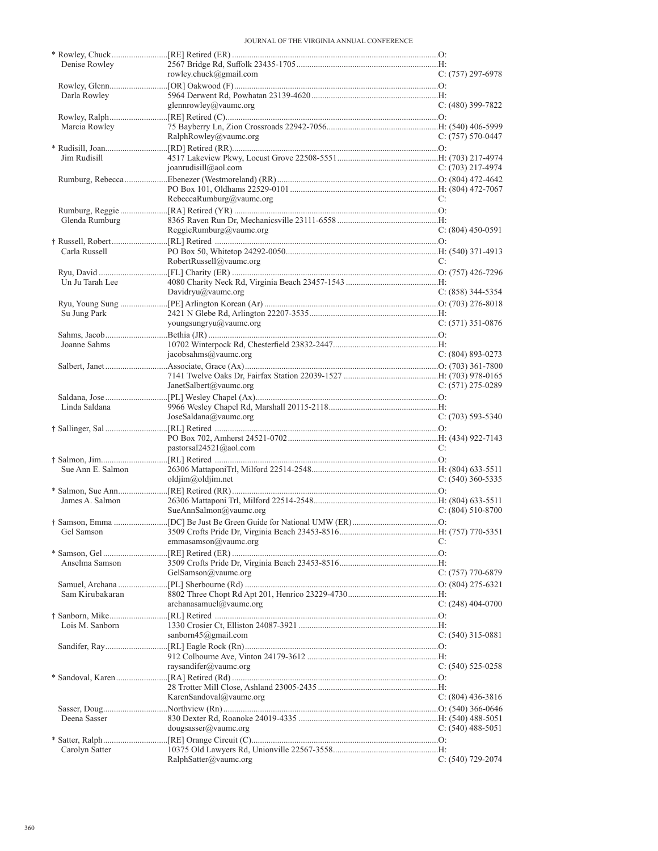| Denise Rowley     |                            |                       |
|-------------------|----------------------------|-----------------------|
|                   | rowley.chuck@gmail.com     | $C: (757) 297-6978$   |
| Darla Rowley      |                            |                       |
|                   | glennrowley@vaumc.org      | $C: (480)$ 399-7822   |
|                   |                            |                       |
| Marcia Rowley     |                            |                       |
|                   | RalphRowley@value.org      | C: (757) 570-0447     |
|                   |                            |                       |
| Jim Rudisill      |                            |                       |
|                   | joanrudisill@aol.com       | $C: (703)$ 217-4974   |
|                   |                            |                       |
|                   | RebeccaRumburg@vaumc.org   | C:                    |
|                   |                            |                       |
| Glenda Rumburg    |                            |                       |
|                   | ReggieRumburg@vaumc.org    | $C: (804)$ 450-0591   |
|                   |                            |                       |
| Carla Russell     |                            |                       |
|                   | RobertRussell@vaumc.org    | C:                    |
|                   |                            |                       |
| Un Ju Tarah Lee   |                            |                       |
|                   | Davidryu@vaumc.org         | $C: (858)$ 344-5354   |
| Su Jung Park      |                            |                       |
|                   | youngsungryu@vaumc.org     | C: $(571)$ 351-0876   |
|                   |                            |                       |
| Joanne Sahms      |                            |                       |
|                   | jacobsahms@vaumc.org       | $C: (804) 893 - 0273$ |
|                   |                            |                       |
|                   |                            |                       |
|                   | JanetSalbert@vaumc.org     | $C: (571)$ 275-0289   |
|                   |                            |                       |
| Linda Saldana     | JoseSaldana@value.org      | $C: (703)$ 593-5340   |
|                   |                            |                       |
|                   |                            |                       |
|                   | pastorsal $24521$ @aol.com | C:                    |
|                   |                            |                       |
| Sue Ann E. Salmon |                            |                       |
|                   | oldjim@oldjim.net          | $C: (540)$ 360-5335   |
|                   |                            |                       |
| James A. Salmon   | SueAnnSalmon@vaumc.org     | C: $(804)$ 510-8700   |
|                   |                            |                       |
| Gel Samson        |                            |                       |
|                   | emmasamson@vaumc.org       | C:                    |
|                   |                            |                       |
| Anselma Samson    |                            |                       |
|                   | GelSamson@vaumc.org        | $C: (757)$ 770-6879   |
|                   |                            |                       |
| Sam Kirubakaran   |                            |                       |
|                   | archanasamuel@value.       | C: $(248)$ 404-0700   |
| Lois M. Sanborn   |                            |                       |
|                   | sanborn45@gmail.com        | $C: (540)$ 315-0881   |
|                   |                            |                       |
|                   |                            |                       |
|                   | raysandifer@vaumc.org      | $C: (540)$ 525-0258   |
|                   |                            |                       |
|                   |                            |                       |
|                   | KarenSandoval@vaumc.org    | C: $(804)$ 436-3816   |
|                   |                            |                       |
| Deena Sasser      |                            |                       |
|                   | dougsasser@vaumc.org       | $C: (540)$ 488-5051   |
| Carolyn Satter    |                            |                       |
|                   | RalphSatter@vaumc.org      | $C: (540)$ 729-2074   |
|                   |                            |                       |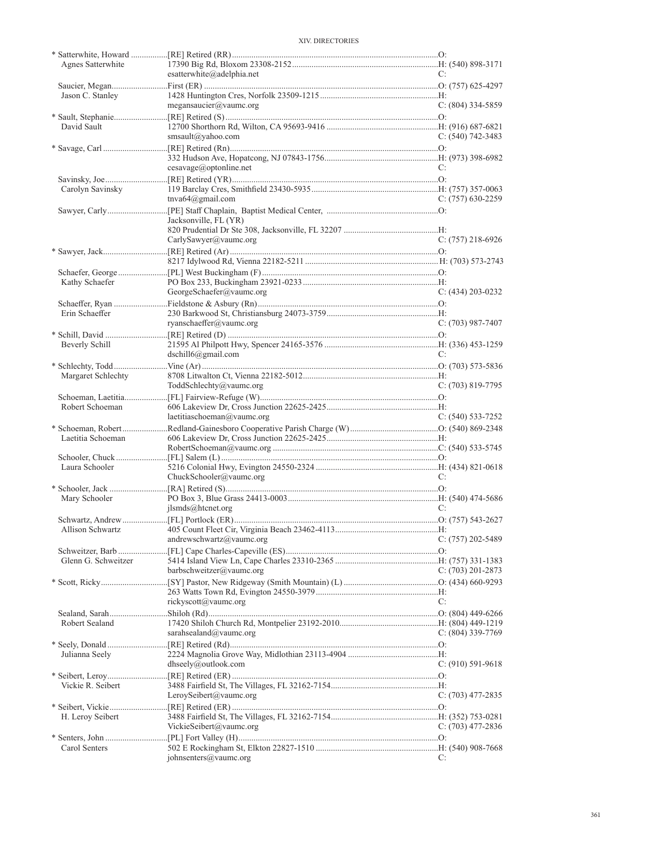| Agnes Satterwhite   |                             |                       |
|---------------------|-----------------------------|-----------------------|
|                     | esatterwhite@adelphia.net   | C:                    |
| Jason C. Stanley    |                             |                       |
|                     | megansaucier@vaumc.org      | $C: (804)$ 334-5859   |
| David Sault         |                             |                       |
|                     | smsault@yahoo.com           | C: $(540)$ 742-3483   |
|                     |                             |                       |
|                     | cesavage@optionline.net     | C:                    |
|                     |                             |                       |
| Carolyn Savinsky    | tnva $64$ @gmail.com        | $C: (757)$ 630-2259   |
|                     | Jacksonville, FL (YR)       |                       |
|                     |                             |                       |
|                     | CarlySawyer@vaumc.org       | $C: (757)$ 218-6926   |
|                     |                             |                       |
|                     |                             |                       |
| Kathy Schaefer      |                             |                       |
|                     | GeorgeSchaefer@vaumc.org    | $C: (434) 203 - 0232$ |
|                     |                             |                       |
| Erin Schaeffer      |                             |                       |
|                     | ryanschaeffer@vaumc.org     | $C: (703)$ 987-7407   |
|                     |                             |                       |
| Beverly Schill      |                             |                       |
|                     | $dschild(\omega)$ gmail.com | C:                    |
|                     |                             |                       |
| Margaret Schlechty  | ToddSchlechty@vaumc.org     | $C: (703) 819-7795$   |
|                     |                             |                       |
| Robert Schoeman     |                             |                       |
|                     | laetitiaschoeman@vaumc.org  | $C: (540) 533-7252$   |
|                     |                             |                       |
| Laetitia Schoeman   |                             |                       |
|                     |                             |                       |
|                     |                             |                       |
| Laura Schooler      |                             |                       |
|                     | ChuckSchooler@vaumc.org     |                       |
| Mary Schooler       |                             |                       |
|                     | ilsmds@htenet.org           | C:                    |
|                     |                             |                       |
|                     |                             |                       |
|                     | andrewschwartz@vaumc.org    | $C: (757) 202 - 5489$ |
|                     |                             |                       |
| Glenn G. Schweitzer |                             |                       |
|                     | barbschweitzer@vaumc.org    | C: (703) 201-2873     |
|                     |                             |                       |
|                     | rickyscott@vaumc.org        | C:                    |
|                     |                             |                       |
| Robert Sealand      |                             |                       |
|                     | sarahsealand@vaumc.org      | C: $(804)$ 339-7769   |
|                     |                             |                       |
| Julianna Seely      |                             |                       |
|                     | dhseely@outlook.com         | $C: (910) 591-9618$   |
|                     |                             |                       |
| Vickie R. Seibert   |                             |                       |
|                     | LeroySeibert@vaumc.org      | C: (703) 477-2835     |
|                     |                             |                       |
| H. Leroy Seibert    | VickieSeibert@vaumc.org     |                       |
|                     |                             | C: $(703)$ 477-2836   |
| Carol Senters       |                             |                       |
|                     | johnsenters@vaumc.org       | C:                    |
|                     |                             |                       |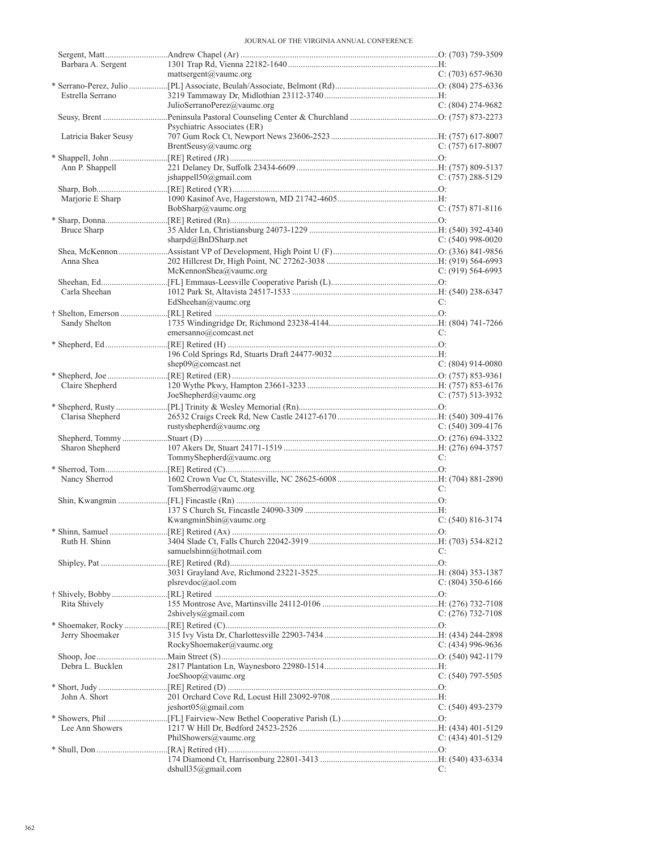| Barbara A. Sergent   |                                 |                       |
|----------------------|---------------------------------|-----------------------|
|                      | mattsergent@vaumc.org           | $C: (703) 657-9630$   |
|                      |                                 |                       |
| Estrella Serrano     |                                 |                       |
|                      | JulioSerranoPerez@vaumc.org     | $C: (804) 274-9682$   |
|                      |                                 |                       |
|                      | Psychiatric Associates (ER)     |                       |
| Latricia Baker Seusy |                                 |                       |
|                      | BrentSeusy@vaumc.org            | C: $(757)$ 617-8007   |
|                      |                                 |                       |
| Ann P. Shappell      |                                 |                       |
|                      | jshappell50@gmail.com           | $C: (757) 288 - 5129$ |
|                      |                                 |                       |
|                      |                                 |                       |
| Marjorie E Sharp     |                                 |                       |
|                      | BobSharp@vaumc.org              | $C: (757) 871-8116$   |
|                      |                                 |                       |
| Bruce Sharp          |                                 |                       |
|                      | sharpd@BnDSharp.net             | C: $(540)$ 998-0020   |
|                      |                                 |                       |
| Anna Shea            |                                 |                       |
|                      | McKennonShea@vaumc.org          | $C: (919) 564-6993$   |
|                      |                                 |                       |
| Carla Sheehan        |                                 |                       |
|                      | EdSheehan@vaumc.org             | C:                    |
|                      |                                 |                       |
|                      |                                 |                       |
| Sandy Shelton        |                                 |                       |
|                      | emersanno@comcast.net           | C:                    |
|                      |                                 |                       |
|                      |                                 |                       |
|                      | shep $09@$ comcast.net          | C: $(804)$ 914-0080   |
|                      |                                 |                       |
| Claire Shepherd      |                                 |                       |
|                      | JoeShepherd@value.org           | C: $(757)$ 513-3932   |
|                      |                                 |                       |
| Clarisa Shepherd     |                                 |                       |
|                      | rustyshepherd@vaumc.org         | C: $(540)$ 309-4176   |
|                      |                                 |                       |
|                      |                                 |                       |
| Sharon Shepherd      |                                 |                       |
|                      | TommyShepherd@vaumc.org         | C:                    |
|                      |                                 |                       |
| Nancy Sherrod        |                                 |                       |
|                      | TomSherrod@vaumc.org            |                       |
|                      |                                 | C:                    |
|                      |                                 |                       |
|                      |                                 |                       |
|                      | KwangminShin@vaumc.org          | $C: (540) 816 - 3174$ |
|                      |                                 |                       |
|                      |                                 |                       |
| Ruth H. Shinn        |                                 | C:                    |
|                      | samuelshinn@hotmail.com         |                       |
|                      |                                 |                       |
|                      |                                 |                       |
|                      | plsrevdoc@aol.com               | C: $(804)$ 350-6166   |
|                      |                                 |                       |
| Rita Shively         |                                 |                       |
|                      | $2\text{shivelys}(a)$ gmail.com | C: $(276)$ 732-7108   |
|                      |                                 |                       |
| Jerry Shoemaker      |                                 |                       |
|                      | RockyShoemaker@vaumc.org        | $C: (434)$ 996-9636   |
|                      |                                 |                       |
| Debra L. Bucklen     |                                 |                       |
|                      | JoeShop@value.org               | $C: (540)$ 797-5505   |
|                      |                                 |                       |
|                      |                                 |                       |
| John A. Short        |                                 |                       |
|                      | jeshort05@gmail.com             | $C: (540)$ 493-2379   |
|                      |                                 |                       |
| Lee Ann Showers      |                                 |                       |
|                      | PhilShowers@vaumc.org           | $C: (434)$ 401-5129   |
|                      |                                 |                       |
|                      | dshull $35$ @gmail.com          | C:                    |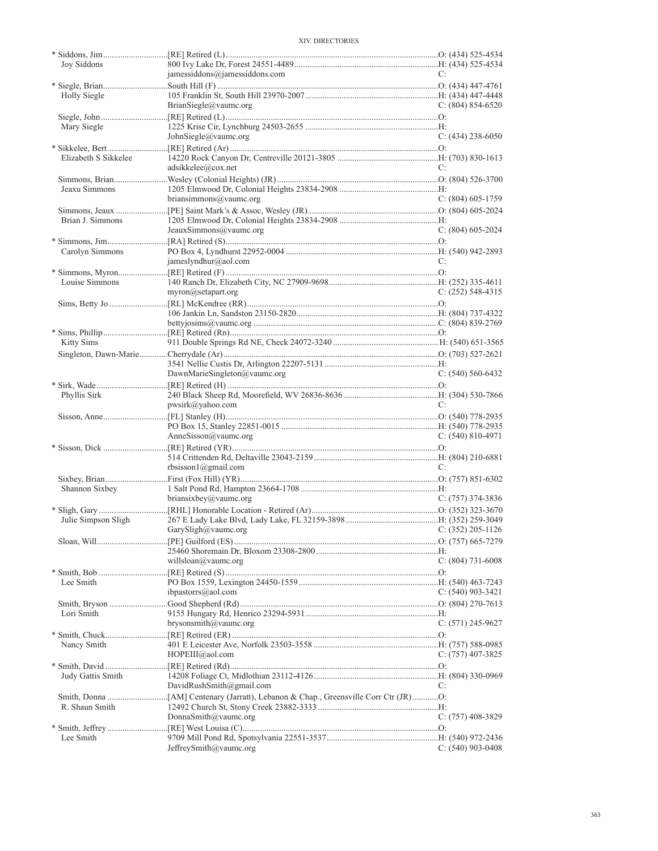| Joy Siddons          |                                       |                     |
|----------------------|---------------------------------------|---------------------|
|                      | jamessiddons@jamessiddons.com         | C:                  |
|                      |                                       |                     |
| Holly Siegle         |                                       |                     |
|                      | BrianSiegle@vaumc.org                 | C: $(804)$ 854-6520 |
|                      |                                       |                     |
| Mary Siegle          |                                       |                     |
|                      |                                       |                     |
|                      | JohnSiegle@vaumc.org                  | $C: (434)$ 238-6050 |
|                      |                                       |                     |
| Elizabeth S Sikkelee |                                       |                     |
|                      | adsikkelee@cox.net                    | C:                  |
|                      |                                       |                     |
| Jeaxu Simmons        |                                       |                     |
|                      | briansimmons@vaumc.org                | $C: (804)$ 605-1759 |
|                      |                                       |                     |
|                      |                                       |                     |
| Brian J. Simmons     |                                       |                     |
|                      | JeauxSimmons@vaumc.org                | $C: (804)$ 605-2024 |
|                      |                                       |                     |
| Carolyn Simmons      |                                       |                     |
|                      | jameslyndhur@aol.com                  | C:                  |
|                      |                                       |                     |
| Louise Simmons       |                                       |                     |
|                      |                                       |                     |
|                      | $myron(\omega)$ setapart.org          | $C: (252)$ 548-4315 |
|                      |                                       |                     |
|                      |                                       |                     |
|                      |                                       |                     |
|                      |                                       |                     |
| Kitty Sims           |                                       |                     |
|                      |                                       |                     |
|                      |                                       |                     |
|                      |                                       |                     |
|                      | DawnMarieSingleton@vaumc.org          | $C: (540) 560-6432$ |
|                      |                                       |                     |
| Phyllis Sirk         |                                       |                     |
|                      | pwsirk@yahoo.com                      | C:                  |
|                      |                                       |                     |
|                      |                                       |                     |
|                      |                                       |                     |
|                      | AnneSisson@vaumc.org                  | $C: (540) 810-4971$ |
|                      |                                       |                     |
|                      |                                       |                     |
|                      | rbsisson1@gmail.com                   | C:                  |
|                      |                                       |                     |
|                      |                                       |                     |
|                      |                                       |                     |
| Shannon Sixbey       |                                       |                     |
|                      | briansixbey@vaumc.org                 | $C: (757)$ 374-3836 |
|                      |                                       |                     |
| Julie Simpson Sligh  |                                       |                     |
|                      | GarySligh@vaumc.org C: (352) 205-1126 |                     |
|                      |                                       |                     |
|                      |                                       |                     |
|                      |                                       |                     |
|                      | willsloan@vaumc.org                   | C: (804) 731-6008   |
|                      |                                       |                     |
| Lee Smith            |                                       |                     |
|                      | ibpastorrs@aol.com                    | $C: (540)$ 903-3421 |
|                      |                                       |                     |
|                      |                                       |                     |
| Lori Smith           |                                       |                     |
|                      | brysonsmith@vaumc.org                 | $C: (571)$ 245-9627 |
|                      |                                       |                     |
| Nancy Smith          |                                       |                     |
|                      | HOPEIII@aol.com                       | $C: (757)$ 407-3825 |
|                      |                                       |                     |
|                      |                                       |                     |
| Judy Gattis Smith    |                                       |                     |
|                      | DavidRushSmith@gmail.com              | C:                  |
|                      |                                       |                     |
| R. Shaun Smith       |                                       |                     |
|                      | DonnaSmith@vaumc.org                  | $C: (757)$ 408-3829 |
|                      |                                       |                     |
|                      |                                       |                     |
| Lee Smith            | JeffreySmith@vaumc.org                | $C: (540)$ 903-0408 |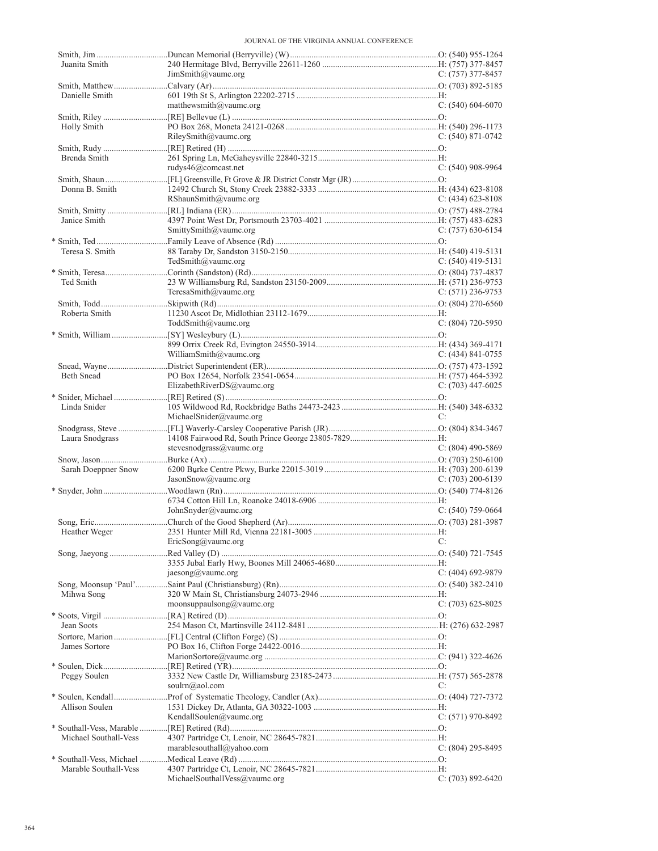| Juanita Smith         | JimSmith@vaumc.org         | $C: (757)$ 377-8457 |
|-----------------------|----------------------------|---------------------|
|                       |                            |                     |
| Danielle Smith        |                            |                     |
|                       | matthewsmith@vaumc.org     | C: $(540)$ 604-6070 |
|                       |                            |                     |
| Holly Smith           |                            |                     |
|                       | RileySmith@value.org       | $C: (540) 871-0742$ |
| Brenda Smith          |                            |                     |
|                       | rudys46@comcast.net        | $C: (540)$ 908-9964 |
|                       |                            |                     |
| Donna B. Smith        |                            |                     |
|                       | RShaunSmith@vaumc.org      | $C: (434)$ 623-8108 |
|                       |                            |                     |
| Janice Smith          |                            |                     |
|                       | SmittySmith@vaumc.org      | C: $(757)$ 630-6154 |
| Teresa S. Smith       |                            |                     |
|                       | TedSmith@vaumc.org         | $C: (540)$ 419-5131 |
|                       |                            |                     |
| Ted Smith             |                            |                     |
|                       | TeresaSmith@vaumc.org      | $C: (571)$ 236-9753 |
|                       |                            |                     |
| Roberta Smith         |                            | $C: (804)$ 720-5950 |
|                       | ToddSmith@vaumc.org        |                     |
|                       |                            |                     |
|                       | WilliamSmith@vaumc.org     | C: (434) 841-0755   |
|                       |                            |                     |
| Beth Snead            |                            |                     |
|                       | ElizabethRiverDS@vaumc.org | $C: (703)$ 447-6025 |
|                       |                            |                     |
| Linda Snider          | MichaelSnider@vaumc.org    | C:                  |
|                       |                            |                     |
| Laura Snodgrass       |                            |                     |
|                       | stevesnodgrass@vaumc.org   | $C: (804)$ 490-5869 |
|                       |                            |                     |
| Sarah Doeppner Snow   |                            |                     |
|                       | JasonSnow@vaumc.org        | $C: (703) 200-6139$ |
|                       |                            |                     |
|                       | JohnSnyder@vaumc.org       | C: $(540)$ 759-0664 |
|                       |                            |                     |
| Heather Weger         |                            |                     |
|                       |                            |                     |
|                       | EricSong@vaumc.org         | C:                  |
|                       |                            |                     |
|                       |                            |                     |
|                       | jaesong@vaumc.org          | $C: (404)$ 692-9879 |
|                       |                            |                     |
| Mihwa Song            |                            |                     |
|                       | moonsuppaulsong@vaumc.org  | $C: (703)$ 625-8025 |
| Jean Soots            |                            |                     |
|                       |                            |                     |
| James Sortore         |                            |                     |
|                       |                            |                     |
|                       |                            |                     |
| Peggy Soulen          | soulrn@aol.com             | C:                  |
|                       |                            |                     |
| Allison Soulen        |                            |                     |
|                       | KendallSoulen@vaumc.org    | $C: (571)$ 970-8492 |
|                       |                            |                     |
| Michael Southall-Vess |                            |                     |
|                       | marablesouthall@yahoo.com  | C: (804) 295-8495   |
| Marable Southall-Vess |                            |                     |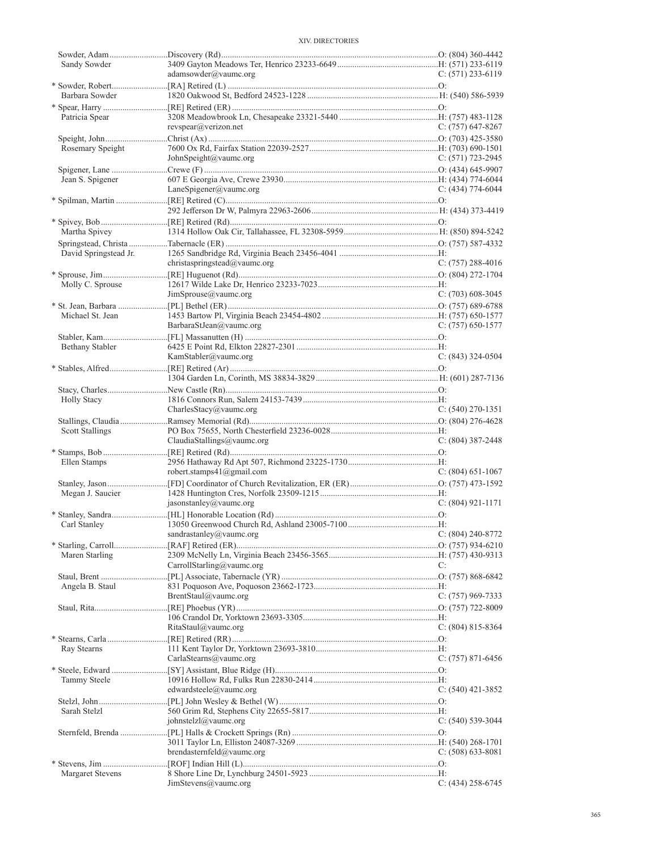| Sandy Sowder          |                                              |                       |
|-----------------------|----------------------------------------------|-----------------------|
|                       | adamsowder@vaumc.org                         | $C: (571)$ 233-6119   |
|                       |                                              |                       |
|                       |                                              |                       |
| Barbara Sowder        |                                              |                       |
|                       |                                              |                       |
| Patricia Spear        |                                              |                       |
|                       | revspear@verizon.net                         | $C: (757)$ 647-8267   |
|                       |                                              |                       |
|                       |                                              |                       |
| Rosemary Speight      |                                              |                       |
|                       | JohnSpeight@vaumc.org                        | C: $(571)$ 723-2945   |
|                       |                                              |                       |
| Jean S. Spigener      |                                              |                       |
|                       | LaneSpigener@value.org                       | $C: (434) 774-6044$   |
|                       |                                              |                       |
|                       |                                              |                       |
|                       |                                              |                       |
|                       |                                              |                       |
| Martha Spivey         |                                              |                       |
|                       |                                              |                       |
| David Springstead Jr. |                                              |                       |
|                       |                                              |                       |
|                       | christaspringstead@vaumc.org                 | C: $(757)$ 288-4016   |
|                       |                                              |                       |
| Molly C. Sprouse      |                                              |                       |
|                       | JimSprouse@value.org                         | $C: (703)$ 608-3045   |
|                       |                                              |                       |
| Michael St. Jean      |                                              |                       |
|                       |                                              |                       |
|                       | BarbaraStJean@vaumc.org                      | $C: (757) 650-1577$   |
|                       |                                              |                       |
| Bethany Stabler       |                                              |                       |
|                       | KamStabler@vaumc.org                         | $C: (843)$ 324-0504   |
|                       |                                              |                       |
|                       |                                              |                       |
|                       |                                              |                       |
|                       |                                              |                       |
| <b>Holly Stacy</b>    |                                              |                       |
|                       | CharlesStacy@vaumc.org                       | $C: (540)$ 270-1351   |
|                       |                                              |                       |
| Scott Stallings       |                                              |                       |
|                       |                                              |                       |
|                       | ClaudiaStallings@vaumc.org                   | $C: (804)$ 387-2448   |
|                       |                                              |                       |
| Ellen Stamps          |                                              |                       |
|                       | robert.stamps $41$ ( $@g$ mail.com           | $C: (804)$ 651-1067   |
|                       |                                              |                       |
|                       |                                              |                       |
|                       |                                              |                       |
| Megan J. Saucier      |                                              |                       |
|                       | jasonstanley@vaumc.org                       | $C: (804) 921 - 1171$ |
|                       |                                              |                       |
| Carl Stanley          |                                              |                       |
|                       |                                              |                       |
|                       | $\frac{1}{240-8772}$ sandrastanley@vaumc.org |                       |
|                       |                                              |                       |
| Maren Starling        |                                              |                       |
|                       | CarrollStarling@vaumc.org                    | C:                    |
|                       |                                              |                       |
|                       |                                              |                       |
| Angela B. Staul       |                                              |                       |
|                       | BrentStaul@vaumc.org                         | $C: (757)$ 969-7333   |
|                       |                                              |                       |
|                       |                                              |                       |
|                       | RitaStaul@value.org                          | C: $(804)$ 815-8364   |
|                       |                                              |                       |
|                       |                                              |                       |
| Ray Stearns           |                                              |                       |
|                       | CarlaStearns@vaumc.org                       | $C: (757) 871-6456$   |
|                       |                                              |                       |
| Tammy Steele          |                                              |                       |
|                       | edwardsteele@vaumc.org                       | C: $(540)$ 421-3852   |
|                       |                                              |                       |
|                       |                                              |                       |
| Sarah Stelzl          |                                              |                       |
|                       | johnstelzl@vaumc.org                         | $C: (540)$ 539-3044   |
|                       |                                              |                       |
|                       |                                              |                       |
|                       | brendasternfeld@vaumc.org                    | $C: (508) 633-8081$   |
|                       |                                              |                       |
|                       |                                              |                       |
| Margaret Stevens      | JimStevens@vaumc.org                         | $C: (434)$ 258-6745   |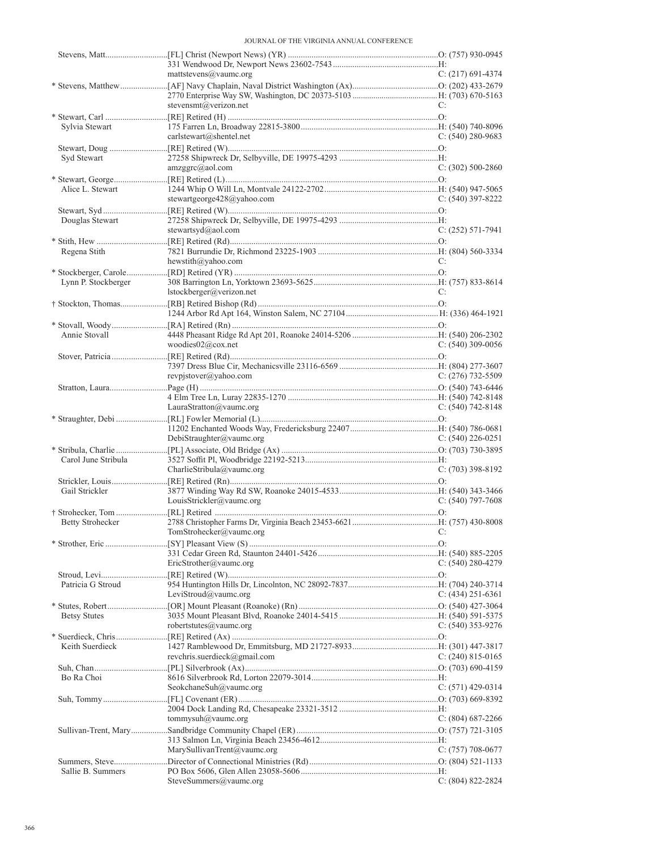|                     | mattstevens@vaumc.org          | $C: (217)$ 691-4374   |
|---------------------|--------------------------------|-----------------------|
|                     |                                |                       |
|                     | stevensmt@verizon.net          | C:                    |
|                     |                                |                       |
| Sylvia Stewart      |                                |                       |
|                     | carlstewart@shentel.net        | $C: (540) 280 - 9683$ |
|                     |                                |                       |
| Syd Stewart         |                                |                       |
|                     | amzggrc@aol.com                | $C: (302) 500-2860$   |
| Alice L. Stewart    |                                |                       |
|                     | stewartgeorge $428@$ yahoo.com | $C: (540)$ 397-8222   |
|                     |                                |                       |
| Douglas Stewart     |                                |                       |
|                     | stewartsyd@aol.com             | $C: (252) 571-7941$   |
|                     |                                |                       |
| Regena Stith        |                                |                       |
|                     | hewstith@yahoo.com             | C:                    |
|                     |                                |                       |
| Lynn P. Stockberger |                                |                       |
|                     | lstockberger@verizon.net       | C:                    |
|                     |                                |                       |
|                     |                                |                       |
| Annie Stovall       |                                |                       |
|                     | woodies02@cox.net              | $C: (540)$ 309-0056   |
|                     |                                |                       |
|                     |                                |                       |
|                     | revpistover@yahoo.com          | $C: (276)$ 732-5509   |
|                     |                                |                       |
|                     |                                |                       |
|                     | LauraStratton@vaumc.org        | $C: (540) 742 - 8148$ |
|                     |                                |                       |
|                     | DebiStraughter@vaumc.org       | $C: (540)$ 226-0251   |
|                     |                                |                       |
| Carol June Stribula |                                |                       |
|                     | CharlieStribula@vaumc.org      | $C: (703)$ 398-8192   |
|                     |                                |                       |
| Gail Strickler      |                                |                       |
|                     | LouisStrickler@vaumc.org       | $C: (540)$ 797-7608   |
|                     |                                |                       |
| Betty Strohecker    |                                |                       |
|                     |                                |                       |
|                     | $IomStrohecker(a)$ vaumc.org   |                       |
|                     |                                |                       |
|                     | EricStrother@vaumc.org         | $C: (540) 280 - 4279$ |
|                     |                                |                       |
| Patricia G Stroud   |                                |                       |
|                     | LeviStroud@vaumc.org           | $C: (434)$ 251-6361   |
|                     |                                |                       |
| <b>Betsy Stutes</b> |                                |                       |
|                     | robertstutes@vaumc.org         | $C: (540)$ 353-9276   |
|                     |                                |                       |
| Keith Suerdieck     |                                |                       |
|                     | revchris.suerdieck@gmail.com   | $C: (240) 815-0165$   |
| Bo Ra Choi          |                                |                       |
|                     | SeokchaneSuh@vaumc.org         | C: $(571)$ 429-0314   |
|                     |                                |                       |
|                     |                                |                       |
|                     | tommysuh@vaumc.org             | $C: (804) 687 - 2266$ |
|                     |                                |                       |
|                     |                                |                       |
|                     | MarySullivanTrent@vaumc.org    | C: $(757)$ 708-0677   |
| Sallie B. Summers   |                                |                       |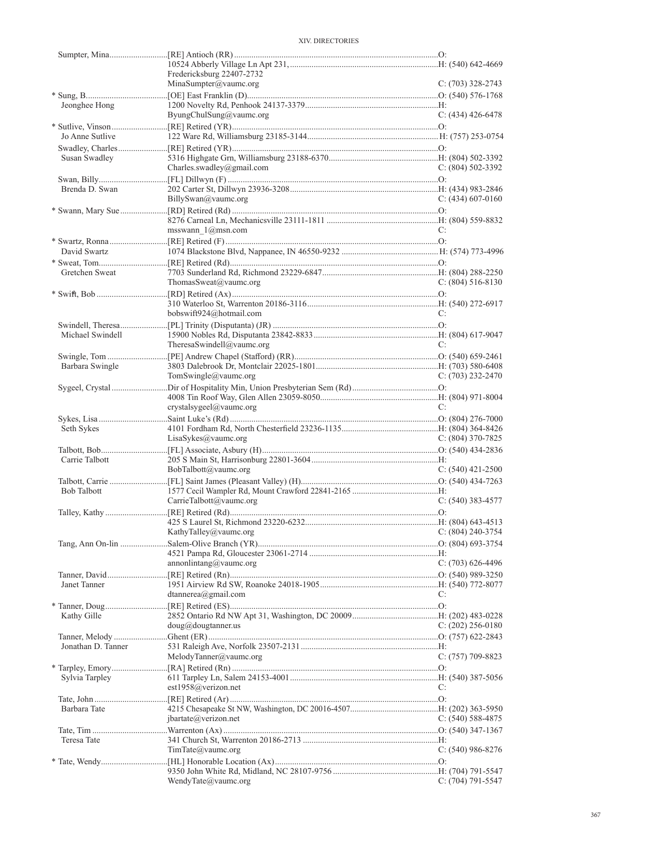|                    | Fredericksburg 22407-2732               |                       |
|--------------------|-----------------------------------------|-----------------------|
|                    | MinaSumpter@vaumc.org                   | $C: (703)$ 328-2743   |
|                    |                                         |                       |
| Jeonghee Hong      |                                         |                       |
|                    | ByungChulSung@yaumc.org                 | $C: (434)$ 426-6478   |
|                    |                                         |                       |
| Jo Anne Sutlive    |                                         |                       |
|                    |                                         |                       |
| Susan Swadley      |                                         |                       |
|                    | Charles.swadley@gmail.com               | $C: (804) 502 - 3392$ |
|                    |                                         |                       |
| Brenda D. Swan     |                                         |                       |
|                    | BillySwan@vaumc.org                     | C: $(434)$ 607-0160   |
|                    |                                         |                       |
|                    |                                         |                       |
|                    |                                         |                       |
|                    | msswann $1$ @msn.com                    | C:                    |
|                    |                                         |                       |
| David Swartz       |                                         |                       |
|                    |                                         |                       |
| Gretchen Sweat     |                                         |                       |
|                    | ThomasSweat@vaumc.org                   | $C: (804) 516-8130$   |
|                    |                                         |                       |
|                    |                                         |                       |
|                    | bobswift924@hotmail.com                 | C:                    |
|                    |                                         |                       |
|                    |                                         |                       |
| Michael Swindell   |                                         |                       |
|                    | TheresaSwindell@vaumc.org               | C:                    |
|                    |                                         |                       |
| Barbara Swingle    |                                         |                       |
|                    | TomSwingle@vaumc.org                    | $C: (703)$ 232-2470   |
|                    |                                         |                       |
|                    |                                         |                       |
|                    | crystalsygeel@vaumc.org                 | C:                    |
|                    |                                         |                       |
|                    |                                         |                       |
|                    |                                         |                       |
| Seth Sykes         |                                         |                       |
|                    | LisaSykes@value.org                     | C: $(804)$ 370-7825   |
|                    |                                         |                       |
| Carrie Talbott     |                                         |                       |
|                    | BobTalbott@vaumc.org                    | $C: (540)$ 421-2500   |
|                    |                                         |                       |
| Bob Talbott        |                                         |                       |
|                    | CarrieTalbott@vaumc.org                 | $C: (540)$ 383-4577   |
|                    |                                         |                       |
|                    |                                         |                       |
|                    | KathyTalley@vaumc.org C: (804) 240-3754 |                       |
|                    |                                         |                       |
|                    |                                         |                       |
|                    |                                         | $C: (703)$ 626-4496   |
|                    | annonlintang@vaumc.org                  |                       |
|                    |                                         |                       |
| Janet Tanner       |                                         |                       |
|                    | dtannerea@gmail.com                     | C:                    |
|                    |                                         |                       |
| Kathy Gille        |                                         |                       |
|                    | $doug(a)$ dougtanner.us                 | $C: (202)$ 256-0180   |
|                    |                                         |                       |
| Jonathan D. Tanner |                                         |                       |
|                    | MelodyTanner@vaumc.org                  | $C: (757)$ 709-8823   |
|                    |                                         |                       |
| Sylvia Tarpley     |                                         |                       |
|                    | est1958@verizon.net                     | C:                    |
|                    |                                         |                       |
| Barbara Tate       |                                         |                       |
|                    |                                         |                       |
|                    | jbartate@verizon.net                    | C: $(540)$ 588-4875   |
|                    |                                         |                       |
| Teresa Tate        |                                         |                       |
|                    | TimTate@value.org                       | $C: (540)$ 986-8276   |
|                    |                                         |                       |
|                    | WendyTate@vaumc.org                     | $C: (704) 791 - 5547$ |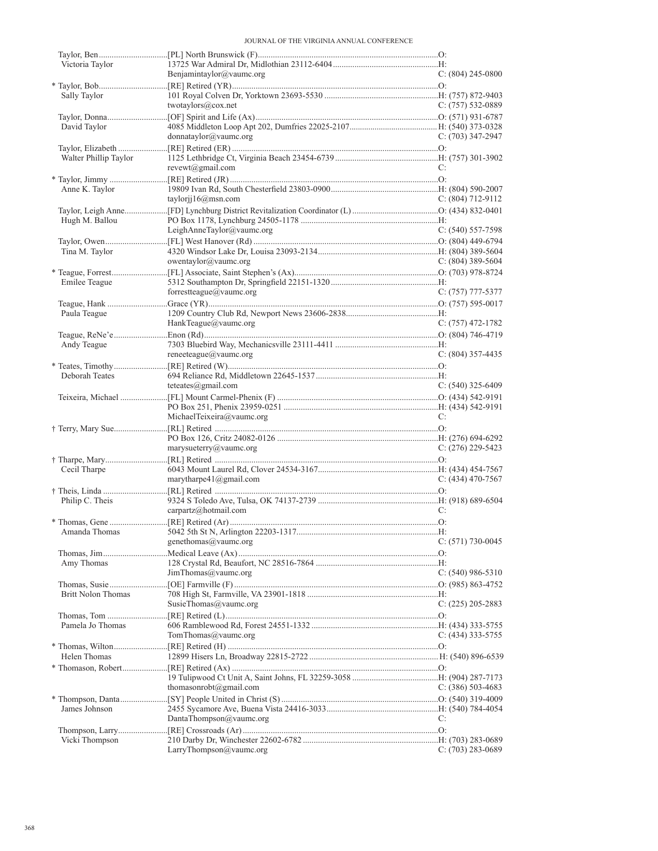| Victoria Taylor           |                            |                       |
|---------------------------|----------------------------|-----------------------|
|                           | Benjamintaylor@vaumc.org   | $C: (804)$ 245-0800   |
|                           |                            |                       |
| Sally Taylor              |                            |                       |
|                           | twotaylors@cox.net         | $C: (757) 532-0889$   |
|                           |                            |                       |
| David Taylor              | donnataylor@value.org      | $C: (703)$ 347-2947   |
|                           |                            |                       |
| Walter Phillip Taylor     |                            |                       |
|                           | $revewt(\omega$ gmail.com  | C:                    |
|                           |                            |                       |
| Anne K. Taylor            |                            |                       |
|                           | taylorjj $16@$ msn.com     | C: $(804)$ 712-9112   |
|                           |                            |                       |
| Hugh M. Ballou            |                            |                       |
|                           | LeighAnneTaylor@vaumc.org  | $C: (540) 557-7598$   |
|                           |                            |                       |
| Tina M. Taylor            |                            |                       |
|                           | owentaylor@vaumc.org       | $C: (804)$ 389-5604   |
|                           |                            |                       |
| Emilee Teague             |                            |                       |
|                           | forrestteague@vaumc.org    | $C: (757)$ 777-5377   |
|                           |                            |                       |
| Paula Teague              |                            |                       |
|                           | HankTeague@vaumc.org       | $C: (757)$ 472-1782   |
|                           |                            |                       |
| Andy Teague               |                            |                       |
|                           | reneeteague@vaumc.org      | $C: (804)$ 357-4435   |
|                           |                            |                       |
| Deborah Teates            |                            |                       |
|                           | teteates $@g$ mail.com     | $C: (540)$ 325-6409   |
|                           |                            |                       |
|                           | MichaelTeixeira@vaumc.org  | C:                    |
|                           |                            |                       |
|                           |                            |                       |
|                           | marysueterry@vaumc.org     | $C: (276)$ 229-5423   |
|                           |                            |                       |
| Cecil Tharpe              |                            |                       |
|                           | marytharpe $41$ @gmail.com | $C: (434)$ 470-7567   |
|                           |                            |                       |
| Philip C. Theis           |                            |                       |
|                           | carpartz@hotmail.com       | C:                    |
|                           |                            |                       |
| Amanda Thomas             |                            |                       |
|                           | genethomas@vaumc.org       | $C: (571) 730-0045$   |
|                           |                            |                       |
| Amy Thomas                |                            |                       |
|                           | JimThomas@vaumc.org        | $C: (540) 986 - 5310$ |
|                           |                            |                       |
| <b>Britt Nolon Thomas</b> |                            |                       |
|                           | SusieThomas@vaumc.org      | $C: (225) 205 - 2883$ |
|                           |                            |                       |
| Pamela Jo Thomas          |                            |                       |
|                           | TomThomas@value.org        | $C: (434)$ 333-5755   |
|                           |                            |                       |
| Helen Thomas              |                            |                       |
|                           |                            |                       |
|                           | thomasonrobt@gmail.com     | C: $(386)$ 503-4683   |
|                           |                            |                       |
| James Johnson             |                            |                       |
|                           | DantaThompson@vaumc.org    | C:                    |
|                           |                            |                       |
| Vicki Thompson            |                            |                       |
|                           | LarryThompson@vaumc.org    | $C: (703) 283 - 0689$ |
|                           |                            |                       |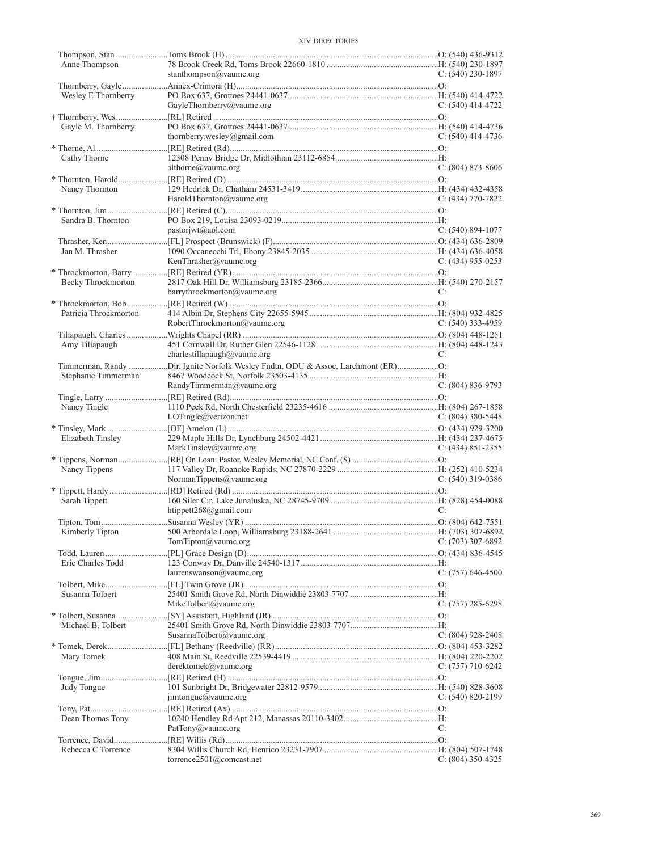| Anne Thompson         | stanthompson@vaumc.org                                                           | C: $(540)$ 230-1897   |
|-----------------------|----------------------------------------------------------------------------------|-----------------------|
|                       |                                                                                  |                       |
| Wesley E Thornberry   |                                                                                  |                       |
|                       | GayleThornberry@vaumc.org                                                        | C: $(540)$ 414-4722   |
|                       |                                                                                  |                       |
| Gayle M. Thornberry   |                                                                                  |                       |
|                       | thornberry.wesley@gmail.com                                                      | $C: (540)$ 414-4736   |
|                       |                                                                                  |                       |
| Cathy Thorne          |                                                                                  |                       |
|                       | althorne@vaumc.org                                                               | $C: (804) 873 - 8606$ |
| Nancy Thornton        |                                                                                  |                       |
|                       | HaroldThornton@vaumc.org                                                         | C: $(434)$ 770-7822   |
|                       |                                                                                  |                       |
| Sandra B. Thornton    |                                                                                  |                       |
|                       | pastorjwt@aol.com                                                                | $C: (540) 894-1077$   |
|                       |                                                                                  |                       |
| Jan M. Thrasher       |                                                                                  |                       |
|                       | KenThrasher@vaumc.org                                                            | $C: (434)$ 955-0253   |
|                       |                                                                                  |                       |
| Becky Throckmorton    | barrythrockmorton@vaumc.org                                                      | C:                    |
|                       |                                                                                  |                       |
| Patricia Throckmorton |                                                                                  |                       |
|                       | RobertThrockmorton@vaumc.org                                                     | C: $(540)$ 333-4959   |
|                       |                                                                                  |                       |
| Amy Tillapaugh        |                                                                                  |                       |
|                       | charlestillapaugh@vaumc.org                                                      | C:                    |
|                       | Timmerman, Randy Dir. Ignite Norfolk Wesley Fndtn, ODU & Assoc, Larchmont (ER)O: |                       |
| Stephanie Timmerman   |                                                                                  |                       |
|                       | RandyTimmerman@vaumc.org                                                         | $C: (804) 836-9793$   |
| Nancy Tingle          |                                                                                  |                       |
|                       | LOTingle@/verizon.net                                                            | $C: (804)$ 380-5448   |
|                       |                                                                                  |                       |
| Elizabeth Tinsley     |                                                                                  |                       |
|                       | MarkTinsley@vaumc.org                                                            | $C: (434) 851 - 2355$ |
|                       |                                                                                  |                       |
| Nancy Tippens         |                                                                                  |                       |
|                       | NormanTippens@vaumc.org                                                          | C: $(540)$ 319-0386   |
| Sarah Tippett         |                                                                                  |                       |
|                       | htippett268@gmail.com                                                            | C:                    |
|                       |                                                                                  |                       |
|                       |                                                                                  |                       |
|                       | TomTipton@value.org                                                              | $C: (703)$ 307-6892   |
|                       |                                                                                  |                       |
| Eric Charles Todd     |                                                                                  |                       |
|                       | laurenswanson@vaumc.org                                                          | $C: (757)$ 646-4500   |
|                       |                                                                                  |                       |
| Susanna Tolbert       | MikeTolbert@vaumc.org                                                            | $C: (757) 285 - 6298$ |
|                       |                                                                                  |                       |
| Michael B. Tolbert    |                                                                                  |                       |
|                       | SusannaTolbert@vaumc.org                                                         | $C: (804)$ 928-2408   |
|                       |                                                                                  |                       |
| Mary Tomek            |                                                                                  |                       |
|                       | derektomek@vaumc.org                                                             | C: $(757)$ 710-6242   |
|                       |                                                                                  |                       |
| Judy Tongue           |                                                                                  |                       |
|                       | $\text{imtongue}(\text{a} \text{yaume.org})$                                     | $C: (540) 820 - 2199$ |
| Dean Thomas Tony      |                                                                                  |                       |
|                       | PatTony@vaumc.org                                                                | C:                    |
|                       |                                                                                  |                       |
| Rebecca C Torrence    |                                                                                  |                       |
|                       | torrence2501@comcast.net                                                         | C: $(804)$ 350-4325   |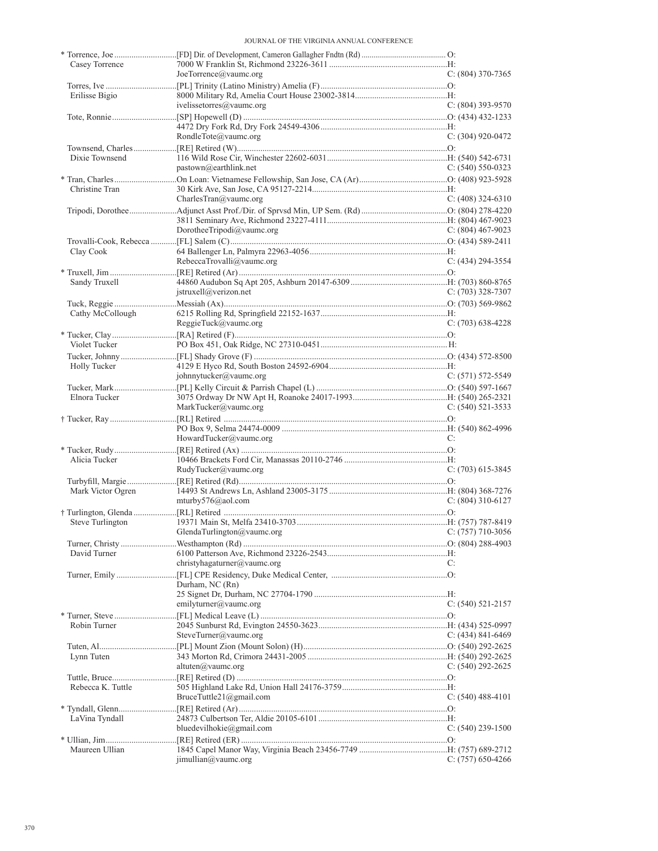| Casey Torrence      |                             |                       |
|---------------------|-----------------------------|-----------------------|
| Erilisse Bigio      | JoeTorrence@vaumc.org       | $C: (804)$ 370-7365   |
|                     | ivelissetorres@vaumc.org    | $C: (804)$ 393-9570   |
|                     | RondleTote@vaumc.org        | $C: (304)$ 920-0472   |
|                     |                             |                       |
| Dixie Townsend      | pastown@earthlink.net       | $C: (540) 550-0323$   |
|                     |                             |                       |
| Christine Tran      | CharlesTran@vaumc.org       | $C: (408)$ 324-6310   |
|                     |                             |                       |
|                     |                             |                       |
|                     | DorotheeTripodi@vaumc.org   | C: $(804)$ 467-9023   |
|                     |                             |                       |
| Clay Cook           | RebeccaTrovalli@vaumc.org   | $C: (434) 294 - 3554$ |
|                     |                             |                       |
| Sandy Truxell       |                             |                       |
|                     | jstruxell@verizon.net       | $C: (703)$ 328-7307   |
|                     |                             |                       |
| Cathy McCollough    |                             |                       |
|                     | ReggieTuck@value.org        | $C: (703)$ 638-4228   |
| Violet Tucker       |                             |                       |
|                     |                             |                       |
| <b>Holly Tucker</b> |                             |                       |
|                     | johnnytucker@vaumc.org      | $C: (571) 572 - 5549$ |
|                     |                             |                       |
| Elnora Tucker       | MarkTucker@vaumc.org        | $C: (540) 521 - 3533$ |
|                     |                             |                       |
|                     | HowardTucker@vaumc.org      | C:                    |
|                     |                             |                       |
| Alicia Tucker       |                             |                       |
|                     | RudyTucker@vaumc.org        | $C: (703)$ 615-3845   |
|                     |                             |                       |
| Mark Victor Ogren   |                             |                       |
|                     | mturby $576$ @aol.com       | $C: (804)$ 310-6127   |
| Steve Turlington    |                             |                       |
|                     | GlendaTurlington@vaumc.org  | $C: (757)$ 710-3056   |
|                     |                             |                       |
| David Turner        |                             |                       |
|                     | christyhagaturner@vaumc.org | C:                    |
|                     |                             |                       |
|                     | Durham, NC (Rn)             |                       |
|                     | emilyturner@vaumc.org       | $C: (540) 521-2157$   |
|                     |                             |                       |
| Robin Turner        |                             |                       |
|                     | SteveTurner@vaumc.org       | C: $(434)$ 841-6469   |
|                     |                             |                       |
| Lynn Tuten          |                             |                       |
|                     | altuten $\omega$ vaumc.org  | C: $(540)$ 292-2625   |
| Rebecca K. Tuttle   |                             |                       |
|                     | BruceTuttle21@gmail.com     | $C: (540)$ 488-4101   |
|                     |                             |                       |
| LaVina Tyndall      |                             |                       |
|                     | bluedevilhokie@gmail.com    | $C: (540)$ 239-1500   |
|                     |                             |                       |
|                     |                             |                       |
| Maureen Ullian      | $j$ imullian@vaumc.org      | C: (757) 650-4266     |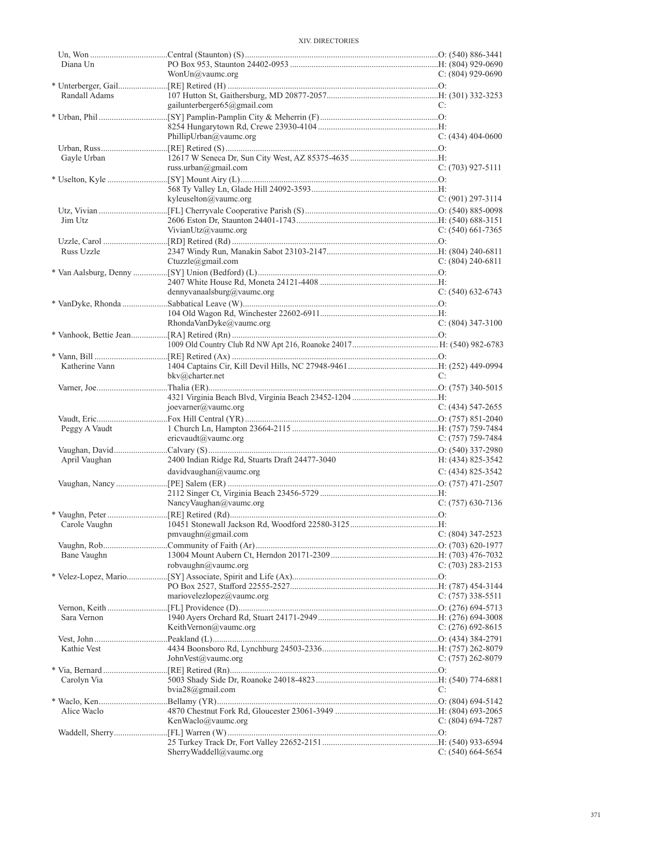| Diana Un       |                                                |                       |
|----------------|------------------------------------------------|-----------------------|
|                | Won $Un@$ vaumc.org                            | C: $(804)$ 929-0690   |
|                |                                                |                       |
| Randall Adams  |                                                |                       |
|                | gailunterberger65@gmail.com                    | C:                    |
|                |                                                |                       |
|                |                                                |                       |
|                | PhillipUrban@vaumc.org                         | $C: (434)$ 404-0600   |
|                |                                                |                       |
|                |                                                |                       |
| Gayle Urban    |                                                |                       |
|                | russ.urban@gmail.com                           | $C: (703)$ 927-5111   |
|                |                                                |                       |
|                |                                                |                       |
|                | kyleuselton@vaumc.org                          | $C: (901) 297 - 3114$ |
|                |                                                |                       |
| Jim Utz        |                                                |                       |
|                | VivianUtz@vaumc.org                            | $C: (540)$ 661-7365   |
|                |                                                |                       |
| Russ Uzzle     |                                                |                       |
|                |                                                |                       |
|                | Ctuzzle@gmail.com                              | $C: (804) 240 - 6811$ |
|                |                                                |                       |
|                |                                                |                       |
|                | dennyvanaalsburg@vaumc.org                     | $C: (540) 632-6743$   |
|                |                                                |                       |
|                |                                                |                       |
|                | RhondaVanDyke@vaumc.org                        | $C: (804)$ 347-3100   |
|                |                                                |                       |
|                |                                                |                       |
|                |                                                |                       |
|                |                                                |                       |
| Katherine Vann |                                                |                       |
|                | bkv@charter.net                                | C:                    |
|                |                                                |                       |
|                |                                                |                       |
|                | joevarner@vaumc.org                            | C: $(434)$ 547-2655   |
|                |                                                |                       |
| Peggy A Vaudt  |                                                |                       |
|                | ericvaudt@vaumc.org                            | $C: (757)$ 759-7484   |
|                |                                                |                       |
|                |                                                |                       |
| April Vaughan  | 2400 Indian Ridge Rd, Stuarts Draft 24477-3040 | H: (434) 825-3542     |
|                | davidvaughan@value.org                         | $C: (434) 825 - 3542$ |
|                |                                                |                       |
|                |                                                |                       |
|                | NancyVaughan@vaumc.org                         | $C: (757)$ 630-7136   |
|                |                                                |                       |
|                |                                                |                       |
|                |                                                |                       |
| Carole Vaughn  |                                                |                       |
|                | $pmvaughn(a)$ gmail.com                        | C: (804) 347-2523     |
|                |                                                |                       |
| Bane Vaughn    |                                                |                       |
|                | robvaughn@vaumc.org                            | $C: (703) 283 - 2153$ |
|                |                                                |                       |
|                |                                                |                       |
|                | mariovelezlopez@vaumc.org                      | C: (757) 338-5511     |
|                |                                                |                       |
|                |                                                |                       |
| Sara Vernon    |                                                |                       |
|                | KeithVernon@vaumc.org                          | C: $(276)$ 692-8615   |
|                |                                                |                       |
| Kathie Vest    |                                                |                       |
|                | JohnVest@value.org                             | $C: (757) 262 - 8079$ |
|                |                                                |                       |
| Carolyn Via    |                                                |                       |
|                | $bvia28$ @gmail.com                            | C:                    |
|                |                                                |                       |
| Alice Waclo    |                                                |                       |
|                |                                                |                       |
|                | KenWaclo@value.                                | C: $(804)$ 694-7287   |
|                |                                                |                       |
|                | SherryWaddell@vaumc.org                        | $C: (540) 664-5654$   |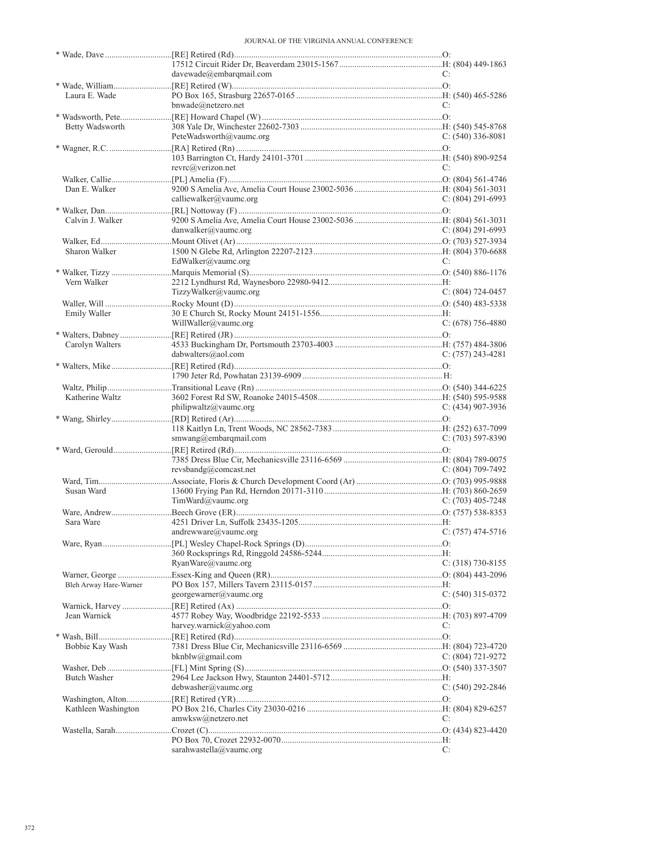JOURNAL OF THE VIRGINIA ANNUAL CONFERENCE

|                        | davewade@embarqmail.com       | C:                    |
|------------------------|-------------------------------|-----------------------|
|                        |                               |                       |
| Laura E. Wade          |                               |                       |
|                        | bnwade@netzero.net            | C:                    |
|                        |                               |                       |
| Betty Wadsworth        |                               |                       |
|                        | PeteWadsworth@vaumc.org       | $C: (540)$ 336-8081   |
|                        |                               |                       |
|                        |                               |                       |
|                        | revrc@verizon.net             | C:                    |
|                        |                               |                       |
| Dan E. Walker          |                               |                       |
|                        | calliewalker@vaumc.org        | $C: (804) 291-6993$   |
|                        |                               |                       |
| Calvin J. Walker       |                               |                       |
|                        | danwalker@vaumc.org           | $C: (804) 291-6993$   |
|                        |                               |                       |
| Sharon Walker          | EdWalker@vaumc.org            | C:                    |
|                        |                               |                       |
| Vern Walker            |                               |                       |
|                        | TizzyWalker@vaumc.org         | $C: (804) 724-0457$   |
|                        |                               |                       |
| Emily Waller           |                               |                       |
|                        | WillWaller@vaumc.org          | $C: (678) 756-4880$   |
|                        |                               |                       |
| Carolyn Walters        |                               |                       |
|                        | dabwalters@aol.com            | $C: (757)$ 243-4281   |
|                        |                               |                       |
|                        |                               |                       |
|                        |                               |                       |
| Katherine Waltz        |                               |                       |
|                        | philipwaltz@value.org         | $C: (434)$ 907-3936   |
|                        |                               |                       |
|                        |                               |                       |
|                        | smwang@embarqmail.com         | $C: (703) 597-8390$   |
|                        |                               |                       |
|                        |                               |                       |
|                        | revsbandg@connect.net         | $C: (804) 709-7492$   |
|                        |                               |                       |
| Susan Ward             |                               |                       |
|                        | TimWard@vaumc.org             | $C: (703)$ 405-7248   |
|                        |                               |                       |
| Sara Ware              |                               |                       |
|                        | $and$ rewware $(a)$ vaumc.org | $C: (757)$ 474-5716   |
|                        |                               |                       |
|                        |                               |                       |
|                        | RyanWare@vaumc.org            | $C: (318) 730-8155$   |
|                        |                               |                       |
| Bleh Arway Hare-Warner |                               |                       |
|                        | georgewarner@vaumc.org        | $C: (540)$ 315-0372   |
|                        |                               |                       |
| Jean Warnick           |                               |                       |
|                        | harvey.warnick@yahoo.com      | C:                    |
|                        |                               |                       |
| Bobbie Kay Wash        |                               |                       |
|                        | bknblw@gmail.com              | $C: (804) 721 - 9272$ |
|                        |                               |                       |
| <b>Butch Washer</b>    |                               |                       |
|                        | debwasher@value.org           | $C: (540) 292 - 2846$ |
|                        |                               |                       |
| Kathleen Washington    |                               |                       |
|                        | amwksw@netzero.net            | C:                    |
|                        |                               |                       |
|                        |                               |                       |
|                        | sarahwastella@vaumc.org       | C:                    |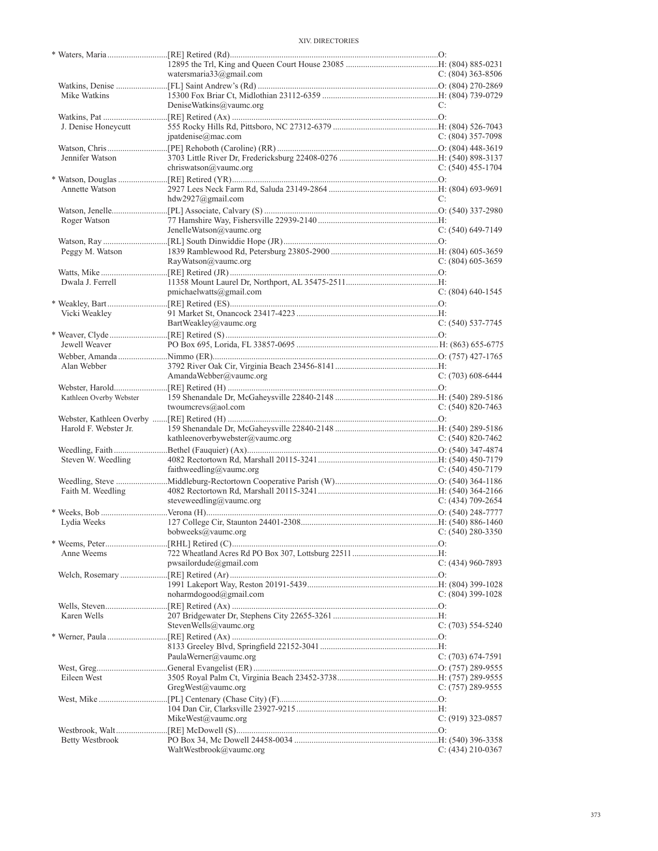|                         | watersmaria33@gmail.com         | $C: (804)$ 363-8506   |
|-------------------------|---------------------------------|-----------------------|
| Mike Watkins            |                                 |                       |
|                         | DeniseWatkins@vaumc.org         | C:                    |
|                         |                                 |                       |
| J. Denise Honeycutt     |                                 |                       |
|                         | jpatdenise@mac.com              | $C: (804)$ 357-7098   |
|                         |                                 |                       |
| Jennifer Watson         |                                 |                       |
|                         | chriswatson@vaumc.org           | $C: (540)$ 455-1704   |
|                         |                                 |                       |
| Annette Watson          | hdw2927@gmail.com               | C:                    |
|                         |                                 |                       |
| Roger Watson            |                                 |                       |
|                         | JenelleWatson@vaumc.org         | $C: (540) 649-7149$   |
|                         |                                 |                       |
| Peggy M. Watson         |                                 |                       |
|                         | RayWatson@vaumc.org             | $C: (804)$ 605-3659   |
|                         |                                 |                       |
| Dwala J. Ferrell        |                                 |                       |
|                         | pmichaelwatts@gmail.com         | $C: (804)$ 640-1545   |
|                         |                                 |                       |
| Vicki Weakley           | BartWeakley@vaumc.org           | $C: (540)$ 537-7745   |
|                         |                                 |                       |
| Jewell Weaver           |                                 |                       |
|                         |                                 |                       |
| Alan Webber             |                                 |                       |
|                         | AmandaWebber@vaumc.org          | $C: (703)$ 608-6444   |
|                         |                                 |                       |
| Kathleen Overby Webster |                                 |                       |
|                         | twoumcrevs@aol.com              | $C: (540) 820 - 7463$ |
|                         |                                 |                       |
| Harold F. Webster Jr.   | kathleenoverbywebster@vaumc.org | $C: (540) 820 - 7462$ |
|                         |                                 |                       |
|                         |                                 |                       |
|                         |                                 |                       |
| Steven W. Weedling      | faithweedling@vaumc.org         | C: $(540)$ 450-7179   |
|                         |                                 |                       |
| Faith M. Weedling       |                                 |                       |
|                         | steveweedling@vaumc.org         | $C: (434)$ 709-2654   |
|                         |                                 |                       |
| Lydia Weeks             |                                 |                       |
|                         | bobweeks@vaumc.org              | C: $(540)$ 280-3350   |
|                         |                                 |                       |
| Anne Weems              |                                 |                       |
|                         | pwsailordude@gmail.com          | $C: (434)$ 960-7893   |
|                         |                                 |                       |
|                         | noharmdogood@gmail.com          | C: (804) 399-1028     |
|                         |                                 |                       |
| Karen Wells             |                                 |                       |
|                         | StevenWells@vaumc.org           | $C: (703) 554-5240$   |
|                         |                                 |                       |
|                         |                                 |                       |
|                         | PaulaWerner@vaumc.org           | C: (703) 674-7591     |
|                         |                                 |                       |
| Eileen West             | GregWest@vaumc.org              | C: $(757)$ 289-9555   |
|                         |                                 |                       |
|                         |                                 |                       |
|                         | MikeWest@vaumc.org              | C: $(919)$ 323-0857   |
|                         |                                 |                       |
| Betty Westbrook         | WaltWestbrook@vaumc.org         | C: $(434)$ 210-0367   |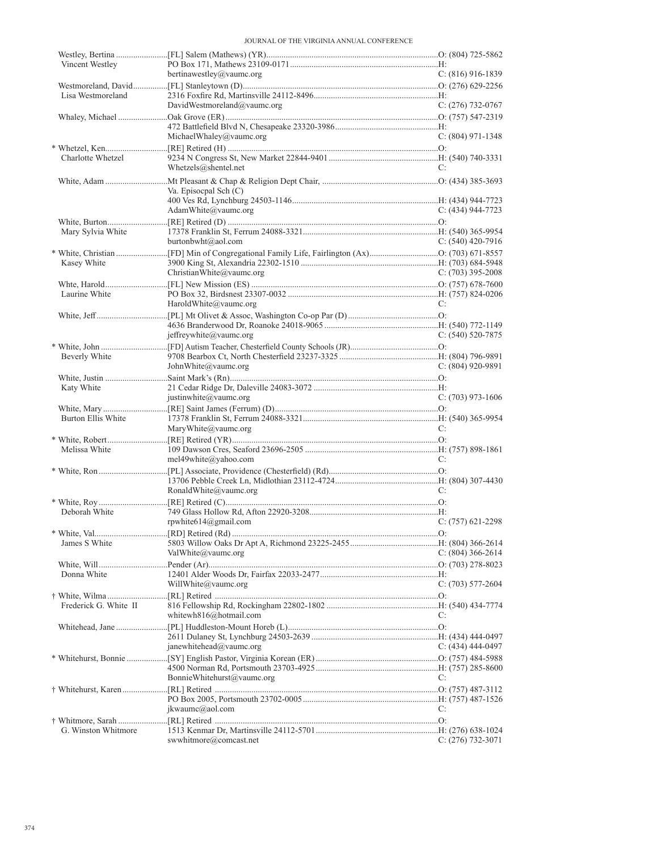JOURNAL OF THE VIRGINIA ANNUAL CONFERENCE

| Vincent Westley       | bertinawestley@vaumc.org    | $C: (816)$ 916-1839 |
|-----------------------|-----------------------------|---------------------|
|                       |                             |                     |
| Lisa Westmoreland     |                             |                     |
|                       | DavidWestmoreland@vaumc.org | $C: (276)$ 732-0767 |
|                       |                             |                     |
|                       |                             |                     |
|                       | MichaelWhaley@vaumc.org     | $C: (804)$ 971-1348 |
|                       |                             |                     |
| Charlotte Whetzel     |                             |                     |
|                       | Whetzels@shentel.net        | C:                  |
|                       |                             |                     |
|                       | Va. Episocpal Sch (C)       |                     |
|                       |                             |                     |
|                       | AdamWhite@vaumc.org         | $C: (434) 944-7723$ |
|                       |                             |                     |
| Mary Sylvia White     |                             |                     |
|                       | burtonbwht@aol.com          | $C: (540)$ 420-7916 |
|                       |                             |                     |
| Kasey White           | ChristianWhite@vaumc.org    | $C: (703)$ 395-2008 |
|                       |                             |                     |
|                       |                             |                     |
| Laurine White         | HaroldWhite@vaumc.org       | C:                  |
|                       |                             |                     |
|                       |                             |                     |
|                       | jeffreywhite@vaumc.org      | $C: (540) 520-7875$ |
|                       |                             |                     |
| Beverly White         |                             |                     |
|                       | John White $@$ vaume.org    | $C: (804)$ 920-9891 |
|                       |                             |                     |
| Katy White            |                             |                     |
|                       | justinwhite@vaumc.org       | $C: (703)$ 973-1606 |
|                       |                             |                     |
| Burton Ellis White    |                             |                     |
|                       | MaryWhite@vaumc.org         | C:                  |
|                       |                             |                     |
| Melissa White         |                             |                     |
|                       | mel49white@yahoo.com        | C:                  |
|                       |                             |                     |
|                       |                             |                     |
|                       | RonaldWhite@vaumc.org       | C:                  |
|                       |                             |                     |
| Deborah White         |                             |                     |
|                       | rpwhite614@gmail.com        | $C: (757)$ 621-2298 |
|                       |                             |                     |
| James S White         |                             |                     |
|                       | ValWhite@vaumc.org          | $C: (804)$ 366-2614 |
|                       |                             |                     |
| Donna White           |                             |                     |
|                       | WillWhite@vaumc.org         | $C: (703) 577-2604$ |
|                       |                             |                     |
| Frederick G. White II |                             |                     |
|                       | whitewh816@hotmail.com      | C:                  |
|                       |                             |                     |
|                       |                             |                     |
|                       | janewhitehead@vaumc.org     | $C: (434)$ 444-0497 |
|                       |                             |                     |
|                       |                             |                     |
|                       | BonnieWhitehurst@vaumc.org  | C:                  |
|                       |                             |                     |
|                       |                             |                     |
|                       | jkwaumc@aol.com             | C:                  |
|                       |                             |                     |
| G. Winston Whitmore   |                             |                     |
|                       | swwhitmore@comcast.net      | $C: (276)$ 732-3071 |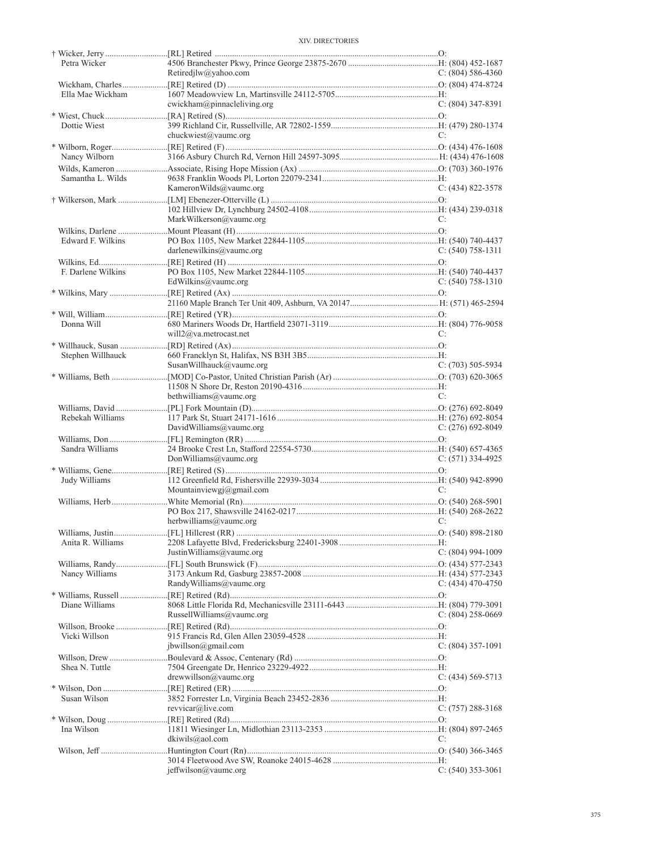| Petra Wicker       |                             |                       |
|--------------------|-----------------------------|-----------------------|
|                    | Retiredjlw@yahoo.com        | $C: (804) 586-4360$   |
|                    |                             |                       |
| Ella Mae Wickham   |                             |                       |
|                    | cwickham@pinnacleliving.org | $C: (804)$ 347-8391   |
|                    |                             |                       |
| Dottie Wiest       |                             |                       |
|                    | chuckwiest@vaumc.org        | C:                    |
|                    |                             |                       |
| Nancy Wilborn      |                             |                       |
|                    |                             |                       |
|                    |                             |                       |
| Samantha L. Wilds  |                             |                       |
|                    | KameronWilds@vaumc.org      | $C: (434) 822 - 3578$ |
|                    |                             |                       |
|                    |                             |                       |
|                    | MarkWilkerson@vaumc.org     | C:                    |
|                    |                             |                       |
| Edward F. Wilkins  |                             |                       |
|                    | darlenewilkins@value.org    | $C: (540) 758-1311$   |
|                    |                             |                       |
| F. Darlene Wilkins |                             |                       |
|                    | EdWilkins@vaumc.org         | $C: (540) 758-1310$   |
|                    |                             |                       |
|                    |                             |                       |
|                    |                             |                       |
|                    |                             |                       |
| Donna Will         |                             |                       |
|                    | will $2@$ va.metrocast.net  | C:                    |
|                    |                             |                       |
| Stephen Willhauck  |                             |                       |
|                    | SusanWillhauck@vaumc.org    | $C: (703) 505-5934$   |
|                    |                             |                       |
|                    |                             |                       |
|                    | bethwilliams@vaumc.org      | C:                    |
|                    |                             |                       |
| Rebekah Williams   |                             |                       |
|                    | DavidWilliams@vaumc.org     | C: $(276)$ 692-8049   |
|                    |                             |                       |
| Sandra Williams    |                             |                       |
|                    |                             |                       |
|                    | DonWilliams@vaumc.org       | $C: (571)$ 334-4925   |
|                    |                             |                       |
| Judy Williams      |                             |                       |
|                    | Mountainviewgj@gmail.com    | C:                    |
|                    |                             |                       |
|                    |                             |                       |
|                    | herbwilliams@vaumc.org      | C:                    |
|                    |                             |                       |
| Anita R. Williams  |                             |                       |
|                    | JustinWilliams@vaumc.org    | $C: (804)$ 994-1009   |
|                    |                             |                       |
| Nancy Williams     |                             |                       |
|                    | RandyWilliams@vaumc.org     | C: $(434)$ 470-4750   |
|                    |                             |                       |
| Diane Williams     |                             |                       |
|                    | RussellWilliams@vaumc.org   | C: $(804)$ 258-0669   |
|                    |                             |                       |
|                    |                             |                       |
| Vicki Willson      | ibwillson@gmail.com         |                       |
|                    |                             | $C: (804)$ 357-1091   |
|                    |                             |                       |
| Shea N. Tuttle     |                             |                       |
|                    | drewwillson@vaumc.org       | $C: (434) 569-5713$   |
|                    |                             |                       |
| Susan Wilson       |                             |                       |
|                    | revvicar@live.com           | $C: (757) 288-3168$   |
|                    |                             |                       |
| Ina Wilson         |                             |                       |
|                    | dkiwils@aol.com             | C:                    |
|                    |                             |                       |
|                    |                             |                       |
|                    | jeffwilson@vaumc.org        | $C: (540)$ 353-3061   |
|                    |                             |                       |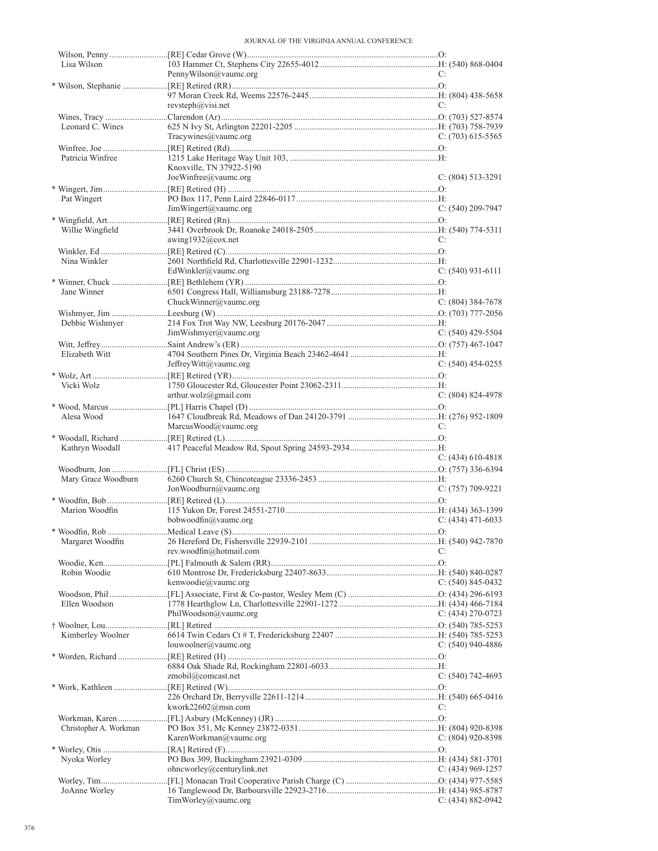JOURNAL OF THE VIRGINIA ANNUAL CONFERENCE

| Lisa Wilson            |                                 |                     |
|------------------------|---------------------------------|---------------------|
|                        | PennyWilson@vaumc.org           | C:                  |
|                        |                                 |                     |
|                        |                                 |                     |
|                        | revsteph@visi.net               | C:                  |
|                        |                                 |                     |
| Leonard C. Wines       |                                 |                     |
|                        | Tracywines@vaumc.org            | $C: (703)$ 615-5565 |
|                        |                                 |                     |
| Patricia Winfree       |                                 |                     |
|                        | Knoxville, TN 37922-5190        |                     |
|                        | JoeWinfree@vaumc.org            | $C: (804) 513-3291$ |
|                        |                                 |                     |
| Pat Wingert            |                                 |                     |
|                        | JimWingert@vaumc.org            | $C: (540)$ 209-7947 |
|                        |                                 |                     |
| Willie Wingfield       |                                 |                     |
|                        | awing1932@cox.net               | C:                  |
|                        |                                 |                     |
| Nina Winkler           |                                 |                     |
|                        | EdWinkler@vaumc.org             | $C: (540)$ 931-6111 |
|                        |                                 |                     |
| Jane Winner            |                                 |                     |
|                        | ChuckWinner@vaumc.org           | $C: (804)$ 384-7678 |
|                        |                                 |                     |
| Debbie Wishmyer        |                                 |                     |
|                        | JimWishmyer@vaumc.org           | C: $(540)$ 429-5504 |
|                        |                                 |                     |
| Elizabeth Witt         |                                 |                     |
|                        | JeffreyWitt@vaumc.org           | C: $(540)$ 454-0255 |
|                        |                                 |                     |
| Vicki Wolz             |                                 |                     |
|                        | arthur.wolz@gmail.com           | $C: (804) 824-4978$ |
|                        |                                 |                     |
| Alesa Wood             |                                 |                     |
|                        | MarcusWood@vaumc.org            | C:                  |
|                        |                                 |                     |
|                        |                                 |                     |
|                        |                                 |                     |
| Kathryn Woodall        |                                 |                     |
|                        |                                 | C: $(434)$ 610-4818 |
|                        |                                 |                     |
| Mary Grace Woodburn    |                                 |                     |
|                        | JonWoodburn@vaumc.org           | $C: (757)$ 709-9221 |
|                        |                                 |                     |
| Marion Woodfin         |                                 |                     |
|                        | bobwoodfin@vaumc.org            | $C: (434)$ 471-6033 |
|                        |                                 |                     |
| Margaret Woodfin       |                                 |                     |
|                        | rev.woodfin@hotmail.com         | C:                  |
|                        |                                 |                     |
| Robin Woodie           |                                 |                     |
|                        | kenwoodie@vaumc.org             | $C: (540) 845-0432$ |
|                        |                                 |                     |
| Ellen Woodson          |                                 |                     |
|                        | PhilWoodson@vaumc.org           | $C: (434)$ 270-0723 |
|                        |                                 |                     |
| Kimberley Woolner      |                                 |                     |
|                        | louwoolner@vaumc.org            | $C: (540)$ 940-4886 |
|                        |                                 |                     |
|                        |                                 |                     |
|                        | zmobil@comcast.net              | C: $(540)$ 742-4693 |
|                        |                                 |                     |
|                        |                                 |                     |
|                        | kwork22602@msn.com              | C:                  |
|                        |                                 |                     |
| Christopher A. Workman |                                 |                     |
|                        | KarenWorkman@vaumc.org          | C: $(804)$ 920-8398 |
|                        |                                 |                     |
| Nyoka Worley           |                                 |                     |
|                        | ohncworley@centurylink.net      | C: $(434)$ 969-1257 |
|                        |                                 |                     |
| JoAnne Worley          | $TimWorkq$ <i>(a)</i> vaumc.org | C: (434) 882-0942   |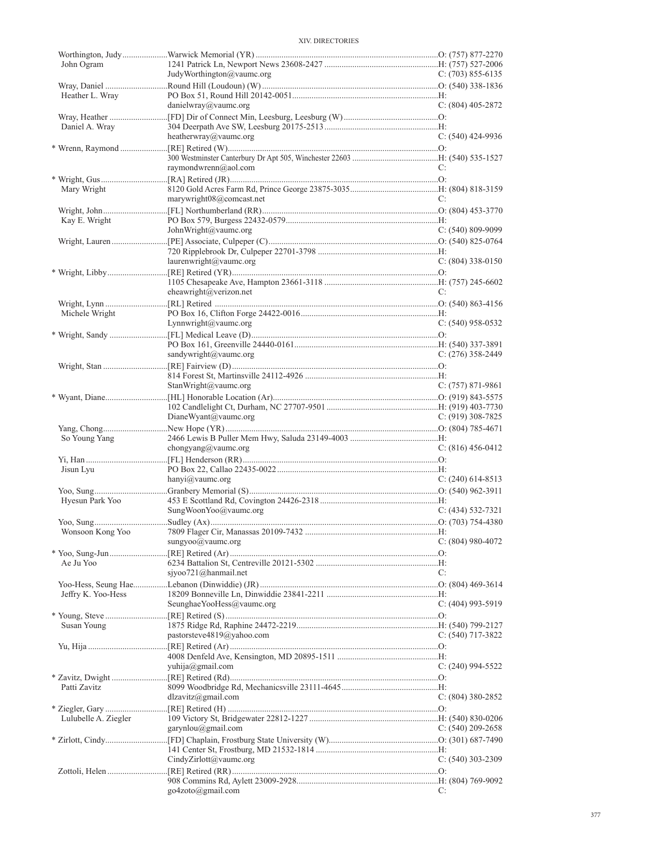| John Ogram           |                           |                     |
|----------------------|---------------------------|---------------------|
|                      | JudyWorthington@vaumc.org | C: $(703)$ 855-6135 |
| Heather L. Wray      |                           |                     |
|                      | danielwray@vaumc.org      | C: $(804)$ 405-2872 |
|                      |                           |                     |
| Daniel A. Wray       |                           |                     |
|                      | heatherwray@vaumc.org     | $C: (540)$ 424-9936 |
|                      |                           |                     |
|                      |                           | C:                  |
|                      | raymondwrenn@aol.com      |                     |
| Mary Wright          |                           |                     |
|                      | marywright08@comcast.net  | C:                  |
|                      |                           |                     |
| Kay E. Wright        |                           |                     |
|                      | JohnWright@vaumc.org      | $C: (540) 809-9099$ |
|                      |                           |                     |
|                      | laurenwright@value.org    | $C: (804)$ 338-0150 |
|                      |                           |                     |
|                      |                           |                     |
|                      | eheawright@verizon.net    | C:                  |
|                      |                           |                     |
| Michele Wright       |                           |                     |
|                      | Lynnwright@vaumc.org      | $C: (540)$ 958-0532 |
|                      |                           |                     |
|                      | sandywright@vaumc.org     | $C: (276)$ 358-2449 |
|                      |                           |                     |
|                      |                           |                     |
|                      | StanWright@vaumc.org      | C: $(757)$ 871-9861 |
|                      |                           |                     |
|                      |                           |                     |
|                      | DianeWyant@vaumc.org      | $C: (919)$ 308-7825 |
|                      |                           |                     |
| So Young Yang        | chongyang@vaumc.org       | $C: (816) 456-0412$ |
|                      |                           |                     |
|                      |                           |                     |
|                      |                           |                     |
| Jisun Lyu            | hanyi@vaumc.org           | C: $(240)$ 614-8513 |
|                      |                           |                     |
| Hyesun Park Yoo      |                           |                     |
|                      | SungWoonYoo@vaumc.org     | $C: (434) 532-7321$ |
|                      |                           |                     |
|                      |                           |                     |
|                      | sungyoo@vaumc.org         | $C: (804) 980-4072$ |
| Ae Ju Yoo            |                           |                     |
|                      | sjyoo721@hanmail.net      | C:                  |
|                      |                           |                     |
| Jeffry K. Yoo-Hess   |                           |                     |
|                      | SeunghaeYooHess@vaumc.org | $C: (404)$ 993-5919 |
|                      |                           |                     |
| Susan Young          |                           |                     |
|                      | pastorsteve4819@yahoo.com | $C: (540)$ 717-3822 |
|                      |                           |                     |
|                      | yuhija@gmail.com          | C: $(240)$ 994-5522 |
|                      |                           |                     |
| Patti Zavitz         |                           |                     |
|                      | dlzavitz@gmail.com        | $C: (804)$ 380-2852 |
|                      |                           |                     |
| Lulubelle A. Ziegler |                           |                     |
|                      | garynlou@gmail.com        | C: $(540)$ 209-2658 |
|                      |                           |                     |
|                      | CindyZirlott@vaumc.org    | $C: (540)$ 303-2309 |
|                      |                           |                     |
|                      | go4zoto@gmail.com         | C:                  |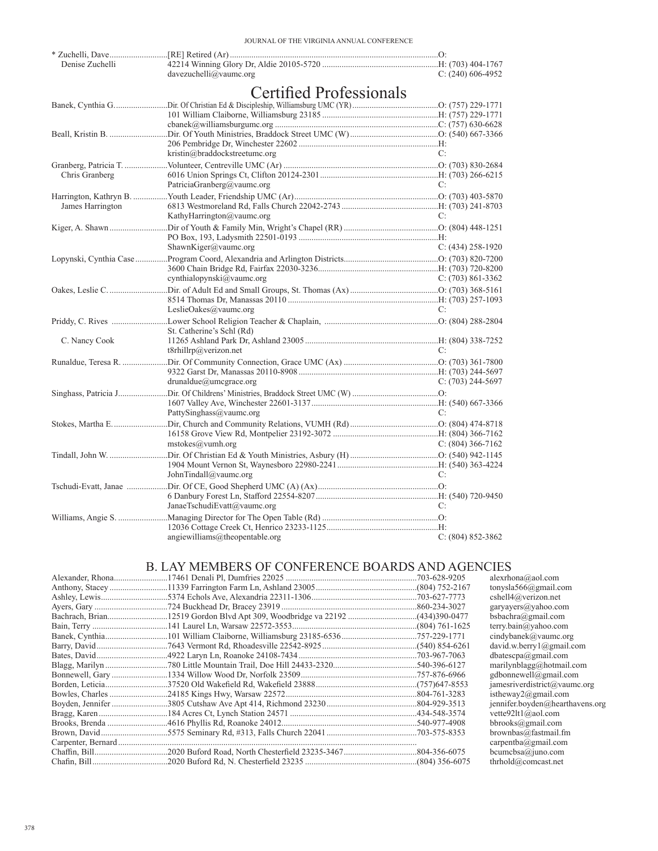| davezuchelli@vaumc.org<br>$C: (240)$ 606-4952<br><b>Certified Professionals</b><br>kristin@braddockstreetumc.org<br>C: |
|------------------------------------------------------------------------------------------------------------------------|
|                                                                                                                        |
|                                                                                                                        |
|                                                                                                                        |
|                                                                                                                        |
|                                                                                                                        |
|                                                                                                                        |
|                                                                                                                        |
|                                                                                                                        |
| Chris Granberg                                                                                                         |
| PatriciaGranberg@vaumc.org<br>C:                                                                                       |
|                                                                                                                        |
| James Harrington<br>KathyHarrington@vaumc.org<br>C:                                                                    |
|                                                                                                                        |
|                                                                                                                        |
| ShawnKiger@vaumc.org<br>$C: (434) 258-1920$                                                                            |
|                                                                                                                        |
|                                                                                                                        |
| cynthialopynski@vaumc.org<br>$C: (703) 861-3362$                                                                       |
|                                                                                                                        |
| LeslieOakes@vaumc.org<br>C:                                                                                            |
|                                                                                                                        |
| St. Catherine's Schl (Rd)                                                                                              |
| C. Nancy Cook                                                                                                          |
| t8rhillrp@verizon.net<br>C:                                                                                            |
|                                                                                                                        |
| drunaldue@umegrate.org<br>$C: (703)$ 244-5697                                                                          |
|                                                                                                                        |
|                                                                                                                        |
| PattySinghass@vaumc.org<br>C:                                                                                          |
|                                                                                                                        |
|                                                                                                                        |
| mstocks@vumb.org<br>C: $(804)$ 366-7162                                                                                |
|                                                                                                                        |
| JohnTindall@vaumc.org<br>C:                                                                                            |
|                                                                                                                        |
|                                                                                                                        |
| JanaeTschudiEvatt@vaumc.org<br>C:                                                                                      |
|                                                                                                                        |
| angiewilliams@theopentable.org<br>$C: (804) 852 - 3862$                                                                |

# B. LAY MEMBERS OF CONFERENCE BOARDS AND AGENCIES

|  | alexrhona@aol.com                        |
|--|------------------------------------------|
|  | tonysla $566@$ gmail.com                 |
|  | cshell4@verizon.net                      |
|  | garyayers@yahoo.com                      |
|  | bsbachra@gmail.com                       |
|  | terry.bain@yahoo.com                     |
|  | cindybanek@vaumc.org                     |
|  | david.w.berry $1$ ( $\partial$ gmail.com |
|  | dbatescpa@gmail.com                      |
|  | marilynblagg@hotmail.com                 |
|  | gdbonnewell@gmail.com                    |
|  | jamesriverdistrict@vaumc.org             |
|  | istheway2@gmail.com                      |
|  | jennifer.boyden@hearthavens.org          |
|  | vette92lt1@aol.com                       |
|  | $bbrooks(\omega$ gmail.com               |
|  | brown bas@fastmail.fm                    |
|  | carpentba@gmail.com                      |
|  | bcumcbsa@juno.com                        |
|  | thrhold@comcast.net                      |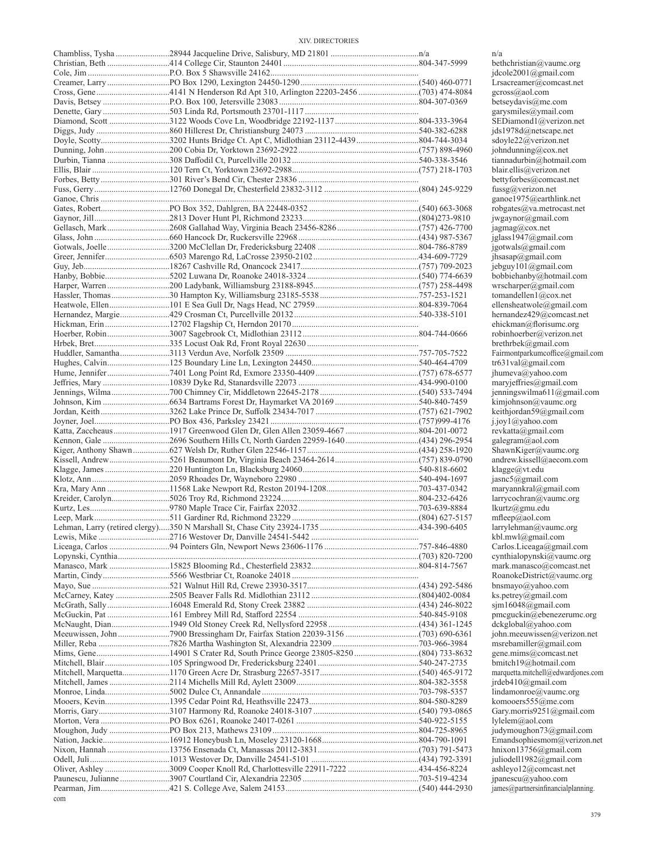|                                                                              | n/a            |
|------------------------------------------------------------------------------|----------------|
|                                                                              | bet            |
|                                                                              | jdc            |
|                                                                              | Lrs            |
|                                                                              | gcr            |
|                                                                              | bet            |
|                                                                              | gar            |
|                                                                              | <b>SE</b>      |
|                                                                              | jds            |
|                                                                              | sdc            |
|                                                                              | joh            |
|                                                                              | tian<br>bla    |
|                                                                              | bet            |
|                                                                              | fus            |
|                                                                              |                |
|                                                                              | gar<br>rob     |
|                                                                              |                |
|                                                                              | jwg            |
|                                                                              | jag<br>jgla    |
|                                                                              | <sub>1go</sub> |
|                                                                              | jhs            |
|                                                                              | jeb            |
|                                                                              | bol            |
|                                                                              | wr:            |
|                                                                              | ton            |
|                                                                              | elle           |
|                                                                              | her            |
|                                                                              | ehi            |
|                                                                              | rob            |
|                                                                              | bre            |
|                                                                              | Fai            |
|                                                                              | tr6            |
|                                                                              | jhu            |
|                                                                              | ma             |
|                                                                              | jen            |
|                                                                              | kin            |
|                                                                              | kei            |
|                                                                              | 1.10           |
|                                                                              | rev            |
| Kennon, Gale 2696 Southern Hills Ct, North Garden 22959-1640 (434) 296-2954  | gal            |
|                                                                              | Sha            |
|                                                                              | and            |
|                                                                              | kla            |
|                                                                              | jas:           |
|                                                                              | ma             |
|                                                                              | ları           |
|                                                                              | 1ku            |
|                                                                              | mf             |
|                                                                              | ları           |
|                                                                              | kbl            |
|                                                                              | Ca             |
|                                                                              | cyr            |
|                                                                              | ma             |
|                                                                              | Ro             |
|                                                                              | bns            |
|                                                                              | ks.            |
|                                                                              | sjn            |
|                                                                              | pm             |
|                                                                              | dcl            |
|                                                                              | joh            |
|                                                                              | ms             |
|                                                                              | ger            |
|                                                                              | bm<br>mai      |
|                                                                              | jrd            |
|                                                                              | line           |
|                                                                              | koi            |
|                                                                              | Ga             |
|                                                                              | lyl            |
|                                                                              | jud            |
|                                                                              | Em             |
|                                                                              | hni            |
|                                                                              | juli           |
| Oliver, Ashley 3009 Cooper Knoll Rd, Charlottesville 22911-7222 434-456-8224 | ash            |
|                                                                              | jpa            |
|                                                                              | 1am            |
|                                                                              |                |

com

beth christian@vaumc.org jdcole2001@gmail.com Lrsacreamer@comcast.net gcross@aol.com betseydavis@me.com garysmiles@ymail.com SEDiamond1@verizon.net jds1978d@netscape.net  $\overline{\text{sdoyle22@verizon.net}}$ johndunning@cox.net  $\widetilde{\mathcal{Q}}$ hotmail.com blair.ellis@verizon.net bettyforbes@comcast.net fussg@verizon.net ganoe1975@earthlink.net  $robgates@va.metrocast.net$ jwgaynor@gmail.com jagmag@cox.net jglass1947@gmail.com  $\sum_{j \text{gotwals}(\text{$a$) granil.com}$ jhsasap@gmail.com jebguy101@gmail.com bobbiehanby@hotmail.com wrscharper@gmail.com tomandellen1@cox.net ellensheatwole@gmail.com hernandez429@comcast.net ehickman@florisumc.org robinhoerber@verizon.net brethrbek@gmail.com Fairmontparkumcoffice@gmail.com  $tr631val@gmail.com$ jhumeva@yahoo.com maryjeffries@gmail.com jenningswilma611@gmail.com kimjohnson@vaumc.org keithjordan59@gmail.com j.joy1@yahoo.com  $revkatta(ægmail.com)$  $galegram@a$ ol.com  $ShawnKiger@vaume.org$ andrew.kissell@aecom.com klagge@vt.edu jasnc5@gmail.com  $maxyannkral@gmail.com$ larrycochran@vaumc.org  $lkurtz@gmu.edu$ mfleep@aol.com larrylehman@vaumc.org kbl.mwl@gmail.com Carlos.Liceaga@gmail.com cynthialopynski@vaumc.org  $mark.manasco@connect.net$ RoanokeDistrict@vaumc.org bnsmayo@yahoo.com ks.petrey@gmail.com  $sim16048$ @gmail.com  $\text{pmeguckin@ebenezerume.org}$ dckglobal@yahoo.com john.meeuwissen@verizon.net msrebamiller@gmail.com gene.mims@comcast.net bmitch19@hotmail.com marquetta.mitchell@edwardjones.com jrdeb410@gmail.com  $limdamonroe@vaume.org$ komooers555@me.com Gary.morris9251@gmail.com lylelem@aol.com judy moughon 73@gmail.com  $E$ mandsophiesmom@verizon.net hnixon13756@gmail.com juliodell1982@gmail.com ashleyo12@comcast.net jpanescu@yahoo.com james@partnersinfinancialplanning.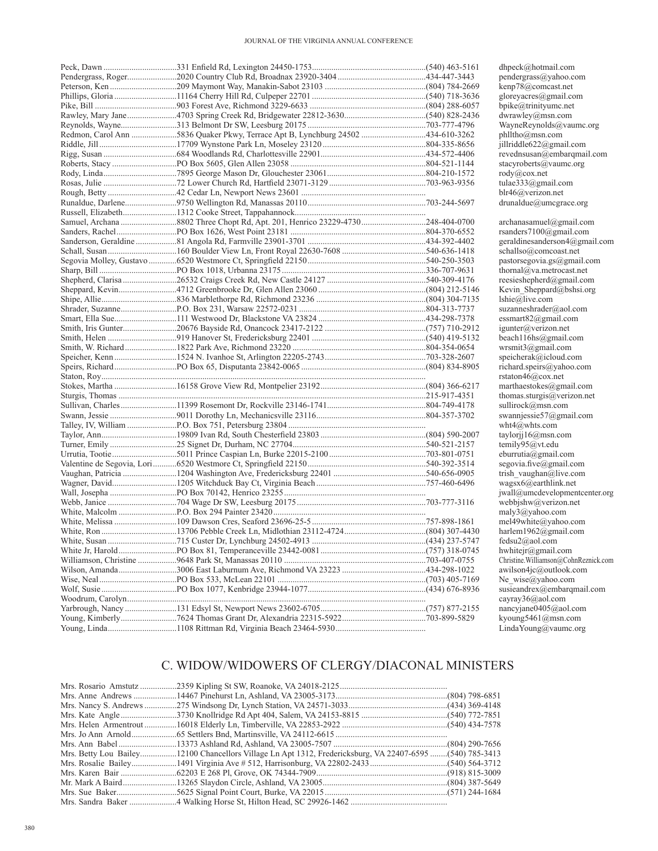|  | dhpeck@hotmail.com                       |
|--|------------------------------------------|
|  | pendergrass@yahoo.com                    |
|  | kenp78@comcast.net                       |
|  | gloreyacres@gmail.com                    |
|  | bpike@trinityumc.net                     |
|  | dwrawley@msn.com                         |
|  | WayneReynolds@vaumc                      |
|  | phlltho@msn.com                          |
|  | jillriddle622@gmail.com                  |
|  | revednsusan@embarqmai                    |
|  | stacyroberts@vaumc.org                   |
|  | $\text{rod}y(a)\text{cox.net}$           |
|  | tulae333@gmail.com                       |
|  | blr46@verizon.net                        |
|  | drunaldue@umegrate.org                   |
|  |                                          |
|  | archanasamuel@gmail.co                   |
|  | rsanders7100@gmail.com                   |
|  | geraldinesanderson4@gm                   |
|  | schallso@comcoast.net                    |
|  | pastorsegovia.gs@gmail.                  |
|  | thornal@va.metrocast.net                 |
|  | reesieshepherd@gmail.co                  |
|  | Kevin Sheppard@bshsi.c                   |
|  |                                          |
|  | lshie@live.com<br>suzanneshrader@aol.com |
|  |                                          |
|  | essmart $82$ @gmail.com                  |
|  | igunter@verizon.net                      |
|  | beach116hs@gmail.com                     |
|  | wrsmit $3$ @gmail.com                    |
|  | speicherak@icloud.com                    |
|  | richard.speirs@yahoo.com                 |
|  | rstaton $46@$ cox.net                    |
|  | marthaestokes@gmail.co                   |
|  | thomas.sturgis@verizon.r                 |
|  | sullirock@msn.com                        |
|  | swannjessie57@gmail.co                   |
|  | wht $4@$ whts.com                        |
|  | taylorij $16@$ msn.com                   |
|  | temily95@vt.edu                          |
|  | eburrutia@gmail.com                      |
|  | segovia.five@gmail.com                   |
|  | trish vaughan@live.com                   |
|  | wagsx6@earthlink.net                     |
|  | jwall@umcdevelopmentce                   |
|  | webbjshw@verizon.net                     |
|  | maly3@yahoo.com                          |
|  | mel49white@yahoo.com                     |
|  | harlem1962@gmail.com                     |
|  | fedsu2@aol.com                           |
|  | hwhitejr@gmail.com                       |
|  | Christine. Williamson@CohnRea            |
|  | awilson4jc@outlook.com                   |
|  | Ne wise@yahoo.com                        |
|  | susieandrex@embarqmai                    |
|  | cayray36@aol.com                         |
|  | nancyjane0405@aol.com                    |
|  | kyoung5461@msn.com                       |
|  | LindaYoung@vaumc.org                     |
|  |                                          |

dhpeck@hotmail.com pendergrass@yahoo.com kenp78@comcast.net gloreyacres@gmail.com  $\widetilde{\Phi}$ bpike@trinityumc.net dwrawley@msn.com  $WayneReynolds@valuemcc.org$ phlltho@msn.com jillriddle622@gmail.com  $\widetilde{\mathcal{C}}$ evednsusan $\widetilde{\mathcal{C}}$ embarqmail.com stacyroberts@vaumc.org<br>rody@cox.net  $\widetilde{\mathrm{tulae333@gmail.com}}$ blr46@verizon.net drunaldue@umcgrace.org

archanasamuel@gmail.com rsanders7100@gmail.com geraldinesanderson4@gmail.com  $schallso@comcoast.net$ pastorsegovia.gs@gmail.com Sharp, Bill ....................................PO Box 1018, Urbanna 23175...................................................................336-707-9631 thornal@va.metrocast.net reesieshepherd@gmail.com Kevin Sheppard@bshsi.org  $\text{lshie}(\vec{a})\text{live.com}$ suzanneshrader@aol.com essmart82@gmail.com igunter@verizon.net beach116hs@gmail.com wrsmit3@gmail.com speicherak@icloud.com  $\widetilde{\text{richard}}$ .speirs@yahoo.com rstaton46@cox.net  $marthaestokes@gmail.com$ thomas.sturgis@verizon.net sullirock@msn.com swannjessie57@gmail.com wht4@whts.com taylorjj16@msn.com temily95@vt.edu eburrutia@gmail.com segovia.five@gmail.com trish\_vaughan@live.com wagsx6@earthlink.net jwall@umcdevelopmentcenter.org webbjshw@verizon.net maly3@yahoo.com mel49white@yahoo.com harlem1962@gmail.com fedsu2@aol.com hwhitejr@gmail.com  $Christine.$ Williamson@CohnReznick.com awilson4jc@outlook.com Ne\_wise@yahoo.com susieandrex@embarqmail.com  $cayray36@aol.com$ nancyjane0405@aol.com  $kyoung 5461@msn.com$ 

# C. WIDOW/WIDOWERS OF CLERGY/DIACONAL MINISTERS

| Mrs. Betty Lou Bailey12100 Chancellors Village Ln Apt 1312, Fredericksburg, VA 22407-6595 (540) 785-3413 |  |
|----------------------------------------------------------------------------------------------------------|--|
|                                                                                                          |  |
|                                                                                                          |  |
|                                                                                                          |  |
|                                                                                                          |  |
|                                                                                                          |  |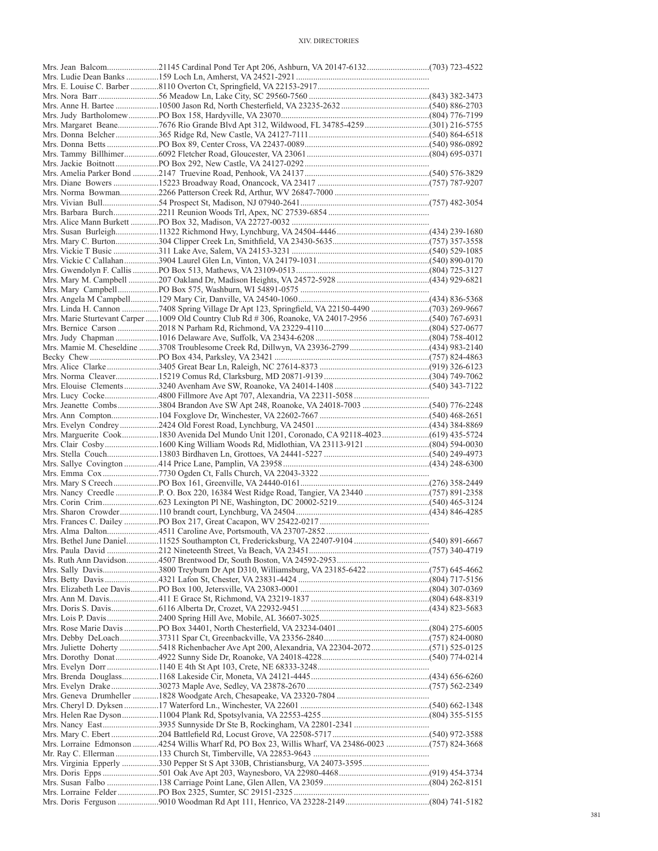| Mrs. Jean Balcom21145 Cardinal Pond Ter Apt 206, Ashburn, VA 20147-6132(703) 723-4522              |  |
|----------------------------------------------------------------------------------------------------|--|
|                                                                                                    |  |
|                                                                                                    |  |
|                                                                                                    |  |
|                                                                                                    |  |
|                                                                                                    |  |
|                                                                                                    |  |
|                                                                                                    |  |
|                                                                                                    |  |
|                                                                                                    |  |
|                                                                                                    |  |
|                                                                                                    |  |
|                                                                                                    |  |
|                                                                                                    |  |
|                                                                                                    |  |
|                                                                                                    |  |
|                                                                                                    |  |
|                                                                                                    |  |
|                                                                                                    |  |
|                                                                                                    |  |
|                                                                                                    |  |
|                                                                                                    |  |
|                                                                                                    |  |
|                                                                                                    |  |
|                                                                                                    |  |
| Mrs. Marie Sturtevant Carper 1009 Old Country Club Rd # 306, Roanoke, VA 24017-2956 (540) 767-6931 |  |
|                                                                                                    |  |
| Mrs. Mamie M. Cheseldine 3708 Troublesome Creek Rd, Dillwyn, VA 23936-2799 (434) 983-2140          |  |
|                                                                                                    |  |
|                                                                                                    |  |
|                                                                                                    |  |
|                                                                                                    |  |
|                                                                                                    |  |
|                                                                                                    |  |
|                                                                                                    |  |
|                                                                                                    |  |
| Mrs. Marguerite Cook1830 Avenida Del Mundo Unit 1201, Coronado, CA 92118-4023(619) 435-5724        |  |
| Mrs. Clair Cosby1600 King William Woods Rd, Midlothian, VA 23113-9121 (804) 594-0030               |  |
|                                                                                                    |  |
|                                                                                                    |  |
|                                                                                                    |  |
|                                                                                                    |  |
|                                                                                                    |  |
|                                                                                                    |  |
|                                                                                                    |  |
|                                                                                                    |  |
|                                                                                                    |  |
|                                                                                                    |  |
|                                                                                                    |  |
| Mrs. Sally Davis3800 Treyburn Dr Apt D310, Williamsburg, VA 23185-6422 (757) 645-4662              |  |
|                                                                                                    |  |
|                                                                                                    |  |
|                                                                                                    |  |
|                                                                                                    |  |
|                                                                                                    |  |
|                                                                                                    |  |
|                                                                                                    |  |
|                                                                                                    |  |
|                                                                                                    |  |
|                                                                                                    |  |
|                                                                                                    |  |
|                                                                                                    |  |
|                                                                                                    |  |
|                                                                                                    |  |
|                                                                                                    |  |
|                                                                                                    |  |
| Mrs. Lorraine Edmonson 4254 Willis Wharf Rd, PO Box 23, Willis Wharf, VA 23486-0023 (757) 824-3668 |  |
|                                                                                                    |  |
|                                                                                                    |  |
|                                                                                                    |  |
|                                                                                                    |  |
|                                                                                                    |  |
|                                                                                                    |  |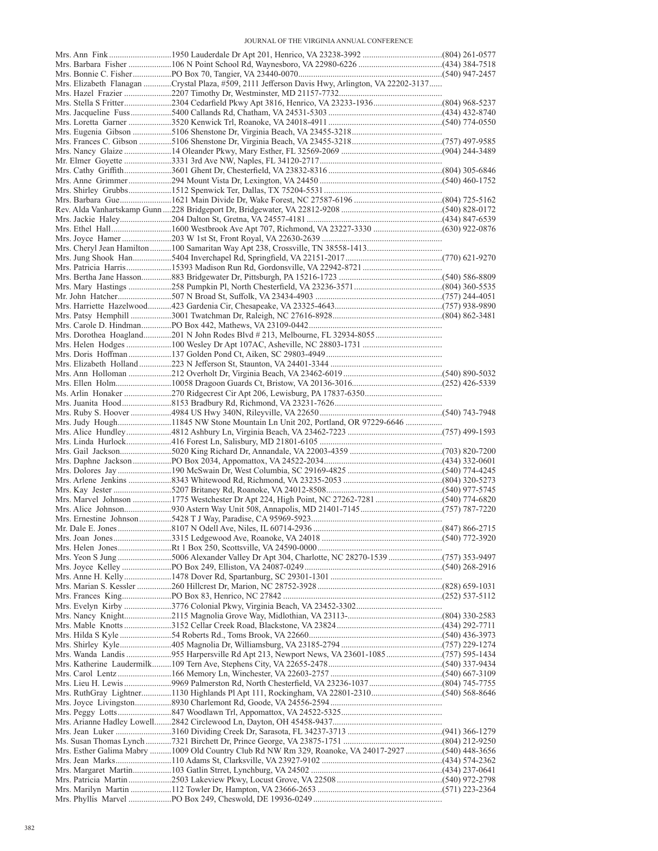| Mrs. Elizabeth Flanagan Crystal Plaza, #509, 2111 Jefferson Davis Hwy, Arlington, VA 22202-3137    |  |
|----------------------------------------------------------------------------------------------------|--|
|                                                                                                    |  |
| Mrs. Stella S Fritter2304 Cedarfield Pkwy Apt 3816, Henrico, VA 23233-1936(804) 968-5237           |  |
|                                                                                                    |  |
|                                                                                                    |  |
|                                                                                                    |  |
|                                                                                                    |  |
|                                                                                                    |  |
|                                                                                                    |  |
|                                                                                                    |  |
|                                                                                                    |  |
|                                                                                                    |  |
|                                                                                                    |  |
|                                                                                                    |  |
|                                                                                                    |  |
|                                                                                                    |  |
|                                                                                                    |  |
|                                                                                                    |  |
|                                                                                                    |  |
|                                                                                                    |  |
|                                                                                                    |  |
|                                                                                                    |  |
|                                                                                                    |  |
|                                                                                                    |  |
|                                                                                                    |  |
|                                                                                                    |  |
|                                                                                                    |  |
|                                                                                                    |  |
|                                                                                                    |  |
|                                                                                                    |  |
|                                                                                                    |  |
|                                                                                                    |  |
|                                                                                                    |  |
| Mrs. Judy Hough11845 NW Stone Mountain Ln Unit 202, Portland, OR 97229-6646                        |  |
|                                                                                                    |  |
|                                                                                                    |  |
|                                                                                                    |  |
|                                                                                                    |  |
|                                                                                                    |  |
|                                                                                                    |  |
|                                                                                                    |  |
|                                                                                                    |  |
|                                                                                                    |  |
|                                                                                                    |  |
|                                                                                                    |  |
|                                                                                                    |  |
| Mrs. Yeon S Jung 5006 Alexander Valley Dr Apt 304, Charlotte, NC 28270-1539 (757) 353-9497         |  |
|                                                                                                    |  |
|                                                                                                    |  |
|                                                                                                    |  |
|                                                                                                    |  |
|                                                                                                    |  |
|                                                                                                    |  |
|                                                                                                    |  |
|                                                                                                    |  |
|                                                                                                    |  |
|                                                                                                    |  |
|                                                                                                    |  |
|                                                                                                    |  |
| Mrs. Lieu H. Lewis 9969 Palmerston Rd, North Chesterfield, VA 23236-1037 (804) 745-7755            |  |
|                                                                                                    |  |
|                                                                                                    |  |
|                                                                                                    |  |
|                                                                                                    |  |
|                                                                                                    |  |
| Mrs. Esther Galima Mabry 1009 Old Country Club Rd NW Rm 329, Roanoke, VA 24017-2927 (540) 448-3656 |  |
|                                                                                                    |  |
|                                                                                                    |  |
|                                                                                                    |  |
|                                                                                                    |  |
|                                                                                                    |  |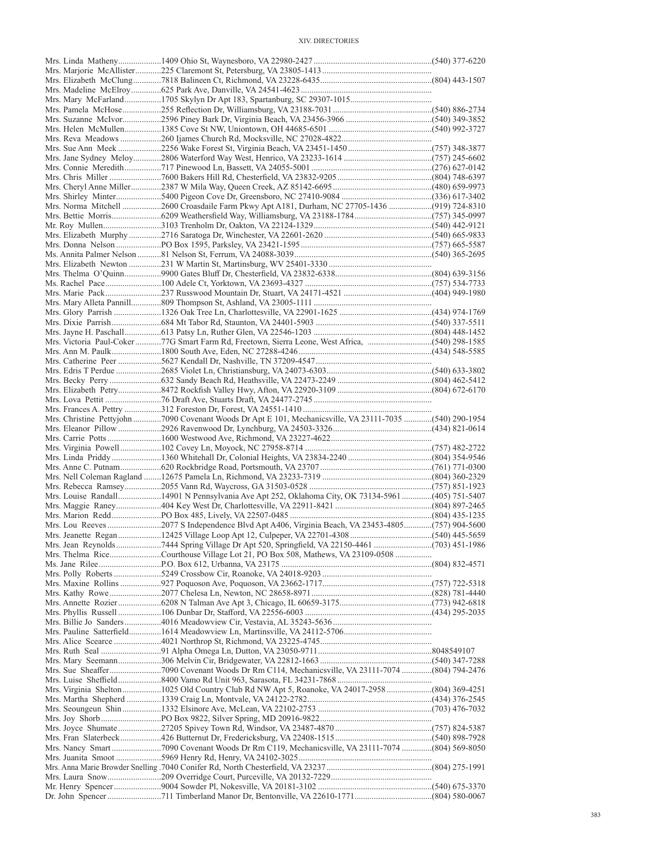| Mrs. Norma Mitchell 2600 Croasdaile Farm Pkwy Apt A181, Durham, NC 27705-1436 (919) 724-8310            |  |
|---------------------------------------------------------------------------------------------------------|--|
|                                                                                                         |  |
|                                                                                                         |  |
|                                                                                                         |  |
|                                                                                                         |  |
|                                                                                                         |  |
|                                                                                                         |  |
|                                                                                                         |  |
|                                                                                                         |  |
|                                                                                                         |  |
|                                                                                                         |  |
|                                                                                                         |  |
|                                                                                                         |  |
| Mrs. Victoria Paul-Coker 77G Smart Farm Rd, Freetown, Sierra Leone, West Africa, (540) 298-1585         |  |
|                                                                                                         |  |
|                                                                                                         |  |
|                                                                                                         |  |
|                                                                                                         |  |
|                                                                                                         |  |
|                                                                                                         |  |
| Mrs. Christine Pettyjohn 7090 Covenant Woods Dr Apt E 101, Mechanicsville, VA 23111-7035 (540) 290-1954 |  |
|                                                                                                         |  |
|                                                                                                         |  |
|                                                                                                         |  |
|                                                                                                         |  |
|                                                                                                         |  |
|                                                                                                         |  |
| Mrs. Louise Randall14901 N Pennsylvania Ave Apt 252, Oklahoma City, OK 73134-5961(405) 751-5407         |  |
|                                                                                                         |  |
|                                                                                                         |  |
|                                                                                                         |  |
| Mrs. Jeanette Regan  12425 Village Loop Apt 12, Culpeper, VA 22701-4308 (540) 445-5659                  |  |
|                                                                                                         |  |
|                                                                                                         |  |
|                                                                                                         |  |
|                                                                                                         |  |
|                                                                                                         |  |
|                                                                                                         |  |
|                                                                                                         |  |
|                                                                                                         |  |
|                                                                                                         |  |
|                                                                                                         |  |
|                                                                                                         |  |
|                                                                                                         |  |
|                                                                                                         |  |
|                                                                                                         |  |
|                                                                                                         |  |
| Mrs. Virginia Shelton  1025 Old Country Club Rd NW Apt 5, Roanoke, VA 24017-2958  (804) 369-4251        |  |
|                                                                                                         |  |
|                                                                                                         |  |
|                                                                                                         |  |
|                                                                                                         |  |
|                                                                                                         |  |
|                                                                                                         |  |
|                                                                                                         |  |
|                                                                                                         |  |
|                                                                                                         |  |